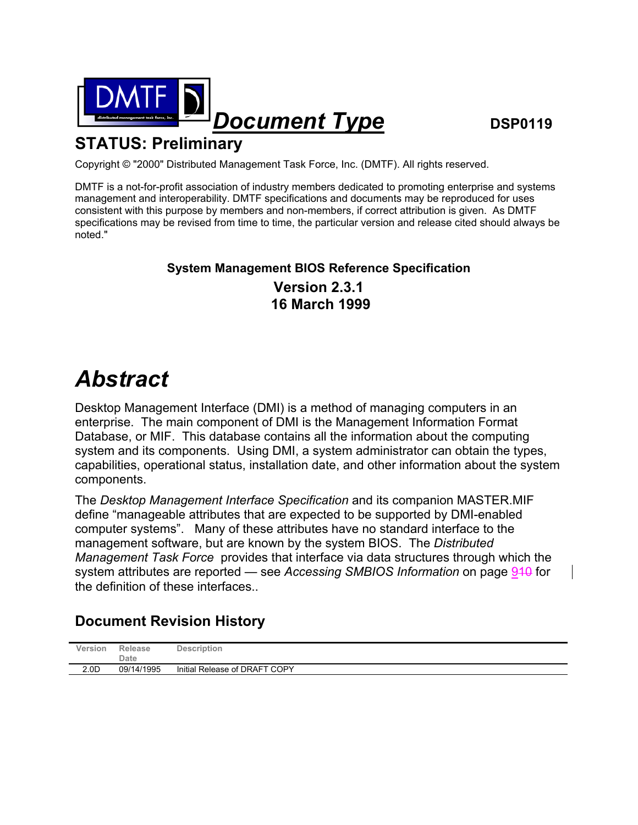

# **STATUS: Preliminary**

Copyright © "2000" Distributed Management Task Force, Inc. (DMTF). All rights reserved.

DMTF is a not-for-profit association of industry members dedicated to promoting enterprise and systems management and interoperability. DMTF specifications and documents may be reproduced for uses consistent with this purpose by members and non-members, if correct attribution is given. As DMTF specifications may be revised from time to time, the particular version and release cited should always be noted."

### **System Management BIOS Reference Specification Version 2.3.1 16 March 1999**

# *Abstract*

Desktop Management Interface (DMI) is a method of managing computers in an enterprise. The main component of DMI is the Management Information Format Database, or MIF. This database contains all the information about the computing system and its components. Using DMI, a system administrator can obtain the types, capabilities, operational status, installation date, and other information about the system components.

The *Desktop Management Interface Specification* and its companion MASTER.MIF define "manageable attributes that are expected to be supported by DMI-enabled computer systems". Many of these attributes have no standard interface to the management software, but are known by the system BIOS. The *Distributed Management Task Force* provides that interface via data structures through which the system attributes are reported — see *Accessing SMBIOS Information* on page 940 for the definition of these interfaces..

## **Document Revision History**

| Version          | Release<br>Date | <b>Description</b>            |
|------------------|-----------------|-------------------------------|
| 2.0 <sub>D</sub> | 09/14/1995      | Initial Release of DRAFT COPY |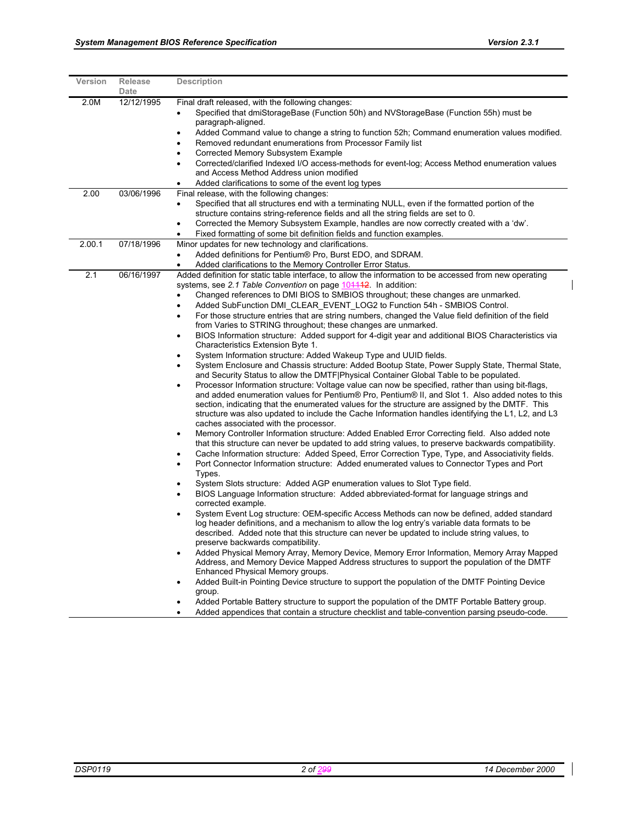| Version | Release<br>Date | <b>Description</b>                                                                                                                                                                                                                                                                                                                                                                                                                                                                                                                                                                                                                                                                                                                                                                                                                                                                                                                                                                                                                                                                                                                                                                                                                                                                                                                                                                                                                                                                                                                                                                                                                                                                                                                                                                                                                                                                                                                                                                                                                                                                                                                                                                                                                                                                                                                                                                                                                                                                                                                                                                                                                                                                                                                                                                                                                                                                                                                                       |
|---------|-----------------|----------------------------------------------------------------------------------------------------------------------------------------------------------------------------------------------------------------------------------------------------------------------------------------------------------------------------------------------------------------------------------------------------------------------------------------------------------------------------------------------------------------------------------------------------------------------------------------------------------------------------------------------------------------------------------------------------------------------------------------------------------------------------------------------------------------------------------------------------------------------------------------------------------------------------------------------------------------------------------------------------------------------------------------------------------------------------------------------------------------------------------------------------------------------------------------------------------------------------------------------------------------------------------------------------------------------------------------------------------------------------------------------------------------------------------------------------------------------------------------------------------------------------------------------------------------------------------------------------------------------------------------------------------------------------------------------------------------------------------------------------------------------------------------------------------------------------------------------------------------------------------------------------------------------------------------------------------------------------------------------------------------------------------------------------------------------------------------------------------------------------------------------------------------------------------------------------------------------------------------------------------------------------------------------------------------------------------------------------------------------------------------------------------------------------------------------------------------------------------------------------------------------------------------------------------------------------------------------------------------------------------------------------------------------------------------------------------------------------------------------------------------------------------------------------------------------------------------------------------------------------------------------------------------------------------------------------------|
| 2.0M    | 12/12/1995      | Final draft released, with the following changes:<br>Specified that dmiStorageBase (Function 50h) and NVStorageBase (Function 55h) must be<br>paragraph-aligned.<br>Added Command value to change a string to function 52h; Command enumeration values modified.<br>Removed redundant enumerations from Processor Family list<br>٠<br>Corrected Memory Subsystem Example<br>Corrected/clarified Indexed I/O access-methods for event-log; Access Method enumeration values<br>and Access Method Address union modified<br>Added clarifications to some of the event log types                                                                                                                                                                                                                                                                                                                                                                                                                                                                                                                                                                                                                                                                                                                                                                                                                                                                                                                                                                                                                                                                                                                                                                                                                                                                                                                                                                                                                                                                                                                                                                                                                                                                                                                                                                                                                                                                                                                                                                                                                                                                                                                                                                                                                                                                                                                                                                            |
| 2.00    | 03/06/1996      | Final release, with the following changes:<br>Specified that all structures end with a terminating NULL, even if the formatted portion of the<br>$\bullet$<br>structure contains string-reference fields and all the string fields are set to 0.<br>Corrected the Memory Subsystem Example, handles are now correctly created with a 'dw'.<br>$\bullet$<br>Fixed formatting of some bit definition fields and function examples.<br>$\bullet$                                                                                                                                                                                                                                                                                                                                                                                                                                                                                                                                                                                                                                                                                                                                                                                                                                                                                                                                                                                                                                                                                                                                                                                                                                                                                                                                                                                                                                                                                                                                                                                                                                                                                                                                                                                                                                                                                                                                                                                                                                                                                                                                                                                                                                                                                                                                                                                                                                                                                                            |
| 2.00.1  | 07/18/1996      | Minor updates for new technology and clarifications.<br>Added definitions for Pentium® Pro, Burst EDO, and SDRAM.<br>$\bullet$<br>Added clarifications to the Memory Controller Error Status.                                                                                                                                                                                                                                                                                                                                                                                                                                                                                                                                                                                                                                                                                                                                                                                                                                                                                                                                                                                                                                                                                                                                                                                                                                                                                                                                                                                                                                                                                                                                                                                                                                                                                                                                                                                                                                                                                                                                                                                                                                                                                                                                                                                                                                                                                                                                                                                                                                                                                                                                                                                                                                                                                                                                                            |
| 2.1     | 06/16/1997      | Added definition for static table interface, to allow the information to be accessed from new operating<br>systems, see 2.1 Table Convention on page 104442 In addition:<br>Changed references to DMI BIOS to SMBIOS throughout; these changes are unmarked.<br>$\bullet$<br>Added SubFunction DMI CLEAR EVENT LOG2 to Function 54h - SMBIOS Control.<br>$\bullet$<br>For those structure entries that are string numbers, changed the Value field definition of the field<br>from Varies to STRING throughout; these changes are unmarked.<br>BIOS Information structure: Added support for 4-digit year and additional BIOS Characteristics via<br>Characteristics Extension Byte 1.<br>System Information structure: Added Wakeup Type and UUID fields.<br>System Enclosure and Chassis structure: Added Bootup State, Power Supply State, Thermal State,<br>and Security Status to allow the DMTF Physical Container Global Table to be populated.<br>Processor Information structure: Voltage value can now be specified, rather than using bit-flags,<br>$\bullet$<br>and added enumeration values for Pentium® Pro, Pentium® II, and Slot 1. Also added notes to this<br>section, indicating that the enumerated values for the structure are assigned by the DMTF. This<br>structure was also updated to include the Cache Information handles identifying the L1, L2, and L3<br>caches associated with the processor.<br>Memory Controller Information structure: Added Enabled Error Correcting field. Also added note<br>that this structure can never be updated to add string values, to preserve backwards compatibility.<br>Cache Information structure: Added Speed, Error Correction Type, Type, and Associativity fields.<br>Port Connector Information structure: Added enumerated values to Connector Types and Port<br>$\bullet$<br>Types.<br>System Slots structure: Added AGP enumeration values to Slot Type field.<br>BIOS Language Information structure: Added abbreviated-format for language strings and<br>corrected example.<br>System Event Log structure: OEM-specific Access Methods can now be defined, added standard<br>$\bullet$<br>log header definitions, and a mechanism to allow the log entry's variable data formats to be<br>described. Added note that this structure can never be updated to include string values, to<br>preserve backwards compatibility.<br>Added Physical Memory Array, Memory Device, Memory Error Information, Memory Array Mapped<br>Address, and Memory Device Mapped Address structures to support the population of the DMTF<br>Enhanced Physical Memory groups.<br>Added Built-in Pointing Device structure to support the population of the DMTF Pointing Device<br>group.<br>Added Portable Battery structure to support the population of the DMTF Portable Battery group.<br>Added appendices that contain a structure checklist and table-convention parsing pseudo-code. |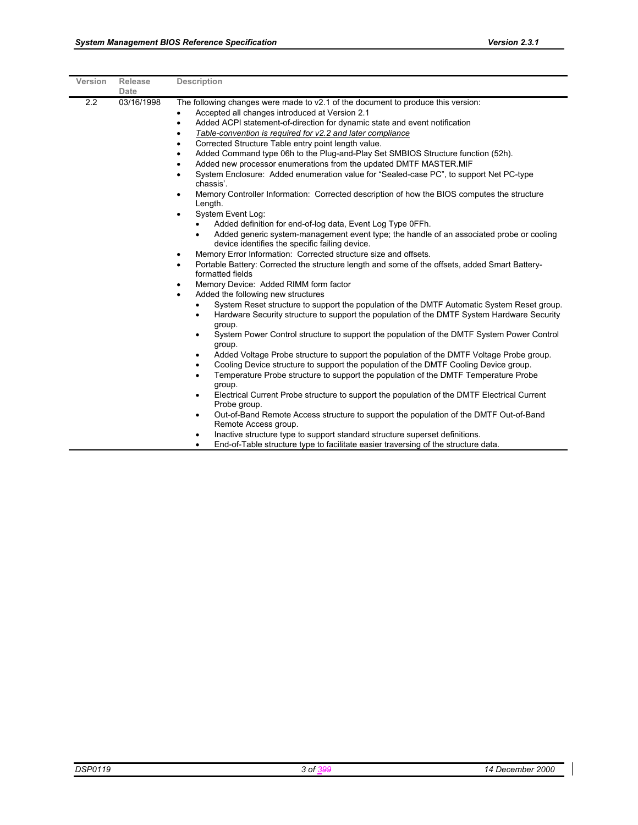| <b>Version</b> | Release<br>Date | <b>Description</b>                                                                                                                                                                                                                                                                                                                                                                                                                                                                                                                                                                                                                                                                                                                                                                                                                                                                                                                                                                                                                                                                                                                                                                                                                                                                                                                                                                                                                                                                                                                                                                                                                                                                                                                                                                                                                                                                                                                                                                                                                                                                                                                                                                                                                                                                                                                                     |
|----------------|-----------------|--------------------------------------------------------------------------------------------------------------------------------------------------------------------------------------------------------------------------------------------------------------------------------------------------------------------------------------------------------------------------------------------------------------------------------------------------------------------------------------------------------------------------------------------------------------------------------------------------------------------------------------------------------------------------------------------------------------------------------------------------------------------------------------------------------------------------------------------------------------------------------------------------------------------------------------------------------------------------------------------------------------------------------------------------------------------------------------------------------------------------------------------------------------------------------------------------------------------------------------------------------------------------------------------------------------------------------------------------------------------------------------------------------------------------------------------------------------------------------------------------------------------------------------------------------------------------------------------------------------------------------------------------------------------------------------------------------------------------------------------------------------------------------------------------------------------------------------------------------------------------------------------------------------------------------------------------------------------------------------------------------------------------------------------------------------------------------------------------------------------------------------------------------------------------------------------------------------------------------------------------------------------------------------------------------------------------------------------------------|
| 2.2            | 03/16/1998      | The following changes were made to v2.1 of the document to produce this version:<br>Accepted all changes introduced at Version 2.1<br>Added ACPI statement-of-direction for dynamic state and event notification<br>$\bullet$<br>Table-convention is required for v2.2 and later compliance<br>Corrected Structure Table entry point length value.<br>Added Command type 06h to the Plug-and-Play Set SMBIOS Structure function (52h).<br>Added new processor enumerations from the updated DMTF MASTER.MIF<br>System Enclosure: Added enumeration value for "Sealed-case PC", to support Net PC-type<br>chassis'.<br>Memory Controller Information: Corrected description of how the BIOS computes the structure<br>Length.<br>System Event Log:<br>$\bullet$<br>Added definition for end-of-log data, Event Log Type OFFh.<br>$\bullet$<br>Added generic system-management event type; the handle of an associated probe or cooling<br>$\bullet$<br>device identifies the specific failing device.<br>Memory Error Information: Corrected structure size and offsets.<br>$\bullet$<br>Portable Battery: Corrected the structure length and some of the offsets, added Smart Battery-<br>$\bullet$<br>formatted fields<br>Memory Device: Added RIMM form factor<br>٠<br>Added the following new structures<br>٠<br>System Reset structure to support the population of the DMTF Automatic System Reset group.<br>$\bullet$<br>Hardware Security structure to support the population of the DMTF System Hardware Security<br>$\bullet$<br>group.<br>System Power Control structure to support the population of the DMTF System Power Control<br>$\bullet$<br>group.<br>Added Voltage Probe structure to support the population of the DMTF Voltage Probe group.<br>$\bullet$<br>Cooling Device structure to support the population of the DMTF Cooling Device group.<br>$\bullet$<br>Temperature Probe structure to support the population of the DMTF Temperature Probe<br>$\bullet$<br>group.<br>Electrical Current Probe structure to support the population of the DMTF Electrical Current<br>$\bullet$<br>Probe group.<br>Out-of-Band Remote Access structure to support the population of the DMTF Out-of-Band<br>$\bullet$<br>Remote Access group.<br>Inactive structure type to support standard structure superset definitions.<br>$\bullet$ |
|                |                 | End-of-Table structure type to facilitate easier traversing of the structure data                                                                                                                                                                                                                                                                                                                                                                                                                                                                                                                                                                                                                                                                                                                                                                                                                                                                                                                                                                                                                                                                                                                                                                                                                                                                                                                                                                                                                                                                                                                                                                                                                                                                                                                                                                                                                                                                                                                                                                                                                                                                                                                                                                                                                                                                      |

• End-of-Table structure type to facilitate easier traversing of the structure data.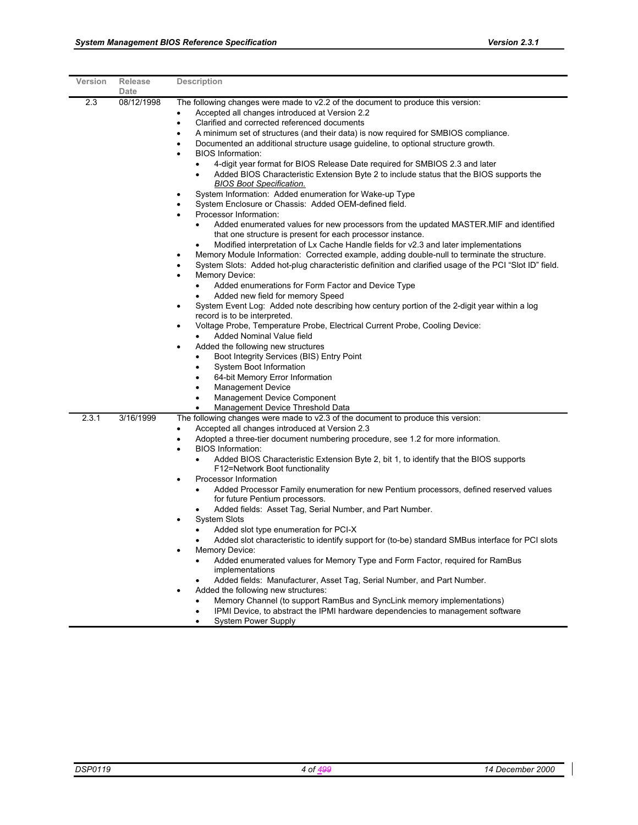| Version | <b>Release</b><br>Date | <b>Description</b>                                                                                                                                                                                                                                                                                                                                                                                                                                                                                                                                                                                                                                                                                                                                                                                                                                                                                                                                                                                                                                                                                                                                                                                                                                                                                                                                                                                                                                                                                                                                                                                                                                                                                                                                                                                                                                                                                                                                                                                               |
|---------|------------------------|------------------------------------------------------------------------------------------------------------------------------------------------------------------------------------------------------------------------------------------------------------------------------------------------------------------------------------------------------------------------------------------------------------------------------------------------------------------------------------------------------------------------------------------------------------------------------------------------------------------------------------------------------------------------------------------------------------------------------------------------------------------------------------------------------------------------------------------------------------------------------------------------------------------------------------------------------------------------------------------------------------------------------------------------------------------------------------------------------------------------------------------------------------------------------------------------------------------------------------------------------------------------------------------------------------------------------------------------------------------------------------------------------------------------------------------------------------------------------------------------------------------------------------------------------------------------------------------------------------------------------------------------------------------------------------------------------------------------------------------------------------------------------------------------------------------------------------------------------------------------------------------------------------------------------------------------------------------------------------------------------------------|
| 2.3     | 08/12/1998             | The following changes were made to v2.2 of the document to produce this version:<br>Accepted all changes introduced at Version 2.2<br>٠<br>Clarified and corrected referenced documents<br>$\bullet$<br>A minimum set of structures (and their data) is now required for SMBIOS compliance.<br>٠<br>Documented an additional structure usage guideline, to optional structure growth.<br>٠<br><b>BIOS Information:</b><br>4-digit year format for BIOS Release Date required for SMBIOS 2.3 and later<br>$\bullet$<br>Added BIOS Characteristic Extension Byte 2 to include status that the BIOS supports the<br>$\bullet$<br><b>BIOS Boot Specification.</b><br>System Information: Added enumeration for Wake-up Type<br>$\bullet$<br>System Enclosure or Chassis: Added OEM-defined field.<br>Processor Information:<br>Added enumerated values for new processors from the updated MASTER. MIF and identified<br>$\bullet$<br>that one structure is present for each processor instance.<br>Modified interpretation of Lx Cache Handle fields for v2.3 and later implementations<br>Memory Module Information: Corrected example, adding double-null to terminate the structure.<br>$\bullet$<br>System Slots: Added hot-plug characteristic definition and clarified usage of the PCI "Slot ID" field.<br>Memory Device:<br>$\bullet$<br>Added enumerations for Form Factor and Device Type<br>$\bullet$<br>Added new field for memory Speed<br>$\bullet$<br>System Event Log: Added note describing how century portion of the 2-digit year within a log<br>$\bullet$<br>record is to be interpreted.<br>Voltage Probe, Temperature Probe, Electrical Current Probe, Cooling Device:<br>$\bullet$<br>Added Nominal Value field<br>Added the following new structures<br>٠<br>Boot Integrity Services (BIS) Entry Point<br>System Boot Information<br>$\bullet$<br>64-bit Memory Error Information<br>$\bullet$<br><b>Management Device</b><br>$\bullet$<br><b>Management Device Component</b><br>$\bullet$ |
| 2.3.1   | 3/16/1999              | Management Device Threshold Data<br>The following changes were made to v2.3 of the document to produce this version:<br>Accepted all changes introduced at Version 2.3<br>$\bullet$<br>Adopted a three-tier document numbering procedure, see 1.2 for more information.<br>$\bullet$<br><b>BIOS Information:</b><br>$\bullet$<br>Added BIOS Characteristic Extension Byte 2, bit 1, to identify that the BIOS supports<br>F12=Network Boot functionality<br>Processor Information<br>٠<br>Added Processor Family enumeration for new Pentium processors, defined reserved values<br>$\bullet$<br>for future Pentium processors.<br>Added fields: Asset Tag, Serial Number, and Part Number.<br><b>System Slots</b><br>$\bullet$<br>Added slot type enumeration for PCI-X<br>Added slot characteristic to identify support for (to-be) standard SMBus interface for PCI slots<br>Memory Device:<br>Added enumerated values for Memory Type and Form Factor, required for RamBus<br>implementations<br>Added fields: Manufacturer, Asset Tag, Serial Number, and Part Number.<br>Added the following new structures:<br>Memory Channel (to support RamBus and SyncLink memory implementations)<br>$\bullet$<br>IPMI Device, to abstract the IPMI hardware dependencies to management software                                                                                                                                                                                                                                                                                                                                                                                                                                                                                                                                                                                                                                                                                                                      |

• System Power Supply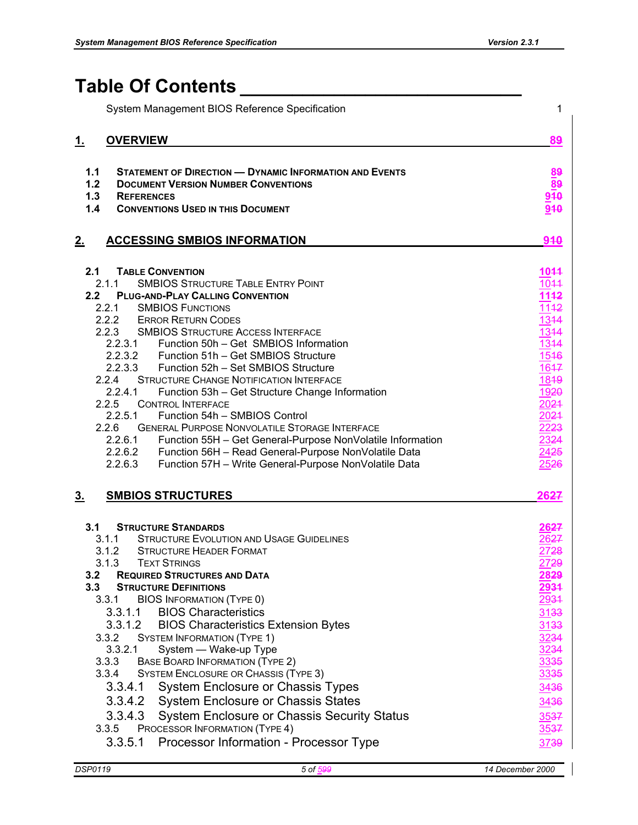# **Table Of Contents \_\_\_\_\_\_\_\_\_\_\_\_\_\_\_\_\_\_\_\_\_\_\_\_\_\_\_**

| System Management BIOS Reference Specification                                                                                                                                                                                                                                                                                                                                                                                                                                                                                                                                                                                                                                                                                                                                                                                                                                                                     | $\mathbf 1$                                                                                                                                                                                      |
|--------------------------------------------------------------------------------------------------------------------------------------------------------------------------------------------------------------------------------------------------------------------------------------------------------------------------------------------------------------------------------------------------------------------------------------------------------------------------------------------------------------------------------------------------------------------------------------------------------------------------------------------------------------------------------------------------------------------------------------------------------------------------------------------------------------------------------------------------------------------------------------------------------------------|--------------------------------------------------------------------------------------------------------------------------------------------------------------------------------------------------|
| <u>1.</u><br><b>OVERVIEW</b>                                                                                                                                                                                                                                                                                                                                                                                                                                                                                                                                                                                                                                                                                                                                                                                                                                                                                       | 89                                                                                                                                                                                               |
| <b>STATEMENT OF DIRECTION - DYNAMIC INFORMATION AND EVENTS</b><br>1.1<br>1.2<br><b>DOCUMENT VERSION NUMBER CONVENTIONS</b><br>1.3<br><b>REFERENCES</b><br>1.4<br><b>CONVENTIONS USED IN THIS DOCUMENT</b>                                                                                                                                                                                                                                                                                                                                                                                                                                                                                                                                                                                                                                                                                                          | 89<br>88<br>910<br>940                                                                                                                                                                           |
| <u>2.</u><br><b>ACCESSING SMBIOS INFORMATION</b>                                                                                                                                                                                                                                                                                                                                                                                                                                                                                                                                                                                                                                                                                                                                                                                                                                                                   | 940                                                                                                                                                                                              |
| <b>TABLE CONVENTION</b><br>2.1<br>2.1.1<br><b>SMBIOS STRUCTURE TABLE ENTRY POINT</b><br>2.2<br><b>PLUG-AND-PLAY CALLING CONVENTION</b><br><b>SMBIOS FUNCTIONS</b><br>2.2.1<br>2.2.2<br><b>ERROR RETURN CODES</b><br>2.2.3<br><b>SMBIOS STRUCTURE ACCESS INTERFACE</b><br>2.2.3.1<br>Function 50h - Get SMBIOS Information<br>2.2.3.2 Function 51h - Get SMBIOS Structure<br>2.2.3.3<br>Function 52h - Set SMBIOS Structure<br>2.2.4<br><b>STRUCTURE CHANGE NOTIFICATION INTERFACE</b><br>2.2.4.1<br>Function 53h - Get Structure Change Information<br>2.2.5<br><b>CONTROL INTERFACE</b><br>2.2.5.1<br>Function 54h - SMBIOS Control<br>2.2.6<br><b>GENERAL PURPOSE NONVOLATILE STORAGE INTERFACE</b><br>2.2.6.1<br>Function 55H - Get General-Purpose NonVolatile Information<br>2.2.6.2 Function 56H - Read General-Purpose NonVolatile Data<br>2.2.6.3<br>Function 57H - Write General-Purpose NonVolatile Data | 1044<br>1044<br>1142<br>1142<br>1344<br>1344<br>1344<br>1546<br>1647<br>1849<br>1920<br>2024<br>2024<br>2223<br>2324<br>2425<br>2526                                                             |
| <u>3.</u><br><b>SMBIOS STRUCTURES</b>                                                                                                                                                                                                                                                                                                                                                                                                                                                                                                                                                                                                                                                                                                                                                                                                                                                                              | 2627                                                                                                                                                                                             |
| <b>STRUCTURE STANDARDS</b><br>3.1<br><b>STRUCTURE EVOLUTION AND USAGE GUIDELINES</b><br>3.1.1<br>3.1.2<br><b>STRUCTURE HEADER FORMAT</b><br>3.1.3<br><b>TEXT STRINGS</b><br>3.2<br><b>REQUIRED STRUCTURES AND DATA</b><br>3.3<br><b>STRUCTURE DEFINITIONS</b><br><b>BIOS INFORMATION (TYPE 0)</b><br>3.3.1<br>3.3.1.1<br><b>BIOS Characteristics</b><br>3.3.1.2<br><b>BIOS Characteristics Extension Bytes</b><br>3.3.2<br><b>SYSTEM INFORMATION (TYPE 1)</b><br>3.3.2.1<br>System - Wake-up Type<br>3.3.3<br><b>BASE BOARD INFORMATION (TYPE 2)</b><br>3.3.4<br>SYSTEM ENCLOSURE OR CHASSIS (TYPE 3)<br><b>System Enclosure or Chassis Types</b><br>3.3.4.1<br>3.3.4.2<br><b>System Enclosure or Chassis States</b><br>3.3.4.3<br><b>System Enclosure or Chassis Security Status</b><br>PROCESSOR INFORMATION (TYPE 4)<br>3.3.5<br>3.3.5.1<br>Processor Information - Processor Type                              | 26 <del>27</del><br>26 <del>27</del><br>27 <del>28</del><br><u> 2729</u><br>2829<br><u> 2934</u><br>2931<br>3133<br>3133<br>3234<br>3234<br>3335<br>3335<br>3436<br>3436<br>3537<br>3537<br>3739 |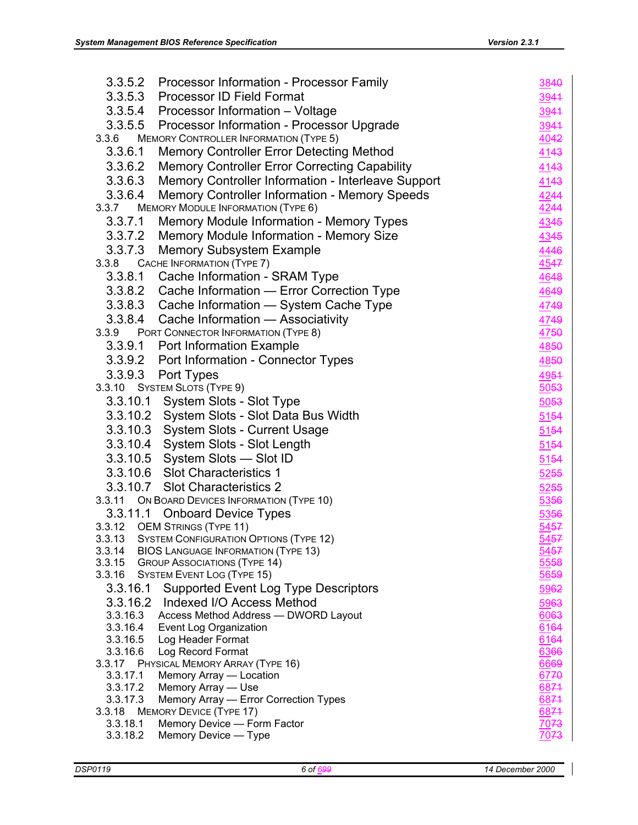| 3.3.5.2<br>Processor Information - Processor Family                                           | 3840         |
|-----------------------------------------------------------------------------------------------|--------------|
| 3.3.5.3 Processor ID Field Format                                                             | 3944         |
| 3.3.5.4 Processor Information - Voltage                                                       | 3944         |
| 3.3.5.5 Processor Information - Processor Upgrade                                             | 3944         |
| 3.3.6<br><b>MEMORY CONTROLLER INFORMATION (TYPE 5)</b>                                        | 4042         |
| <b>Memory Controller Error Detecting Method</b><br>3.3.6.1                                    | 4143         |
| <b>Memory Controller Error Correcting Capability</b><br>3.3.6.2                               | 4143         |
| 3.3.6.3<br>Memory Controller Information - Interleave Support                                 | 4143         |
| 3.3.6.4<br>Memory Controller Information - Memory Speeds                                      | 4244         |
| <b>MEMORY MODULE INFORMATION (TYPE 6)</b><br>3.3.7                                            | 4244         |
| 3.3.7.1<br><b>Memory Module Information - Memory Types</b>                                    | 4345         |
| 3.3.7.2 Memory Module Information - Memory Size                                               | 4345         |
| 3.3.7.3 Memory Subsystem Example                                                              | 4446         |
| 3.3.8 CACHE INFORMATION (TYPE 7)                                                              | 4547         |
| 3.3.8.1 Cache Information - SRAM Type                                                         | 4648         |
| 3.3.8.2 Cache Information - Error Correction Type                                             | 4649         |
| 3.3.8.3 Cache Information - System Cache Type                                                 | 4749         |
| 3.3.8.4 Cache Information - Associativity                                                     | 4749         |
| 3.3.9 PORT CONNECTOR INFORMATION (TYPE 8)                                                     | 4750         |
| 3.3.9.1 Port Information Example                                                              | 4850         |
| 3.3.9.2 Port Information - Connector Types                                                    | 4850         |
| 3.3.9.3 Port Types                                                                            | 4954         |
| 3.3.10 SYSTEM SLOTS (TYPE 9)                                                                  | 5053         |
| 3.3.10.1 System Slots - Slot Type                                                             | 5053         |
| 3.3.10.2 System Slots - Slot Data Bus Width                                                   | 5154         |
| 3.3.10.3 System Slots - Current Usage                                                         | 5154         |
| 3.3.10.4 System Slots - Slot Length                                                           | 5154         |
| 3.3.10.5 System Slots - Slot ID                                                               | 5154         |
| 3.3.10.6 Slot Characteristics 1                                                               | 5255         |
| 3.3.10.7 Slot Characteristics 2                                                               | 5255         |
| 3.3.11 ON BOARD DEVICES INFORMATION (TYPE 10)                                                 | 5356         |
| 3.3.11.1 Onboard Device Types                                                                 | 5356         |
| 3.3.12 OEM STRINGS (TYPE 11)                                                                  | 5457         |
| <b>SYSTEM CONFIGURATION OPTIONS (TYPE 12)</b><br>3.3.13                                       | 5457         |
| 3.3.14<br><b>BIOS LANGUAGE INFORMATION (TYPE 13)</b>                                          | 5457         |
| <b>GROUP ASSOCIATIONS (TYPE 14)</b><br>3.3.15                                                 | 5558         |
| 3.3.16<br><b>SYSTEM EVENT LOG (TYPE 15)</b>                                                   | 5659         |
| Supported Event Log Type Descriptors<br>3.3.16.1<br>Indexed I/O Access Method                 | 5962         |
| 3.3.16.2<br>3.3.16.3<br>Access Method Address - DWORD Layout                                  | 5963<br>6063 |
| 3.3.16.4<br>Event Log Organization                                                            | 6164         |
| 3.3.16.5<br>Log Header Format                                                                 | 6164         |
| 3.3.16.6<br>Log Record Format                                                                 | 6366         |
| 3.3.17<br>PHYSICAL MEMORY ARRAY (TYPE 16)                                                     | 6669         |
| 3.3.17.1<br>Memory Array - Location                                                           | 6770         |
| Memory Array - Use<br>3.3.17.2                                                                | 6874         |
| Memory Array - Error Correction Types<br>3.3.17.3<br><b>MEMORY DEVICE (TYPE 17)</b><br>3.3.18 | 6874<br>6874 |
| 3.3.18.1<br>Memory Device - Form Factor                                                       | 7073         |
| 3.3.18.2<br>Memory Device - Type                                                              | 7073         |
|                                                                                               |              |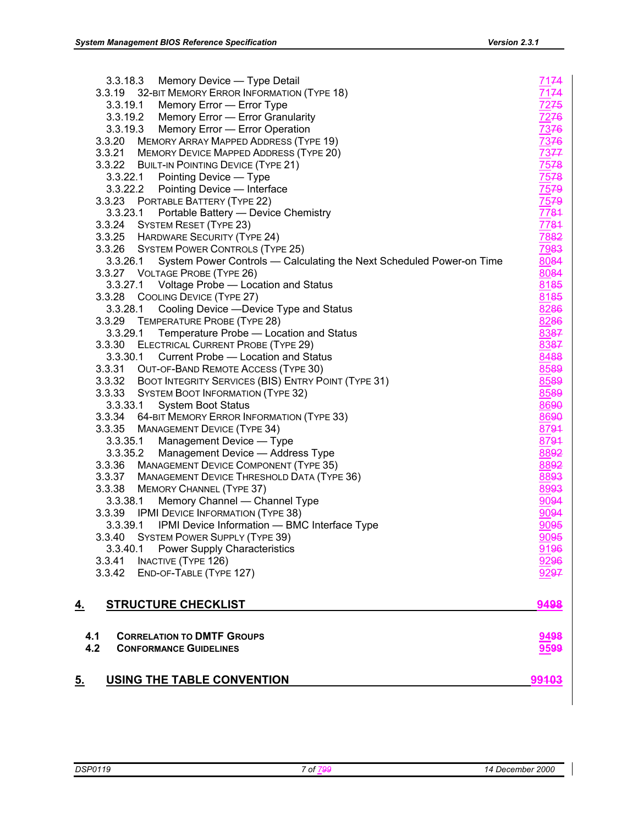| END-OF-TABLE (TYPE 127)<br>3.3.42                                                         | 9297                |
|-------------------------------------------------------------------------------------------|---------------------|
| 3.3.40.1 Power Supply Characteristics<br><b>INACTIVE (TYPE 126)</b><br>3.3.41             | 9196<br>9296        |
| 3.3.40<br><b>SYSTEM POWER SUPPLY (TYPE 39)</b>                                            | 9095                |
| 3.3.39.1 IPMI Device Information - BMC Interface Type                                     | 9095                |
| 3.3.39 IPMI DEVICE INFORMATION (TYPE 38)                                                  | 9094                |
| 3.3.38.1<br>Memory Channel - Channel Type                                                 | 9094                |
| 3.3.38 MEMORY CHANNEL (TYPE 37)                                                           | 8993                |
| 3.3.37 MANAGEMENT DEVICE THRESHOLD DATA (TYPE 36)                                         | 8893                |
| 3.3.36 MANAGEMENT DEVICE COMPONENT (TYPE 35)                                              | 8892                |
| 3.3.35.2<br>Management Device - Address Type                                              | 8892                |
| 3.3.35 MANAGEMENT DEVICE (TYPE 34)<br>3.3.35.1<br>Management Device - Type                | 8794                |
|                                                                                           | 8794                |
| <b>System Boot Status</b><br>3.3.34 64-BIT MEMORY ERROR INFORMATION (TYPE 33)             | 8690<br>8690        |
| 3.3.33.1                                                                                  |                     |
| 3.3.33 SYSTEM BOOT INFORMATION (TYPE 32)                                                  | 8589<br>8589        |
| 3.3.32 BOOT INTEGRITY SERVICES (BIS) ENTRY POINT (TYPE 31)                                | 8589                |
| 3.3.31 OUT-OF-BAND REMOTE ACCESS (TYPE 30)                                                |                     |
| ELECTRICAL CURRENT PROBE (TYPE 29)<br>3.3.30.1 Current Probe - Location and Status        | 8387<br>8488        |
| 3.3.29.1<br>Temperature Probe - Location and Status<br>3.3.30                             | 8387                |
| 3.3.29<br>TEMPERATURE PROBE (TYPE 28)                                                     | 8286                |
| 3.3.28.1<br>Cooling Device - Device Type and Status                                       | 8286                |
| 3.3.28 COOLING DEVICE (TYPE 27)                                                           | 8185                |
| 3.3.27.1 Voltage Probe — Location and Status                                              | 8185                |
| 3.3.27 VOLTAGE PROBE (TYPE 26)                                                            | 8084                |
| 3.3.26.1<br>System Power Controls - Calculating the Next Scheduled Power-on Time          | 8084                |
| 3.3.26 SYSTEM POWER CONTROLS (TYPE 25)                                                    | 7983                |
| 3.3.25 HARDWARE SECURITY (TYPE 24)                                                        | 7882                |
| 3.3.24 SYSTEM RESET (TYPE 23)                                                             | 7784                |
| Portable Battery - Device Chemistry<br>3.3.23.1                                           | 7784                |
| 3.3.23 PORTABLE BATTERY (TYPE 22)                                                         | 7579                |
| 3.3.22.2<br>Pointing Device - Interface                                                   | 7579                |
| Pointing Device - Type<br>3.3.22.1                                                        | 7578                |
| 3.3.22 BUILT-IN POINTING DEVICE (TYPE 21)                                                 | 7578                |
| 3.3.21 MEMORY DEVICE MAPPED ADDRESS (TYPE 20)                                             | 7377                |
| 3.3.20<br><b>MEMORY ARRAY MAPPED ADDRESS (TYPE 19)</b>                                    | 7376                |
| Memory Error - Error Operation<br>3.3.19.3                                                | 7376                |
| 3.3.19.2 Memory Error - Error Granularity                                                 | 7276                |
| 3.3.19 32-BIT MEMORY ERROR INFORMATION (TYPE 18)<br>3.3.19.1<br>Memory Error - Error Type | 7174<br><u>7275</u> |
| 3.3.18.3<br>Memory Device - Type Detail                                                   | 7174                |
|                                                                                           |                     |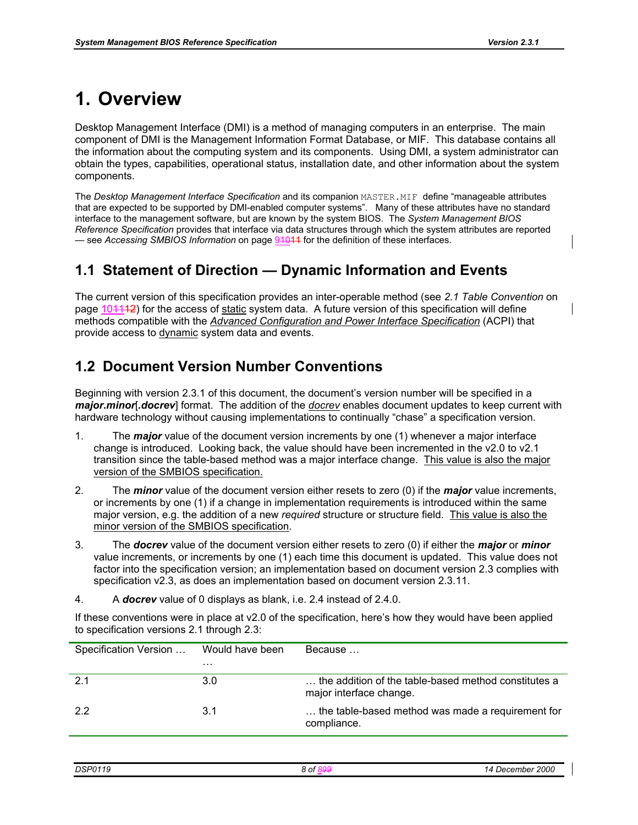# **1. Overview**

Desktop Management Interface (DMI) is a method of managing computers in an enterprise. The main component of DMI is the Management Information Format Database, or MIF. This database contains all the information about the computing system and its components. Using DMI, a system administrator can obtain the types, capabilities, operational status, installation date, and other information about the system components.

The *Desktop Management Interface Specification* and its companion MASTER.MIF define "manageable attributes that are expected to be supported by DMI-enabled computer systems". Many of these attributes have no standard interface to the management software, but are known by the system BIOS. The *System Management BIOS Reference Specification* provides that interface via data structures through which the system attributes are reported — see *Accessing SMBIOS Information* on page 94044 for the definition of these interfaces.

### **1.1 Statement of Direction — Dynamic Information and Events**

The current version of this specification provides an inter-operable method (see *2.1 Table Convention* on page 104442) for the access of static system data. A future version of this specification will define methods compatible with the *Advanced Configuration and Power Interface Specification* (ACPI) that provide access to dynamic system data and events.

### **1.2 Document Version Number Conventions**

Beginning with version 2.3.1 of this document, the document's version number will be specified in a *major***.***minor*[*.docrev*] format. The addition of the *docrev* enables document updates to keep current with hardware technology without causing implementations to continually "chase" a specification version.

- 1. The *major* value of the document version increments by one (1) whenever a major interface change is introduced. Looking back, the value should have been incremented in the v2.0 to v2.1 transition since the table-based method was a major interface change. This value is also the major version of the SMBIOS specification.
- 2. The *minor* value of the document version either resets to zero (0) if the *major* value increments, or increments by one (1) if a change in implementation requirements is introduced within the same major version, e.g. the addition of a new *required* structure or structure field. This value is also the minor version of the SMBIOS specification.
- 3. The *docrev* value of the document version either resets to zero (0) if either the *major* or *minor* value increments, or increments by one (1) each time this document is updated. This value does not factor into the specification version; an implementation based on document version 2.3 complies with specification v2.3, as does an implementation based on document version 2.3.11.
- 4. A *docrev* value of 0 displays as blank, i.e. 2.4 instead of 2.4.0.

If these conventions were in place at v2.0 of the specification, here's how they would have been applied to specification versions 2.1 through 2.3:

| Specification Version | Would have been | Because                                                                         |
|-----------------------|-----------------|---------------------------------------------------------------------------------|
|                       | $\cdots$        |                                                                                 |
| -2.1                  | 3.0             | the addition of the table-based method constitutes a<br>major interface change. |
| 2.2                   | 3.1             | the table-based method was made a requirement for<br>compliance.                |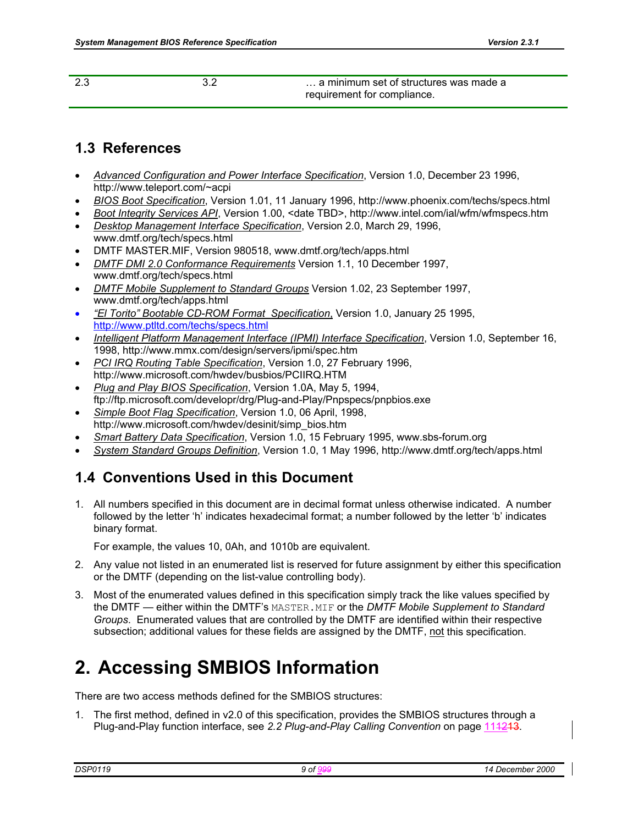| -2.3 | a minimum set of structures was made a |
|------|----------------------------------------|
|      | requirement for compliance.            |

### **1.3 References**

- *Advanced Configuration and Power Interface Specification*, Version 1.0, December 23 1996, http://www.teleport.com/~acpi
- *BIOS Boot Specification*, Version 1.01, 11 January 1996, http://www.phoenix.com/techs/specs.html
- *Boot Integrity Services API*, Version 1.00, <date TBD>, http://www.intel.com/ial/wfm/wfmspecs.htm
- *Desktop Management Interface Specification*, Version 2.0, March 29, 1996, www.dmtf.org/tech/specs.html
- DMTF MASTER.MIF, Version 980518, www.dmtf.org/tech/apps.html
- *DMTF DMI 2.0 Conformance Requirements* Version 1.1, 10 December 1997, www.dmtf.org/tech/specs.html
- *DMTF Mobile Supplement to Standard Groups* Version 1.02, 23 September 1997, www.dmtf.org/tech/apps.html
- *"El Torito" Bootable CD-ROM Format Specification*, Version 1.0, January 25 1995, http://www.ptltd.com/techs/specs.html
- *Intelligent Platform Management Interface (IPMI) Interface Specification*, Version 1.0, September 16, 1998, http://www.mmx.com/design/servers/ipmi/spec.htm
- *PCI IRQ Routing Table Specification*, Version 1.0, 27 February 1996, http://www.microsoft.com/hwdev/busbios/PCIIRQ.HTM
- *Plug and Play BIOS Specification*, Version 1.0A, May 5, 1994, ftp://ftp.microsoft.com/developr/drg/Plug-and-Play/Pnpspecs/pnpbios.exe
- *Simple Boot Flag Specification*, Version 1.0, 06 April, 1998, http://www.microsoft.com/hwdev/desinit/simp\_bios.htm
- *Smart Battery Data Specification*, Version 1.0, 15 February 1995, www.sbs-forum.org
- *System Standard Groups Definition*, Version 1.0, 1 May 1996, http://www.dmtf.org/tech/apps.html

# **1.4 Conventions Used in this Document**

1. All numbers specified in this document are in decimal format unless otherwise indicated. A number followed by the letter 'h' indicates hexadecimal format; a number followed by the letter 'b' indicates binary format.

For example, the values 10, 0Ah, and 1010b are equivalent.

- 2. Any value not listed in an enumerated list is reserved for future assignment by either this specification or the DMTF (depending on the list-value controlling body).
- 3. Most of the enumerated values defined in this specification simply track the like values specified by the DMTF — either within the DMTF's MASTER.MIF or the *DMTF Mobile Supplement to Standard Groups*. Enumerated values that are controlled by the DMTF are identified within their respective subsection; additional values for these fields are assigned by the DMTF, not this specification.

# **2. Accessing SMBIOS Information**

There are two access methods defined for the SMBIOS structures:

1. The first method, defined in v2.0 of this specification, provides the SMBIOS structures through a Plug-and-Play function interface, see *2.2 Plug-and-Play Calling Convention* on page 111213.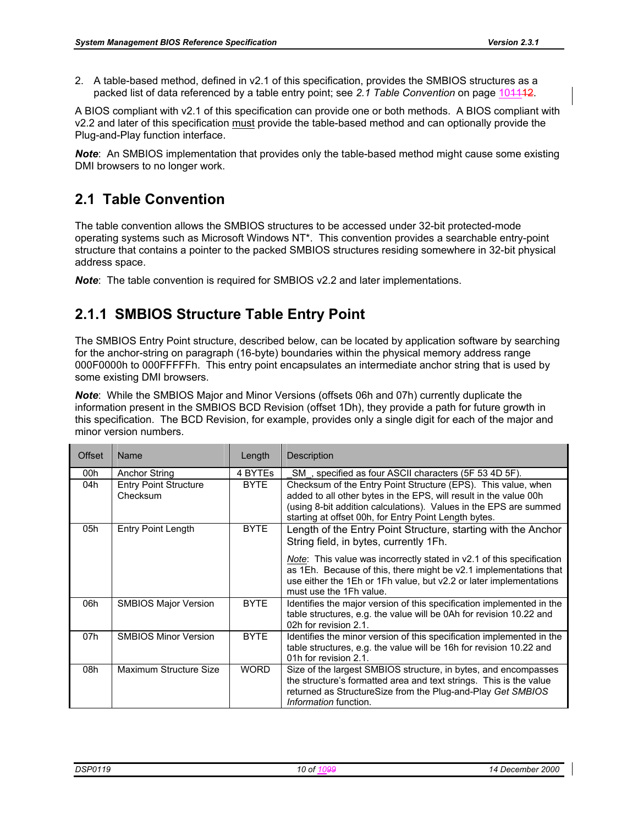2. A table-based method, defined in v2.1 of this specification, provides the SMBIOS structures as a packed list of data referenced by a table entry point; see 2.1 Table Convention on page 104442.

A BIOS compliant with v2.1 of this specification can provide one or both methods. A BIOS compliant with v2.2 and later of this specification must provide the table-based method and can optionally provide the Plug-and-Play function interface.

*Note*: An SMBIOS implementation that provides only the table-based method might cause some existing DMI browsers to no longer work.

# **2.1 Table Convention**

The table convention allows the SMBIOS structures to be accessed under 32-bit protected-mode operating systems such as Microsoft Windows NT\*. This convention provides a searchable entry-point structure that contains a pointer to the packed SMBIOS structures residing somewhere in 32-bit physical address space.

*Note*: The table convention is required for SMBIOS v2.2 and later implementations.

# **2.1.1 SMBIOS Structure Table Entry Point**

The SMBIOS Entry Point structure, described below, can be located by application software by searching for the anchor-string on paragraph (16-byte) boundaries within the physical memory address range 000F0000h to 000FFFFFh. This entry point encapsulates an intermediate anchor string that is used by some existing DMI browsers.

*Note*: While the SMBIOS Major and Minor Versions (offsets 06h and 07h) currently duplicate the information present in the SMBIOS BCD Revision (offset 1Dh), they provide a path for future growth in this specification. The BCD Revision, for example, provides only a single digit for each of the major and minor version numbers.

| Offset | Name                                     | Length      | Description                                                                                                                                                                                                                                                                                                                                                    |
|--------|------------------------------------------|-------------|----------------------------------------------------------------------------------------------------------------------------------------------------------------------------------------------------------------------------------------------------------------------------------------------------------------------------------------------------------------|
| 00h    | <b>Anchor String</b>                     | 4 BYTES     | SM, specified as four ASCII characters (5F 53 4D 5F).                                                                                                                                                                                                                                                                                                          |
| 04h    | <b>Entry Point Structure</b><br>Checksum | <b>BYTE</b> | Checksum of the Entry Point Structure (EPS). This value, when<br>added to all other bytes in the EPS, will result in the value 00h<br>(using 8-bit addition calculations). Values in the EPS are summed<br>starting at offset 00h, for Entry Point Length bytes.                                                                                               |
| 05h    | <b>Entry Point Length</b>                | <b>BYTE</b> | Length of the Entry Point Structure, starting with the Anchor<br>String field, in bytes, currently 1Fh.<br><i>Note</i> : This value was incorrectly stated in v2.1 of this specification<br>as 1Eh. Because of this, there might be v2.1 implementations that<br>use either the 1Eh or 1Fh value, but v2.2 or later implementations<br>must use the 1Fh value. |
| 06h    | <b>SMBIOS Major Version</b>              | <b>BYTE</b> | Identifies the major version of this specification implemented in the<br>table structures, e.g. the value will be 0Ah for revision 10.22 and<br>02h for revision 2.1.                                                                                                                                                                                          |
| 07h    | <b>SMBIOS Minor Version</b>              | <b>BYTE</b> | Identifies the minor version of this specification implemented in the<br>table structures, e.g. the value will be 16h for revision 10.22 and<br>01h for revision 2.1.                                                                                                                                                                                          |
| 08h    | Maximum Structure Size                   | <b>WORD</b> | Size of the largest SMBIOS structure, in bytes, and encompasses<br>the structure's formatted area and text strings. This is the value<br>returned as StructureSize from the Plug-and-Play Get SMBIOS<br><i>Information</i> function.                                                                                                                           |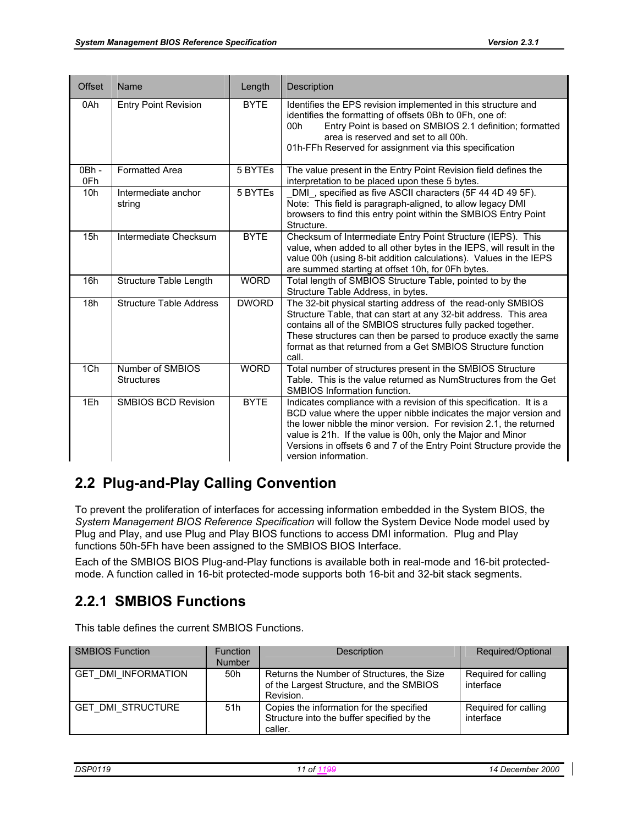| <b>Offset</b>             | Name                                  | Length       | Description                                                                                                                                                                                                                                                                                                                                                                  |
|---------------------------|---------------------------------------|--------------|------------------------------------------------------------------------------------------------------------------------------------------------------------------------------------------------------------------------------------------------------------------------------------------------------------------------------------------------------------------------------|
| 0Ah                       | <b>Entry Point Revision</b>           | <b>BYTE</b>  | Identifies the EPS revision implemented in this structure and<br>identifies the formatting of offsets 0Bh to 0Fh, one of:<br>Entry Point is based on SMBIOS 2.1 definition; formatted<br>00h<br>area is reserved and set to all 00h.<br>01h-FFh Reserved for assignment via this specification                                                                               |
| $\overline{OBh}$ -<br>0Fh | <b>Formatted Area</b>                 | 5 BYTEs      | The value present in the Entry Point Revision field defines the<br>interpretation to be placed upon these 5 bytes.                                                                                                                                                                                                                                                           |
| 10h                       | Intermediate anchor<br>string         | 5 BYTEs      | DMI, specified as five ASCII characters (5F 44 4D 49 5F).<br>Note: This field is paragraph-aligned, to allow legacy DMI<br>browsers to find this entry point within the SMBIOS Entry Point<br>Structure.                                                                                                                                                                     |
| 15h                       | Intermediate Checksum                 | <b>BYTE</b>  | Checksum of Intermediate Entry Point Structure (IEPS). This<br>value, when added to all other bytes in the IEPS, will result in the<br>value 00h (using 8-bit addition calculations). Values in the IEPS<br>are summed starting at offset 10h, for 0Fh bytes.                                                                                                                |
| 16h                       | Structure Table Length                | <b>WORD</b>  | Total length of SMBIOS Structure Table, pointed to by the<br>Structure Table Address, in bytes.                                                                                                                                                                                                                                                                              |
| 18h                       | <b>Structure Table Address</b>        | <b>DWORD</b> | The 32-bit physical starting address of the read-only SMBIOS<br>Structure Table, that can start at any 32-bit address. This area<br>contains all of the SMBIOS structures fully packed together.<br>These structures can then be parsed to produce exactly the same<br>format as that returned from a Get SMBIOS Structure function<br>call.                                 |
| 1Ch                       | Number of SMBIOS<br><b>Structures</b> | <b>WORD</b>  | Total number of structures present in the SMBIOS Structure<br>Table. This is the value returned as NumStructures from the Get<br>SMBIOS Information function.                                                                                                                                                                                                                |
| 1Eh                       | <b>SMBIOS BCD Revision</b>            | <b>BYTE</b>  | Indicates compliance with a revision of this specification. It is a<br>BCD value where the upper nibble indicates the major version and<br>the lower nibble the minor version. For revision 2.1, the returned<br>value is 21h. If the value is 00h, only the Major and Minor<br>Versions in offsets 6 and 7 of the Entry Point Structure provide the<br>version information. |

# **2.2 Plug-and-Play Calling Convention**

To prevent the proliferation of interfaces for accessing information embedded in the System BIOS, the *System Management BIOS Reference Specification* will follow the System Device Node model used by Plug and Play, and use Plug and Play BIOS functions to access DMI information. Plug and Play functions 50h-5Fh have been assigned to the SMBIOS BIOS Interface.

Each of the SMBIOS BIOS Plug-and-Play functions is available both in real-mode and 16-bit protectedmode. A function called in 16-bit protected-mode supports both 16-bit and 32-bit stack segments.

## **2.2.1 SMBIOS Functions**

This table defines the current SMBIOS Functions.

| <b>SMBIOS Function</b>     | <b>Function</b><br><b>Number</b> | <b>Description</b>                                                                                  | Required/Optional                 |
|----------------------------|----------------------------------|-----------------------------------------------------------------------------------------------------|-----------------------------------|
| <b>GET DMI INFORMATION</b> | 50h                              | Returns the Number of Structures, the Size<br>of the Largest Structure, and the SMBIOS<br>Revision. | Required for calling<br>interface |
| <b>GET DMI STRUCTURE</b>   | 51h                              | Copies the information for the specified<br>Structure into the buffer specified by the<br>caller.   | Required for calling<br>interface |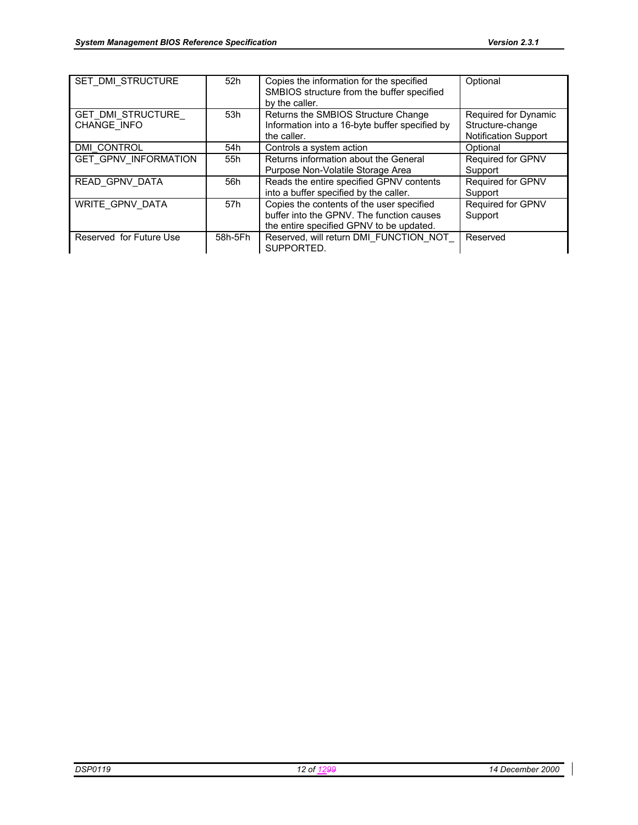| SET DMI STRUCTURE                | 52h     | Copies the information for the specified<br>SMBIOS structure from the buffer specified<br>by the caller.                           | Optional                                                                |
|----------------------------------|---------|------------------------------------------------------------------------------------------------------------------------------------|-------------------------------------------------------------------------|
| GET DMI STRUCTURE<br>CHANGE INFO | 53h     | Returns the SMBIOS Structure Change<br>Information into a 16-byte buffer specified by<br>the caller.                               | Required for Dynamic<br>Structure-change<br><b>Notification Support</b> |
| DMI CONTROL                      | 54h     | Controls a system action                                                                                                           | Optional                                                                |
| <b>GET GPNV INFORMATION</b>      | 55h     | Returns information about the General<br>Purpose Non-Volatile Storage Area                                                         | Required for GPNV<br>Support                                            |
| READ GPNV DATA                   | 56h     | Reads the entire specified GPNV contents<br>into a buffer specified by the caller.                                                 | Required for GPNV<br>Support                                            |
| WRITE GPNV DATA                  | 57h     | Copies the contents of the user specified<br>buffer into the GPNV. The function causes<br>the entire specified GPNV to be updated. | Required for GPNV<br>Support                                            |
| Reserved for Future Use          | 58h-5Fh | Reserved, will return DMI FUNCTION NOT<br>SUPPORTED.                                                                               | Reserved                                                                |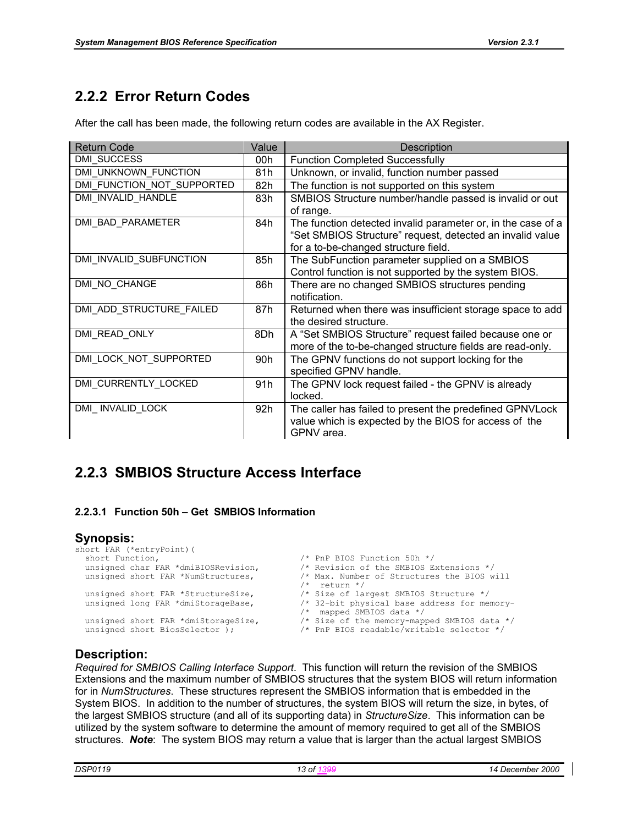# **2.2.2 Error Return Codes**

After the call has been made, the following return codes are available in the AX Register.

| <b>Return Code</b>         | Value | Description                                                  |
|----------------------------|-------|--------------------------------------------------------------|
| <b>DMI SUCCESS</b>         | 00h   | <b>Function Completed Successfully</b>                       |
| DMI UNKNOWN FUNCTION       | 81h   | Unknown, or invalid, function number passed                  |
| DMI FUNCTION NOT SUPPORTED | 82h   | The function is not supported on this system                 |
| DMI INVALID HANDLE         | 83h   | SMBIOS Structure number/handle passed is invalid or out      |
|                            |       | of range.                                                    |
| DMI BAD PARAMETER          | 84h   | The function detected invalid parameter or, in the case of a |
|                            |       | "Set SMBIOS Structure" request, detected an invalid value    |
|                            |       | for a to-be-changed structure field.                         |
| DMI INVALID SUBFUNCTION    | 85h   | The SubFunction parameter supplied on a SMBIOS               |
|                            |       | Control function is not supported by the system BIOS.        |
| DMI NO CHANGE              | 86h   | There are no changed SMBIOS structures pending               |
|                            |       | notification.                                                |
| DMI ADD STRUCTURE FAILED   | 87h   | Returned when there was insufficient storage space to add    |
|                            |       | the desired structure.                                       |
| DMI READ ONLY              | 8Dh   | A "Set SMBIOS Structure" request failed because one or       |
|                            |       | more of the to-be-changed structure fields are read-only.    |
| DMI_LOCK_NOT_SUPPORTED     | 90h   | The GPNV functions do not support locking for the            |
|                            |       | specified GPNV handle.                                       |
| DMI CURRENTLY LOCKED       | 91h   | The GPNV lock request failed - the GPNV is already           |
|                            |       | locked.                                                      |
| DMI INVALID LOCK           | 92h   | The caller has failed to present the predefined GPNVLock     |
|                            |       | value which is expected by the BIOS for access of the        |
|                            |       | GPNV area.                                                   |

### **2.2.3 SMBIOS Structure Access Interface**

#### **2.2.3.1 Function 50h – Get SMBIOS Information**

#### **Synopsis:**

```
short FAR (*entryPoint) (<br>short Function,
   short Function,<br>unsigned char FAR *dmiBIOSRevision, \frac{1}{2} /* Revision of the SMBIOS E
   unsigned char FAR *dmiBIOSRevision, \frac{1}{4} X Revision of the SMBIOS Extensions */<br>unsigned short FAR *NumStructures, \frac{1}{4} Max. Number of Structures the BIOS w
                                                                         \lambda* Max. Number of Structures the BIOS will
   /* return */<br>unsigned short FAR *StructureSize, \frac{7}{5} Size of la
   unsigned short FAR *StructureSize, \frac{1}{2} /* Size of largest SMBIOS Structure */<br>unsigned long FAR *dmiStorageBase, \frac{1}{2} /* 32-bit physical base address for me
                                                                         /* 32-bit physical base address for memory-
   /* mapped SMBIOS data */<br>unsigned short FAR *dmiStorageSize, \frac{1}{2} * Size of the memory-map
   unsigned short FAR *dmiStorageSize, \frac{1}{2} /* Size of the memory-mapped SMBIOS data */<br>unsigned short BiosSelector ); \frac{1}{2} /* PnP BIOS readable/writable selector */
                                                                         /* PnP BIOS readable/writable selector */
```
#### **Description:**

*Required for SMBIOS Calling Interface Support*. This function will return the revision of the SMBIOS Extensions and the maximum number of SMBIOS structures that the system BIOS will return information for in *NumStructures*. These structures represent the SMBIOS information that is embedded in the System BIOS. In addition to the number of structures, the system BIOS will return the size, in bytes, of the largest SMBIOS structure (and all of its supporting data) in *StructureSize*. This information can be utilized by the system software to determine the amount of memory required to get all of the SMBIOS structures. *Note*: The system BIOS may return a value that is larger than the actual largest SMBIOS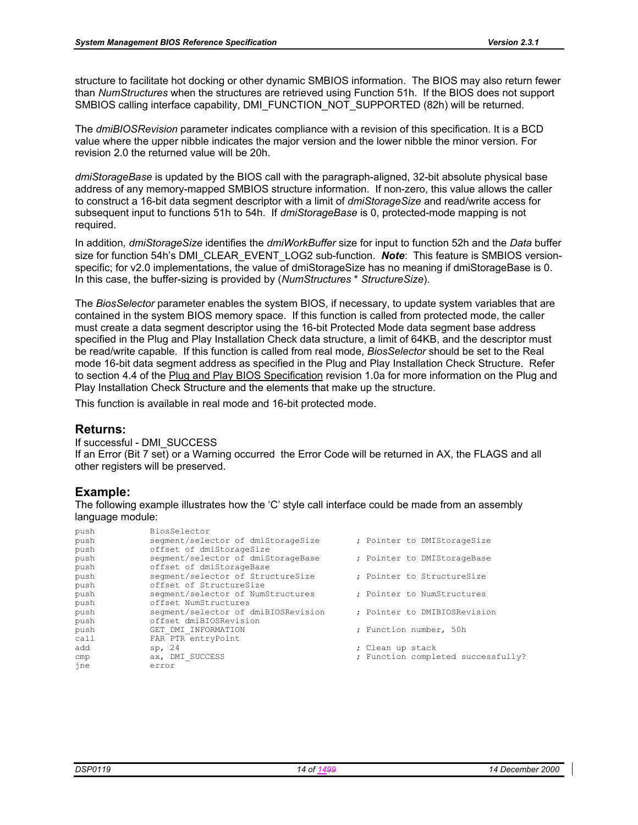structure to facilitate hot docking or other dynamic SMBIOS information. The BIOS may also return fewer than *NumStructures* when the structures are retrieved using Function 51h. If the BIOS does not support SMBIOS calling interface capability, DMI\_FUNCTION\_NOT\_SUPPORTED (82h) will be returned.

The *dmiBIOSRevision* parameter indicates compliance with a revision of this specification. It is a BCD value where the upper nibble indicates the major version and the lower nibble the minor version. For revision 2.0 the returned value will be 20h.

*dmiStorageBase* is updated by the BIOS call with the paragraph-aligned, 32-bit absolute physical base address of any memory-mapped SMBIOS structure information. If non-zero, this value allows the caller to construct a 16-bit data segment descriptor with a limit of *dmiStorageSize* and read/write access for subsequent input to functions 51h to 54h. If *dmiStorageBase* is 0, protected-mode mapping is not required.

In addition*, dmiStorageSize* identifies the *dmiWorkBuffer* size for input to function 52h and the *Data* buffer size for function 54h's DMI\_CLEAR\_EVENT\_LOG2 sub-function. *Note*: This feature is SMBIOS versionspecific; for v2.0 implementations, the value of dmiStorageSize has no meaning if dmiStorageBase is 0. In this case, the buffer-sizing is provided by (*NumStructures* \* *StructureSize*).

The *BiosSelector* parameter enables the system BIOS, if necessary, to update system variables that are contained in the system BIOS memory space. If this function is called from protected mode, the caller must create a data segment descriptor using the 16-bit Protected Mode data segment base address specified in the Plug and Play Installation Check data structure, a limit of 64KB, and the descriptor must be read/write capable. If this function is called from real mode, *BiosSelector* should be set to the Real mode 16-bit data segment address as specified in the Plug and Play Installation Check Structure. Refer to section 4.4 of the Plug and Play BIOS Specification revision 1.0a for more information on the Plug and Play Installation Check Structure and the elements that make up the structure.

This function is available in real mode and 16-bit protected mode.

#### **Returns:**

If successful - DMI\_SUCCESS If an Error (Bit 7 set) or a Warning occurred the Error Code will be returned in AX, the FLAGS and all other registers will be preserved.

#### **Example:**

| push | BiosSelector                        |                                    |
|------|-------------------------------------|------------------------------------|
| push | segment/selector of dmiStorageSize  | ; Pointer to DMIStorageSize        |
| push | offset of dmiStorageSize            |                                    |
| push | segment/selector of dmiStorageBase  | ; Pointer to DMIStorageBase        |
| push | offset of dmiStorageBase            |                                    |
| push | segment/selector of StructureSize   | : Pointer to StructureSize         |
| push | offset of StructureSize             |                                    |
| push | segment/selector of NumStructures   | : Pointer to NumStructures         |
| push | offset NumStructures                |                                    |
| push | segment/selector of dmiBIOSRevision | : Pointer to DMIBIOSRevision       |
| push | offset dmiBIOSRevision              |                                    |
| push | GET DMI INFORMATION                 | ; Function number, 50h             |
| call | FAR PTR entryPoint                  |                                    |
| add  | sp, 24                              | ; Clean up stack                   |
| cmp  | ax, DMI SUCCESS                     | ; Function completed successfully? |
| jne  | error                               |                                    |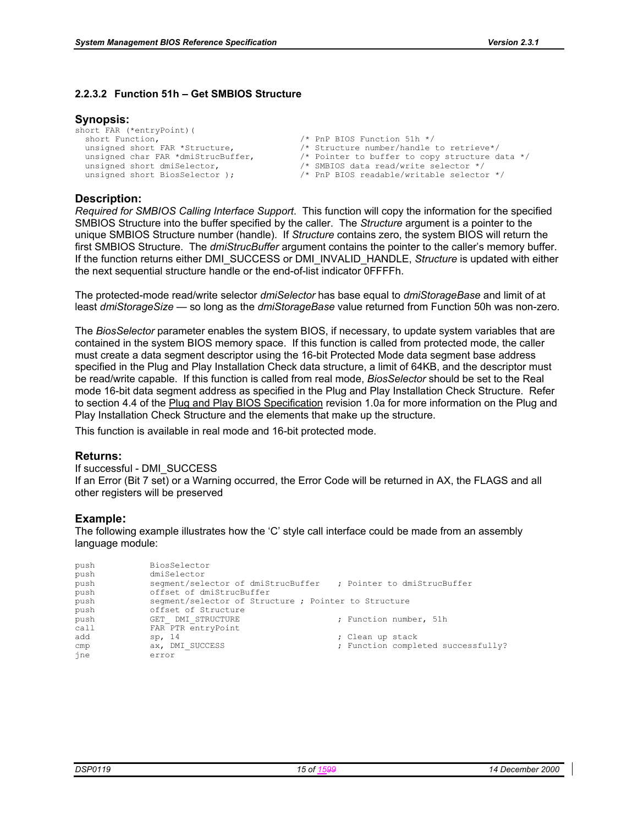#### **2.2.3.2 Function 51h – Get SMBIOS Structure**

#### **Synopsis:**

short FAR (\*entryPoint)( short Function,<br>unsigned short FAR \*Structure,<br>
/\* Structure number/handle unsigned short FAR \*Structure,  $\frac{1}{2}$  /\* Structure number/handle to retrieve\*/<br>unsigned char FAR \*dmiStrucBuffer,  $\frac{1}{2}$  /\* Pointer to buffer to copy structure d. /\* Pointer to buffer to copy structure data \*/ unsigned short dmiSelector,  $\frac{1}{2}$  /\* SMBIOS data read/write selector \*/ unsigned short BiosSelector );  $\frac{1}{2}$  PnP BIOS readable/writable selector \*/

#### **Description:**

*Required for SMBIOS Calling Interface Support*. This function will copy the information for the specified SMBIOS Structure into the buffer specified by the caller. The *Structure* argument is a pointer to the unique SMBIOS Structure number (handle). If *Structure* contains zero, the system BIOS will return the first SMBIOS Structure. The *dmiStrucBuffer* argument contains the pointer to the caller's memory buffer. If the function returns either DMI\_SUCCESS or DMI\_INVALID\_HANDLE, *Structure* is updated with either the next sequential structure handle or the end-of-list indicator 0FFFFh.

The protected-mode read/write selector *dmiSelector* has base equal to *dmiStorageBase* and limit of at least *dmiStorageSize —* so long as the *dmiStorageBase* value returned from Function 50h was non-zero*.*

The *BiosSelector* parameter enables the system BIOS, if necessary, to update system variables that are contained in the system BIOS memory space. If this function is called from protected mode, the caller must create a data segment descriptor using the 16-bit Protected Mode data segment base address specified in the Plug and Play Installation Check data structure, a limit of 64KB, and the descriptor must be read/write capable. If this function is called from real mode, *BiosSelector* should be set to the Real mode 16-bit data segment address as specified in the Plug and Play Installation Check Structure. Refer to section 4.4 of the Plug and Play BIOS Specification revision 1.0a for more information on the Plug and Play Installation Check Structure and the elements that make up the structure.

This function is available in real mode and 16-bit protected mode.

#### **Returns:**

If successful - DMI\_SUCCESS If an Error (Bit 7 set) or a Warning occurred, the Error Code will be returned in AX, the FLAGS and all other registers will be preserved

#### **Example:**

| push | BiosSelector                                                    |                                    |
|------|-----------------------------------------------------------------|------------------------------------|
| push | dmiSelector                                                     |                                    |
| push | seqment/selector of dmiStrucBuffer, ; Pointer to dmiStrucBuffer |                                    |
| push | offset of dmiStrucBuffer                                        |                                    |
| push | seqment/selector of Structure ; Pointer to Structure            |                                    |
| push | offset of Structure                                             |                                    |
| push | GET DMI STRUCTURE                                               | ; Function number, 51h             |
| call | FAR PTR entryPoint                                              |                                    |
| add  | sp, 14                                                          | ; Clean up stack                   |
| cmp  | ax, DMI SUCCESS                                                 | ; Function completed successfully? |
| ine  | error                                                           |                                    |
|      |                                                                 |                                    |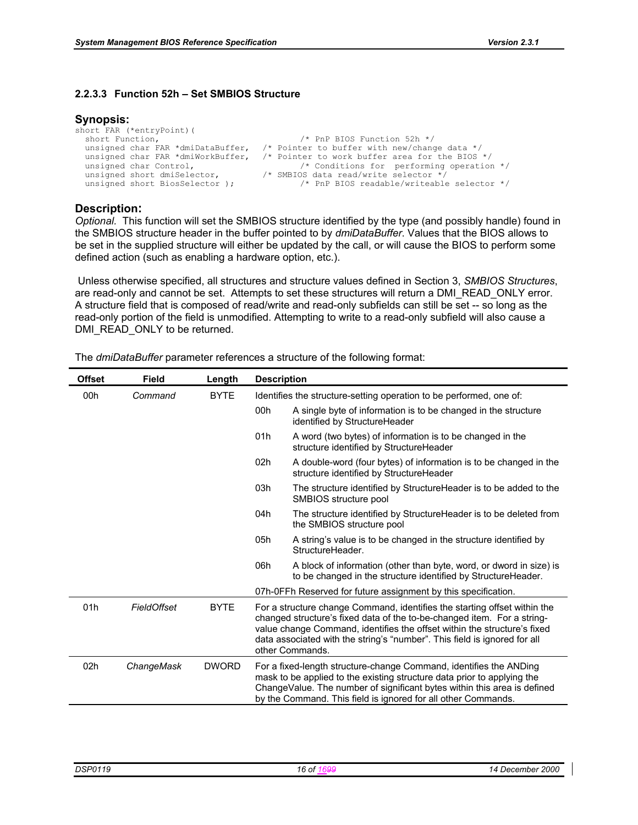#### **2.2.3.3 Function 52h – Set SMBIOS Structure**

#### **Synopsis:**

```
short FAR (*entryPoint)( 
 short Function, \frac{1}{2} /* PnP BIOS Function 52h */
 unsigned char FAR *dmiDataBuffer, /* Pointer to buffer with new/change data */ 
 unsigned char FAR *dmiWorkBuffer, /* Pointer to work buffer area for the BIOS */ 
 unsigned char Control, /* Conditions for performing operation */ 
 unsigned short dmiSelector, /* SMBIOS data read/write selector */ 
 unsigned short BiosSelector ); \frac{1}{2} /* PnP BIOS readable/writeable selector */
```
#### **Description:**

*Optional.* This function will set the SMBIOS structure identified by the type (and possibly handle) found in the SMBIOS structure header in the buffer pointed to by *dmiDataBuffer*. Values that the BIOS allows to be set in the supplied structure will either be updated by the call, or will cause the BIOS to perform some defined action (such as enabling a hardware option, etc.).

 Unless otherwise specified, all structures and structure values defined in Section 3, *SMBIOS Structures*, are read-only and cannot be set. Attempts to set these structures will return a DMI\_READ\_ONLY error. A structure field that is composed of read/write and read-only subfields can still be set -- so long as the read-only portion of the field is unmodified. Attempting to write to a read-only subfield will also cause a DMI\_READ\_ONLY to be returned.

| <b>Offset</b>   | Field       | Length       | <b>Description</b> |                                                                                                                                                                                                                                                                                                                                  |  |
|-----------------|-------------|--------------|--------------------|----------------------------------------------------------------------------------------------------------------------------------------------------------------------------------------------------------------------------------------------------------------------------------------------------------------------------------|--|
| 00h             | Command     | <b>BYTE</b>  |                    | Identifies the structure-setting operation to be performed, one of:                                                                                                                                                                                                                                                              |  |
|                 |             |              | 00h                | A single byte of information is to be changed in the structure<br>identified by StructureHeader                                                                                                                                                                                                                                  |  |
|                 |             |              | 01h                | A word (two bytes) of information is to be changed in the<br>structure identified by StructureHeader                                                                                                                                                                                                                             |  |
|                 |             |              | 02 <sub>h</sub>    | A double-word (four bytes) of information is to be changed in the<br>structure identified by StructureHeader                                                                                                                                                                                                                     |  |
|                 |             |              | 03h                | The structure identified by StructureHeader is to be added to the<br>SMBIOS structure pool                                                                                                                                                                                                                                       |  |
|                 |             |              | 04h                | The structure identified by StructureHeader is to be deleted from<br>the SMBIOS structure pool                                                                                                                                                                                                                                   |  |
|                 |             |              | 05h                | A string's value is to be changed in the structure identified by<br>StructureHeader.                                                                                                                                                                                                                                             |  |
|                 |             |              | 06h                | A block of information (other than byte, word, or dword in size) is<br>to be changed in the structure identified by StructureHeader.                                                                                                                                                                                             |  |
|                 |             |              |                    | 07h-0FFh Reserved for future assignment by this specification.                                                                                                                                                                                                                                                                   |  |
| 01h             | FieldOffset | <b>BYTE</b>  |                    | For a structure change Command, identifies the starting offset within the<br>changed structure's fixed data of the to-be-changed item. For a string-<br>value change Command, identifies the offset within the structure's fixed<br>data associated with the string's "number". This field is ignored for all<br>other Commands. |  |
| 02 <sub>h</sub> | ChangeMask  | <b>DWORD</b> |                    | For a fixed-length structure-change Command, identifies the ANDing<br>mask to be applied to the existing structure data prior to applying the<br>ChangeValue. The number of significant bytes within this area is defined<br>by the Command. This field is ignored for all other Commands.                                       |  |

The *dmiDataBuffer* parameter references a structure of the following format: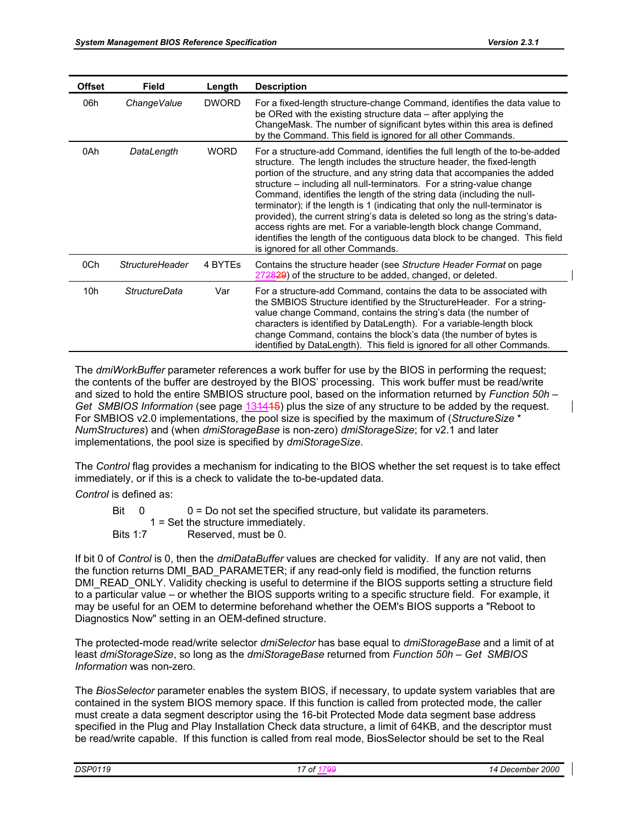| <b>Offset</b> | <b>Field</b>           | Length       | <b>Description</b>                                                                                                                                                                                                                                                                                                                                                                                                                                                                                                                                                                                                                                                                                                                              |
|---------------|------------------------|--------------|-------------------------------------------------------------------------------------------------------------------------------------------------------------------------------------------------------------------------------------------------------------------------------------------------------------------------------------------------------------------------------------------------------------------------------------------------------------------------------------------------------------------------------------------------------------------------------------------------------------------------------------------------------------------------------------------------------------------------------------------------|
| 06h           | Change Value           | <b>DWORD</b> | For a fixed-length structure-change Command, identifies the data value to<br>be ORed with the existing structure data – after applying the<br>ChangeMask. The number of significant bytes within this area is defined<br>by the Command. This field is ignored for all other Commands.                                                                                                                                                                                                                                                                                                                                                                                                                                                          |
| 0Ah           | DataLength             | <b>WORD</b>  | For a structure-add Command, identifies the full length of the to-be-added<br>structure. The length includes the structure header, the fixed-length<br>portion of the structure, and any string data that accompanies the added<br>structure – including all null-terminators. For a string-value change<br>Command, identifies the length of the string data (including the null-<br>terminator); if the length is 1 (indicating that only the null-terminator is<br>provided), the current string's data is deleted so long as the string's data-<br>access rights are met. For a variable-length block change Command,<br>identifies the length of the contiguous data block to be changed. This field<br>is ignored for all other Commands. |
| 0Ch           | <b>StructureHeader</b> | 4 BYTES      | Contains the structure header (see Structure Header Format on page<br>272829) of the structure to be added, changed, or deleted.                                                                                                                                                                                                                                                                                                                                                                                                                                                                                                                                                                                                                |
| 10h           | <b>StructureData</b>   | Var          | For a structure-add Command, contains the data to be associated with<br>the SMBIOS Structure identified by the StructureHeader. For a string-<br>value change Command, contains the string's data (the number of<br>characters is identified by DataLength). For a variable-length block<br>change Command, contains the block's data (the number of bytes is<br>identified by DataLength). This field is ignored for all other Commands.                                                                                                                                                                                                                                                                                                       |

The *dmiWorkBuffer* parameter references a work buffer for use by the BIOS in performing the request; the contents of the buffer are destroyed by the BIOS' processing. This work buffer must be read/write and sized to hold the entire SMBIOS structure pool, based on the information returned by *Function 50h – Get SMBIOS Information* (see page 131415) plus the size of any structure to be added by the request. For SMBIOS v2.0 implementations, the pool size is specified by the maximum of (*StructureSize* \* *NumStructures*) and (when *dmiStorageBase* is non-zero) *dmiStorageSize*; for v2.1 and later implementations, the pool size is specified by *dmiStorageSize*.

The *Control* flag provides a mechanism for indicating to the BIOS whether the set request is to take effect immediately, or if this is a check to validate the to-be-updated data.

*Control* is defined as:

| Bit 0           | $0 = Do$ not set the specified structure, but validate its parameters. |
|-----------------|------------------------------------------------------------------------|
|                 | $1 = Set$ the structure immediately.                                   |
| <b>Bits 1:7</b> | Reserved, must be 0.                                                   |

If bit 0 of *Control* is 0, then the *dmiDataBuffer* values are checked for validity. If any are not valid, then the function returns DMI\_BAD\_PARAMETER; if any read-only field is modified, the function returns DMI\_READ\_ONLY. Validity checking is useful to determine if the BIOS supports setting a structure field to a particular value – or whether the BIOS supports writing to a specific structure field. For example, it may be useful for an OEM to determine beforehand whether the OEM's BIOS supports a "Reboot to Diagnostics Now" setting in an OEM-defined structure.

The protected-mode read/write selector *dmiSelector* has base equal to *dmiStorageBase* and a limit of at least *dmiStorageSize*, so long as the *dmiStorageBase* returned from *Function 50h – Get SMBIOS Information* was non-zero.

The *BiosSelector* parameter enables the system BIOS, if necessary, to update system variables that are contained in the system BIOS memory space. If this function is called from protected mode, the caller must create a data segment descriptor using the 16-bit Protected Mode data segment base address specified in the Plug and Play Installation Check data structure, a limit of 64KB, and the descriptor must be read/write capable. If this function is called from real mode, BiosSelector should be set to the Real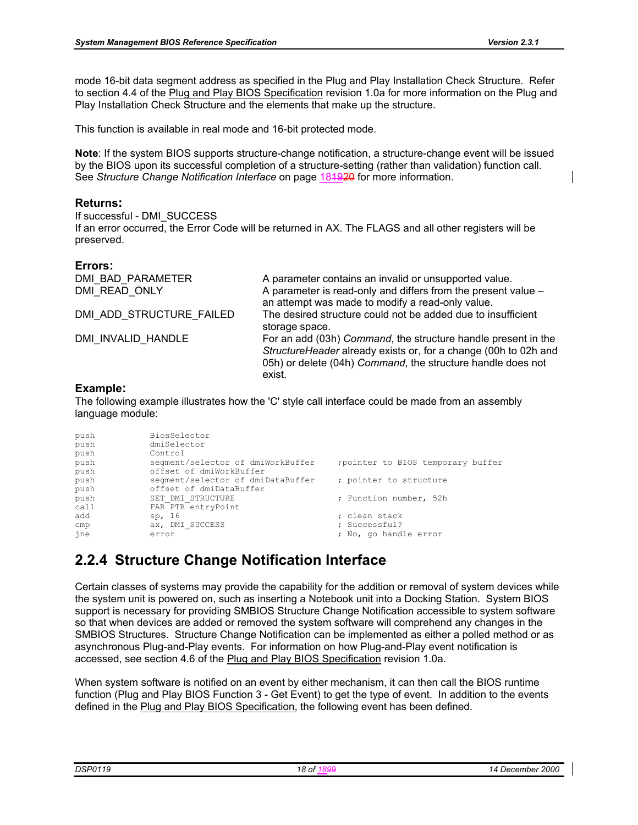mode 16-bit data segment address as specified in the Plug and Play Installation Check Structure. Refer to section 4.4 of the Plug and Play BIOS Specification revision 1.0a for more information on the Plug and Play Installation Check Structure and the elements that make up the structure.

This function is available in real mode and 16-bit protected mode.

**Note**: If the system BIOS supports structure-change notification, a structure-change event will be issued by the BIOS upon its successful completion of a structure-setting (rather than validation) function call. See *Structure Change Notification Interface* on page 181920 for more information.

#### **Returns:**

If successful - DMI\_SUCCESS

If an error occurred, the Error Code will be returned in AX. The FLAGS and all other registers will be preserved.

#### **Errors:**

| DMI BAD PARAMETER<br>DMI READ ONLY | A parameter contains an invalid or unsupported value.<br>A parameter is read-only and differs from the present value -<br>an attempt was made to modify a read-only value.                                |
|------------------------------------|-----------------------------------------------------------------------------------------------------------------------------------------------------------------------------------------------------------|
| DMI ADD STRUCTURE FAILED           | The desired structure could not be added due to insufficient<br>storage space.                                                                                                                            |
| DMI INVALID HANDLE                 | For an add (03h) Command, the structure handle present in the<br>StructureHeader already exists or, for a change (00h to 02h and<br>05h) or delete (04h) Command, the structure handle does not<br>exist. |

#### **Example:**

The following example illustrates how the 'C' style call interface could be made from an assembly language module:

| push<br>push<br>push | BiosSelector<br>dmiSelector<br>Control |                                  |
|----------------------|----------------------------------------|----------------------------------|
| push                 | segment/selector of dmiWorkBuffer      | pointer to BIOS temporary buffer |
| push                 | offset of dmiWorkBuffer                |                                  |
| push                 | segment/selector of dmiDataBuffer      | ; pointer to structure           |
| push                 | offset of dmiDataBuffer                |                                  |
| push                 | SET DMI STRUCTURE                      | ; Function number, 52h           |
| call                 | FAR PTR entryPoint                     |                                  |
| add                  | sp, 16                                 | ; clean stack                    |
| cmp                  | ax, DMI SUCCESS                        | ; Successful?                    |
| jne                  | error                                  | ; No, go handle error            |

# **2.2.4 Structure Change Notification Interface**

Certain classes of systems may provide the capability for the addition or removal of system devices while the system unit is powered on, such as inserting a Notebook unit into a Docking Station. System BIOS support is necessary for providing SMBIOS Structure Change Notification accessible to system software so that when devices are added or removed the system software will comprehend any changes in the SMBIOS Structures. Structure Change Notification can be implemented as either a polled method or as asynchronous Plug-and-Play events. For information on how Plug-and-Play event notification is accessed, see section 4.6 of the Plug and Play BIOS Specification revision 1.0a.

When system software is notified on an event by either mechanism, it can then call the BIOS runtime function (Plug and Play BIOS Function 3 - Get Event) to get the type of event. In addition to the events defined in the Plug and Play BIOS Specification, the following event has been defined.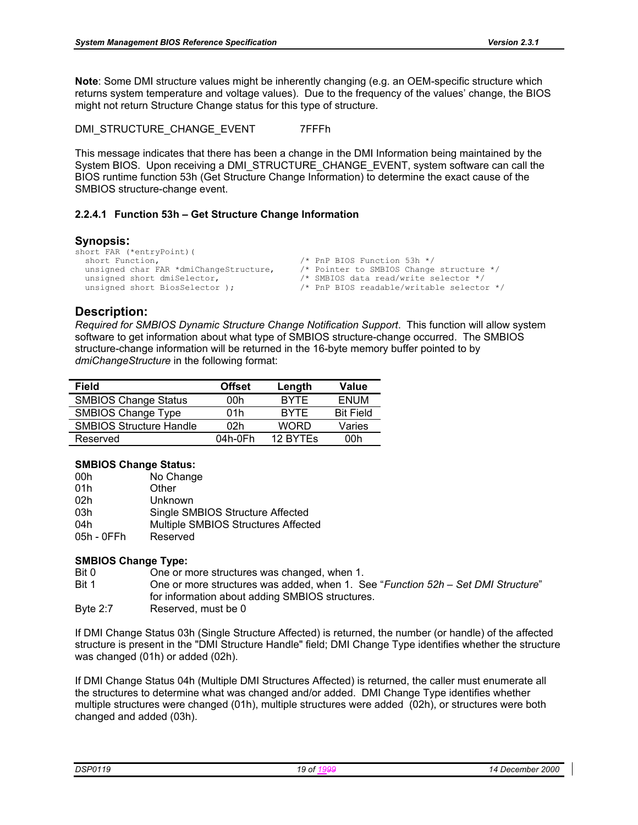**Note**: Some DMI structure values might be inherently changing (e.g. an OEM-specific structure which returns system temperature and voltage values). Due to the frequency of the values' change, the BIOS might not return Structure Change status for this type of structure.

DMI\_STRUCTURE\_CHANGE\_EVENT 7FFFh

This message indicates that there has been a change in the DMI Information being maintained by the System BIOS. Upon receiving a DMI\_STRUCTURE\_CHANGE\_EVENT, system software can call the BIOS runtime function 53h (Get Structure Change Information) to determine the exact cause of the SMBIOS structure-change event.

#### **2.2.4.1 Function 53h – Get Structure Change Information**

#### **Synopsis:**

```
short FAR (*entryPoint) (<br>short Function,
  short Function,<br>unsigned char FAR *dmiChangeStructure, \frac{1}{1} \frac{1}{1} Pointer to SMBIOS Change
                                                                    /* Pointer to SMBIOS Change structure */<br>/* SMBIOS data read/write selector */
  unsigned short dmiSelector,<br>unsigned short BiosSelector );
                                                                     /* PnP BIOS readable/writable selector */
```
#### **Description:**

*Required for SMBIOS Dynamic Structure Change Notification Support*. This function will allow system software to get information about what type of SMBIOS structure-change occurred. The SMBIOS structure-change information will be returned in the 16-byte memory buffer pointed to by *dmiChangeStructure* in the following format:

| Field                          | <b>Offset</b> | Length      | Value            |
|--------------------------------|---------------|-------------|------------------|
| <b>SMBIOS Change Status</b>    | 00h           | <b>BYTE</b> | <b>ENUM</b>      |
| SMBIOS Change Type             | 01h           | <b>RYTE</b> | <b>Bit Field</b> |
| <b>SMBIOS Structure Handle</b> | 02h           | <b>WORD</b> | Varies           |
| Reserved                       | 04h-0Fh       | 12 BYTES    | 00h              |

#### **SMBIOS Change Status:**

| 00h        | No Change                           |
|------------|-------------------------------------|
| 01h        | Other                               |
| 02h        | Unknown                             |
| 03h        | Single SMBIOS Structure Affected    |
| 04h        | Multiple SMBIOS Structures Affected |
| 05h - 0FFh | Reserved                            |

#### **SMBIOS Change Type:**

| Bit 0      | One or more structures was changed, when 1.                                      |
|------------|----------------------------------------------------------------------------------|
| Bit 1      | One or more structures was added, when 1. See "Function 52h - Set DMI Structure" |
|            | for information about adding SMBIOS structures.                                  |
| Byte $2:7$ | Reserved, must be 0                                                              |

If DMI Change Status 03h (Single Structure Affected) is returned, the number (or handle) of the affected structure is present in the "DMI Structure Handle" field; DMI Change Type identifies whether the structure was changed (01h) or added (02h).

If DMI Change Status 04h (Multiple DMI Structures Affected) is returned, the caller must enumerate all the structures to determine what was changed and/or added. DMI Change Type identifies whether multiple structures were changed (01h), multiple structures were added (02h), or structures were both changed and added (03h).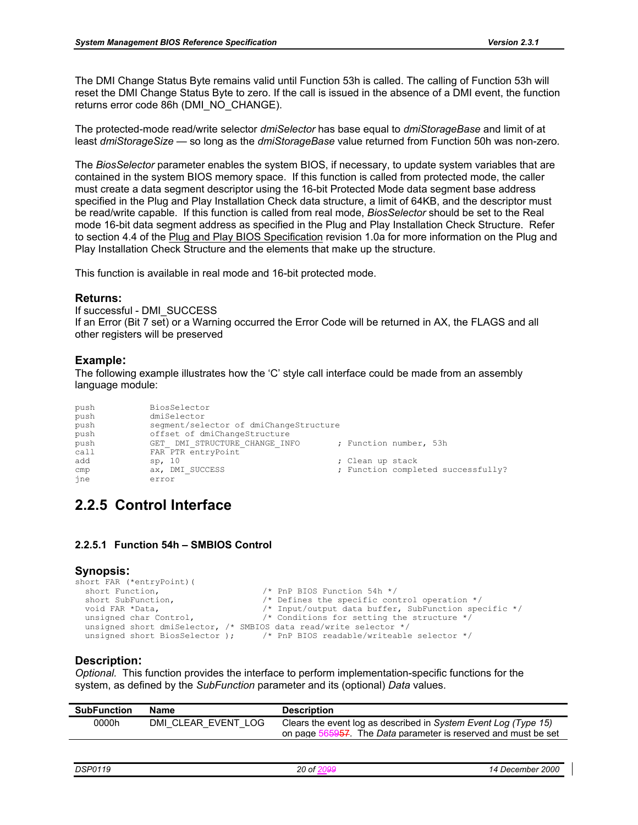The DMI Change Status Byte remains valid until Function 53h is called. The calling of Function 53h will reset the DMI Change Status Byte to zero. If the call is issued in the absence of a DMI event, the function returns error code 86h (DMI\_NO\_CHANGE).

The protected-mode read/write selector *dmiSelector* has base equal to *dmiStorageBase* and limit of at least *dmiStorageSize —* so long as the *dmiStorageBase* value returned from Function 50h was non-zero*.*

The *BiosSelector* parameter enables the system BIOS, if necessary, to update system variables that are contained in the system BIOS memory space. If this function is called from protected mode, the caller must create a data segment descriptor using the 16-bit Protected Mode data segment base address specified in the Plug and Play Installation Check data structure, a limit of 64KB, and the descriptor must be read/write capable. If this function is called from real mode, *BiosSelector* should be set to the Real mode 16-bit data segment address as specified in the Plug and Play Installation Check Structure. Refer to section 4.4 of the Plug and Play BIOS Specification revision 1.0a for more information on the Plug and Play Installation Check Structure and the elements that make up the structure.

This function is available in real mode and 16-bit protected mode.

#### **Returns:**

If successful - DMI\_SUCCESS If an Error (Bit 7 set) or a Warning occurred the Error Code will be returned in AX, the FLAGS and all other registers will be preserved

#### **Example:**

The following example illustrates how the 'C' style call interface could be made from an assembly language module:

| push | BiosSelector                           |  |                  |                                    |  |
|------|----------------------------------------|--|------------------|------------------------------------|--|
| push | dmiSelector                            |  |                  |                                    |  |
| push | segment/selector of dmiChangeStructure |  |                  |                                    |  |
| push | offset of dmiChangeStructure           |  |                  |                                    |  |
| push | GET DMI STRUCTURE CHANGE INFO          |  |                  | ; Function number, 53h             |  |
| call | FAR PTR entryPoint                     |  |                  |                                    |  |
| add  | sp, 10                                 |  | ; Clean up stack |                                    |  |
| cmp  | ax, DMI SUCCESS                        |  |                  | ; Function completed successfully? |  |
| ine  | error                                  |  |                  |                                    |  |

### **2.2.5 Control Interface**

#### **2.2.5.1 Function 54h – SMBIOS Control**

#### **Synopsis:**

```
short FAR (*entryPoint)(<br>short Function,
  short Function, \frac{1}{1} /* PnP BIOS Function 54h */<br>short SubFunction, \frac{1}{1} /* Defines the specific cont
  short SubFunction, \begin{array}{ccc} \n\star & \text{Defines the specific control operation } \star \\
\text{void FAR *Data.} \\
\end{array}void FAR *Data, \begin{array}{ccc} \gamma & \text{Input/output data buffer, SubFunction specific */} \\ \text{using the structure */} \end{array}\frac{1}{x} Conditions for setting the structure */
    unsigned short dmiSelector, /* SMBIOS data read/write selector */ 
  unsigned short BiosSelector ); \frac{1}{2} /* PnP BIOS readable/writeable selector \frac{x}{2}
```
#### **Description:**

*Optional.* This function provides the interface to perform implementation-specific functions for the system, as defined by the *SubFunction* parameter and its (optional) *Data* values.

| 0000h<br>DMI CLEAR EVENT LOG | SubFunction | <b>Name</b> | <b>Description</b>                                                                                                                                    |
|------------------------------|-------------|-------------|-------------------------------------------------------------------------------------------------------------------------------------------------------|
|                              |             |             | Clears the event log as described in System Event Log (Type 15)<br>on page 56 <del>5957</del> . The <i>Data</i> parameter is reserved and must be set |

| DSP01<br>7 G<br>, J<br>_____ | חר<br>() nt<br>∼ | 2000<br>-<br>nne<br>Jeuer<br>. |
|------------------------------|------------------|--------------------------------|
|                              |                  |                                |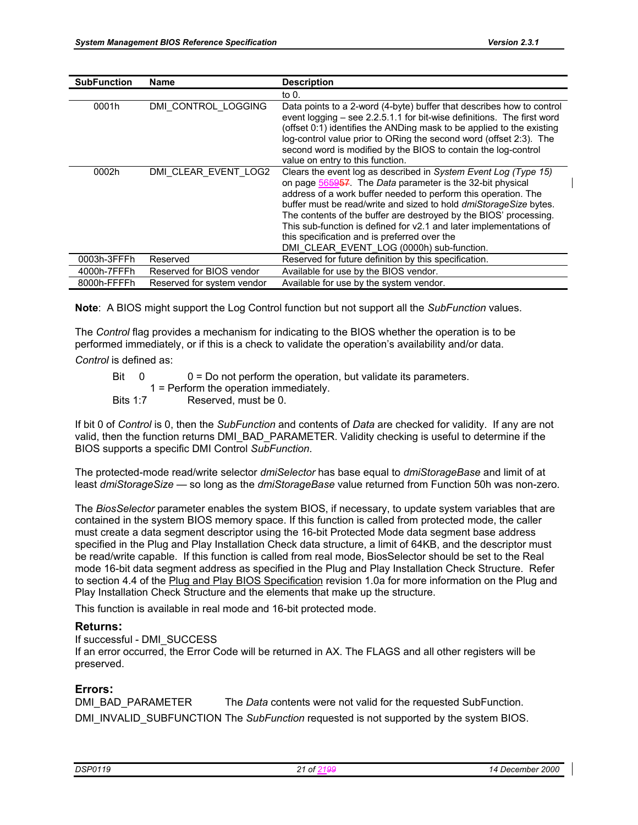| <b>SubFunction</b> | Name                       | <b>Description</b>                                                                                                                                                                                                                                                                                                                                                                                                                                                                                          |
|--------------------|----------------------------|-------------------------------------------------------------------------------------------------------------------------------------------------------------------------------------------------------------------------------------------------------------------------------------------------------------------------------------------------------------------------------------------------------------------------------------------------------------------------------------------------------------|
|                    |                            | to 0.                                                                                                                                                                                                                                                                                                                                                                                                                                                                                                       |
| 0001h              | DMI CONTROL LOGGING        | Data points to a 2-word (4-byte) buffer that describes how to control<br>event logging – see 2.2.5.1.1 for bit-wise definitions. The first word<br>(offset 0:1) identifies the ANDing mask to be applied to the existing<br>log-control value prior to ORing the second word (offset 2:3). The<br>second word is modified by the BIOS to contain the log-control<br>value on entry to this function.                                                                                                        |
| 0002h              | DMI CLEAR_EVENT_LOG2       | Clears the event log as described in System Event Log (Type 15)<br>on page 565957. The Data parameter is the 32-bit physical<br>address of a work buffer needed to perform this operation. The<br>buffer must be read/write and sized to hold dmiStorageSize bytes.<br>The contents of the buffer are destroyed by the BIOS' processing.<br>This sub-function is defined for v2.1 and later implementations of<br>this specification and is preferred over the<br>DMI CLEAR EVENT LOG (0000h) sub-function. |
| 0003h-3FFFh        | Reserved                   | Reserved for future definition by this specification.                                                                                                                                                                                                                                                                                                                                                                                                                                                       |
| 4000h-7FFFh        | Reserved for BIOS vendor   | Available for use by the BIOS vendor.                                                                                                                                                                                                                                                                                                                                                                                                                                                                       |
| 8000h-FFFFh        | Reserved for system vendor | Available for use by the system vendor.                                                                                                                                                                                                                                                                                                                                                                                                                                                                     |

**Note**: A BIOS might support the Log Control function but not support all the *SubFunction* values.

The *Control* flag provides a mechanism for indicating to the BIOS whether the operation is to be performed immediately, or if this is a check to validate the operation's availability and/or data.

*Control* is defined as:

Bit  $0 = 0$  = Do not perform the operation, but validate its parameters.

1 = Perform the operation immediately.

Bits 1:7 Reserved, must be 0.

If bit 0 of *Control* is 0, then the *SubFunction* and contents of *Data* are checked for validity. If any are not valid, then the function returns DMI\_BAD\_PARAMETER. Validity checking is useful to determine if the BIOS supports a specific DMI Control *SubFunction*.

The protected-mode read/write selector *dmiSelector* has base equal to *dmiStorageBase* and limit of at least *dmiStorageSize —* so long as the *dmiStorageBase* value returned from Function 50h was non-zero*.* 

The *BiosSelector* parameter enables the system BIOS, if necessary, to update system variables that are contained in the system BIOS memory space. If this function is called from protected mode, the caller must create a data segment descriptor using the 16-bit Protected Mode data segment base address specified in the Plug and Play Installation Check data structure, a limit of 64KB, and the descriptor must be read/write capable. If this function is called from real mode, BiosSelector should be set to the Real mode 16-bit data segment address as specified in the Plug and Play Installation Check Structure. Refer to section 4.4 of the Plug and Play BIOS Specification revision 1.0a for more information on the Plug and Play Installation Check Structure and the elements that make up the structure.

This function is available in real mode and 16-bit protected mode.

#### **Returns:**

If successful - DMI\_SUCCESS

If an error occurred, the Error Code will be returned in AX. The FLAGS and all other registers will be preserved.

#### **Errors:**

DMI\_BAD\_PARAMETER The *Data* contents were not valid for the requested SubFunction. DMI\_INVALID\_SUBFUNCTION The *SubFunction* requested is not supported by the system BIOS.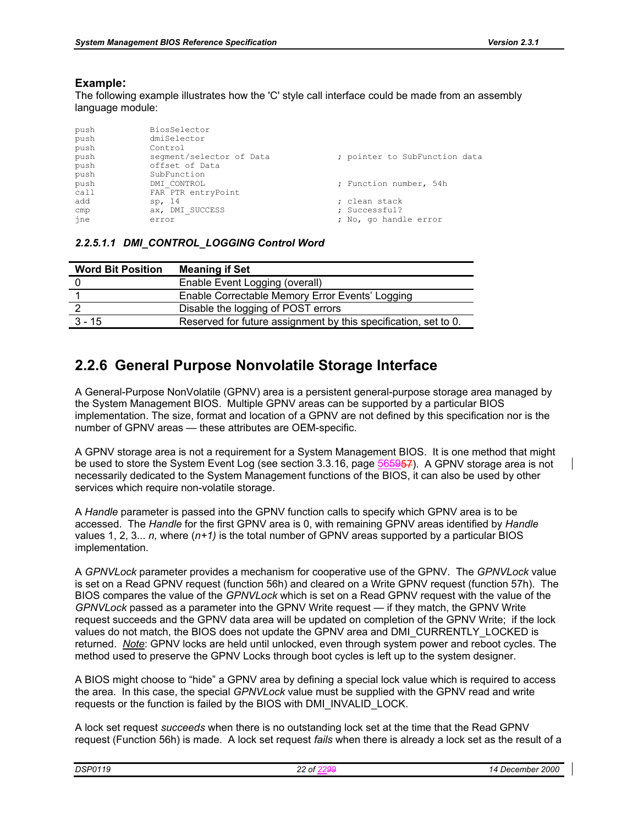#### **Example:**

The following example illustrates how the 'C' style call interface could be made from an assembly language module:

| push<br>push | BiosSelector<br>dmiSelector |                               |
|--------------|-----------------------------|-------------------------------|
| push         | Control                     |                               |
| push         | seqment/selector of Data    | ; pointer to SubFunction data |
| push         | offset of Data              |                               |
| push         | SubFunction                 |                               |
| push         | DMI CONTROL                 | ; Function number, 54h        |
| call         | FAR PTR entryPoint          |                               |
| add          | sp, 14                      | ; clean stack                 |
| cmp          | ax, DMI SUCCESS             | ; Successful?                 |
| ine          | error                       | ; No, go handle error         |
|              |                             |                               |

|  | 2.2.5.1.1 DMI CONTROL LOGGING Control Word |  |  |
|--|--------------------------------------------|--|--|
|  |                                            |  |  |

| <b>Word Bit Position</b> | <b>Meaning if Set</b>                                           |
|--------------------------|-----------------------------------------------------------------|
|                          | Enable Event Logging (overall)                                  |
|                          | Enable Correctable Memory Error Events' Logging                 |
|                          | Disable the logging of POST errors                              |
| $3 - 15$                 | Reserved for future assignment by this specification, set to 0. |
|                          |                                                                 |

### **2.2.6 General Purpose Nonvolatile Storage Interface**

A General-Purpose NonVolatile (GPNV) area is a persistent general-purpose storage area managed by the System Management BIOS. Multiple GPNV areas can be supported by a particular BIOS implementation. The size, format and location of a GPNV are not defined by this specification nor is the number of GPNV areas — these attributes are OEM-specific.

A GPNV storage area is not a requirement for a System Management BIOS. It is one method that might be used to store the System Event Log (see section 3.3.16, page 565957). A GPNV storage area is not necessarily dedicated to the System Management functions of the BIOS, it can also be used by other services which require non-volatile storage.

A *Handle* parameter is passed into the GPNV function calls to specify which GPNV area is to be accessed. The *Handle* for the first GPNV area is 0, with remaining GPNV areas identified by *Handle*  values 1, 2, 3... *n,* where (*n+1)* is the total number of GPNV areas supported by a particular BIOS implementation.

A *GPNVLock* parameter provides a mechanism for cooperative use of the GPNV. The *GPNVLock* value is set on a Read GPNV request (function 56h) and cleared on a Write GPNV request (function 57h). The BIOS compares the value of the *GPNVLock* which is set on a Read GPNV request with the value of the *GPNVLock* passed as a parameter into the GPNV Write request — if they match, the GPNV Write request succeeds and the GPNV data area will be updated on completion of the GPNV Write; if the lock values do not match, the BIOS does not update the GPNV area and DMI\_CURRENTLY\_LOCKED is returned. *Note*: GPNV locks are held until unlocked, even through system power and reboot cycles. The method used to preserve the GPNV Locks through boot cycles is left up to the system designer.

A BIOS might choose to "hide" a GPNV area by defining a special lock value which is required to access the area. In this case, the special *GPNVLock* value must be supplied with the GPNV read and write requests or the function is failed by the BIOS with DMI\_INVALID\_LOCK.

A lock set request *succeeds* when there is no outstanding lock set at the time that the Read GPNV request (Function 56h) is made. A lock set request *fails* when there is already a lock set as the result of a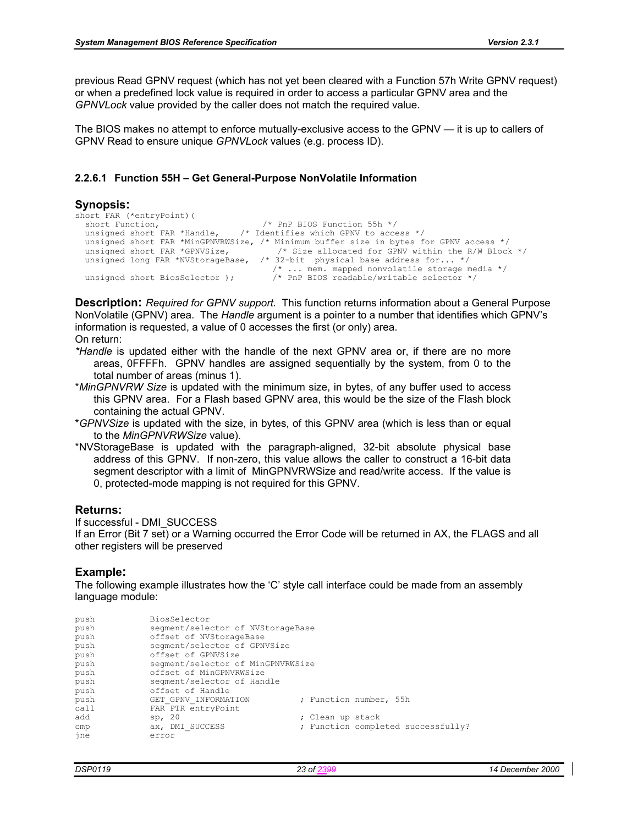previous Read GPNV request (which has not yet been cleared with a Function 57h Write GPNV request) or when a predefined lock value is required in order to access a particular GPNV area and the *GPNVLock* value provided by the caller does not match the required value.

The BIOS makes no attempt to enforce mutually-exclusive access to the GPNV — it is up to callers of GPNV Read to ensure unique *GPNVLock* values (e.g. process ID).

#### **2.2.6.1 Function 55H – Get General-Purpose NonVolatile Information**

#### **Synopsis:**

```
short FAR (*entryPoint) (<br>short Function.
   short Function, \overline{a} /* PnP BIOS Function 55h */<br>unsigned short FAR *Handle, \overline{a} /* Identifies which GPNV to acce
                                                      /* Identifies which GPNV to access */unsigned short FAR *MinGPNVRWSize, /* Minimum buffer size in bytes for GPNV access */<br>unsigned short FAR *GPNVSize, /* Size allocated for GPNV within the R/W Block
   unsigned short FAR *GPNVSize, \frac{1}{2} /* Size allocated for GPNV within the R/W Block */<br>unsigned long FAR *NVStorageBase, /* 32-bit physical base address for... */
                                                             /* 32-bit physical base address for... */
   \frac{1}{2} ... mem. mapped nonvolatile storage media */<br>unsigned short BiosSelector ); \frac{1}{2} PnP BIOS readable/writable selector */
                                                                 where the short Biole of the selector */
```
**Description:** *Required for GPNV support.* This function returns information about a General Purpose NonVolatile (GPNV) area. The *Handle* argument is a pointer to a number that identifies which GPNV's information is requested, a value of 0 accesses the first (or only) area. On return:

- *\*Handle* is updated either with the handle of the next GPNV area or, if there are no more areas, 0FFFFh. GPNV handles are assigned sequentially by the system, from 0 to the total number of areas (minus 1).
- \**MinGPNVRW Size* is updated with the minimum size, in bytes, of any buffer used to access this GPNV area. For a Flash based GPNV area, this would be the size of the Flash block containing the actual GPNV.
- \**GPNVSize* is updated with the size, in bytes, of this GPNV area (which is less than or equal to the *MinGPNVRWSize* value).
- \*NVStorageBase is updated with the paragraph-aligned, 32-bit absolute physical base address of this GPNV. If non-zero, this value allows the caller to construct a 16-bit data segment descriptor with a limit of MinGPNVRWSize and read/write access. If the value is 0, protected-mode mapping is not required for this GPNV.

#### **Returns:**

If successful - DMI\_SUCCESS If an Error (Bit 7 set) or a Warning occurred the Error Code will be returned in AX, the FLAGS and all other registers will be preserved

#### **Example:**

| push | BiosSelector                      |                                    |
|------|-----------------------------------|------------------------------------|
| push | segment/selector of NVStorageBase |                                    |
| push | offset of NVStorageBase           |                                    |
| push | segment/selector of GPNVSize      |                                    |
| push | offset of GPNVSize                |                                    |
| push | segment/selector of MinGPNVRWSize |                                    |
| push | offset of MinGPNVRWSize           |                                    |
| push | seqment/selector of Handle        |                                    |
| push | offset of Handle                  |                                    |
| push | GET GPNV INFORMATION              | ; Function number, 55h             |
| call | FAR PTR entryPoint                |                                    |
| add  | sp, $20$                          | ; Clean up stack                   |
| cmp  | ax, DMI SUCCESS                   | ; Function completed successfully? |
| ine  | error                             |                                    |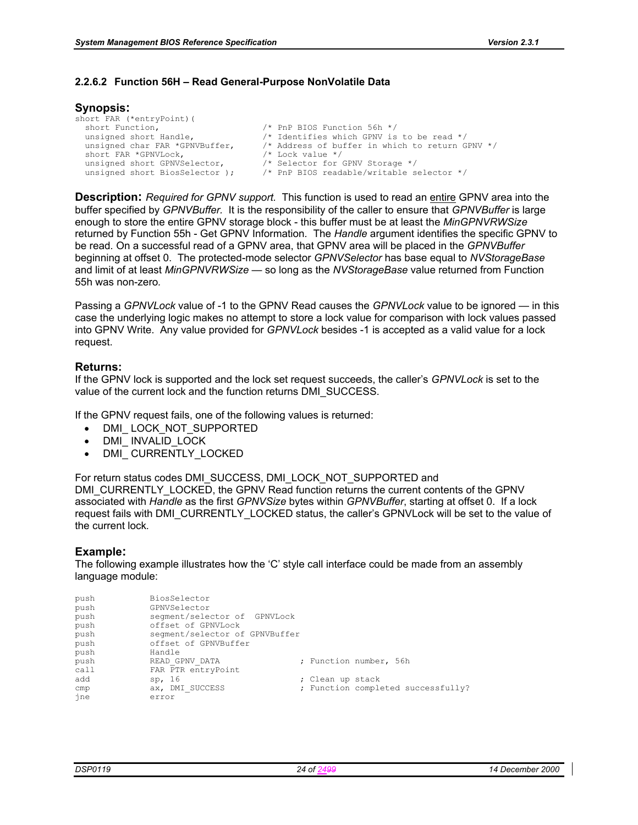#### **2.2.6.2 Function 56H – Read General-Purpose NonVolatile Data**

#### **Synopsis:**

| short FAR (*entryPoint) (      |                                                 |
|--------------------------------|-------------------------------------------------|
| short Function,                | $/*$ PnP BIOS Function 56h $*/$                 |
| unsigned short Handle,         | /* Identifies which GPNV is to be read */       |
| unsigned char FAR *GPNVBuffer, | /* Address of buffer in which to return GPNV */ |
| short FAR *GPNVLock,           | $/*$ Lock value $*/$                            |
| unsigned short GPNVSelector,   | /* Selector for GPNV Storage */                 |
| unsigned short BiosSelector ); | $/*$ PnP BIOS readable/writable selector $*/$   |
|                                |                                                 |

**Description:** *Required for GPNV support.* This function is used to read an entire GPNV area into the buffer specified by *GPNVBuffer.* It is the responsibility of the caller to ensure that *GPNVBuffer* is large enough to store the entire GPNV storage block - this buffer must be at least the *MinGPNVRWSize*  returned by Function 55h - Get GPNV Information*.* The *Handle* argument identifies the specific GPNV to be read*.* On a successful read of a GPNV area, that GPNV area will be placed in the *GPNVBuffer*  beginning at offset 0.The protected-mode selector *GPNVSelector* has base equal to *NVStorageBase*  and limit of at least *MinGPNVRWSize —* so long as the *NVStorageBase* value returned from Function 55h was non-zero*.*

Passing a *GPNVLock* value of -1 to the GPNV Read causes the *GPNVLock* value to be ignored — in this case the underlying logic makes no attempt to store a lock value for comparison with lock values passed into GPNV Write. Any value provided for *GPNVLock* besides -1 is accepted as a valid value for a lock request.

#### **Returns:**

If the GPNV lock is supported and the lock set request succeeds, the caller's *GPNVLock* is set to the value of the current lock and the function returns DMI\_SUCCESS.

If the GPNV request fails, one of the following values is returned:

- DMI\_LOCK\_NOT\_SUPPORTED
- DMI\_ INVALID\_LOCK
- DMI CURRENTLY LOCKED

For return status codes DMI\_SUCCESS, DMI\_LOCK\_NOT\_SUPPORTED and

DMI\_CURRENTLY\_LOCKED, the GPNV Read function returns the current contents of the GPNV associated with *Handle* as the first *GPNVSize* bytes within *GPNVBuffer*, starting at offset 0. If a lock request fails with DMI\_CURRENTLY\_LOCKED status, the caller's GPNVLock will be set to the value of the current lock*.* 

#### **Example:**

| push | BiosSelector                   |                                    |
|------|--------------------------------|------------------------------------|
| push | GPNVSelector                   |                                    |
| push | segment/selector of GPNVLock   |                                    |
| push | offset of GPNVLock             |                                    |
| push | segment/selector of GPNVBuffer |                                    |
| push | offset of GPNVBuffer           |                                    |
| push | Handle                         |                                    |
| push | READ GPNV DATA                 | ; Function number, 56h             |
| cal1 | FAR PTR entryPoint             |                                    |
| add  | sp, 16                         | ; Clean up stack                   |
| cmp  | ax, DMI SUCCESS                | ; Function completed successfully? |
| ine  | error                          |                                    |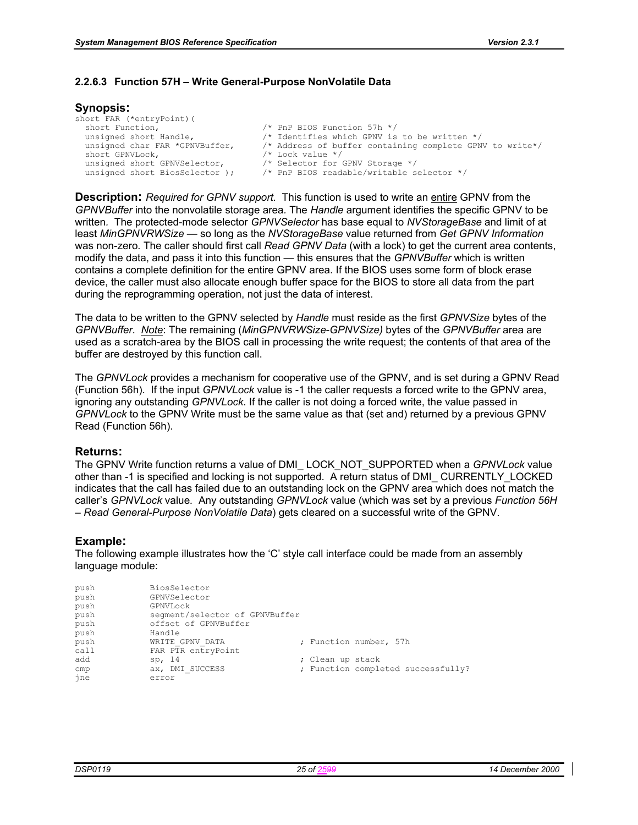#### **2.2.6.3 Function 57H – Write General-Purpose NonVolatile Data**

#### **Synopsis:**

| short FAR (*entryPoint) (      |                                                          |
|--------------------------------|----------------------------------------------------------|
| short Function,                | $/*$ PnP BIOS Function 57h $*/$                          |
| unsigned short Handle,         | /* Identifies which GPNV is to be written */             |
| unsigned char FAR *GPNVBuffer, | /* Address of buffer containing complete GPNV to write*/ |
| short GPNVLock,                | $/*$ Lock value $*/$                                     |
| unsigned short GPNVSelector,   | /* Selector for GPNV Storage */                          |
| unsigned short BiosSelector ); | /* PnP BIOS readable/writable selector */                |

**Description:** *Required for GPNV support.* This function is used to write an entire GPNV from the *GPNVBuffer* into the nonvolatile storage area*.* The *Handle* argument identifies the specific GPNV to be written*.* The protected-mode selector *GPNVSelector* has base equal to *NVStorageBase* and limit of at least *MinGPNVRWSize —* so long as the *NVStorageBase* value returned from *Get GPNV Information* was non-zero*.* The caller should first call *Read GPNV Data* (with a lock) to get the current area contents, modify the data, and pass it into this function — this ensures that the *GPNVBuffer* which is written contains a complete definition for the entire GPNV area. If the BIOS uses some form of block erase device, the caller must also allocate enough buffer space for the BIOS to store all data from the part during the reprogramming operation, not just the data of interest.

The data to be written to the GPNV selected by *Handle* must reside as the first *GPNVSize* bytes of the *GPNVBuffer*. *Note*: The remaining (*MinGPNVRWSize*-*GPNVSize)* bytes of the *GPNVBuffer* area are used as a scratch-area by the BIOS call in processing the write request; the contents of that area of the buffer are destroyed by this function call.

The *GPNVLock* provides a mechanism for cooperative use of the GPNV, and is set during a GPNV Read (Function 56h). If the input *GPNVLock* value is -1 the caller requests a forced write to the GPNV area, ignoring any outstanding *GPNVLock*. If the caller is not doing a forced write, the value passed in *GPNVLock* to the GPNV Write must be the same value as that (set and) returned by a previous GPNV Read (Function 56h).

#### **Returns:**

The GPNV Write function returns a value of DMI\_ LOCK\_NOT\_SUPPORTED when a *GPNVLock* value other than -1 is specified and locking is not supported. A return status of DMI\_ CURRENTLY\_LOCKED indicates that the call has failed due to an outstanding lock on the GPNV area which does not match the caller's *GPNVLock* value*.* Any outstanding *GPNVLock* value (which was set by a previous *Function 56H – Read General-Purpose NonVolatile Data*) gets cleared on a successful write of the GPNV.

#### **Example:**

| push | BiosSelector                   |                                    |
|------|--------------------------------|------------------------------------|
| push | GPNVSelector                   |                                    |
| push | GPNVLock                       |                                    |
| push | segment/selector of GPNVBuffer |                                    |
| push | offset of GPNVBuffer           |                                    |
| push | Handle                         |                                    |
| push | WRITE GPNV DATA                | ; Function number, 57h             |
| call | FAR PTR entryPoint             |                                    |
| add  | sp, 14                         | ; Clean up stack                   |
| cmp  | ax, DMI SUCCESS                | ; Function completed successfully? |
| ine  | error                          |                                    |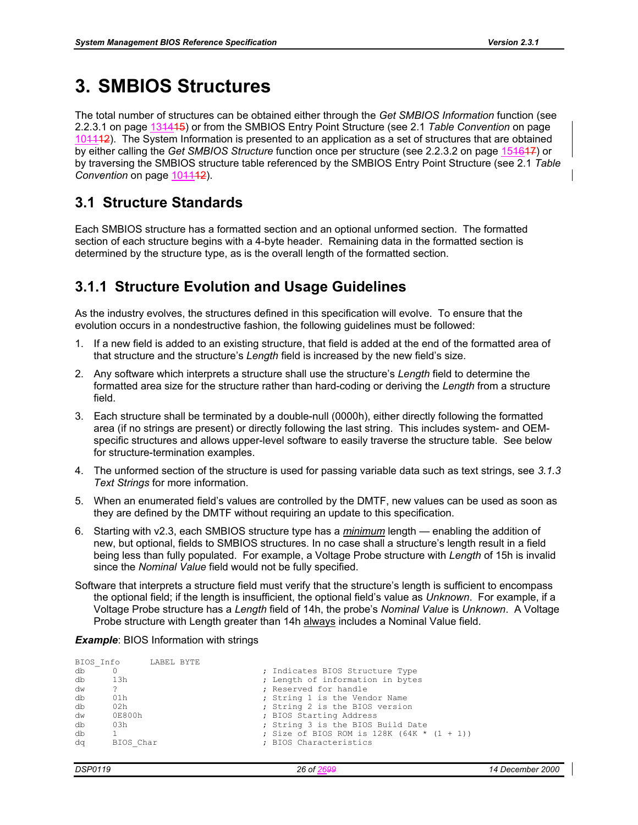# **3. SMBIOS Structures**

The total number of structures can be obtained either through the *Get SMBIOS Information* function (see 2.2.3.1 on page 131415) or from the SMBIOS Entry Point Structure (see 2.1 *Table Convention* on page 101112). The System Information is presented to an application as a set of structures that are obtained by either calling the *Get SMBIOS Structure* function once per structure (see 2.2.3.2 on page 151617) or by traversing the SMBIOS structure table referenced by the SMBIOS Entry Point Structure (see 2.1 *Table Convention* on page 104442).

### **3.1 Structure Standards**

Each SMBIOS structure has a formatted section and an optional unformed section. The formatted section of each structure begins with a 4-byte header. Remaining data in the formatted section is determined by the structure type, as is the overall length of the formatted section.

### **3.1.1 Structure Evolution and Usage Guidelines**

As the industry evolves, the structures defined in this specification will evolve. To ensure that the evolution occurs in a nondestructive fashion, the following guidelines must be followed:

- 1. If a new field is added to an existing structure, that field is added at the end of the formatted area of that structure and the structure's *Length* field is increased by the new field's size.
- 2. Any software which interprets a structure shall use the structure's *Length* field to determine the formatted area size for the structure rather than hard-coding or deriving the *Length* from a structure field.
- 3. Each structure shall be terminated by a double-null (0000h), either directly following the formatted area (if no strings are present) or directly following the last string. This includes system- and OEMspecific structures and allows upper-level software to easily traverse the structure table. See below for structure-termination examples.
- 4. The unformed section of the structure is used for passing variable data such as text strings, see *3.1.3 Text Strings* for more information.
- 5. When an enumerated field's values are controlled by the DMTF, new values can be used as soon as they are defined by the DMTF without requiring an update to this specification.
- 6. Starting with v2.3, each SMBIOS structure type has a *minimum* length enabling the addition of new, but optional, fields to SMBIOS structures. In no case shall a structure's length result in a field being less than fully populated. For example, a Voltage Probe structure with *Length* of 15h is invalid since the *Nominal Value* field would not be fully specified.
- Software that interprets a structure field must verify that the structure's length is sufficient to encompass the optional field; if the length is insufficient, the optional field's value as *Unknown*. For example, if a Voltage Probe structure has a *Length* field of 14h, the probe's *Nominal Value* is *Unknown*. A Voltage Probe structure with Length greater than 14h always includes a Nominal Value field.

*Example: BIOS Information with strings* 

|    | BIOS Info | LABEL BYTE |  |                                              |
|----|-----------|------------|--|----------------------------------------------|
| db |           |            |  | ; Indicates BIOS Structure Type              |
| db | 13h       |            |  | ; Length of information in bytes             |
| dw | ?         |            |  | ; Reserved for handle                        |
| db | 01h       |            |  | ; String 1 is the Vendor Name                |
| db | 02h       |            |  | ; String 2 is the BIOS version               |
| dw | 0E800h    |            |  | ; BIOS Starting Address                      |
| db | 03h       |            |  | ; String 3 is the BIOS Build Date            |
| db |           |            |  | ; Size of BIOS ROM is $128K (64K * (1 + 1))$ |
| da | BIOS Char |            |  | ; BIOS Characteristics                       |
|    |           |            |  |                                              |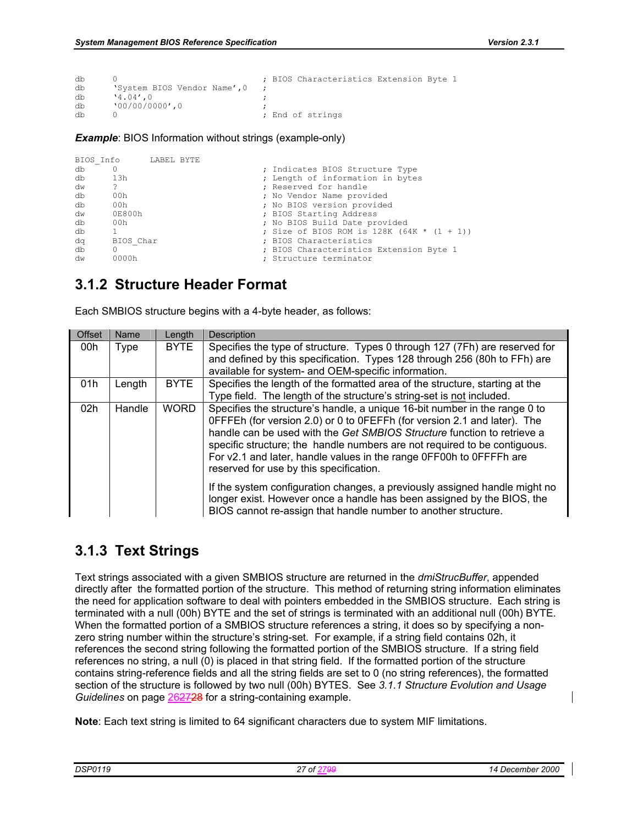```
db 0 ; BIOS Characteristics Extension Byte 1 <br>db 'System BIOS Vendor Name',0 ;
db \begin{array}{ccc} \n\text{System BIOS Vendor Name}', 0; \\
\text{db} & \text{14.04'.0}\n\end{array}db \begin{array}{ccc} \n\text{d} & \text{1.04} \n\text{d} & \text{2.04} \n\end{array} , \begin{array}{ccc} \n\text{d} & \text{3.04} \n\end{array} , \begin{array}{ccc} \n\text{d} & \text{4.04} \n\end{array}db \binom{00}{0000000}, 0
                                                                                    ; End of strings
```
#### **Example**: BIOS Information without strings (example-only)

```
BIOS_Info LABEL BYTE<br>db 0
db 0 0 ; Indicates BIOS Structure Type<br>db 13h : Length of information in byte
db 13h ; Length of information in bytes 
dw ? ; Reserved for handle 
                              ; No Vendor Name provided
db 00h ; No BIOS version provided 
dw 0E800h ; BIOS Starting Address 
db 00h ; No BIOS Build Date provided
      db 1 ; Size of BIOS ROM is 128K (64K * (1 + 1)) 
dq BIOS_Char ; BIOS Characteristics<br>db 0 0 1 1 100 1 200 1 2010 1 2010 1 2010 1
db 0 \overline{0} 0 \overline{1} ; BIOS Characteristics Extension Byte 1 dw 0000h
                              ; Structure terminator
```
### **3.1.2 Structure Header Format**

Each SMBIOS structure begins with a 4-byte header, as follows:

| Offset          | Name        | Length      | Description                                                                                                                                                                                                                                                                                                                                                                                                                      |
|-----------------|-------------|-------------|----------------------------------------------------------------------------------------------------------------------------------------------------------------------------------------------------------------------------------------------------------------------------------------------------------------------------------------------------------------------------------------------------------------------------------|
| 00h             | <b>Type</b> | <b>BYTE</b> | Specifies the type of structure. Types 0 through 127 (7Fh) are reserved for<br>and defined by this specification. Types 128 through 256 (80h to FFh) are                                                                                                                                                                                                                                                                         |
|                 |             |             | available for system- and OEM-specific information.                                                                                                                                                                                                                                                                                                                                                                              |
| 01h             | Length      | <b>BYTE</b> | Specifies the length of the formatted area of the structure, starting at the<br>Type field. The length of the structure's string-set is not included.                                                                                                                                                                                                                                                                            |
| 02 <sub>h</sub> | Handle      | <b>WORD</b> | Specifies the structure's handle, a unique 16-bit number in the range 0 to<br>OFFFEh (for version 2.0) or 0 to OFEFFh (for version 2.1 and later). The<br>handle can be used with the Get SMBIOS Structure function to retrieve a<br>specific structure; the handle numbers are not required to be contiguous.<br>For v2.1 and later, handle values in the range OFF00h to OFFFFh are<br>reserved for use by this specification. |
|                 |             |             | If the system configuration changes, a previously assigned handle might no<br>longer exist. However once a handle has been assigned by the BIOS, the<br>BIOS cannot re-assign that handle number to another structure.                                                                                                                                                                                                           |

### **3.1.3 Text Strings**

Text strings associated with a given SMBIOS structure are returned in the *dmiStrucBuffer*, appended directly after the formatted portion of the structure. This method of returning string information eliminates the need for application software to deal with pointers embedded in the SMBIOS structure. Each string is terminated with a null (00h) BYTE and the set of strings is terminated with an additional null (00h) BYTE. When the formatted portion of a SMBIOS structure references a string, it does so by specifying a nonzero string number within the structure's string-set. For example, if a string field contains 02h, it references the second string following the formatted portion of the SMBIOS structure. If a string field references no string, a null (0) is placed in that string field. If the formatted portion of the structure contains string-reference fields and all the string fields are set to 0 (no string references), the formatted section of the structure is followed by two null (00h) BYTES. See *3.1.1 Structure Evolution and Usage Guidelines* on page 262728 for a string-containing example.

**Note**: Each text string is limited to 64 significant characters due to system MIF limitations.

| DSP01 | റ്റ<br>. . | 2000<br>$\mathbf{u}$<br>ecempei<br>. |
|-------|------------|--------------------------------------|
|       |            |                                      |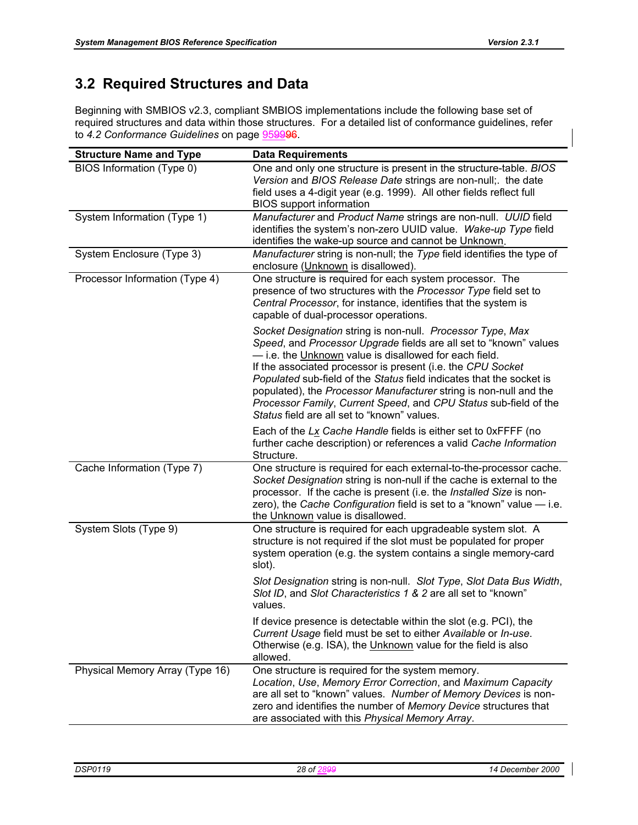## **3.2 Required Structures and Data**

Beginning with SMBIOS v2.3, compliant SMBIOS implementations include the following base set of required structures and data within those structures. For a detailed list of conformance guidelines, refer to *4.2 Conformance Guidelines* on page 959996.

| <b>Structure Name and Type</b>  | <b>Data Requirements</b>                                                                                                                                                                                                                                                                                                                                                                                                                                                                                                 |
|---------------------------------|--------------------------------------------------------------------------------------------------------------------------------------------------------------------------------------------------------------------------------------------------------------------------------------------------------------------------------------------------------------------------------------------------------------------------------------------------------------------------------------------------------------------------|
| BIOS Information (Type 0)       | One and only one structure is present in the structure-table. BIOS<br>Version and BIOS Release Date strings are non-null; the date<br>field uses a 4-digit year (e.g. 1999). All other fields reflect full<br><b>BIOS</b> support information                                                                                                                                                                                                                                                                            |
| System Information (Type 1)     | Manufacturer and Product Name strings are non-null. UUID field<br>identifies the system's non-zero UUID value. Wake-up Type field<br>identifies the wake-up source and cannot be Unknown.                                                                                                                                                                                                                                                                                                                                |
| System Enclosure (Type 3)       | Manufacturer string is non-null; the Type field identifies the type of<br>enclosure (Unknown is disallowed).                                                                                                                                                                                                                                                                                                                                                                                                             |
| Processor Information (Type 4)  | One structure is required for each system processor. The<br>presence of two structures with the Processor Type field set to<br>Central Processor, for instance, identifies that the system is<br>capable of dual-processor operations.                                                                                                                                                                                                                                                                                   |
|                                 | Socket Designation string is non-null. Processor Type, Max<br>Speed, and Processor Upgrade fields are all set to "known" values<br>- i.e. the Unknown value is disallowed for each field.<br>If the associated processor is present (i.e. the CPU Socket<br>Populated sub-field of the Status field indicates that the socket is<br>populated), the Processor Manufacturer string is non-null and the<br>Processor Family, Current Speed, and CPU Status sub-field of the<br>Status field are all set to "known" values. |
|                                 | Each of the Lx Cache Handle fields is either set to 0xFFFF (no<br>further cache description) or references a valid Cache Information<br>Structure.                                                                                                                                                                                                                                                                                                                                                                       |
| Cache Information (Type 7)      | One structure is required for each external-to-the-processor cache.<br>Socket Designation string is non-null if the cache is external to the<br>processor. If the cache is present (i.e. the Installed Size is non-<br>zero), the Cache Configuration field is set to a "known" value - i.e.<br>the Unknown value is disallowed.                                                                                                                                                                                         |
| System Slots (Type 9)           | One structure is required for each upgradeable system slot. A<br>structure is not required if the slot must be populated for proper<br>system operation (e.g. the system contains a single memory-card<br>slot).                                                                                                                                                                                                                                                                                                         |
|                                 | Slot Designation string is non-null. Slot Type, Slot Data Bus Width,<br>Slot ID, and Slot Characteristics 1 & 2 are all set to "known"<br>values.                                                                                                                                                                                                                                                                                                                                                                        |
|                                 | If device presence is detectable within the slot (e.g. PCI), the<br>Current Usage field must be set to either Available or In-use.<br>Otherwise (e.g. ISA), the Unknown value for the field is also<br>allowed.                                                                                                                                                                                                                                                                                                          |
| Physical Memory Array (Type 16) | One structure is required for the system memory.<br>Location, Use, Memory Error Correction, and Maximum Capacity<br>are all set to "known" values. Number of Memory Devices is non-<br>zero and identifies the number of Memory Device structures that<br>are associated with this Physical Memory Array.                                                                                                                                                                                                                |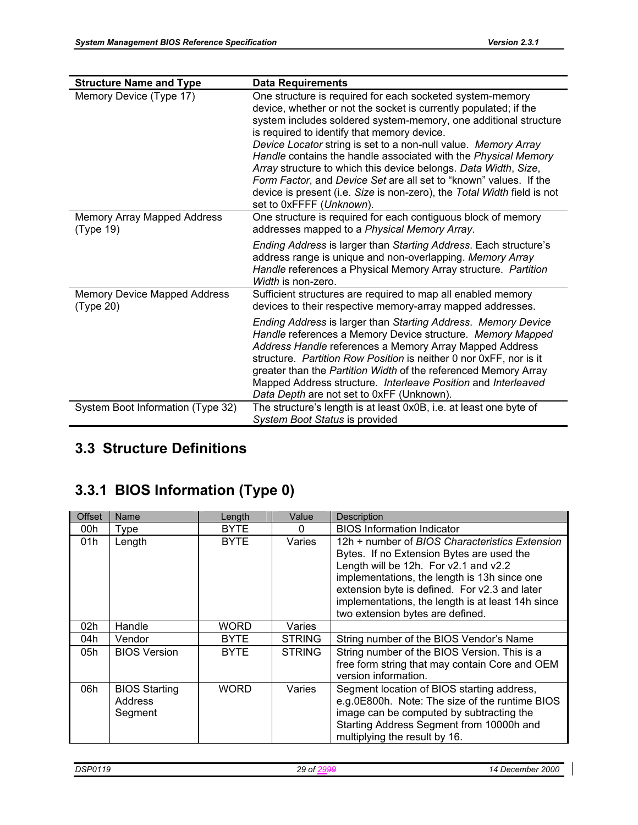| <b>Structure Name and Type</b>                   | <b>Data Requirements</b>                                                                                                                                                                                                                                                                                                                                                                                                                                                                                                                                                                                                            |
|--------------------------------------------------|-------------------------------------------------------------------------------------------------------------------------------------------------------------------------------------------------------------------------------------------------------------------------------------------------------------------------------------------------------------------------------------------------------------------------------------------------------------------------------------------------------------------------------------------------------------------------------------------------------------------------------------|
| Memory Device (Type 17)                          | One structure is required for each socketed system-memory<br>device, whether or not the socket is currently populated; if the<br>system includes soldered system-memory, one additional structure<br>is required to identify that memory device.<br>Device Locator string is set to a non-null value. Memory Array<br>Handle contains the handle associated with the Physical Memory<br>Array structure to which this device belongs. Data Width, Size,<br>Form Factor, and Device Set are all set to "known" values. If the<br>device is present (i.e. Size is non-zero), the Total Width field is not<br>set to 0xFFFF (Unknown). |
| Memory Array Mapped Address<br>(Type 19)         | One structure is required for each contiguous block of memory<br>addresses mapped to a Physical Memory Array.                                                                                                                                                                                                                                                                                                                                                                                                                                                                                                                       |
|                                                  | Ending Address is larger than Starting Address. Each structure's<br>address range is unique and non-overlapping. Memory Array<br>Handle references a Physical Memory Array structure. Partition<br>Width is non-zero.                                                                                                                                                                                                                                                                                                                                                                                                               |
| <b>Memory Device Mapped Address</b><br>(Type 20) | Sufficient structures are required to map all enabled memory<br>devices to their respective memory-array mapped addresses.                                                                                                                                                                                                                                                                                                                                                                                                                                                                                                          |
|                                                  | Ending Address is larger than Starting Address. Memory Device<br>Handle references a Memory Device structure. Memory Mapped<br>Address Handle references a Memory Array Mapped Address<br>structure. Partition Row Position is neither 0 nor 0xFF, nor is it<br>greater than the Partition Width of the referenced Memory Array<br>Mapped Address structure. Interleave Position and Interleaved<br>Data Depth are not set to 0xFF (Unknown).                                                                                                                                                                                       |
| System Boot Information (Type 32)                | The structure's length is at least 0x0B, i.e. at least one byte of<br>System Boot Status is provided                                                                                                                                                                                                                                                                                                                                                                                                                                                                                                                                |

# **3.3 Structure Definitions**

# **3.3.1 BIOS Information (Type 0)**

| Offset | Name                                              | Length      | Value         | Description                                                                                                                                                                                                                                                                                                                    |
|--------|---------------------------------------------------|-------------|---------------|--------------------------------------------------------------------------------------------------------------------------------------------------------------------------------------------------------------------------------------------------------------------------------------------------------------------------------|
| 00h    | Type                                              | <b>BYTE</b> | $\Omega$      | <b>BIOS Information Indicator</b>                                                                                                                                                                                                                                                                                              |
| 01h    | Length                                            | <b>BYTE</b> | Varies        | 12h + number of BIOS Characteristics Extension<br>Bytes. If no Extension Bytes are used the<br>Length will be 12h. For v2.1 and v2.2<br>implementations, the length is 13h since one<br>extension byte is defined. For v2.3 and later<br>implementations, the length is at least 14h since<br>two extension bytes are defined. |
| 02h    | Handle                                            | WORD        | Varies        |                                                                                                                                                                                                                                                                                                                                |
| 04h    | Vendor                                            | <b>BYTE</b> | <b>STRING</b> | String number of the BIOS Vendor's Name                                                                                                                                                                                                                                                                                        |
| 05h    | <b>BIOS Version</b>                               | <b>BYTE</b> | <b>STRING</b> | String number of the BIOS Version. This is a<br>free form string that may contain Core and OEM<br>version information.                                                                                                                                                                                                         |
| 06h    | <b>BIOS Starting</b><br><b>Address</b><br>Segment | <b>WORD</b> | Varies        | Segment location of BIOS starting address,<br>e.g.0E800h. Note: The size of the runtime BIOS<br>image can be computed by subtracting the<br>Starting Address Segment from 10000h and<br>multiplying the result by 16.                                                                                                          |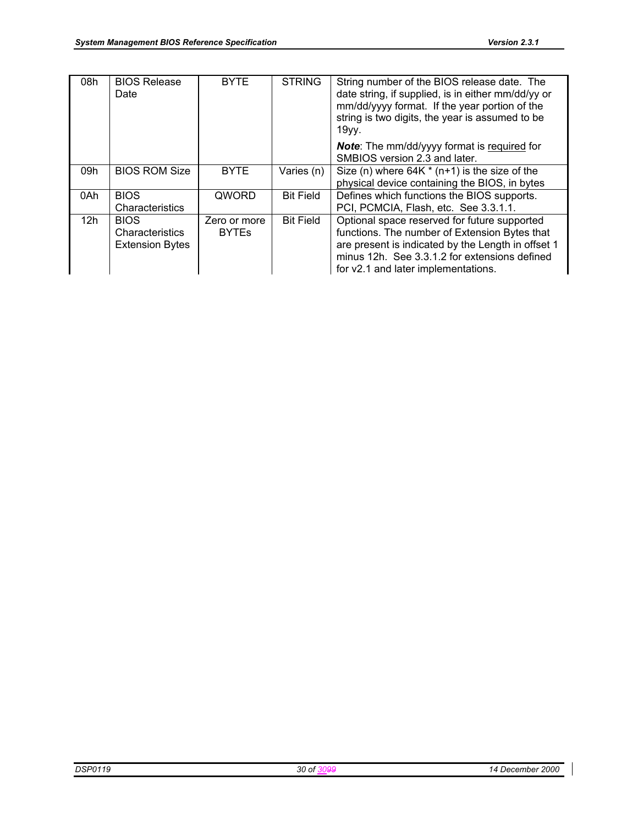| 08h | <b>BIOS Release</b><br>Date                              | <b>BYTE</b>                  | <b>STRING</b>    | String number of the BIOS release date. The<br>date string, if supplied, is in either mm/dd/yy or<br>mm/dd/yyyy format. If the year portion of the<br>string is two digits, the year is assumed to be<br>19yy.                              |
|-----|----------------------------------------------------------|------------------------------|------------------|---------------------------------------------------------------------------------------------------------------------------------------------------------------------------------------------------------------------------------------------|
|     |                                                          |                              |                  | <b>Note:</b> The mm/dd/yyyy format is required for<br>SMBIOS version 2.3 and later.                                                                                                                                                         |
| 09h | <b>BIOS ROM Size</b>                                     | <b>BYTE</b>                  | Varies (n)       | Size (n) where $64K * (n+1)$ is the size of the<br>physical device containing the BIOS, in bytes                                                                                                                                            |
| 0Ah | <b>BIOS</b><br>Characteristics                           | QWORD                        | <b>Bit Field</b> | Defines which functions the BIOS supports.<br>PCI, PCMCIA, Flash, etc. See 3.3.1.1.                                                                                                                                                         |
| 12h | <b>BIOS</b><br>Characteristics<br><b>Extension Bytes</b> | Zero or more<br><b>BYTEs</b> | <b>Bit Field</b> | Optional space reserved for future supported<br>functions. The number of Extension Bytes that<br>are present is indicated by the Length in offset 1<br>minus 12h. See 3.3.1.2 for extensions defined<br>for v2.1 and later implementations. |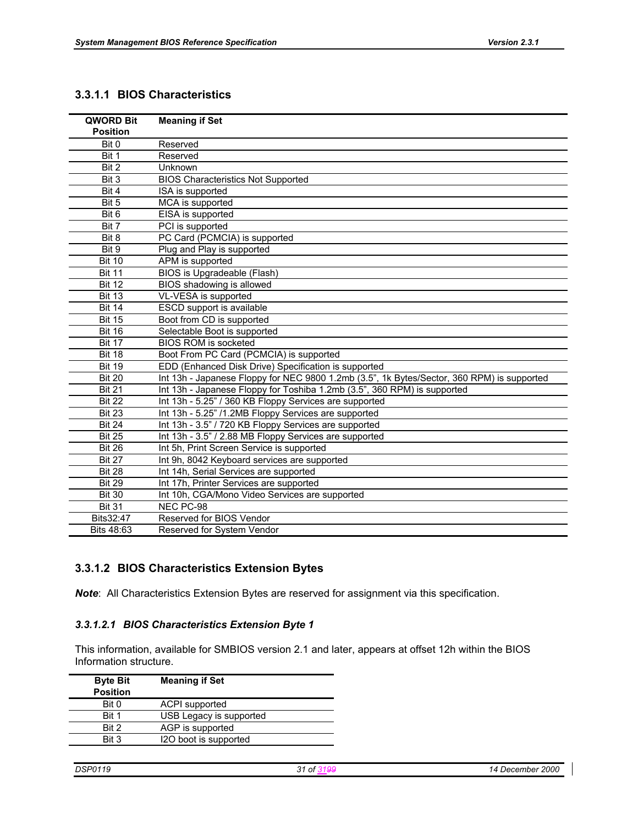#### **3.3.1.1 BIOS Characteristics**

| QWORD Bit<br><b>Position</b> | <b>Meaning if Set</b>                                                                      |
|------------------------------|--------------------------------------------------------------------------------------------|
| Bit 0                        | Reserved                                                                                   |
| Bit 1                        | Reserved                                                                                   |
| Bit 2                        | Unknown                                                                                    |
|                              |                                                                                            |
| Bit 3                        | <b>BIOS Characteristics Not Supported</b>                                                  |
| Bit 4<br>$\overline{Bit 5}$  | ISA is supported                                                                           |
|                              | MCA is supported                                                                           |
| Bit 6                        | EISA is supported                                                                          |
| Bit 7                        | PCI is supported                                                                           |
| Bit 8                        | PC Card (PCMCIA) is supported                                                              |
| Bit 9                        | Plug and Play is supported                                                                 |
| <b>Bit 10</b>                | APM is supported                                                                           |
| <b>Bit 11</b>                | BIOS is Upgradeable (Flash)                                                                |
| <b>Bit 12</b>                | BIOS shadowing is allowed                                                                  |
| <b>Bit 13</b>                | VL-VESA is supported                                                                       |
| <b>Bit 14</b>                | ESCD support is available                                                                  |
| <b>Bit 15</b>                | Boot from CD is supported                                                                  |
| <b>Bit 16</b>                | Selectable Boot is supported                                                               |
| <b>Bit 17</b>                | <b>BIOS ROM is socketed</b>                                                                |
| <b>Bit 18</b>                | Boot From PC Card (PCMCIA) is supported                                                    |
| <b>Bit 19</b>                | EDD (Enhanced Disk Drive) Specification is supported                                       |
| <b>Bit 20</b>                | Int 13h - Japanese Floppy for NEC 9800 1.2mb (3.5", 1k Bytes/Sector, 360 RPM) is supported |
| <b>Bit 21</b>                | Int 13h - Japanese Floppy for Toshiba 1.2mb (3.5", 360 RPM) is supported                   |
| <b>Bit 22</b>                | Int 13h - 5.25" / 360 KB Floppy Services are supported                                     |
| <b>Bit 23</b>                | Int 13h - 5.25" /1.2MB Floppy Services are supported                                       |
| <b>Bit 24</b>                | Int 13h - 3.5" / 720 KB Floppy Services are supported                                      |
| <b>Bit 25</b>                | Int 13h - 3.5" / 2.88 MB Floppy Services are supported                                     |
| <b>Bit 26</b>                | Int 5h, Print Screen Service is supported                                                  |
| <b>Bit 27</b>                | Int 9h, 8042 Keyboard services are supported                                               |
| <b>Bit 28</b>                | Int 14h, Serial Services are supported                                                     |
| <b>Bit 29</b>                | Int 17h, Printer Services are supported                                                    |
| <b>Bit 30</b>                | Int 10h, CGA/Mono Video Services are supported                                             |
| <b>Bit 31</b>                | NEC PC-98                                                                                  |
| Bits32:47                    | Reserved for BIOS Vendor                                                                   |
| Bits 48:63                   | Reserved for System Vendor                                                                 |

### **3.3.1.2 BIOS Characteristics Extension Bytes**

*Note*: All Characteristics Extension Bytes are reserved for assignment via this specification.

#### *3.3.1.2.1 BIOS Characteristics Extension Byte 1*

This information, available for SMBIOS version 2.1 and later, appears at offset 12h within the BIOS Information structure.

| <b>Byte Bit</b><br><b>Position</b> | <b>Meaning if Set</b>   |  |
|------------------------------------|-------------------------|--|
| Bit 0                              | <b>ACPI</b> supported   |  |
| Bit 1                              | USB Legacy is supported |  |
| Bit 2                              | AGP is supported        |  |
| Bit 3                              | I2O boot is supported   |  |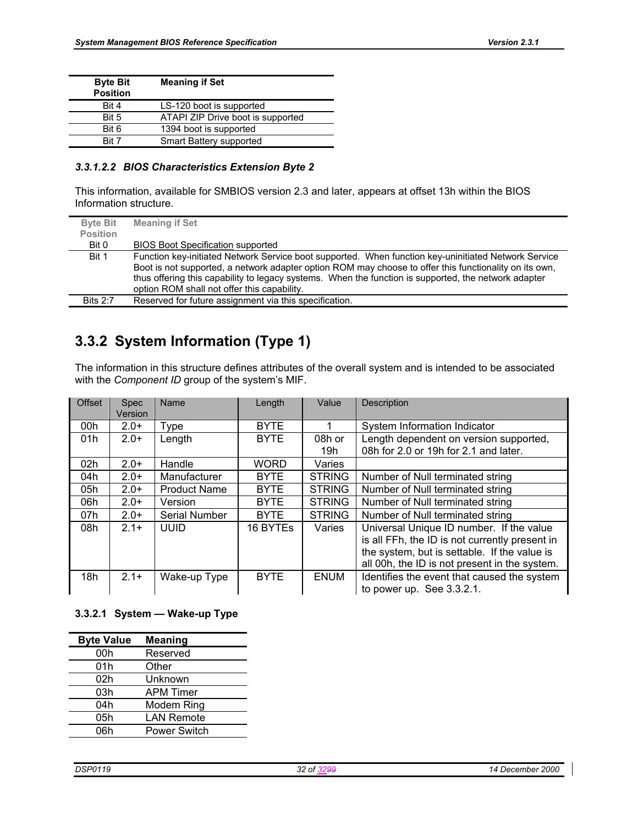| <b>Byte Bit</b><br><b>Position</b> | <b>Meaning if Set</b>             |  |
|------------------------------------|-----------------------------------|--|
| Bit 4                              | LS-120 boot is supported          |  |
| Bit 5                              | ATAPI ZIP Drive boot is supported |  |
| Bit 6                              | 1394 boot is supported            |  |
| Rit 7                              | Smart Battery supported           |  |

#### *3.3.1.2.2 BIOS Characteristics Extension Byte 2*

This information, available for SMBIOS version 2.3 and later, appears at offset 13h within the BIOS Information structure.

| <b>Byte Bit</b><br><b>Position</b> | <b>Meaning if Set</b>                                                                                                                                                                                                                                                                                                                                                 |
|------------------------------------|-----------------------------------------------------------------------------------------------------------------------------------------------------------------------------------------------------------------------------------------------------------------------------------------------------------------------------------------------------------------------|
| Bit 0                              | <b>BIOS Boot Specification supported</b>                                                                                                                                                                                                                                                                                                                              |
| Bit 1                              | Function key-initiated Network Service boot supported. When function key-uninitiated Network Service<br>Boot is not supported, a network adapter option ROM may choose to offer this functionality on its own,<br>thus offering this capability to legacy systems. When the function is supported, the network adapter<br>option ROM shall not offer this capability. |
| <b>Bits 2:7</b>                    | Reserved for future assignment via this specification.                                                                                                                                                                                                                                                                                                                |

### **3.3.2 System Information (Type 1)**

The information in this structure defines attributes of the overall system and is intended to be associated with the *Component ID* group of the system's MIF.

| <b>Offset</b> | <b>Spec</b><br>Version | Name                | Length      | Value         | Description                                    |
|---------------|------------------------|---------------------|-------------|---------------|------------------------------------------------|
| 00h           | $2.0+$                 | Type                | <b>BYTE</b> |               | System Information Indicator                   |
| 01h           | $2.0+$                 | Length              | <b>BYTE</b> | 08h or        | Length dependent on version supported,         |
|               |                        |                     |             | 19h           | 08h for 2.0 or 19h for 2.1 and later.          |
| 02h           | $2.0+$                 | Handle              | <b>WORD</b> | Varies        |                                                |
| 04h           | $2.0+$                 | Manufacturer        | <b>BYTE</b> | <b>STRING</b> | Number of Null terminated string               |
| 05h           | $2.0+$                 | <b>Product Name</b> | <b>BYTE</b> | <b>STRING</b> | Number of Null terminated string               |
| 06h           | $2.0+$                 | Version             | <b>BYTE</b> | <b>STRING</b> | Number of Null terminated string               |
| 07h           | $2.0+$                 | Serial Number       | <b>BYTE</b> | <b>STRING</b> | Number of Null terminated string               |
| 08h           | $2.1+$                 | <b>UUID</b>         | 16 BYTEs    | Varies        | Universal Unique ID number. If the value       |
|               |                        |                     |             |               | is all FFh, the ID is not currently present in |
|               |                        |                     |             |               | the system, but is settable. If the value is   |
|               |                        |                     |             |               | all 00h, the ID is not present in the system.  |
| 18h           | $2.1+$                 | Wake-up Type        | <b>BYTE</b> | <b>ENUM</b>   | Identifies the event that caused the system    |
|               |                        |                     |             |               | to power up. See 3.3.2.1.                      |

#### **3.3.2.1 System — Wake-up Type**

| <b>Byte Value</b> | <b>Meaning</b>      |
|-------------------|---------------------|
| 00h               | Reserved            |
| 01h               | Other               |
| 02h               | Unknown             |
| 03h               | <b>APM Timer</b>    |
| 04h               | Modem Ring          |
| 05h               | <b>LAN Remote</b>   |
| 06h               | <b>Power Switch</b> |
|                   |                     |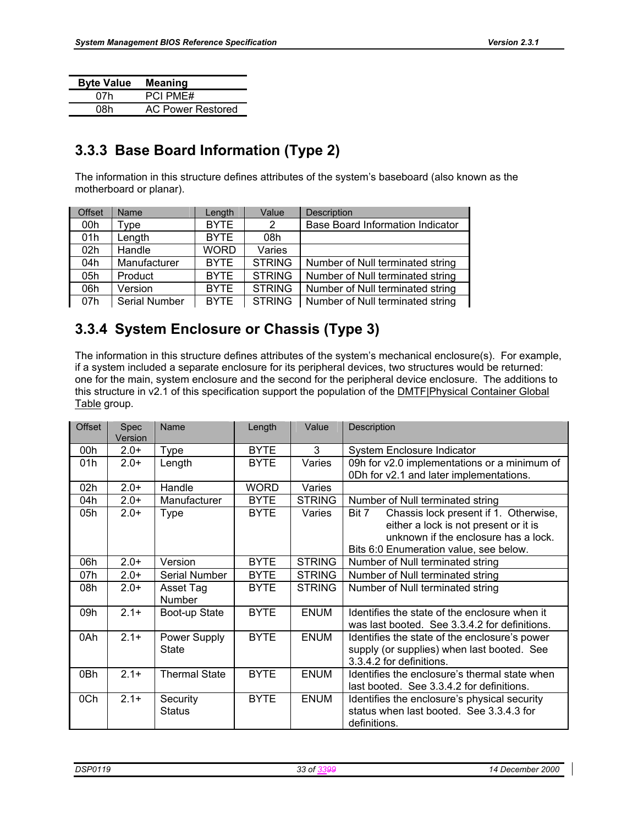| <b>Byte Value</b> | <b>Meaning</b>           |
|-------------------|--------------------------|
| 07h               | <b>PCI PME#</b>          |
| 08h               | <b>AC Power Restored</b> |

# **3.3.3 Base Board Information (Type 2)**

The information in this structure defines attributes of the system's baseboard (also known as the motherboard or planar).

| <b>Offset</b> | Name          | Length      | Value         | <b>Description</b>                      |
|---------------|---------------|-------------|---------------|-----------------------------------------|
| 00h           | Type          | <b>BYTE</b> | 2             | <b>Base Board Information Indicator</b> |
| 01h           | Length        | <b>BYTE</b> | 08h           |                                         |
| 02h           | Handle        | <b>WORD</b> | Varies        |                                         |
| 04h           | Manufacturer  | <b>BYTE</b> | <b>STRING</b> | Number of Null terminated string        |
| 05h           | Product       | <b>BYTE</b> | <b>STRING</b> | Number of Null terminated string        |
| 06h           | Version       | <b>BYTE</b> | <b>STRING</b> | Number of Null terminated string        |
| 07h           | Serial Number | <b>BYTE</b> | <b>STRING</b> | Number of Null terminated string        |

## **3.3.4 System Enclosure or Chassis (Type 3)**

The information in this structure defines attributes of the system's mechanical enclosure(s). For example, if a system included a separate enclosure for its peripheral devices, two structures would be returned: one for the main, system enclosure and the second for the peripheral device enclosure. The additions to this structure in v2.1 of this specification support the population of the **DMTF**|Physical Container Global Table group.

| Offset | Spec<br>Version | Name                         | Length      | Value         | Description                                                                                                                                                               |
|--------|-----------------|------------------------------|-------------|---------------|---------------------------------------------------------------------------------------------------------------------------------------------------------------------------|
| 00h    | $2.0+$          | <b>Type</b>                  | <b>BYTE</b> | 3             | System Enclosure Indicator                                                                                                                                                |
| 01h    | $2.0+$          | Length                       | <b>BYTE</b> | Varies        | 09h for v2.0 implementations or a minimum of<br>0Dh for v2.1 and later implementations.                                                                                   |
| 02h    | $2.0+$          | Handle                       | <b>WORD</b> | Varies        |                                                                                                                                                                           |
| 04h    | $2.0+$          | Manufacturer                 | <b>BYTE</b> | <b>STRING</b> | Number of Null terminated string                                                                                                                                          |
| 05h    | $2.0+$          | <b>Type</b>                  | <b>BYTE</b> | Varies        | Chassis lock present if 1. Otherwise,<br>Bit 7<br>either a lock is not present or it is<br>unknown if the enclosure has a lock.<br>Bits 6:0 Enumeration value, see below. |
| 06h    | $2.0+$          | Version                      | <b>BYTE</b> | <b>STRING</b> | Number of Null terminated string                                                                                                                                          |
| 07h    | $2.0+$          | Serial Number                | <b>BYTE</b> | <b>STRING</b> | Number of Null terminated string                                                                                                                                          |
| 08h    | $2.0+$          | Asset Tag<br><b>Number</b>   | <b>BYTE</b> | <b>STRING</b> | Number of Null terminated string                                                                                                                                          |
| 09h    | $2.1+$          | Boot-up State                | <b>BYTE</b> | <b>ENUM</b>   | Identifies the state of the enclosure when it<br>was last booted. See 3.3.4.2 for definitions.                                                                            |
| 0Ah    | $2.1 +$         | Power Supply<br><b>State</b> | <b>BYTE</b> | <b>ENUM</b>   | Identifies the state of the enclosure's power<br>supply (or supplies) when last booted. See<br>3.3.4.2 for definitions.                                                   |
| 0Bh    | $2.1 +$         | <b>Thermal State</b>         | <b>BYTE</b> | <b>ENUM</b>   | Identifies the enclosure's thermal state when<br>last booted. See 3.3.4.2 for definitions.                                                                                |
| 0Ch    | $2.1 +$         | Security<br><b>Status</b>    | <b>BYTE</b> | <b>ENUM</b>   | Identifies the enclosure's physical security<br>status when last booted. See 3.3.4.3 for<br>definitions.                                                                  |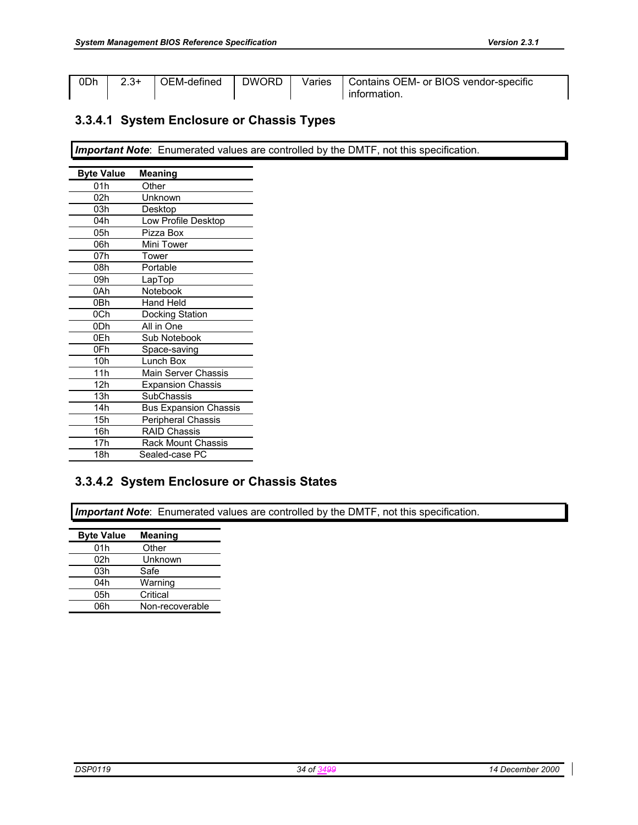| 0Dh | $2.3+$ |  | OEM-defined   DWORD   Varies   Contains OEM- or BIOS vendor-specific |
|-----|--------|--|----------------------------------------------------------------------|
|     |        |  | information.                                                         |

### **3.3.4.1 System Enclosure or Chassis Types**

**Important Note**: Enumerated values are controlled by the DMTF, not this specification.

| <b>Byte Value</b> | <b>Meaning</b>               |
|-------------------|------------------------------|
| 01h               | Other                        |
| 02h               | Unknown                      |
| 03h               | Desktop                      |
| 04h               | Low Profile Desktop          |
| 05h               | Pizza Box                    |
| 06h               | Mini Tower                   |
| 07h               | Tower                        |
| 08h               | Portable                     |
| 09h               | LapTop                       |
| 0Ah               | Notebook                     |
| 0Bh               | Hand Held                    |
| 0Ch               | Docking Station              |
| 0 <sub>Dh</sub>   | All in One                   |
| 0Eh               | Sub Notebook                 |
| 0Fh               | Space-saving                 |
| 10 <sub>h</sub>   | Lunch Box                    |
| 11h               | <b>Main Server Chassis</b>   |
| 12h               | <b>Expansion Chassis</b>     |
| 13h               | <b>SubChassis</b>            |
| 14h               | <b>Bus Expansion Chassis</b> |
| 15h               | Peripheral Chassis           |
| 16h               | <b>RAID Chassis</b>          |
| 17 <sub>h</sub>   | Rack Mount Chassis           |
| 18h               | Sealed-case PC               |

### **3.3.4.2 System Enclosure or Chassis States**

**Important Note**: Enumerated values are controlled by the DMTF, not this specification.

| <b>Byte Value</b> | <b>Meaning</b>  |
|-------------------|-----------------|
| 01h               | Other           |
| 02h               | Unknown         |
| 03h               | Safe            |
| 04h               | Warning         |
| 05h               | Critical        |
| 06h               | Non-recoverable |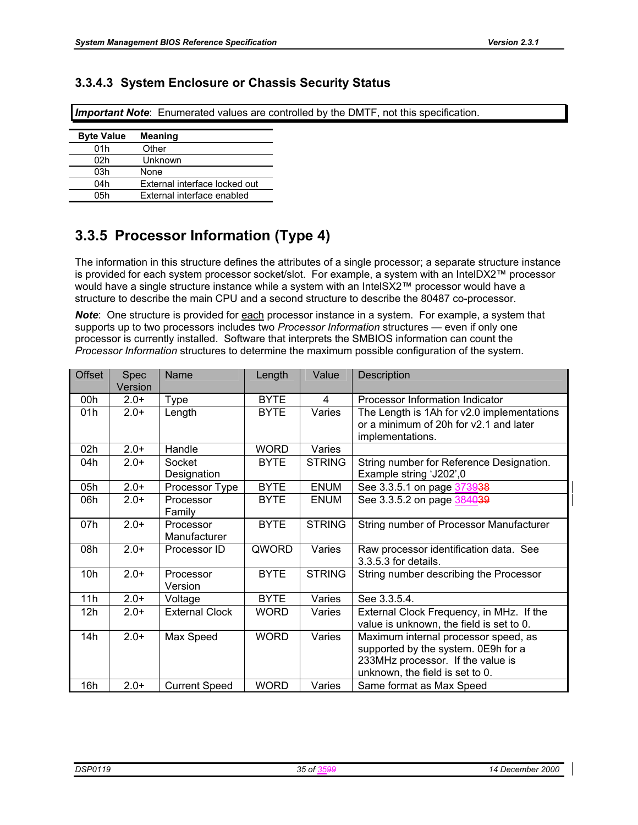### **3.3.4.3 System Enclosure or Chassis Security Status**

*Important Note*: Enumerated values are controlled by the DMTF, not this specification.

| <b>Byte Value</b> | <b>Meaning</b>                |
|-------------------|-------------------------------|
| 01h               | Other                         |
| 02h               | Unknown                       |
| 03h               | None                          |
| 04h               | External interface locked out |
| 05h               | External interface enabled    |

## **3.3.5 Processor Information (Type 4)**

The information in this structure defines the attributes of a single processor; a separate structure instance is provided for each system processor socket/slot. For example, a system with an IntelDX2™ processor would have a single structure instance while a system with an IntelSX2™ processor would have a structure to describe the main CPU and a second structure to describe the 80487 co-processor.

**Note:** One structure is provided for **each** processor instance in a system. For example, a system that supports up to two processors includes two *Processor Information* structures — even if only one processor is currently installed. Software that interprets the SMBIOS information can count the *Processor Information* structures to determine the maximum possible configuration of the system.

| <b>Offset</b>   | <b>Spec</b><br>Version | Name                      | Length      | Value         | Description                                                                                                                                         |
|-----------------|------------------------|---------------------------|-------------|---------------|-----------------------------------------------------------------------------------------------------------------------------------------------------|
| 00h             | $2.0+$                 | <b>Type</b>               | <b>BYTE</b> | 4             | Processor Information Indicator                                                                                                                     |
| 01h             | $2.0+$                 | Length                    | <b>BYTE</b> | Varies        | The Length is 1Ah for v2.0 implementations<br>or a minimum of 20h for v2.1 and later<br>implementations.                                            |
| 02h             | $2.0+$                 | Handle                    | <b>WORD</b> | Varies        |                                                                                                                                                     |
| 04h             | $2.0+$                 | Socket<br>Designation     | <b>BYTE</b> | <b>STRING</b> | String number for Reference Designation.<br>Example string 'J202',0                                                                                 |
| 05h             | $2.0+$                 | Processor Type            | <b>BYTE</b> | <b>ENUM</b>   | See 3.3.5.1 on page 373938                                                                                                                          |
| 06h             | $2.0+$                 | Processor<br>Family       | <b>BYTE</b> | <b>ENUM</b>   | See 3.3.5.2 on page 384039                                                                                                                          |
| 07h             | $2.0+$                 | Processor<br>Manufacturer | <b>BYTE</b> | <b>STRING</b> | String number of Processor Manufacturer                                                                                                             |
| 08h             | $2.0+$                 | Processor ID              | QWORD       | Varies        | Raw processor identification data. See<br>3.3.5.3 for details.                                                                                      |
| 10 <sub>h</sub> | $2.0+$                 | Processor<br>Version      | <b>BYTE</b> | <b>STRING</b> | String number describing the Processor                                                                                                              |
| 11h             | $2.0+$                 | Voltage                   | <b>BYTE</b> | Varies        | See 3.3.5.4.                                                                                                                                        |
| 12h             | $2.0+$                 | <b>External Clock</b>     | <b>WORD</b> | Varies        | External Clock Frequency, in MHz. If the<br>value is unknown, the field is set to 0.                                                                |
| 14h             | $2.0+$                 | Max Speed                 | <b>WORD</b> | Varies        | Maximum internal processor speed, as<br>supported by the system. 0E9h for a<br>233MHz processor. If the value is<br>unknown, the field is set to 0. |
| 16h             | $2.0+$                 | <b>Current Speed</b>      | <b>WORD</b> | Varies        | Same format as Max Speed                                                                                                                            |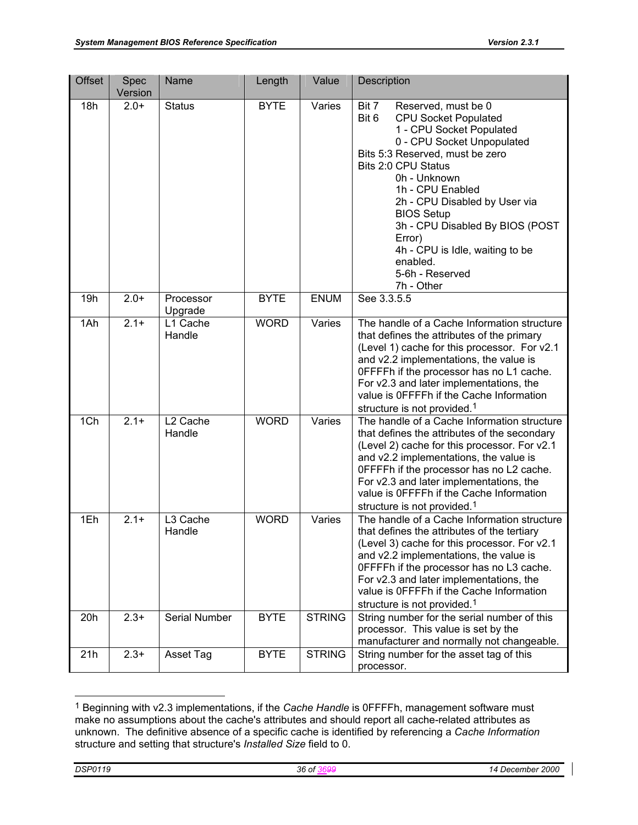| <b>Offset</b> | Spec<br>Version | Name                           | Length      | Value         | Description                                                                                                                                                                                                                                                                                                                                                                                                     |
|---------------|-----------------|--------------------------------|-------------|---------------|-----------------------------------------------------------------------------------------------------------------------------------------------------------------------------------------------------------------------------------------------------------------------------------------------------------------------------------------------------------------------------------------------------------------|
| 18h           | $2.0+$          | <b>Status</b>                  | <b>BYTE</b> | Varies        | Bit 7<br>Reserved, must be 0<br>Bit 6<br><b>CPU Socket Populated</b><br>1 - CPU Socket Populated<br>0 - CPU Socket Unpopulated<br>Bits 5:3 Reserved, must be zero<br>Bits 2:0 CPU Status<br>0h - Unknown<br>1h - CPU Enabled<br>2h - CPU Disabled by User via<br><b>BIOS Setup</b><br>3h - CPU Disabled By BIOS (POST<br>Error)<br>4h - CPU is Idle, waiting to be<br>enabled.<br>5-6h - Reserved<br>7h - Other |
| 19h           | $2.0+$          | Processor<br>Upgrade           | <b>BYTE</b> | <b>ENUM</b>   | See 3.3.5.5                                                                                                                                                                                                                                                                                                                                                                                                     |
| 1Ah           | $2.1 +$         | L1 Cache<br>Handle             | <b>WORD</b> | Varies        | The handle of a Cache Information structure<br>that defines the attributes of the primary<br>(Level 1) cache for this processor. For v2.1<br>and v2.2 implementations, the value is<br>OFFFFh if the processor has no L1 cache.<br>For v2.3 and later implementations, the<br>value is OFFFFh if the Cache Information<br>structure is not provided. <sup>1</sup>                                               |
| 1Ch           | $2.1 +$         | L <sub>2</sub> Cache<br>Handle | <b>WORD</b> | Varies        | The handle of a Cache Information structure<br>that defines the attributes of the secondary<br>(Level 2) cache for this processor. For v2.1<br>and v2.2 implementations, the value is<br>OFFFFh if the processor has no L2 cache.<br>For v2.3 and later implementations, the<br>value is OFFFFh if the Cache Information<br>structure is not provided. <sup>1</sup>                                             |
| 1Eh           | $2.1 +$         | L3 Cache<br>Handle             | <b>WORD</b> | Varies        | The handle of a Cache Information structure<br>that defines the attributes of the tertiary<br>(Level 3) cache for this processor. For v2.1<br>and v2.2 implementations, the value is<br>OFFFFh if the processor has no L3 cache.<br>For v2.3 and later implementations, the<br>value is OFFFFh if the Cache Information<br>structure is not provided. <sup>1</sup>                                              |
| 20h           | $2.3+$          | <b>Serial Number</b>           | <b>BYTE</b> | <b>STRING</b> | String number for the serial number of this<br>processor. This value is set by the<br>manufacturer and normally not changeable.                                                                                                                                                                                                                                                                                 |
| 21h           | $2.3+$          | Asset Tag                      | <b>BYTE</b> | <b>STRING</b> | String number for the asset tag of this<br>processor.                                                                                                                                                                                                                                                                                                                                                           |

<sup>1</sup> Beginning with v2.3 implementations, if the *Cache Handle* is 0FFFFh, management software must make no assumptions about the cache's attributes and should report all cache-related attributes as unknown. The definitive absence of a specific cache is identified by referencing a *Cache Information* structure and setting that structure's *Installed Size* field to 0.

l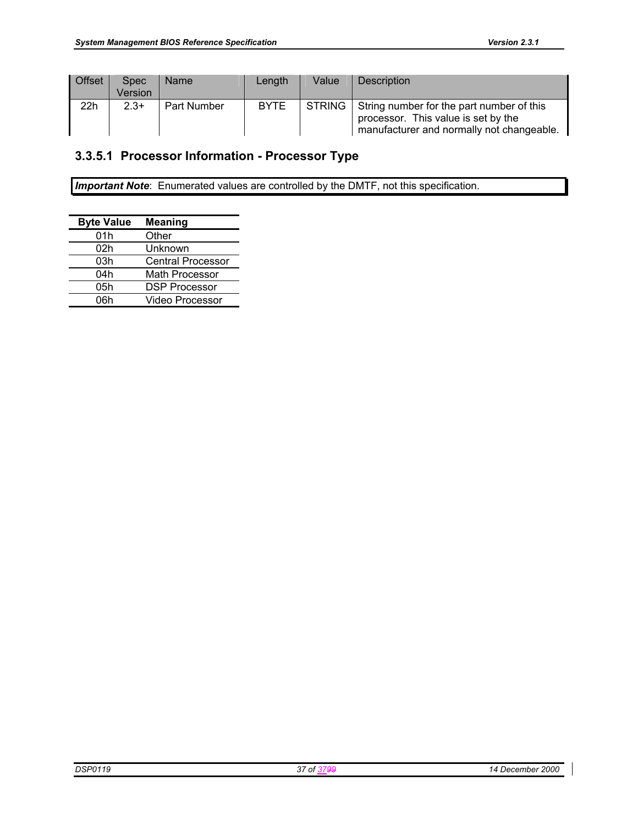| Offset | <b>Spec</b><br>Version | <b>Name</b> | Length      | Value | <b>Description</b>                                                                                                                   |
|--------|------------------------|-------------|-------------|-------|--------------------------------------------------------------------------------------------------------------------------------------|
| 22h    | $2.3+$                 | Part Number | <b>BYTE</b> |       | STRING String number for the part number of this<br>processor. This value is set by the<br>manufacturer and normally not changeable. |

# **3.3.5.1 Processor Information - Processor Type**

*Important Note*: Enumerated values are controlled by the DMTF, not this specification.

| <b>Byte Value</b> | <b>Meaning</b>           |
|-------------------|--------------------------|
| 01h               | Other                    |
| 02h               | Unknown                  |
| 03h               | <b>Central Processor</b> |
| 04h               | Math Processor           |
| 05h               | <b>DSP Processor</b>     |
| 06h               | Video Processor          |
|                   |                          |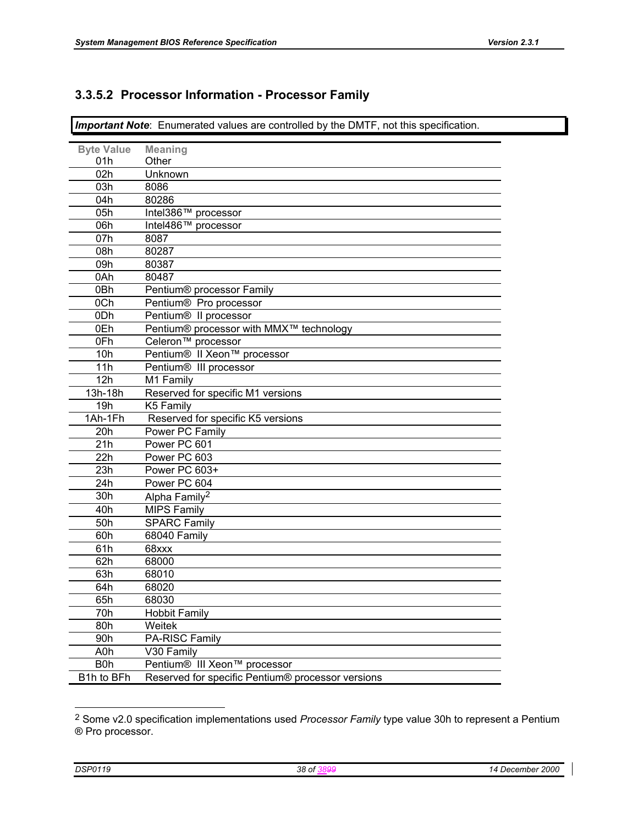# **3.3.5.2 Processor Information - Processor Family**

*Important Note*: Enumerated values are controlled by the DMTF, not this specification.

| <b>Byte Value</b> | <b>Meaning</b>                                    |
|-------------------|---------------------------------------------------|
| 01h               | Other                                             |
| 02h               | Unknown                                           |
| 03h               | 8086                                              |
| 04h               | 80286                                             |
| 05h               | Intel386™ processor                               |
| 06h               | Intel486™ processor                               |
| 07h               | 8087                                              |
| 08h               | 80287                                             |
| 09h               | 80387                                             |
| 0Ah               | 80487                                             |
| 0Bh               | Pentium® processor Family                         |
| 0Ch               | Pentium® Pro processor                            |
| 0Dh               | Pentium <sup>®</sup> Il processor                 |
| 0Eh               | Pentium® processor with MMX™ technology           |
| 0Fh               | Celeron <sup>™</sup> processor                    |
| 10h               | Pentium® II Xeon™ processor                       |
| 11h               | Pentium® III processor                            |
| 12h               | M1 Family                                         |
| 13h-18h           | Reserved for specific M1 versions                 |
| 19h               | K5 Family                                         |
| 1Ah-1Fh           | Reserved for specific K5 versions                 |
| 20h               | Power PC Family                                   |
| 21h               | Power PC 601                                      |
| 22h               | Power PC 603                                      |
| 23h               | Power PC 603+                                     |
| 24h               | Power PC 604                                      |
| 30h               | Alpha Family <sup>2</sup>                         |
| 40h               | <b>MIPS Family</b>                                |
| 50h               | <b>SPARC Family</b>                               |
| 60h               | 68040 Family                                      |
| 61h               | 68xxx                                             |
| 62h               | 68000                                             |
| 63h               | 68010                                             |
| 64h               | 68020                                             |
| 65h               | 68030                                             |
| 70h               | <b>Hobbit Family</b>                              |
| 80h               | Weitek                                            |
| 90h               | PA-RISC Family                                    |
| A <sub>0</sub> h  | V30 Family                                        |
| B <sub>0</sub> h  | Pentium® III Xeon™ processor                      |
| B1h to BFh        | Reserved for specific Pentium® processor versions |
|                   |                                                   |

<sup>2</sup> Some v2.0 specification implementations used *Processor Family* type value 30h to represent a Pentium ® Pro processor.

l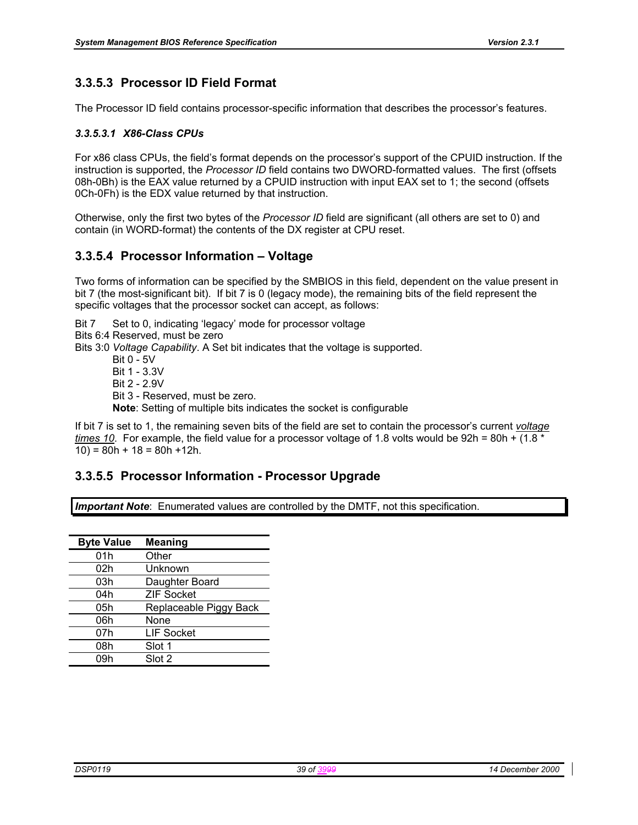# **3.3.5.3 Processor ID Field Format**

The Processor ID field contains processor-specific information that describes the processor's features.

## *3.3.5.3.1 X86-Class CPUs*

For x86 class CPUs, the field's format depends on the processor's support of the CPUID instruction. If the instruction is supported, the *Processor ID* field contains two DWORD-formatted values. The first (offsets 08h-0Bh) is the EAX value returned by a CPUID instruction with input EAX set to 1; the second (offsets 0Ch-0Fh) is the EDX value returned by that instruction.

Otherwise, only the first two bytes of the *Processor ID* field are significant (all others are set to 0) and contain (in WORD-format) the contents of the DX register at CPU reset.

## **3.3.5.4 Processor Information – Voltage**

Two forms of information can be specified by the SMBIOS in this field, dependent on the value present in bit 7 (the most-significant bit). If bit 7 is 0 (legacy mode), the remaining bits of the field represent the specific voltages that the processor socket can accept, as follows:

Bit 7 Set to 0, indicating 'legacy' mode for processor voltage

Bits 6:4 Reserved, must be zero

Bits 3:0 *Voltage Capability*. A Set bit indicates that the voltage is supported.

 Bit 0 - 5V Bit 1 - 3.3V Bit 2 - 2.9V Bit 3 - Reserved, must be zero. **Note**: Setting of multiple bits indicates the socket is configurable

If bit 7 is set to 1, the remaining seven bits of the field are set to contain the processor's current *voltage times 10.* For example, the field value for a processor voltage of 1.8 volts would be 92h = 80h + (1.8 \*  $10$ ) = 80h + 18 = 80h + 12h.

## **3.3.5.5 Processor Information - Processor Upgrade**

*Important Note*: Enumerated values are controlled by the DMTF, not this specification.

| <b>Byte Value</b> | <b>Meaning</b>         |
|-------------------|------------------------|
| 01h               | Other                  |
| 02h               | Unknown                |
| 03h               | Daughter Board         |
| 04h               | <b>ZIF Socket</b>      |
| 05h               | Replaceable Piggy Back |
| 06h               | None                   |
| 07h               | <b>LIF Socket</b>      |
| 08h               | Slot 1                 |
| 09h               | Slot 2                 |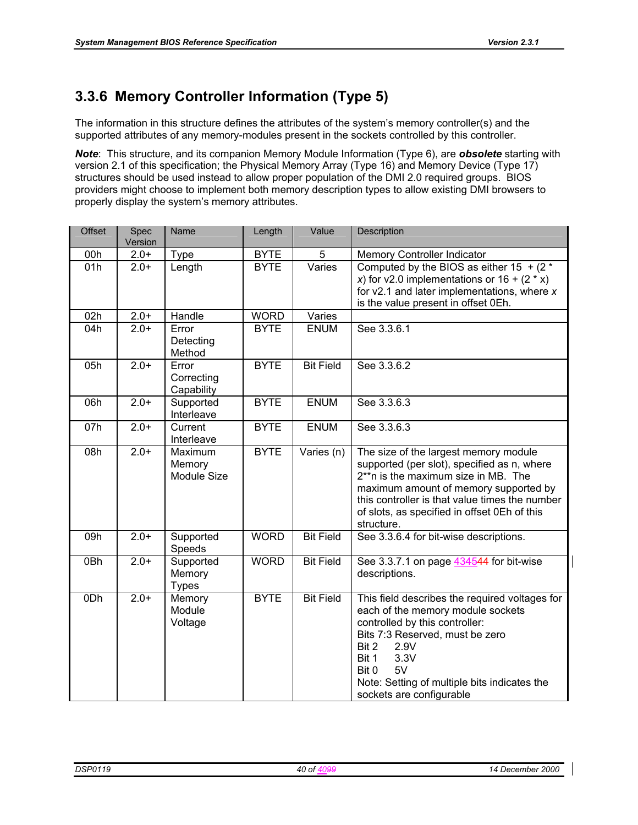# **3.3.6 Memory Controller Information (Type 5)**

The information in this structure defines the attributes of the system's memory controller(s) and the supported attributes of any memory-modules present in the sockets controlled by this controller.

*Note*: This structure, and its companion Memory Module Information (Type 6), are *obsolete* starting with version 2.1 of this specification; the Physical Memory Array (Type 16) and Memory Device (Type 17) structures should be used instead to allow proper population of the DMI 2.0 required groups. BIOS providers might choose to implement both memory description types to allow existing DMI browsers to properly display the system's memory attributes.

| <b>Offset</b> | Spec<br>Version | Name                                | Length      | Value            | Description                                                                                                                                                                                                                                                                           |
|---------------|-----------------|-------------------------------------|-------------|------------------|---------------------------------------------------------------------------------------------------------------------------------------------------------------------------------------------------------------------------------------------------------------------------------------|
| 00h           | $2.0+$          | <b>Type</b>                         | <b>BYTE</b> | 5                | Memory Controller Indicator                                                                                                                                                                                                                                                           |
| 01h           | $2.0+$          | Length                              | <b>BYTE</b> | Varies           | Computed by the BIOS as either 15 $+ (2 \times$<br>x) for v2.0 implementations or $16 + (2 \times x)$<br>for $v2.1$ and later implementations, where $x$<br>is the value present in offset 0Eh.                                                                                       |
| 02h           | $2.0+$          | Handle                              | <b>WORD</b> | Varies           |                                                                                                                                                                                                                                                                                       |
| 04h           | $2.0+$          | Error<br>Detecting<br>Method        | <b>BYTE</b> | <b>ENUM</b>      | See 3.3.6.1                                                                                                                                                                                                                                                                           |
| 05h           | $2.0+$          | Error<br>Correcting<br>Capability   | <b>BYTE</b> | <b>Bit Field</b> | See 3.3.6.2                                                                                                                                                                                                                                                                           |
| 06h           | $2.0+$          | Supported<br>Interleave             | <b>BYTE</b> | <b>ENUM</b>      | See 3.3.6.3                                                                                                                                                                                                                                                                           |
| 07h           | $2.0+$          | Current<br>Interleave               | <b>BYTE</b> | <b>ENUM</b>      | See 3.3.6.3                                                                                                                                                                                                                                                                           |
| 08h           | $2.0+$          | Maximum<br>Memory<br>Module Size    | <b>BYTE</b> | Varies (n)       | The size of the largest memory module<br>supported (per slot), specified as n, where<br>2**n is the maximum size in MB. The<br>maximum amount of memory supported by<br>this controller is that value times the number<br>of slots, as specified in offset 0Eh of this<br>structure.  |
| 09h           | $2.0+$          | Supported<br>Speeds                 | <b>WORD</b> | <b>Bit Field</b> | See 3.3.6.4 for bit-wise descriptions.                                                                                                                                                                                                                                                |
| 0Bh           | $2.0+$          | Supported<br>Memory<br><b>Types</b> | <b>WORD</b> | <b>Bit Field</b> | See 3.3.7.1 on page 434544 for bit-wise<br>descriptions.                                                                                                                                                                                                                              |
| 0Dh           | $2.0+$          | Memory<br>Module<br>Voltage         | <b>BYTE</b> | <b>Bit Field</b> | This field describes the required voltages for<br>each of the memory module sockets<br>controlled by this controller:<br>Bits 7:3 Reserved, must be zero<br>Bit 2<br>2.9V<br>3.3V<br>Bit 1<br>Bit 0<br>5V<br>Note: Setting of multiple bits indicates the<br>sockets are configurable |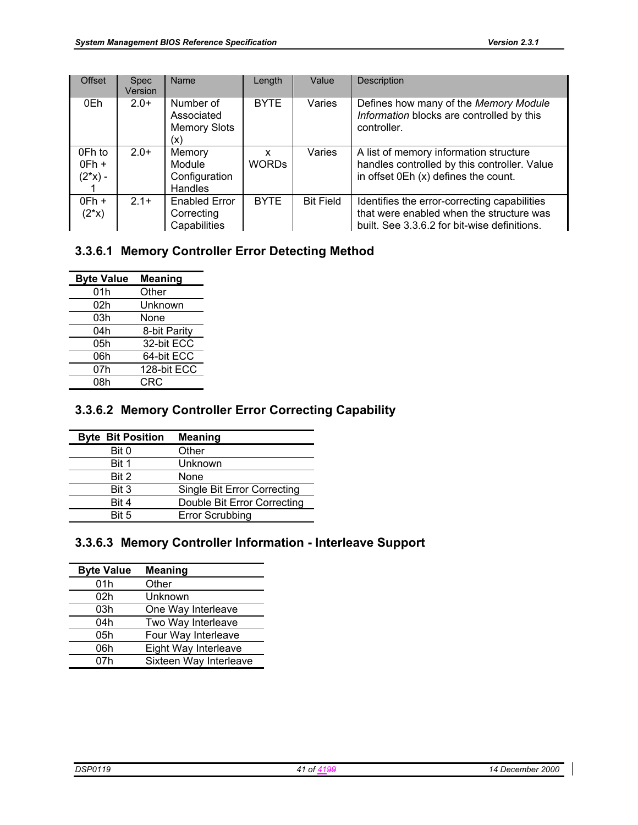| <b>Offset</b>                   | <b>Spec</b><br>Version | Name                                                  | Length            | Value            | Description                                                                                                                              |
|---------------------------------|------------------------|-------------------------------------------------------|-------------------|------------------|------------------------------------------------------------------------------------------------------------------------------------------|
| 0Eh                             | $2.0+$                 | Number of<br>Associated<br><b>Memory Slots</b><br>(x) | <b>BYTE</b>       | Varies           | Defines how many of the Memory Module<br>Information blocks are controlled by this<br>controller.                                        |
| 0Fh to<br>$0Fh +$<br>$(2^*x)$ - | $2.0+$                 | Memory<br>Module<br>Configuration<br>Handles          | x<br><b>WORDS</b> | Varies           | A list of memory information structure<br>handles controlled by this controller. Value<br>in offset 0Eh (x) defines the count.           |
| $OFh +$<br>$(2^*x)$             | $21+$                  | <b>Enabled Error</b><br>Correcting<br>Capabilities    | <b>BYTE</b>       | <b>Bit Field</b> | Identifies the error-correcting capabilities<br>that were enabled when the structure was<br>built. See 3.3.6.2 for bit-wise definitions. |

## **3.3.6.1 Memory Controller Error Detecting Method**

| <b>Byte Value</b> | <b>Meaning</b> |
|-------------------|----------------|
| 01h               | Other          |
| 02h               | Unknown        |
| 03h               | None           |
| 04h               | 8-bit Parity   |
| 05h               | 32-bit ECC     |
| 06h               | 64-bit ECC     |
| 07h               | 128-bit ECC    |
| 08h               | CRC            |

# **3.3.6.2 Memory Controller Error Correcting Capability**

| <b>Byte Bit Position</b> | <b>Meaning</b>                     |
|--------------------------|------------------------------------|
| Bit 0                    | Other                              |
| Bit 1                    | Unknown                            |
| Bit 2                    | None                               |
| Bit 3                    | <b>Single Bit Error Correcting</b> |
| Bit 4                    | Double Bit Error Correcting        |
| Bit 5                    | <b>Error Scrubbing</b>             |

## **3.3.6.3 Memory Controller Information - Interleave Support**

| <b>Byte Value</b> | <b>Meaning</b>         |
|-------------------|------------------------|
| 01h               | Other                  |
| 02h               | Unknown                |
| 03h               | One Way Interleave     |
| 04h               | Two Way Interleave     |
| 05h               | Four Way Interleave    |
| 06h               | Eight Way Interleave   |
| 07h               | Sixteen Way Interleave |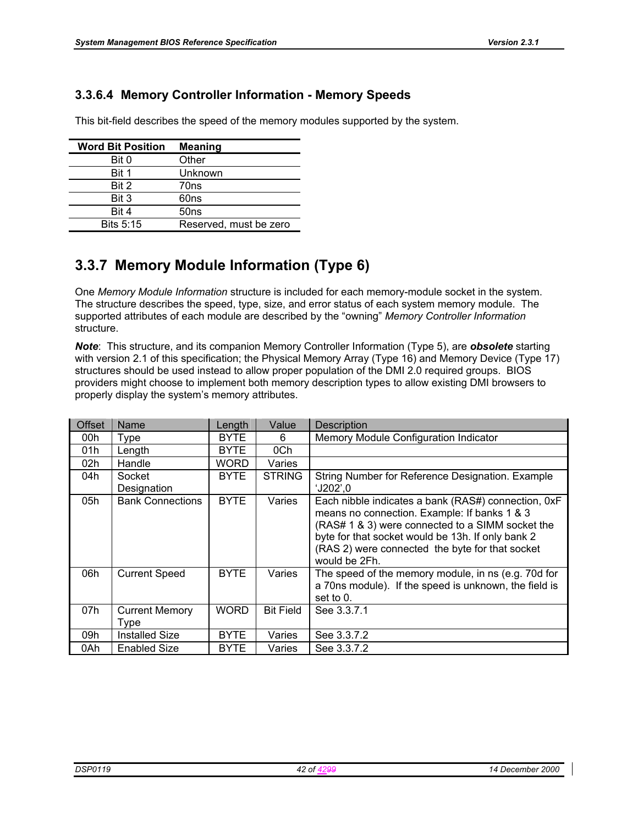# **3.3.6.4 Memory Controller Information - Memory Speeds**

This bit-field describes the speed of the memory modules supported by the system.

| <b>Word Bit Position</b> | <b>Meaning</b>         |
|--------------------------|------------------------|
| Bit 0                    | Other                  |
| Bit 1                    | Unknown                |
| Bit 2                    | 70ns                   |
| Bit 3                    | 60ns                   |
| Bit 4                    | 50ns                   |
| <b>Bits 5:15</b>         | Reserved, must be zero |

# **3.3.7 Memory Module Information (Type 6)**

One *Memory Module Information* structure is included for each memory-module socket in the system. The structure describes the speed, type, size, and error status of each system memory module. The supported attributes of each module are described by the "owning" *Memory Controller Information* structure.

*Note*: This structure, and its companion Memory Controller Information (Type 5), are *obsolete* starting with version 2.1 of this specification; the Physical Memory Array (Type 16) and Memory Device (Type 17) structures should be used instead to allow proper population of the DMI 2.0 required groups. BIOS providers might choose to implement both memory description types to allow existing DMI browsers to properly display the system's memory attributes.

| <b>Offset</b> | <b>Name</b>                   | Length      | Value            | Description                                                                                                                                                                                                                                                                      |
|---------------|-------------------------------|-------------|------------------|----------------------------------------------------------------------------------------------------------------------------------------------------------------------------------------------------------------------------------------------------------------------------------|
| 00h           | Type                          | <b>BYTE</b> | 6                | Memory Module Configuration Indicator                                                                                                                                                                                                                                            |
| 01h           | Length                        | <b>BYTE</b> | 0Ch              |                                                                                                                                                                                                                                                                                  |
| 02h           | Handle                        | WORD        | Varies           |                                                                                                                                                                                                                                                                                  |
| 04h           | Socket<br>Designation         | <b>BYTE</b> | <b>STRING</b>    | String Number for Reference Designation. Example<br>'J202',0                                                                                                                                                                                                                     |
| 05h           | <b>Bank Connections</b>       | <b>BYTE</b> | Varies           | Each nibble indicates a bank (RAS#) connection, 0xF<br>means no connection. Example: If banks 1 & 3<br>(RAS# 1 & 3) were connected to a SIMM socket the<br>byte for that socket would be 13h. If only bank 2<br>(RAS 2) were connected the byte for that socket<br>would be 2Fh. |
| 06h           | <b>Current Speed</b>          | <b>BYTE</b> | Varies           | The speed of the memory module, in ns (e.g. 70d for<br>a 70ns module). If the speed is unknown, the field is<br>set to 0.                                                                                                                                                        |
| 07h           | <b>Current Memory</b><br>Type | WORD        | <b>Bit Field</b> | See 3.3.7.1                                                                                                                                                                                                                                                                      |
| 09h           | Installed Size                | <b>BYTE</b> | Varies           | See 3.3.7.2                                                                                                                                                                                                                                                                      |
| 0Ah           | Enabled Size                  | <b>BYTE</b> | Varies           | See 3.3.7.2                                                                                                                                                                                                                                                                      |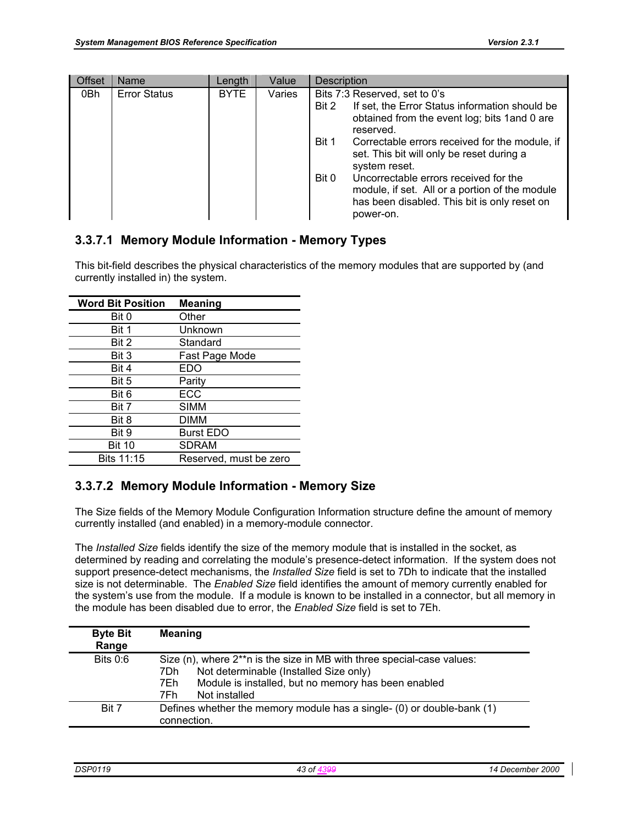| <b>Offset</b> | <b>Name</b>         | Length      | Value  | <b>Description</b>                                                                                                                                                                                                                                                                                                                                                                                                                               |
|---------------|---------------------|-------------|--------|--------------------------------------------------------------------------------------------------------------------------------------------------------------------------------------------------------------------------------------------------------------------------------------------------------------------------------------------------------------------------------------------------------------------------------------------------|
| 0Bh           | <b>Error Status</b> | <b>BYTE</b> | Varies | Bits 7:3 Reserved, set to 0's<br>If set, the Error Status information should be<br>Bit 2<br>obtained from the event log; bits 1 and 0 are<br>reserved.<br>Correctable errors received for the module, if<br>Bit 1<br>set. This bit will only be reset during a<br>system reset.<br>Uncorrectable errors received for the<br>Bit 0<br>module, if set. All or a portion of the module<br>has been disabled. This bit is only reset on<br>power-on. |

# **3.3.7.1 Memory Module Information - Memory Types**

This bit-field describes the physical characteristics of the memory modules that are supported by (and currently installed in) the system.

| <b>Word Bit Position</b> | <b>Meaning</b>         |
|--------------------------|------------------------|
| Bit 0                    | Other                  |
| Bit 1                    | Unknown                |
| Bit 2                    | Standard               |
| Bit 3                    | Fast Page Mode         |
| Bit 4                    | EDO                    |
| Bit 5                    | Parity                 |
| Bit 6                    | ECC                    |
| Bit 7                    | <b>SIMM</b>            |
| Bit 8                    | <b>DIMM</b>            |
| Bit 9                    | <b>Burst EDO</b>       |
| <b>Bit 10</b>            | <b>SDRAM</b>           |
| Bits 11:15               | Reserved, must be zero |

## **3.3.7.2 Memory Module Information - Memory Size**

The Size fields of the Memory Module Configuration Information structure define the amount of memory currently installed (and enabled) in a memory-module connector.

The *Installed Size* fields identify the size of the memory module that is installed in the socket, as determined by reading and correlating the module's presence-detect information. If the system does not support presence-detect mechanisms, the *Installed Size* field is set to 7Dh to indicate that the installed size is not determinable. The *Enabled Size* field identifies the amount of memory currently enabled for the system's use from the module. If a module is known to be installed in a connector, but all memory in the module has been disabled due to error, the *Enabled Size* field is set to 7Eh.

| <b>Byte Bit</b><br>Range | <b>Meaning</b>                                                                                                                                                                                                  |
|--------------------------|-----------------------------------------------------------------------------------------------------------------------------------------------------------------------------------------------------------------|
| Bits 0:6                 | Size (n), where 2**n is the size in MB with three special-case values:<br>Not determinable (Installed Size only)<br>7Dh.<br>Module is installed, but no memory has been enabled<br>7Eh.<br>Not installed<br>7Fh |
| Bit 7                    | Defines whether the memory module has a single- (0) or double-bank (1)<br>connection.                                                                                                                           |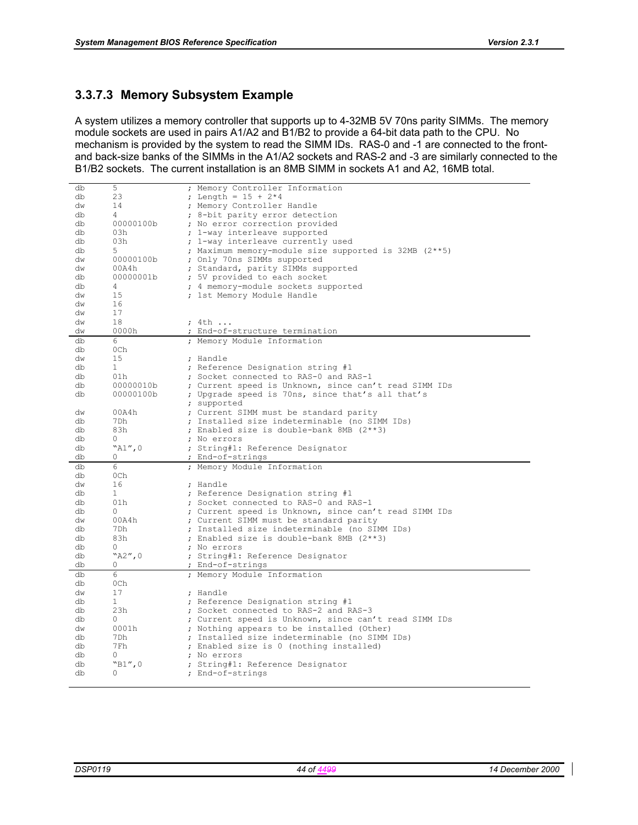## **3.3.7.3 Memory Subsystem Example**

A system utilizes a memory controller that supports up to 4-32MB 5V 70ns parity SIMMs. The memory module sockets are used in pairs A1/A2 and B1/B2 to provide a 64-bit data path to the CPU. No mechanism is provided by the system to read the SIMM IDs. RAS-0 and -1 are connected to the frontand back-size banks of the SIMMs in the A1/A2 sockets and RAS-2 and -3 are similarly connected to the B1/B2 sockets. The current installation is an 8MB SIMM in sockets A1 and A2, 16MB total.

| db       | 5                  | ; Memory Controller Information                       |
|----------|--------------------|-------------------------------------------------------|
| db       | 23                 | ; Length = $15 + 2*4$                                 |
| dw       | 14                 | ; Memory Controller Handle                            |
| db       | 4                  | ; 8-bit parity error detection                        |
| db       | 00000100b          | ; No error correction provided                        |
| db       | 03h                | ; 1-way interleave supported                          |
| db       | 03h                | ; 1-way interleave currently used                     |
| db       | 5                  | ; Maximum memory-module size supported is 32MB (2**5) |
| dw       | 00000100b          | ; Only 70ns SIMMs supported                           |
| dw       | 00A4h              | ; Standard, parity SIMMs supported                    |
| db       | 00000001b          | ; 5V provided to each socket                          |
| db       | 4                  | ; 4 memory-module sockets supported                   |
| dw       | 15                 | ; 1st Memory Module Handle                            |
| dw       | 16                 |                                                       |
| dw       | 17                 |                                                       |
| dw       | 18                 | ; 4th                                                 |
| dw       | 0000h              | ; End-of-structure termination                        |
| db       | 6                  | ; Memory Module Information                           |
| db       | 0Ch                |                                                       |
| dw       | 15                 | ; Handle                                              |
| db       | 1                  | ; Reference Designation string #1                     |
| db       | 01h                | ; Socket connected to RAS-0 and RAS-1                 |
| db       | 00000010b          | ; Current speed is Unknown, since can't read SIMM IDs |
| db       | 00000100b          | ; Upgrade speed is 70ns, since that's all that's      |
|          |                    | ; supported                                           |
| dw       | 00A4h              | ; Current SIMM must be standard parity                |
| db       | 7Dh                | ; Installed size indeterminable (no SIMM IDs)         |
|          | 83h                | ; Enabled size is double-bank 8MB (2**3)              |
| db       |                    |                                                       |
| db       | 0                  | ; No errors                                           |
| db       | ``A1'',0"          | ; String#1: Reference Designator                      |
| db       | 0                  | ; End-of-strings                                      |
| db       | 6                  | ; Memory Module Information                           |
| db       | 0Ch                |                                                       |
| dw       | 16                 | ; Handle                                              |
| db       | $\mathbf{1}$       | ; Reference Designation string #1                     |
| db       | 01h                | ; Socket connected to RAS-0 and RAS-1                 |
| db       | 0                  | ; Current speed is Unknown, since can't read SIMM IDs |
| dw       | 00A4h              | ; Current SIMM must be standard parity                |
| db       | 7Dh                | ; Installed size indeterminable (no SIMM IDs)         |
| db       | 83h                | ; Enabled size is double-bank 8MB (2**3)              |
| db       | 0                  | ; No errors                                           |
| db       | "A2",0             | ; String#1: Reference Designator                      |
| db       | 0                  | ; End-of-strings                                      |
| db       | 6                  | ; Memory Module Information                           |
| db       | 0Ch                |                                                       |
| dw       | 17                 | ; Handle                                              |
| db       | 1<br>23h           | ; Reference Designation string #1                     |
| db       | 0                  | ; Socket connected to RAS-2 and RAS-3                 |
| db       |                    | ; Current speed is Unknown, since can't read SIMM IDs |
| dw<br>db | 0001h<br>7Dh       | ; Nothing appears to be installed (Other)             |
|          | 7Fh                | ; Installed size indeterminable (no SIMM IDs)         |
| db       |                    | ; Enabled size is 0 (nothing installed)               |
| db<br>db | 0                  | ; No errors                                           |
| db       | "B1",0<br>$\Omega$ | ; String#1: Reference Designator<br>; End-of-strings  |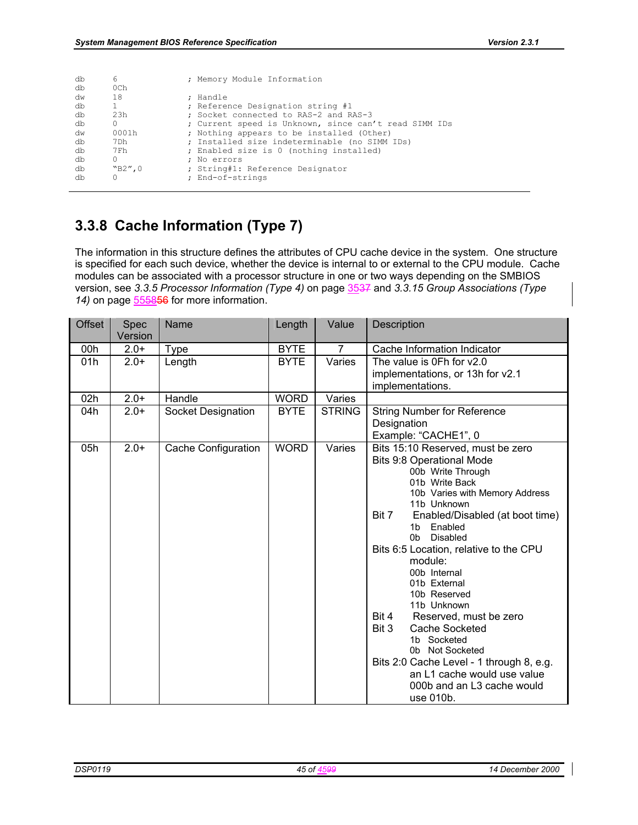| db | 6                | ; Memory Module Information                           |
|----|------------------|-------------------------------------------------------|
| db | 0 <sub>Ch</sub>  |                                                       |
| dw | 18               | ; Handle                                              |
| db |                  | ; Reference Designation string #1                     |
| db | 2.3 <sub>h</sub> | : Socket connected to RAS-2 and RAS-3                 |
| db | 0                | ; Current speed is Unknown, since can't read SIMM IDs |
| dw | 0001h            | ; Nothing appears to be installed (Other)             |
| db | 7Dh              | ; Installed size indeterminable (no SIMM IDs)         |
| db | 7Fh              | ; Enabled size is 0 (nothing installed)               |
| db | 0                | : No errors                                           |
| db | WB2''.0          | ; String#1: Reference Designator                      |
| db |                  | ; End-of-strings                                      |
|    |                  |                                                       |

# **3.3.8 Cache Information (Type 7)**

The information in this structure defines the attributes of CPU cache device in the system. One structure is specified for each such device, whether the device is internal to or external to the CPU module. Cache modules can be associated with a processor structure in one or two ways depending on the SMBIOS version, see *3.3.5 Processor Information (Type 4)* on page 3537 and *3.3.15 Group Associations (Type*  14) on page 555856 for more information.

| <b>Offset</b> | Spec<br>Version | Name                      | Length      | Value          | Description                                                                                                                                                                                                                                                                                                                                                                                                                                                                                                                                                                            |
|---------------|-----------------|---------------------------|-------------|----------------|----------------------------------------------------------------------------------------------------------------------------------------------------------------------------------------------------------------------------------------------------------------------------------------------------------------------------------------------------------------------------------------------------------------------------------------------------------------------------------------------------------------------------------------------------------------------------------------|
| 00h           | $2.0+$          | <b>Type</b>               | <b>BYTE</b> | $\overline{7}$ | Cache Information Indicator                                                                                                                                                                                                                                                                                                                                                                                                                                                                                                                                                            |
| 01h           | $2.0+$          | Length                    | <b>BYTE</b> | Varies         | The value is 0Fh for v2.0<br>implementations, or 13h for v2.1<br>implementations.                                                                                                                                                                                                                                                                                                                                                                                                                                                                                                      |
| 02h           | $2.0+$          | Handle                    | <b>WORD</b> | Varies         |                                                                                                                                                                                                                                                                                                                                                                                                                                                                                                                                                                                        |
| 04h           | $2.0+$          | <b>Socket Designation</b> | <b>BYTE</b> | <b>STRING</b>  | <b>String Number for Reference</b><br>Designation<br>Example: "CACHE1", 0                                                                                                                                                                                                                                                                                                                                                                                                                                                                                                              |
| 05h           | $2.0+$          | Cache Configuration       | <b>WORD</b> | Varies         | Bits 15:10 Reserved, must be zero<br><b>Bits 9:8 Operational Mode</b><br>00b Write Through<br>01b Write Back<br>10b Varies with Memory Address<br>11b Unknown<br>Bit 7<br>Enabled/Disabled (at boot time)<br>Enabled<br>1b<br>0b<br>Disabled<br>Bits 6:5 Location, relative to the CPU<br>module:<br>00b Internal<br>01b External<br>10b Reserved<br>11b Unknown<br>Bit 4<br>Reserved, must be zero<br>Cache Socketed<br>Bit 3<br>1b Socketed<br>0b Not Socketed<br>Bits 2:0 Cache Level - 1 through 8, e.g.<br>an L1 cache would use value<br>000b and an L3 cache would<br>use 010b. |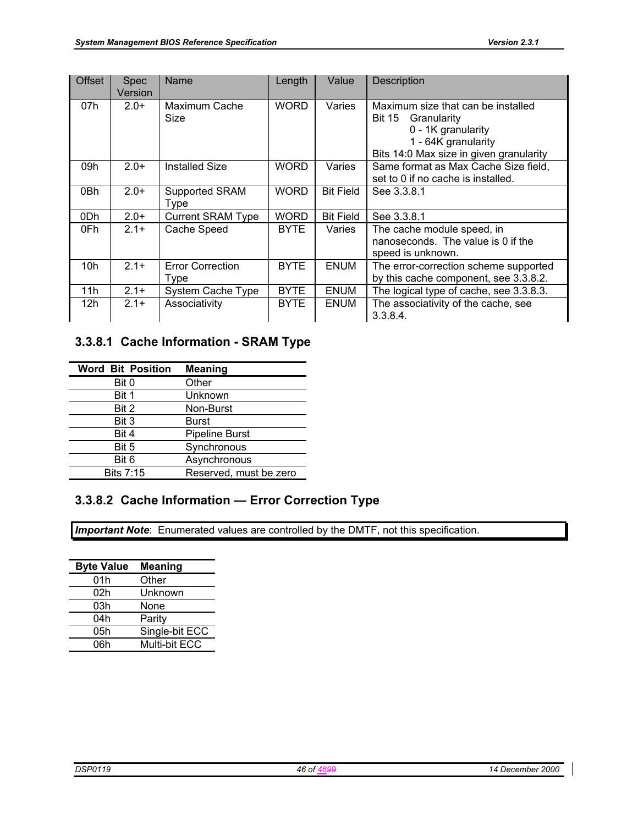| <b>Offset</b> | <b>Spec</b><br>Version | Name                            | Length      | Value            | <b>Description</b>                                                                                                                                         |
|---------------|------------------------|---------------------------------|-------------|------------------|------------------------------------------------------------------------------------------------------------------------------------------------------------|
| 07h           | $2.0+$                 | Maximum Cache<br>Size           | <b>WORD</b> | Varies           | Maximum size that can be installed<br><b>Bit 15</b><br>Granularity<br>0 - 1K granularity<br>1 - 64K granularity<br>Bits 14:0 Max size in given granularity |
| 09h           | $2.0+$                 | <b>Installed Size</b>           | <b>WORD</b> | Varies           | Same format as Max Cache Size field,<br>set to 0 if no cache is installed.                                                                                 |
| 0Bh           | $2.0+$                 | Supported SRAM<br>Type          | <b>WORD</b> | <b>Bit Field</b> | See 3.3.8.1                                                                                                                                                |
| 0Dh           | $2.0+$                 | <b>Current SRAM Type</b>        | <b>WORD</b> | <b>Bit Field</b> | See 3.3.8.1                                                                                                                                                |
| 0Fh           | $2.1+$                 | Cache Speed                     | <b>BYTE</b> | Varies           | The cache module speed, in<br>nanoseconds. The value is 0 if the<br>speed is unknown.                                                                      |
| 10h           | $2.1+$                 | <b>Error Correction</b><br>Type | <b>BYTE</b> | ENUM             | The error-correction scheme supported<br>by this cache component, see 3.3.8.2.                                                                             |
| 11h           | $2.1+$                 | System Cache Type               | <b>BYTE</b> | ENUM             | The logical type of cache, see 3.3.8.3.                                                                                                                    |
| 12h           | $2.1+$                 | Associativity                   | <b>BYTE</b> | ENUM             | The associativity of the cache, see<br>3.3.8.4.                                                                                                            |

# **3.3.8.1 Cache Information - SRAM Type**

| <b>Word Bit Position</b> | <b>Meaning</b>         |
|--------------------------|------------------------|
| Bit 0                    | Other                  |
| Bit 1                    | Unknown                |
| Bit 2                    | Non-Burst              |
| Bit 3                    | <b>Burst</b>           |
| Bit 4                    | <b>Pipeline Burst</b>  |
| Bit 5                    | Synchronous            |
| Bit 6                    | Asynchronous           |
| <b>Bits 7:15</b>         | Reserved, must be zero |

# **3.3.8.2 Cache Information — Error Correction Type**

**Important Note**: Enumerated values are controlled by the DMTF, not this specification.

| <b>Byte Value</b> | <b>Meaning</b> |
|-------------------|----------------|
| 01h               | Other          |
| 02h               | Unknown        |
| 03h               | None           |
| 04h               | Parity         |
| 05h               | Single-bit ECC |
| 06h               | Multi-bit ECC  |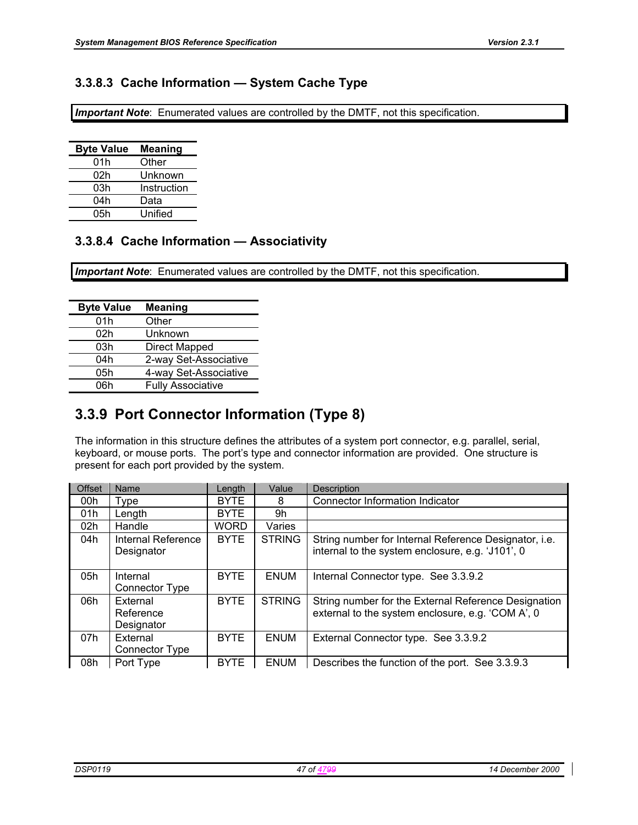## **3.3.8.3 Cache Information — System Cache Type**

*Important Note*: Enumerated values are controlled by the DMTF, not this specification.

| <b>Byte Value</b> | <b>Meaning</b> |
|-------------------|----------------|
| 01h               | Other          |
| 02h               | Unknown        |
| 03h               | Instruction    |
| 04h               | Data           |
| 05h               | Unified        |

## **3.3.8.4 Cache Information — Associativity**

**Important Note**: Enumerated values are controlled by the DMTF, not this specification.

| <b>Byte Value</b> | <b>Meaning</b>           |
|-------------------|--------------------------|
| 01h               | Other                    |
| 02h               | Unknown                  |
| 03h               | Direct Mapped            |
| 04h               | 2-way Set-Associative    |
| 05h               | 4-way Set-Associative    |
| 06h               | <b>Fully Associative</b> |

# **3.3.9 Port Connector Information (Type 8)**

The information in this structure defines the attributes of a system port connector, e.g. parallel, serial, keyboard, or mouse ports. The port's type and connector information are provided. One structure is present for each port provided by the system.

| Offset | Name                  | Length      | Value         | Description                                           |
|--------|-----------------------|-------------|---------------|-------------------------------------------------------|
| 00h    | Type                  | <b>BYTE</b> | 8             | Connector Information Indicator                       |
| 01h    | Length                | <b>BYTE</b> | 9h            |                                                       |
| 02h    | Handle                | <b>WORD</b> | Varies        |                                                       |
| 04h    | Internal Reference    | <b>BYTE</b> | <b>STRING</b> | String number for Internal Reference Designator, i.e. |
|        | Designator            |             |               | internal to the system enclosure, e.g. 'J101', 0      |
|        |                       |             |               |                                                       |
| 05h    | Internal              | <b>BYTE</b> | <b>ENUM</b>   | Internal Connector type. See 3.3.9.2                  |
|        | Connector Type        |             |               |                                                       |
| 06h    | External              | <b>BYTE</b> | <b>STRING</b> | String number for the External Reference Designation  |
|        | Reference             |             |               | external to the system enclosure, e.g. 'COM A', 0     |
|        | Designator            |             |               |                                                       |
| 07h    | External              | <b>BYTE</b> | <b>ENUM</b>   | External Connector type. See 3.3.9.2                  |
|        | <b>Connector Type</b> |             |               |                                                       |
| 08h    | Port Type             | <b>BYTE</b> | <b>ENUM</b>   | Describes the function of the port. See 3.3.9.3       |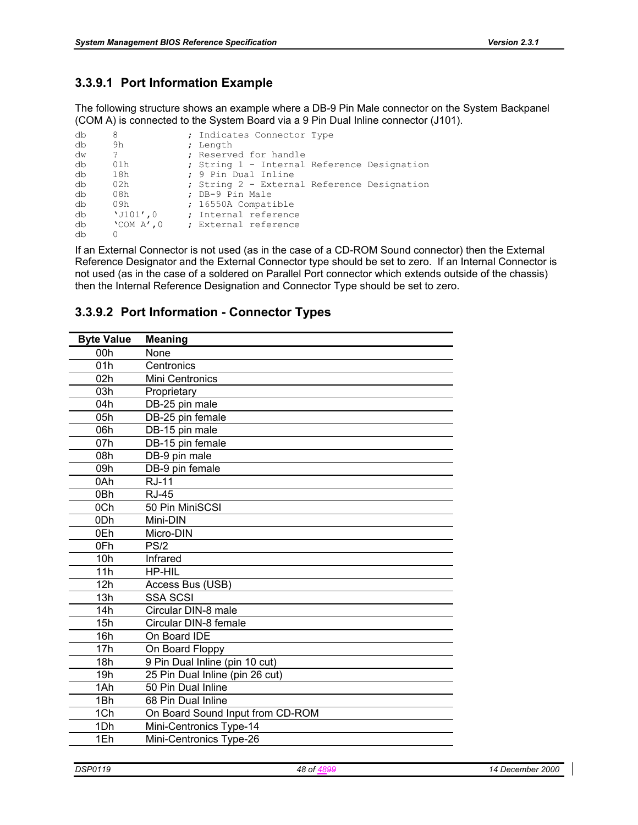## **3.3.9.1 Port Information Example**

The following structure shows an example where a DB-9 Pin Male connector on the System Backpanel (COM A) is connected to the System Board via a 9 Pin Dual Inline connector (J101).

| db | 8                 | ; Indicates Connector Type                  |  |
|----|-------------------|---------------------------------------------|--|
| db | 9h                | ; Length                                    |  |
| dw | ?                 | ; Reserved for handle                       |  |
| db | 01h               | ; String 1 - Internal Reference Designation |  |
| db | 18h               | ; 9 Pin Dual Inline                         |  |
| db | 02h               | ; String 2 - External Reference Designation |  |
| db | 08h               | ; DB-9 Pin Male                             |  |
| db | 09h               | ; 16550A Compatible                         |  |
| db | $'J101'$ , 0      | ; Internal reference                        |  |
| db | $'$ COM A $'$ , 0 | ; External reference                        |  |
| db | 0                 |                                             |  |

If an External Connector is not used (as in the case of a CD-ROM Sound connector) then the External Reference Designator and the External Connector type should be set to zero. If an Internal Connector is not used (as in the case of a soldered on Parallel Port connector which extends outside of the chassis) then the Internal Reference Designation and Connector Type should be set to zero.

## **3.3.9.2 Port Information - Connector Types**

| <b>Byte Value</b> | <b>Meaning</b>                   |
|-------------------|----------------------------------|
| 00h               | None                             |
| 01h               | Centronics                       |
| 02h               | Mini Centronics                  |
| 03h               | Proprietary                      |
| 04h               | DB-25 pin male                   |
| 05h               | DB-25 pin female                 |
| 06h               | DB-15 pin male                   |
| 07h               | DB-15 pin female                 |
| 08h               | DB-9 pin male                    |
| 09h               | DB-9 pin female                  |
| 0Ah               | <b>RJ-11</b>                     |
| 0 <sub>Bh</sub>   | <b>RJ-45</b>                     |
| 0Ch               | 50 Pin MiniSCSI                  |
| 0 <sub>Dh</sub>   | Mini-DIN                         |
| 0Eh               | Micro-DIN                        |
| 0Fh               | PS/2                             |
| 10h               | Infrared                         |
| 11h               | <b>HP-HIL</b>                    |
| 12h               | Access Bus (USB)                 |
| 13h               | <b>SSA SCSI</b>                  |
| 14h               | Circular DIN-8 male              |
| 15h               | Circular DIN-8 female            |
| 16h               | On Board IDE                     |
| 17h               | On Board Floppy                  |
| 18h               | 9 Pin Dual Inline (pin 10 cut)   |
| 19h               | 25 Pin Dual Inline (pin 26 cut)  |
| 1Ah               | 50 Pin Dual Inline               |
| 1Bh               | 68 Pin Dual Inline               |
| 1Ch               | On Board Sound Input from CD-ROM |
| 1Dh               | Mini-Centronics Type-14          |
| 1Eh               | Mini-Centronics Type-26          |
|                   |                                  |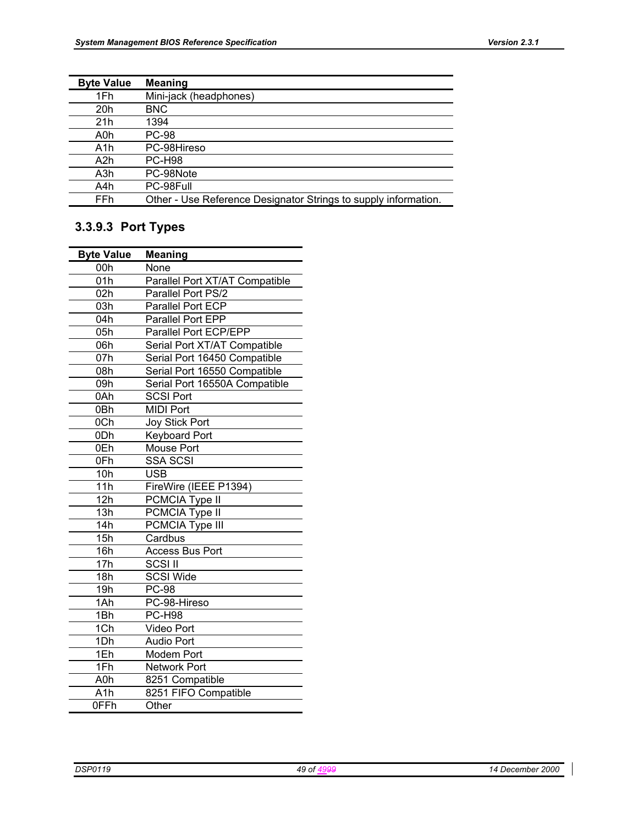| <b>Byte Value</b> | <b>Meaning</b>                                                  |
|-------------------|-----------------------------------------------------------------|
| 1Fh               | Mini-jack (headphones)                                          |
| 20h               | <b>BNC</b>                                                      |
| 21h               | 1394                                                            |
| A0h               | PC-98                                                           |
| A <sub>1</sub> h  | PC-98Hireso                                                     |
| A2h               | <b>PC-H98</b>                                                   |
| A3h               | PC-98Note                                                       |
| A4h               | PC-98Full                                                       |
| FFh               | Other - Use Reference Designator Strings to supply information. |

# **3.3.9.3 Port Types**

| <b>Byte Value</b> | Meaning                        |
|-------------------|--------------------------------|
| 00h               | None                           |
| 01h               | Parallel Port XT/AT Compatible |
| 02h               | Parallel Port PS/2             |
| 03h               | Parallel Port ECP              |
| 04h               | Parallel Port EPP              |
| 05h               | Parallel Port ECP/EPP          |
| 06h               | Serial Port XT/AT Compatible   |
| 07h               | Serial Port 16450 Compatible   |
| 08h               | Serial Port 16550 Compatible   |
| 09h               | Serial Port 16550A Compatible  |
| 0Ah               | <b>SCSI Port</b>               |
| 0Bh               | <b>MIDI Port</b>               |
| 0Ch               | Joy Stick Port                 |
| 0 <sub>Dh</sub>   | <b>Keyboard Port</b>           |
| 0Eh               | <b>Mouse Port</b>              |
| 0Fh               | <b>SSA SCSI</b>                |
| 10h               | <b>USB</b>                     |
| 11h               | FireWire (IEEE P1394)          |
| 12h               | PCMCIA Type II                 |
| 13h               | PCMCIA Type II                 |
| 14h               | PCMCIA Type III                |
| 15h               | Cardbus                        |
| 16h               | <b>Access Bus Port</b>         |
| 17h               | <b>SCSI II</b>                 |
| 18h               | <b>SCSI Wide</b>               |
| 19h               | $PC-98$                        |
| 1Ah               | PC-98-Hireso                   |
| 1Bh               | PC-H98                         |
| 1Ch               | <b>Video Port</b>              |
| 1Dh               | <b>Audio Port</b>              |
| 1Eh               | <b>Modem Port</b>              |
| 1Fh               | <b>Network Port</b>            |
| A0h               | 8251 Compatible                |
| A <sub>1</sub> h  | 8251 FIFO Compatible           |
| 0FFh              | Other                          |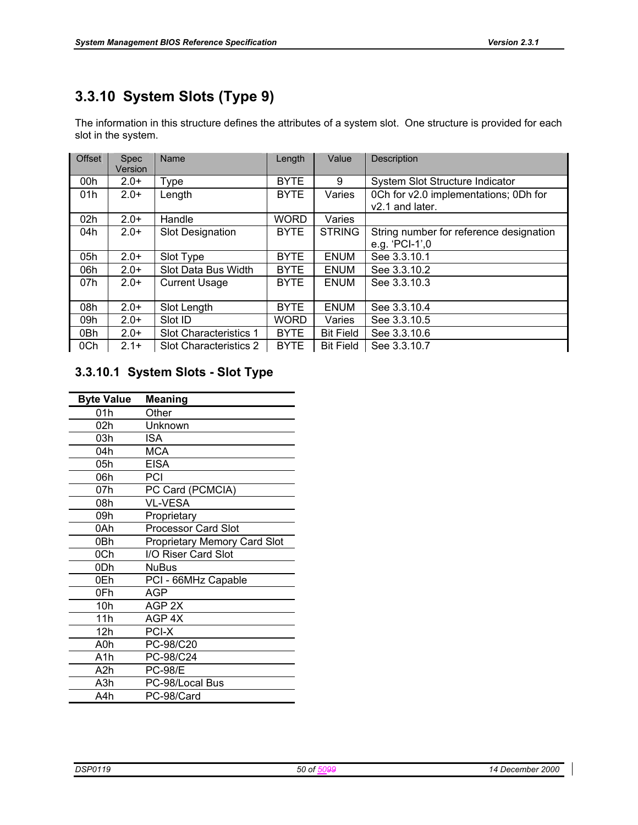# **3.3.10 System Slots (Type 9)**

The information in this structure defines the attributes of a system slot. One structure is provided for each slot in the system.

| <b>Offset</b> | <b>Spec</b><br>Version | Name                    | Length      | Value            | Description                             |
|---------------|------------------------|-------------------------|-------------|------------------|-----------------------------------------|
| 00h           | $2.0+$                 | Type                    | <b>BYTE</b> | 9                | System Slot Structure Indicator         |
| 01h           | $2.0+$                 | Length                  | <b>BYTE</b> | Varies           | 0Ch for v2.0 implementations; 0Dh for   |
|               |                        |                         |             |                  | v <sub>2.1</sub> and later.             |
| 02h           | $2.0+$                 | Handle                  | <b>WORD</b> | Varies           |                                         |
| 04h           | $2.0+$                 | <b>Slot Designation</b> | <b>BYTE</b> | <b>STRING</b>    | String number for reference designation |
|               |                        |                         |             |                  | e.g. 'PCI-1',0                          |
| 05h           | $2.0+$                 | Slot Type               | <b>BYTE</b> | <b>ENUM</b>      | See 3.3.10.1                            |
| 06h           | $2.0+$                 | Slot Data Bus Width     | <b>BYTE</b> | <b>ENUM</b>      | See 3.3.10.2                            |
| 07h           | $2.0+$                 | <b>Current Usage</b>    | <b>BYTE</b> | <b>ENUM</b>      | See 3.3.10.3                            |
|               |                        |                         |             |                  |                                         |
| 08h           | $2.0+$                 | Slot Length             | <b>BYTE</b> | <b>ENUM</b>      | See 3.3.10.4                            |
| 09h           | $2.0+$                 | Slot ID                 | WORD.       | Varies           | See 3.3.10.5                            |
| 0Bh           | $2.0+$                 | Slot Characteristics 1  | <b>BYTE</b> | <b>Bit Field</b> | See 3.3.10.6                            |
| 0Ch           | $2.1+$                 | Slot Characteristics 2  | <b>BYTE</b> | <b>Bit Field</b> | See 3.3.10.7                            |

## **3.3.10.1 System Slots - Slot Type**

| <b>Byte Value</b> | Meaning                             |
|-------------------|-------------------------------------|
| 01h               | Other                               |
| 02h               | Unknown                             |
| 03h               | ISA                                 |
| 04h               | MCA                                 |
| 05h               | <b>EISA</b>                         |
| 06h               | PCI                                 |
| 07h               | PC Card (PCMCIA)                    |
| 08h               | <b>VL-VESA</b>                      |
| 09h               | Proprietary                         |
| 0Ah               | <b>Processor Card Slot</b>          |
| 0Bh               | <b>Proprietary Memory Card Slot</b> |
| 0Ch               | I/O Riser Card Slot                 |
| 0Dh               | <b>NuBus</b>                        |
| 0Eh               | PCI - 66MHz Capable                 |
| 0Fh               | AGP                                 |
| 10 <sub>h</sub>   | AGP 2X                              |
| 11h               | AGP <sub>4X</sub>                   |
| 12h               | PCI-X                               |
| A0h               | PC-98/C20                           |
| A1h               | PC-98/C24                           |
| A2h               | <b>PC-98/E</b>                      |
| A3h               | PC-98/Local Bus                     |
| A4h               | PC-98/Card                          |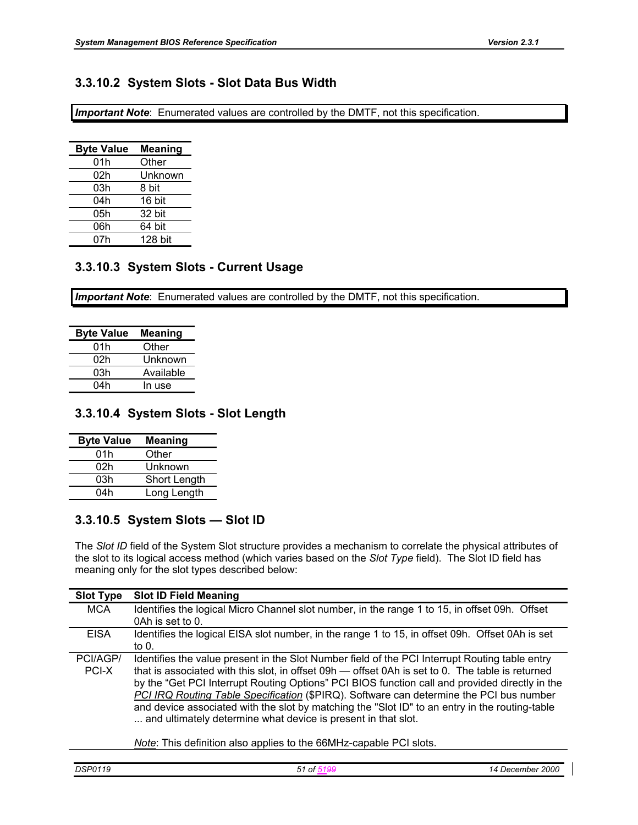## **3.3.10.2 System Slots - Slot Data Bus Width**

*Important Note*: Enumerated values are controlled by the DMTF, not this specification.

| <b>Byte Value</b> | Meaning |
|-------------------|---------|
| 01h               | Other   |
| 02h               | Unknown |
| 03h               | 8 bit   |
| 04h               | 16 bit  |
| 05h               | 32 bit  |
| 06h               | 64 bit  |
| 07h               | 128 bit |

## **3.3.10.3 System Slots - Current Usage**

*Important Note*: Enumerated values are controlled by the DMTF, not this specification.

| <b>Byte Value</b> | <b>Meaning</b> |
|-------------------|----------------|
| 01h               | Other          |
| 02h               | Unknown        |
| 03h               | Available      |
| 04h               | In use         |

## **3.3.10.4 System Slots - Slot Length**

| <b>Byte Value</b> | <b>Meaning</b>      |
|-------------------|---------------------|
| 01h               | Other               |
| 02h               | Unknown             |
| 03h               | <b>Short Length</b> |
| 04h               | Long Length         |

## **3.3.10.5 System Slots — Slot ID**

The *Slot ID* field of the System Slot structure provides a mechanism to correlate the physical attributes of the slot to its logical access method (which varies based on the *Slot Type* field). The Slot ID field has meaning only for the slot types described below:

| <b>Slot Type</b> | <b>Slot ID Field Meaning</b>                                                                     |
|------------------|--------------------------------------------------------------------------------------------------|
| <b>MCA</b>       | Identifies the logical Micro Channel slot number, in the range 1 to 15, in offset 09h. Offset    |
|                  | 0Ah is set to 0.                                                                                 |
| <b>EISA</b>      | Identifies the logical EISA slot number, in the range 1 to 15, in offset 09h. Offset 0Ah is set  |
|                  | to $01$                                                                                          |
| PCI/AGP/         | Identifies the value present in the Slot Number field of the PCI Interrupt Routing table entry   |
| PCI-X            | that is associated with this slot, in offset 09h — offset 0Ah is set to 0. The table is returned |
|                  | by the "Get PCI Interrupt Routing Options" PCI BIOS function call and provided directly in the   |
|                  | PCI IRQ Routing Table Specification (\$PIRQ). Software can determine the PCI bus number          |
|                  | and device associated with the slot by matching the "Slot ID" to an entry in the routing-table   |
|                  | and ultimately determine what device is present in that slot.                                    |
|                  |                                                                                                  |
|                  | Note: This definition also applies to the 66MHz-capable PCI slots.                               |

*Note*: This definition also applies to the 66MHz-capable PCI slots.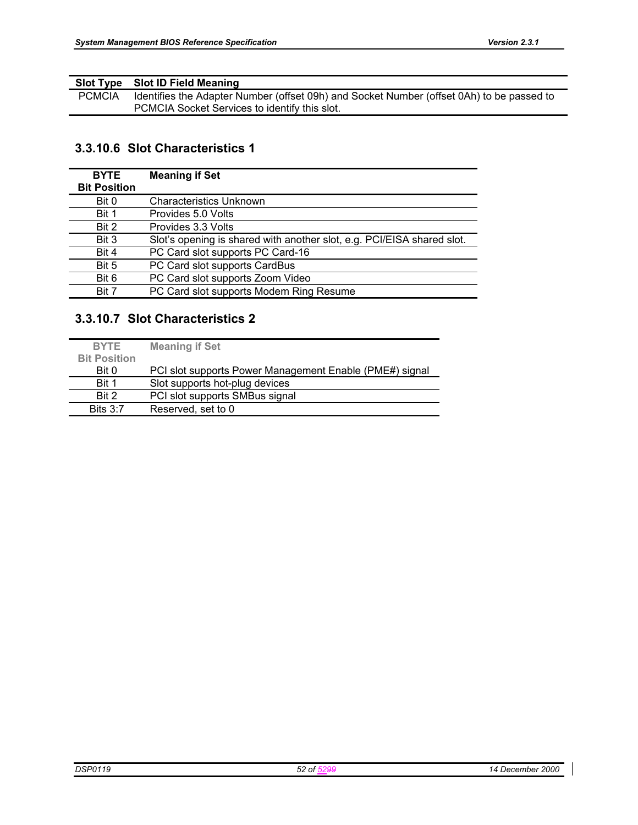|               | Slot Type Slot ID Field Meaning                                                           |
|---------------|-------------------------------------------------------------------------------------------|
| <b>PCMCIA</b> | Identifies the Adapter Number (offset 09h) and Socket Number (offset 0Ah) to be passed to |
|               | PCMCIA Socket Services to identify this slot.                                             |

# **3.3.10.6 Slot Characteristics 1**

| <b>BYTE</b>         | <b>Meaning if Set</b>                                                  |
|---------------------|------------------------------------------------------------------------|
| <b>Bit Position</b> |                                                                        |
| Bit 0               | <b>Characteristics Unknown</b>                                         |
| Bit 1               | Provides 5.0 Volts                                                     |
| Bit 2               | Provides 3.3 Volts                                                     |
| Bit 3               | Slot's opening is shared with another slot, e.g. PCI/EISA shared slot. |
| Bit 4               | PC Card slot supports PC Card-16                                       |
| Bit 5               | PC Card slot supports CardBus                                          |
| Bit 6               | PC Card slot supports Zoom Video                                       |
| Bit 7               | PC Card slot supports Modem Ring Resume                                |

# **3.3.10.7 Slot Characteristics 2**

| <b>BYTE</b>         | <b>Meaning if Set</b>                                   |
|---------------------|---------------------------------------------------------|
| <b>Bit Position</b> |                                                         |
| Bit 0               | PCI slot supports Power Management Enable (PME#) signal |
| Bit 1               | Slot supports hot-plug devices                          |
| Bit 2               | PCI slot supports SMBus signal                          |
| <b>Bits 3:7</b>     | Reserved, set to 0                                      |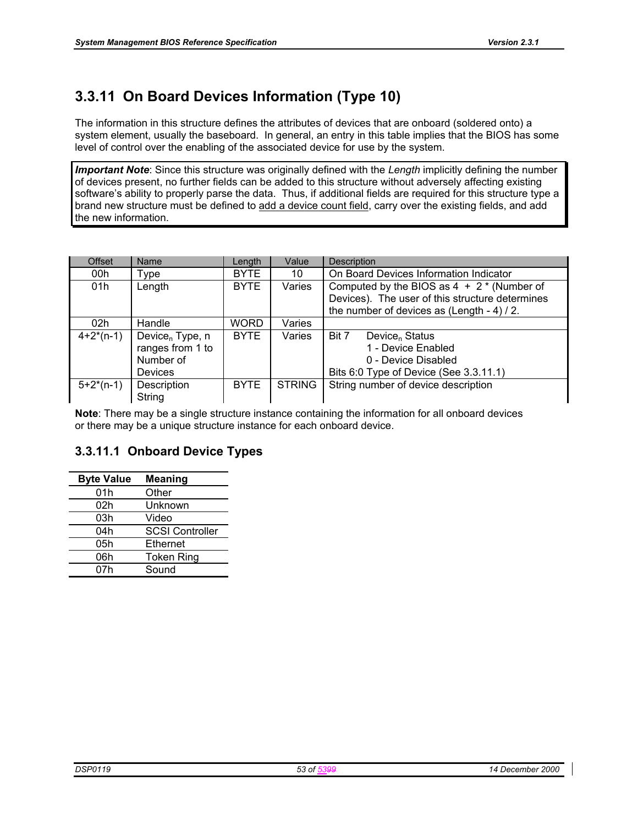# **3.3.11 On Board Devices Information (Type 10)**

The information in this structure defines the attributes of devices that are onboard (soldered onto) a system element, usually the baseboard. In general, an entry in this table implies that the BIOS has some level of control over the enabling of the associated device for use by the system.

*Important Note*: Since this structure was originally defined with the *Length* implicitly defining the number of devices present, no further fields can be added to this structure without adversely affecting existing software's ability to properly parse the data. Thus, if additional fields are required for this structure type a brand new structure must be defined to add a device count field, carry over the existing fields, and add the new information.

| <b>Offset</b>   | Name                        | Length      | Value         | <b>Description</b>                              |
|-----------------|-----------------------------|-------------|---------------|-------------------------------------------------|
| 00h             | ⊺ype                        | <b>BYTE</b> | 10            | On Board Devices Information Indicator          |
| 01h             | Length                      | <b>BYTE</b> | Varies        | Computed by the BIOS as $4 + 2$ * (Number of    |
|                 |                             |             |               | Devices). The user of this structure determines |
|                 |                             |             |               | the number of devices as (Length - 4) / 2.      |
| 02 <sub>h</sub> | Handle                      | <b>WORD</b> | Varies        |                                                 |
| $4+2*(n-1)$     | Device <sub>n</sub> Type, n | <b>BYTE</b> | Varies        | Bit 7<br>Device <sub>n</sub> Status             |
|                 | ranges from 1 to            |             |               | 1 - Device Enabled                              |
|                 | Number of                   |             |               | 0 - Device Disabled                             |
|                 | <b>Devices</b>              |             |               | Bits 6:0 Type of Device (See 3.3.11.1)          |
| $5+2*(n-1)$     | Description                 | <b>BYTE</b> | <b>STRING</b> | String number of device description             |
|                 | String                      |             |               |                                                 |

**Note**: There may be a single structure instance containing the information for all onboard devices or there may be a unique structure instance for each onboard device.

## **3.3.11.1 Onboard Device Types**

| <b>Byte Value</b> | <b>Meaning</b>         |
|-------------------|------------------------|
| 01h               | Other                  |
| 02h               | Unknown                |
| 03h               | Video                  |
| 04h               | <b>SCSI Controller</b> |
| 05h               | Ethernet               |
| 06h               | <b>Token Ring</b>      |
| 07h               | Sound                  |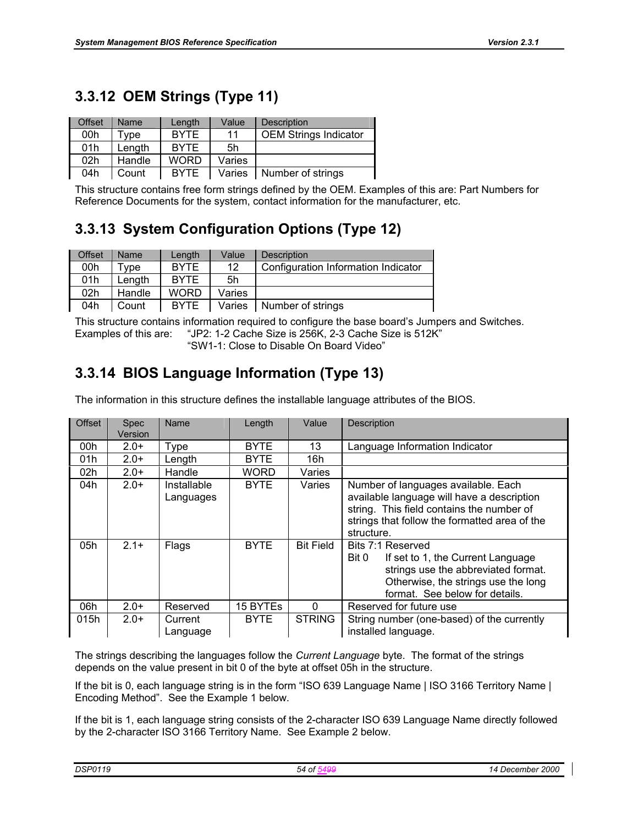# **3.3.12 OEM Strings (Type 11)**

| <b>Offset</b> | <b>Name</b> | Length      | Value  | Description                  |
|---------------|-------------|-------------|--------|------------------------------|
| 00h           | Tvpe        | <b>BYTE</b> | 11     | <b>OEM Strings Indicator</b> |
| 01h           | Length      | <b>BYTE</b> | 5h     |                              |
| 02h           | Handle      | <b>WORD</b> | Varies |                              |
| 04h           | Count       | <b>BYTE</b> | Varies | Number of strings            |

This structure contains free form strings defined by the OEM. Examples of this are: Part Numbers for Reference Documents for the system, contact information for the manufacturer, etc.

# **3.3.13 System Configuration Options (Type 12)**

| Offset | Name   | Lenath      | Value  | <b>Description</b>                  |
|--------|--------|-------------|--------|-------------------------------------|
| 00h    | Tvpe   | <b>BYTE</b> | 12     | Configuration Information Indicator |
| 01h    | Lenath | <b>BYTE</b> | 5h     |                                     |
| 02h    | Handle | <b>WORD</b> | Varies |                                     |
| 04h    | Count  | <b>BYTE</b> | Varies | Number of strings                   |

This structure contains information required to configure the base board's Jumpers and Switches. Examples of this are: "JP2: 1-2 Cache Size is 256K, 2-3 Cache Size is 512K" "SW1-1: Close to Disable On Board Video"

# **3.3.14 BIOS Language Information (Type 13)**

The information in this structure defines the installable language attributes of the BIOS.

| <b>Offset</b> | <b>Spec</b><br><b>Version</b> | Name                     | Length      | Value            | <b>Description</b>                                                                                                                                                                            |
|---------------|-------------------------------|--------------------------|-------------|------------------|-----------------------------------------------------------------------------------------------------------------------------------------------------------------------------------------------|
| 00h           | $2.0+$                        | Type                     | <b>BYTE</b> | 13               | Language Information Indicator                                                                                                                                                                |
| 01h           | $2.0+$                        | Length                   | <b>BYTE</b> | 16h              |                                                                                                                                                                                               |
| 02h           | $2.0+$                        | Handle                   | WORD        | Varies           |                                                                                                                                                                                               |
| 04h           | $2.0+$                        | Installable<br>Languages | <b>BYTE</b> | Varies           | Number of languages available. Each<br>available language will have a description<br>string. This field contains the number of<br>strings that follow the formatted area of the<br>structure. |
| 05h           | $2.1+$                        | Flags                    | <b>BYTE</b> | <b>Bit Field</b> | Bits 7:1 Reserved<br>Bit 0<br>If set to 1, the Current Language<br>strings use the abbreviated format.<br>Otherwise, the strings use the long<br>format. See below for details.               |
| 06h           | $2.0+$                        | Reserved                 | 15 BYTEs    | $\Omega$         | Reserved for future use                                                                                                                                                                       |
| 015h          | $2.0+$                        | Current<br>Language      | <b>BYTE</b> | <b>STRING</b>    | String number (one-based) of the currently<br>installed language.                                                                                                                             |

The strings describing the languages follow the *Current Language* byte. The format of the strings depends on the value present in bit 0 of the byte at offset 05h in the structure.

If the bit is 0, each language string is in the form "ISO 639 Language Name | ISO 3166 Territory Name | Encoding Method". See the Example 1 below.

If the bit is 1, each language string consists of the 2-character ISO 639 Language Name directly followed by the 2-character ISO 3166 Territory Name. See Example 2 below.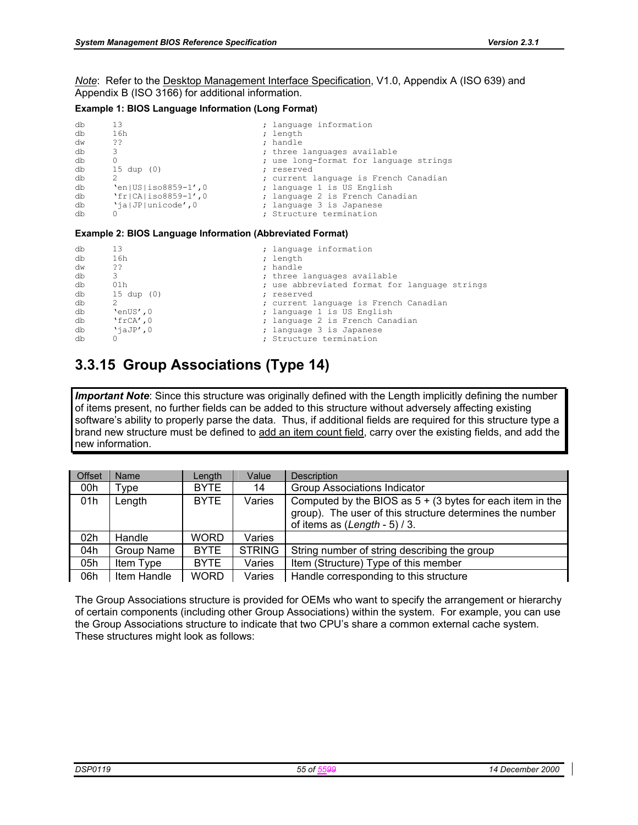*Note*: Refer to the Desktop Management Interface Specification, V1.0, Appendix A (ISO 639) and Appendix B (ISO 3166) for additional information.

#### **Example 1: BIOS Language Information (Long Format)**

| db<br>db<br>dw<br>db<br>db<br>db<br>db<br>db | 13<br>16h<br>-22<br>3<br>$15 \text{ dup } (0)$<br>$'en US iso8859-1',0$ | ; language information<br>; length<br>; handle<br>; three languages available<br>; use long-format for language strings<br>; reserved<br>; current language is French Canadian<br>; language 1 is US English |
|----------------------------------------------|-------------------------------------------------------------------------|--------------------------------------------------------------------------------------------------------------------------------------------------------------------------------------------------------------|
|                                              |                                                                         |                                                                                                                                                                                                              |
| db<br>db<br>db                               | $'fr CA $ iso8859-1', 0<br>'ialJP unicode', 0                           | ; language 2 is French Canadian<br>; language 3 is Japanese<br>; Structure termination                                                                                                                       |

#### **Example 2: BIOS Language Information (Abbreviated Format)**

| db | 13                    | ; language information                        |
|----|-----------------------|-----------------------------------------------|
| db | 16h                   | ; length                                      |
| dw | ??                    | ; handle                                      |
| db | 3                     | ; three languages available                   |
| db | 01h                   | ; use abbreviated format for language strings |
| db | $15 \text{ dup } (0)$ | ; reserved                                    |
| db |                       | ; current language is French Canadian         |
| db | 'enUS',0              | ; language 1 is US English                    |
| db | $\text{TrCA}'$ , 0    | ; language 2 is French Canadian               |
| db | $'\$ iaJ $P'$ ,0      | ; language 3 is Japanese                      |
| db |                       | ; Structure termination                       |

# **3.3.15 Group Associations (Type 14)**

*Important Note*: Since this structure was originally defined with the Length implicitly defining the number of items present, no further fields can be added to this structure without adversely affecting existing software's ability to properly parse the data. Thus, if additional fields are required for this structure type a brand new structure must be defined to add an item count field, carry over the existing fields, and add the new information.

| Offset          | Name                  | Length      | Value         | <b>Description</b>                                                                                                                                                   |
|-----------------|-----------------------|-------------|---------------|----------------------------------------------------------------------------------------------------------------------------------------------------------------------|
| 00h             | $\tau$ <sub>ype</sub> | <b>BYTE</b> | 14            | <b>Group Associations Indicator</b>                                                                                                                                  |
| 01h             | Length                | <b>BYTE</b> | Varies        | Computed by the BIOS as $5 + (3 \text{ bytes for each item in the})$<br>group). The user of this structure determines the number<br>of items as $(Length - 5) / 3$ . |
| 02 <sub>h</sub> | Handle                | <b>WORD</b> | Varies        |                                                                                                                                                                      |
| 04h             | <b>Group Name</b>     | <b>BYTE</b> | <b>STRING</b> | String number of string describing the group                                                                                                                         |
| 05h             | Item Type             | <b>BYTE</b> | Varies        | Item (Structure) Type of this member                                                                                                                                 |
| 06h             | Item Handle           | <b>WORD</b> | Varies        | Handle corresponding to this structure                                                                                                                               |

The Group Associations structure is provided for OEMs who want to specify the arrangement or hierarchy of certain components (including other Group Associations) within the system. For example, you can use the Group Associations structure to indicate that two CPU's share a common external cache system. These structures might look as follows: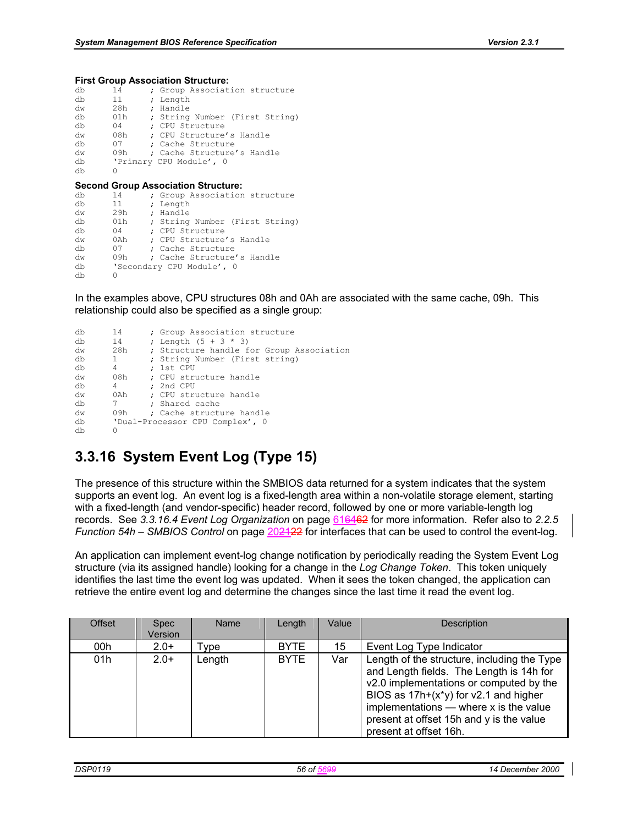#### **First Group Association Structure:**

| db | 14    | ; Group Association structure                                               |
|----|-------|-----------------------------------------------------------------------------|
| db | 11    | ; Length                                                                    |
| dw | 28h   | ; Handle                                                                    |
| db | 01h   | ; String Number (First String)                                              |
| db | 04    | : CPU Structure                                                             |
| dw | 08h   | ; CPU Structure's Handle                                                    |
| db | 07    | : Cache Structure                                                           |
| dw | 09h   | ; Cache Structure's Handle                                                  |
| db |       | 'Primary CPU Module', 0                                                     |
| db | O     |                                                                             |
|    |       |                                                                             |
|    |       |                                                                             |
| db | 14    | <b>Second Group Association Structure:</b><br>; Group Association structure |
| db | 11    | ; Length                                                                    |
| dw | 29h   | ; Handle                                                                    |
| db | 01h — | ; String Number (First String)                                              |
| db | 04    | : CPU Structure                                                             |
| dw | 0 A h | : CPU Structure's Handle                                                    |
| db | 07    | ; Cache Structure                                                           |
| dw | 09h   | ; Cache Structure's Handle                                                  |
| db |       | 'Secondary CPU Module', 0                                                   |

```
db
```
In the examples above, CPU structures 08h and 0Ah are associated with the same cache, 09h. This relationship could also be specified as a single group:

```
db 14 ; Group Association structure<br>db 14 ; Length (5 + 3 * 3); Length (5 + 3 * 3)dw 28h ; Structure handle for Group Association<br>db 1 : String Number (First string)
db 1 ; String Number (First string)<br>db 4 : 1st CPU
db  4 ; 1st CPU<br>dw  08h ; CPU stru
dw 08h ; CPU structure handle<br>db 4 : 2nd CPU
db 4 ; 2nd CPU<br>dw 0Ah ; CPU stru
dw 0Ah ; CPU structure handle<br>db 7 : Shared cache
db 7 ; Shared cache<br>dw 09h ; Cache structu
dw 09h ; Cache structure handle 
         'Dual-Processor CPU Complex', 0dh
```
# **3.3.16 System Event Log (Type 15)**

The presence of this structure within the SMBIOS data returned for a system indicates that the system supports an event log. An event log is a fixed-length area within a non-volatile storage element, starting with a fixed-length (and vendor-specific) header record, followed by one or more variable-length log records. See *3.3.16.4 Event Log Organization* on page 616462 for more information. Refer also to *2.2.5 Function 54h – SMBIOS Control* on page 202122 for interfaces that can be used to control the event-log.

An application can implement event-log change notification by periodically reading the System Event Log structure (via its assigned handle) looking for a change in the *Log Change Token*. This token uniquely identifies the last time the event log was updated. When it sees the token changed, the application can retrieve the entire event log and determine the changes since the last time it read the event log.

| Offset | <b>Spec</b><br>Version | Name   | Length      | Value | <b>Description</b>                                                                                                                                                                                                                                                                              |
|--------|------------------------|--------|-------------|-------|-------------------------------------------------------------------------------------------------------------------------------------------------------------------------------------------------------------------------------------------------------------------------------------------------|
| 00h    | $2.0+$                 | Type   | <b>BYTE</b> | 15    | Event Log Type Indicator                                                                                                                                                                                                                                                                        |
| 01h    | $2.0+$                 | Length | <b>BYTE</b> | Var   | Length of the structure, including the Type<br>and Length fields. The Length is 14h for<br>v2.0 implementations or computed by the<br>BIOS as $17h+(x*y)$ for v2.1 and higher<br>implementations $-$ where x is the value<br>present at offset 15h and y is the value<br>present at offset 16h. |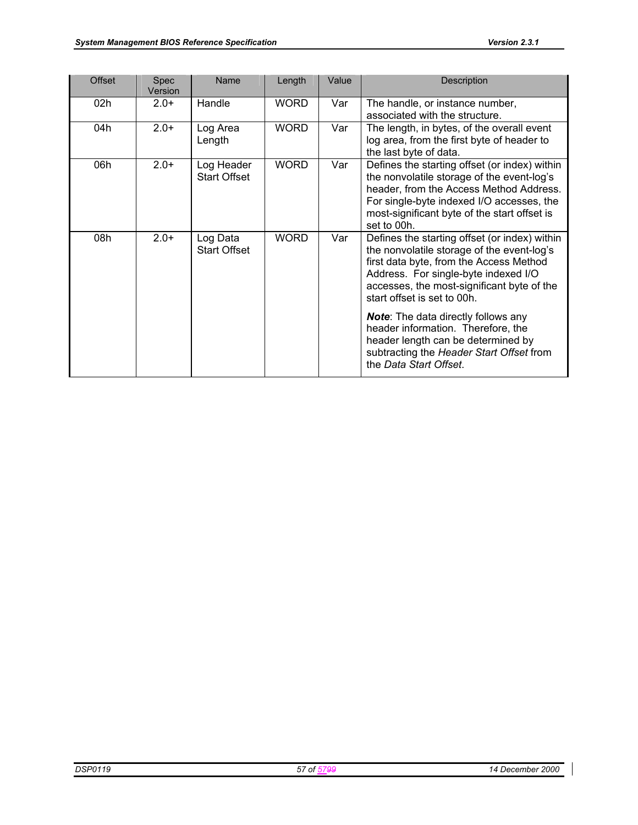| <b>Offset</b> | Spec<br>Version | Name                              | Length      | Value | Description                                                                                                                                                                                                                                                 |
|---------------|-----------------|-----------------------------------|-------------|-------|-------------------------------------------------------------------------------------------------------------------------------------------------------------------------------------------------------------------------------------------------------------|
| 02h           | $2.0+$          | Handle                            | <b>WORD</b> | Var   | The handle, or instance number,<br>associated with the structure.                                                                                                                                                                                           |
| 04h           | $2.0+$          | Log Area<br>Length                | <b>WORD</b> | Var   | The length, in bytes, of the overall event<br>log area, from the first byte of header to<br>the last byte of data.                                                                                                                                          |
| 06h           | $2.0+$          | Log Header<br><b>Start Offset</b> | <b>WORD</b> | Var   | Defines the starting offset (or index) within<br>the nonvolatile storage of the event-log's<br>header, from the Access Method Address.<br>For single-byte indexed I/O accesses, the<br>most-significant byte of the start offset is<br>set to 00h.          |
| 08h           | $2.0+$          | Log Data<br><b>Start Offset</b>   | <b>WORD</b> | Var   | Defines the starting offset (or index) within<br>the nonvolatile storage of the event-log's<br>first data byte, from the Access Method<br>Address. For single-byte indexed I/O<br>accesses, the most-significant byte of the<br>start offset is set to 00h. |
|               |                 |                                   |             |       | <b>Note:</b> The data directly follows any<br>header information. Therefore, the<br>header length can be determined by<br>subtracting the Header Start Offset from<br>the Data Start Offset.                                                                |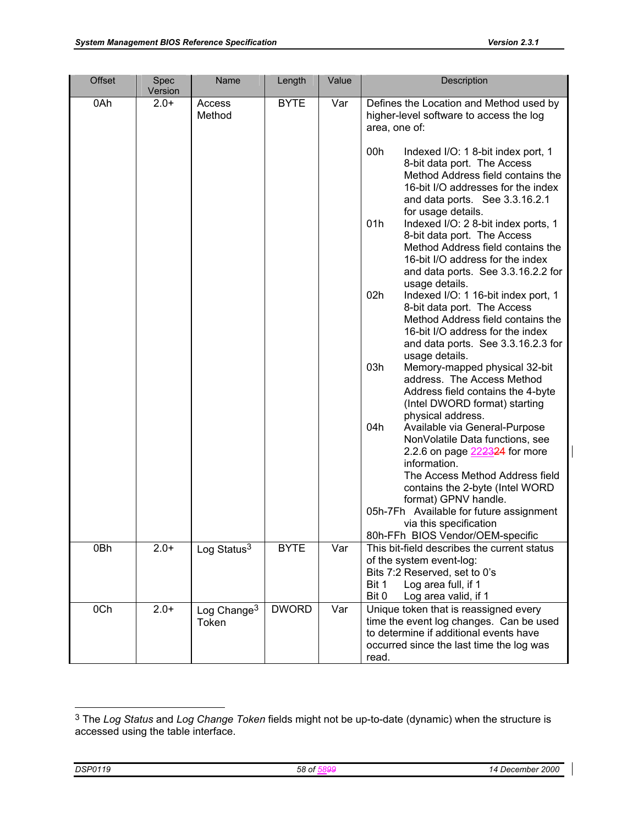| Offset | Spec              | Name                             | Length       | Value | Description                                                                                                                                                                                                                                                                                                                                                                                                                                                                                                                                                                                                                                                                                                                                                   |
|--------|-------------------|----------------------------------|--------------|-------|---------------------------------------------------------------------------------------------------------------------------------------------------------------------------------------------------------------------------------------------------------------------------------------------------------------------------------------------------------------------------------------------------------------------------------------------------------------------------------------------------------------------------------------------------------------------------------------------------------------------------------------------------------------------------------------------------------------------------------------------------------------|
| 0Ah    | Version<br>$2.0+$ | Access<br>Method                 | <b>BYTE</b>  | Var   | Defines the Location and Method used by<br>higher-level software to access the log<br>area, one of:<br>00h<br>Indexed I/O: 1 8-bit index port, 1<br>8-bit data port. The Access<br>Method Address field contains the<br>16-bit I/O addresses for the index<br>and data ports. See 3.3.16.2.1<br>for usage details.<br>01h<br>Indexed I/O: 2 8-bit index ports, 1<br>8-bit data port. The Access<br>Method Address field contains the<br>16-bit I/O address for the index<br>and data ports. See 3.3.16.2.2 for<br>usage details.                                                                                                                                                                                                                              |
| 0Bh    | $2.0+$            | Log Status $3$                   | <b>BYTE</b>  | Var   | 02h<br>Indexed I/O: 1 16-bit index port, 1<br>8-bit data port. The Access<br>Method Address field contains the<br>16-bit I/O address for the index<br>and data ports. See 3.3.16.2.3 for<br>usage details.<br>03h<br>Memory-mapped physical 32-bit<br>address. The Access Method<br>Address field contains the 4-byte<br>(Intel DWORD format) starting<br>physical address.<br>04h<br>Available via General-Purpose<br>NonVolatile Data functions, see<br>2.2.6 on page 222324 for more<br>information.<br>The Access Method Address field<br>contains the 2-byte (Intel WORD<br>format) GPNV handle.<br>05h-7Fh Available for future assignment<br>via this specification<br>80h-FFh BIOS Vendor/OEM-specific<br>This bit-field describes the current status |
|        |                   |                                  |              |       | of the system event-log:<br>Bits 7:2 Reserved, set to 0's<br>Log area full, if 1<br>Bit 1<br>Bit 0<br>Log area valid, if 1                                                                                                                                                                                                                                                                                                                                                                                                                                                                                                                                                                                                                                    |
| 0Ch    | $2.0+$            | Log Change <sup>3</sup><br>Token | <b>DWORD</b> | Var   | Unique token that is reassigned every<br>time the event log changes. Can be used<br>to determine if additional events have<br>occurred since the last time the log was<br>read.                                                                                                                                                                                                                                                                                                                                                                                                                                                                                                                                                                               |

l

<sup>3</sup> The *Log Status* and *Log Change Token* fields might not be up-to-date (dynamic) when the structure is accessed using the table interface.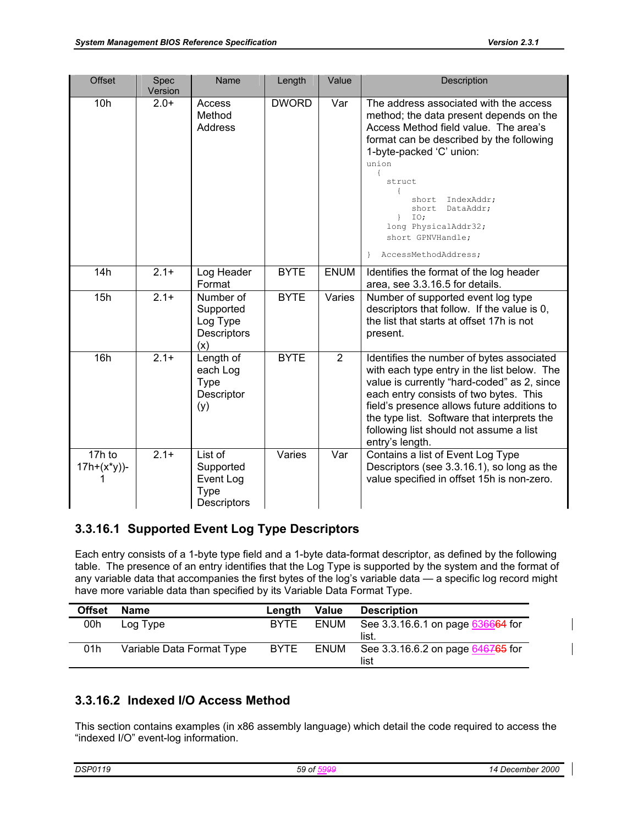| <b>Offset</b>                    | Spec<br>Version | Name                                                                   | Length       | Value          | <b>Description</b>                                                                                                                                                                                                                                                                                                                                                  |
|----------------------------------|-----------------|------------------------------------------------------------------------|--------------|----------------|---------------------------------------------------------------------------------------------------------------------------------------------------------------------------------------------------------------------------------------------------------------------------------------------------------------------------------------------------------------------|
| 10h                              | $2.0+$          | Access<br>Method<br>Address                                            | <b>DWORD</b> | Var            | The address associated with the access<br>method; the data present depends on the<br>Access Method field value. The area's<br>format can be described by the following<br>1-byte-packed 'C' union:<br>union<br>$\left\{ \right.$<br>struct<br>IndexAddr;<br>short<br>short<br>DataAddr;<br>IO;<br>long PhysicalAddr32;<br>short GPNVHandle;<br>AccessMethodAddress; |
| 14h                              | $2.1+$          | Log Header<br>Format                                                   | <b>BYTE</b>  | <b>ENUM</b>    | Identifies the format of the log header<br>area, see 3.3.16.5 for details.                                                                                                                                                                                                                                                                                          |
| 15h                              | $2.1+$          | Number of<br>Supported<br>Log Type<br>Descriptors<br>(x)               | <b>BYTE</b>  | Varies         | Number of supported event log type<br>descriptors that follow. If the value is 0,<br>the list that starts at offset 17h is not<br>present.                                                                                                                                                                                                                          |
| 16h                              | $2.1 +$         | Length of<br>each Log<br><b>Type</b><br>Descriptor<br>(y)              | <b>BYTE</b>  | $\overline{2}$ | Identifies the number of bytes associated<br>with each type entry in the list below. The<br>value is currently "hard-coded" as 2, since<br>each entry consists of two bytes. This<br>field's presence allows future additions to<br>the type list. Software that interprets the<br>following list should not assume a list<br>entry's length.                       |
| 17h to<br>$17h+(x^{*}y)$ )-<br>1 | $2.1 +$         | List of<br>Supported<br>Event Log<br><b>Type</b><br><b>Descriptors</b> | Varies       | Var            | Contains a list of Event Log Type<br>Descriptors (see 3.3.16.1), so long as the<br>value specified in offset 15h is non-zero.                                                                                                                                                                                                                                       |

## **3.3.16.1 Supported Event Log Type Descriptors**

Each entry consists of a 1-byte type field and a 1-byte data-format descriptor, as defined by the following table. The presence of an entry identifies that the Log Type is supported by the system and the format of any variable data that accompanies the first bytes of the log's variable data — a specific log record might have more variable data than specified by its Variable Data Format Type.

| <b>Offset</b> | <b>Name</b>               | Length      | <b>Value</b> | <b>Description</b>                        |
|---------------|---------------------------|-------------|--------------|-------------------------------------------|
| 00h           | Log Type                  | <b>BYTE</b> | ENUM         | See 3.3.16.6.1 on page 636664 for<br>list |
| 01h           | Variable Data Format Type | <b>BYTE</b> | ENUM         | See 3.3.16.6.2 on page 646765 for<br>list |

# **3.3.16.2 Indexed I/O Access Method**

This section contains examples (in x86 assembly language) which detail the code required to access the "indexed I/O" event-log information.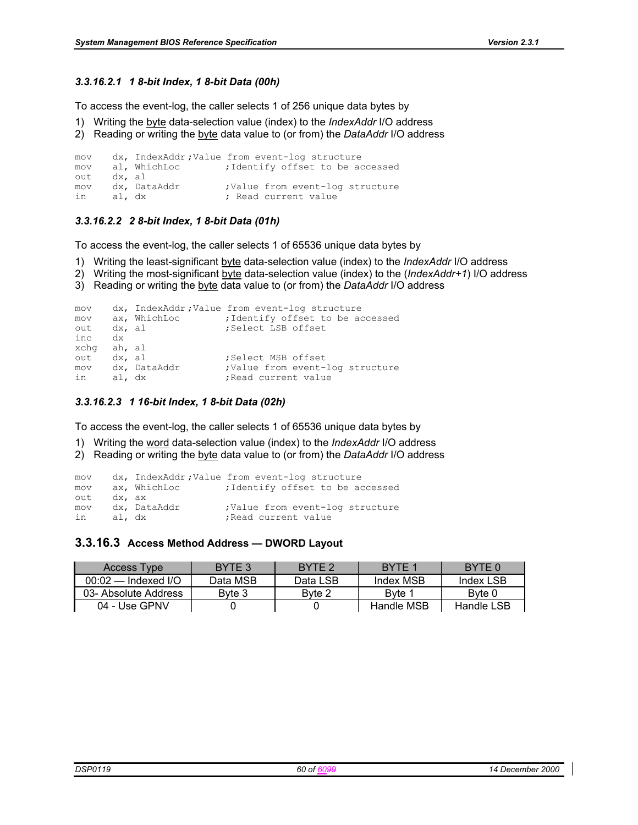### *3.3.16.2.1 1 8-bit Index, 1 8-bit Data (00h)*

To access the event-log, the caller selects 1 of 256 unique data bytes by

- 1) Writing the byte data-selection value (index) to the *IndexAddr* I/O address
- 2) Reading or writing the byte data value to (or from) the *DataAddr* I/O address

```
mov dx, IndexAddr ;Value from event-log structure 
mov al, WhichLoc ;Identify offset to be accessed 
out dx, al 
mov dx, DataAddr ;Value from event-log structure
in al, dx ; Read current value
```
### *3.3.16.2.2 2 8-bit Index, 1 8-bit Data (01h)*

To access the event-log, the caller selects 1 of 65536 unique data bytes by

- 1) Writing the least-significant byte data-selection value (index) to the *IndexAddr* I/O address
- 2) Writing the most-significant byte data-selection value (index) to the (*IndexAddr+1*) I/O address
- 3) Reading or writing the byte data value to (or from) the *DataAddr* I/O address

```
mov dx, IndexAddr ;Value from event-log structure 
mov ax, WhichLoc ;Identify offset to be accessed 
out dx, al ;Select LSB offset 
inc
xchg ah, al<br>out dx, al
out dx, al ; Select MSB offset
mov dx, DataAddr ;Value from event-log structure<br>in al, dx ;Read current value
in al, dx ;Read current value
```
### *3.3.16.2.3 1 16-bit Index, 1 8-bit Data (02h)*

To access the event-log, the caller selects 1 of 65536 unique data bytes by

- 1) Writing the word data-selection value (index) to the *IndexAddr* I/O address
- 2) Reading or writing the byte data value to (or from) the *DataAddr* I/O address

```
mov dx, IndexAddr;Value from event-log structure<br>mov ax, WhichLoc ;Identify offset to be a
mov ax, WhichLoc ;Identify offset to be accessed
out dx, ax 
mov dx, DataAddr ;Value from event-log structure
in al, dx ;Read current value
```
### **3.3.16.3 Access Method Address — DWORD Layout**

| Access Type           | BYTE 3   | BYTE <sub>2</sub> | BYTE 1     | BYTE 0     |
|-----------------------|----------|-------------------|------------|------------|
| $00:02$ — Indexed I/O | Data MSB | Data LSB          | Index MSB  | Index LSB  |
| 03- Absolute Address  | Byte 3   | Byte 2            | Byte 1     | Byte 0     |
| 04 - Use GPNV         |          |                   | Handle MSB | Handle LSB |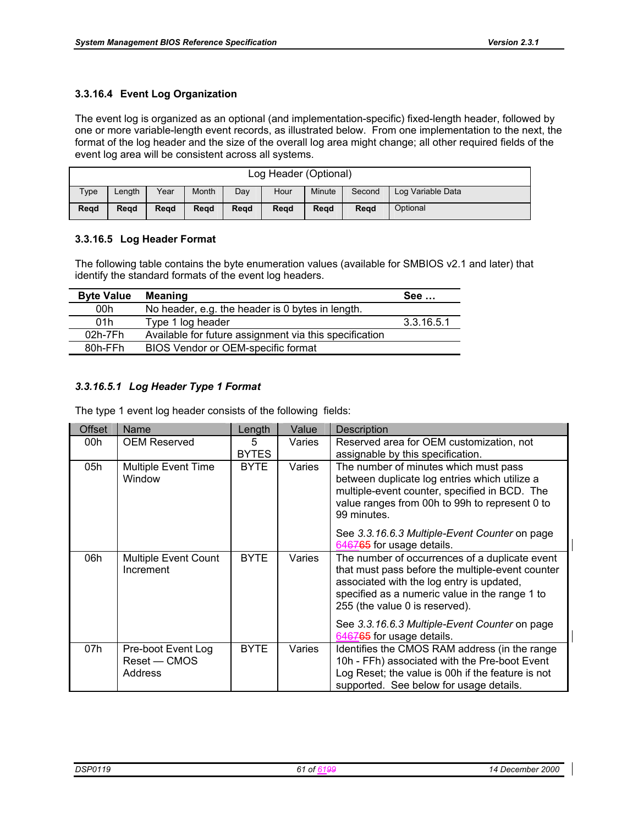## **3.3.16.4 Event Log Organization**

The event log is organized as an optional (and implementation-specific) fixed-length header, followed by one or more variable-length event records, as illustrated below. From one implementation to the next, the format of the log header and the size of the overall log area might change; all other required fields of the event log area will be consistent across all systems.

| Log Header (Optional) |        |      |       |      |      |        |        |                   |
|-----------------------|--------|------|-------|------|------|--------|--------|-------------------|
| Type                  | Length | Year | Month | Dav  | Hour | Minute | Second | Log Variable Data |
| Read                  | Regd   | Read | Read  | Read | Read | Read   | Read   | Optional          |

### **3.3.16.5 Log Header Format**

The following table contains the byte enumeration values (available for SMBIOS v2.1 and later) that identify the standard formats of the event log headers.

| <b>Byte Value</b> | <b>Meaning</b>                                         | See        |
|-------------------|--------------------------------------------------------|------------|
| 00h               | No header, e.g. the header is 0 bytes in length.       |            |
| 01h               | Type 1 log header                                      | 3.3.16.5.1 |
| 02h-7Fh           | Available for future assignment via this specification |            |
| 80h-FFh           | BIOS Vendor or OEM-specific format                     |            |

## *3.3.16.5.1 Log Header Type 1 Format*

The type 1 event log header consists of the following fields:

| <b>Offset</b> | Name                                          | Length            | Value  | Description                                                                                                                                                                                                                         |
|---------------|-----------------------------------------------|-------------------|--------|-------------------------------------------------------------------------------------------------------------------------------------------------------------------------------------------------------------------------------------|
| 00h           | <b>OEM Reserved</b>                           | 5<br><b>BYTES</b> | Varies | Reserved area for OEM customization, not<br>assignable by this specification.                                                                                                                                                       |
| 05h           | <b>Multiple Event Time</b><br>Window          | <b>BYTE</b>       | Varies | The number of minutes which must pass<br>between duplicate log entries which utilize a<br>multiple-event counter, specified in BCD. The<br>value ranges from 00h to 99h to represent 0 to<br>99 minutes.                            |
|               |                                               |                   |        | See 3.3.16.6.3 Multiple-Event Counter on page<br>646765 for usage details.                                                                                                                                                          |
| 06h           | <b>Multiple Event Count</b><br>Increment      | <b>BYTE</b>       | Varies | The number of occurrences of a duplicate event<br>that must pass before the multiple-event counter<br>associated with the log entry is updated,<br>specified as a numeric value in the range 1 to<br>255 (the value 0 is reserved). |
|               |                                               |                   |        | See 3.3.16.6.3 Multiple-Event Counter on page<br>646765 for usage details.                                                                                                                                                          |
| 07h           | Pre-boot Event Log<br>Reset — CMOS<br>Address | <b>BYTE</b>       | Varies | Identifies the CMOS RAM address (in the range<br>10h - FFh) associated with the Pre-boot Event<br>Log Reset; the value is 00h if the feature is not<br>supported. See below for usage details.                                      |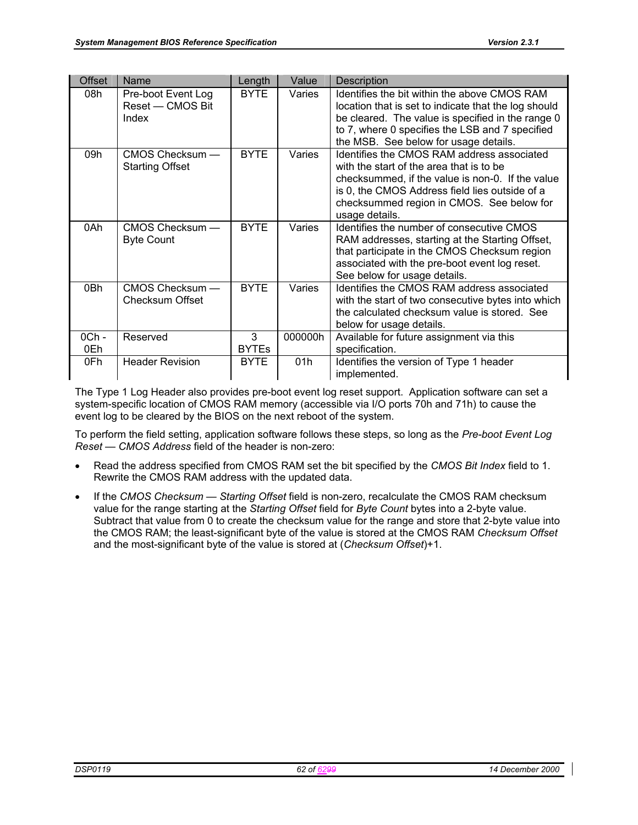| <b>Offset</b>  | Name                                            | Length            | Value   | Description                                                                                                                                                                                                                                                 |
|----------------|-------------------------------------------------|-------------------|---------|-------------------------------------------------------------------------------------------------------------------------------------------------------------------------------------------------------------------------------------------------------------|
| 08h            | Pre-boot Event Log<br>Reset - CMOS Bit<br>Index | <b>BYTE</b>       | Varies  | Identifies the bit within the above CMOS RAM<br>location that is set to indicate that the log should<br>be cleared. The value is specified in the range 0<br>to 7, where 0 specifies the LSB and 7 specified<br>the MSB. See below for usage details.       |
| 09h            | CMOS Checksum —<br><b>Starting Offset</b>       | <b>BYTE</b>       | Varies  | Identifies the CMOS RAM address associated<br>with the start of the area that is to be<br>checksummed, if the value is non-0. If the value<br>is 0, the CMOS Address field lies outside of a<br>checksummed region in CMOS. See below for<br>usage details. |
| 0Ah            | CMOS Checksum -<br><b>Byte Count</b>            | <b>BYTE</b>       | Varies  | Identifies the number of consecutive CMOS<br>RAM addresses, starting at the Starting Offset,<br>that participate in the CMOS Checksum region<br>associated with the pre-boot event log reset.<br>See below for usage details.                               |
| 0Bh            | CMOS Checksum -<br>Checksum Offset              | <b>BYTE</b>       | Varies  | Identifies the CMOS RAM address associated<br>with the start of two consecutive bytes into which<br>the calculated checksum value is stored. See<br>below for usage details.                                                                                |
| $0Ch$ -<br>0Eh | Reserved                                        | 3<br><b>BYTEs</b> | 000000h | Available for future assignment via this<br>specification.                                                                                                                                                                                                  |
| 0Fh            | <b>Header Revision</b>                          | <b>BYTE</b>       | 01h     | Identifies the version of Type 1 header<br>implemented.                                                                                                                                                                                                     |

The Type 1 Log Header also provides pre-boot event log reset support. Application software can set a system-specific location of CMOS RAM memory (accessible via I/O ports 70h and 71h) to cause the event log to be cleared by the BIOS on the next reboot of the system.

To perform the field setting, application software follows these steps, so long as the *Pre-boot Event Log Reset — CMOS Address* field of the header is non-zero:

- Read the address specified from CMOS RAM set the bit specified by the *CMOS Bit Index* field to 1. Rewrite the CMOS RAM address with the updated data.
- If the *CMOS Checksum Starting Offset* field is non-zero, recalculate the CMOS RAM checksum value for the range starting at the *Starting Offset* field for *Byte Count* bytes into a 2-byte value. Subtract that value from 0 to create the checksum value for the range and store that 2-byte value into the CMOS RAM; the least-significant byte of the value is stored at the CMOS RAM *Checksum Offset* and the most-significant byte of the value is stored at (*Checksum Offset*)+1.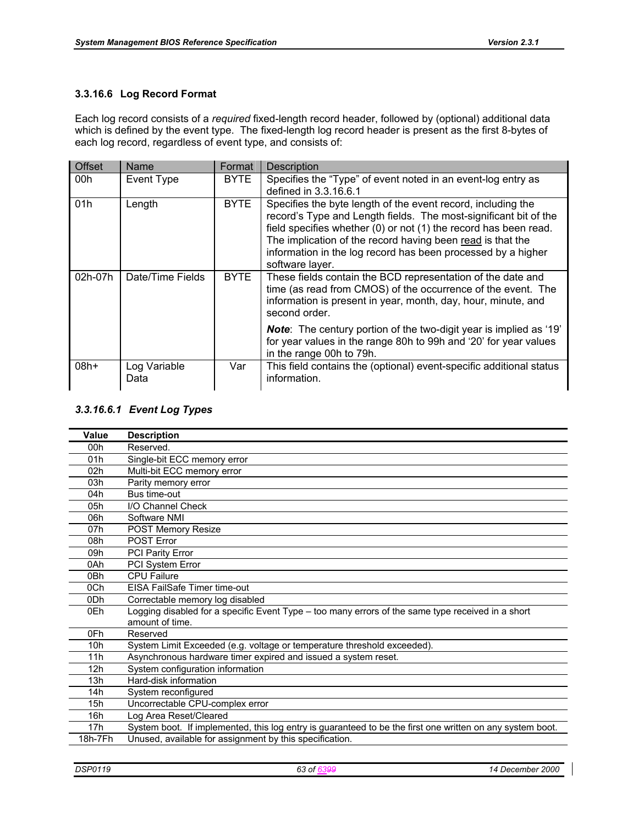### **3.3.16.6 Log Record Format**

Each log record consists of a *required* fixed-length record header, followed by (optional) additional data which is defined by the event type. The fixed-length log record header is present as the first 8-bytes of each log record, regardless of event type, and consists of:

| <b>Offset</b> | Name                 | Format      | <b>Description</b>                                                                                                                                                                                                                                                                                                                                    |
|---------------|----------------------|-------------|-------------------------------------------------------------------------------------------------------------------------------------------------------------------------------------------------------------------------------------------------------------------------------------------------------------------------------------------------------|
| 00h           | Event Type           | <b>BYTE</b> | Specifies the "Type" of event noted in an event-log entry as<br>defined in 3.3.16.6.1                                                                                                                                                                                                                                                                 |
| 01h           | Length               | <b>BYTE</b> | Specifies the byte length of the event record, including the<br>record's Type and Length fields. The most-significant bit of the<br>field specifies whether (0) or not (1) the record has been read.<br>The implication of the record having been read is that the<br>information in the log record has been processed by a higher<br>software layer. |
| 02h-07h       | Date/Time Fields     | <b>BYTE</b> | These fields contain the BCD representation of the date and<br>time (as read from CMOS) of the occurrence of the event. The<br>information is present in year, month, day, hour, minute, and<br>second order.                                                                                                                                         |
|               |                      |             | <b>Note:</b> The century portion of the two-digit year is implied as '19'<br>for year values in the range 80h to 99h and '20' for year values<br>in the range 00h to 79h.                                                                                                                                                                             |
| $08h+$        | Log Variable<br>Data | Var         | This field contains the (optional) event-specific additional status<br>information.                                                                                                                                                                                                                                                                   |

### *3.3.16.6.1 Event Log Types*

| Value           | <b>Description</b>                                                                                        |
|-----------------|-----------------------------------------------------------------------------------------------------------|
| 00h             | Reserved.                                                                                                 |
| 01h             | Single-bit ECC memory error                                                                               |
| 02 <sub>h</sub> | Multi-bit ECC memory error                                                                                |
| 03h             | Parity memory error                                                                                       |
| 04h             | Bus time-out                                                                                              |
| 05h             | I/O Channel Check                                                                                         |
| 06h             | Software NMI                                                                                              |
| 07h             | POST Memory Resize                                                                                        |
| 08h             | POST Error                                                                                                |
| 09h             | <b>PCI Parity Error</b>                                                                                   |
| 0Ah             | PCI System Error                                                                                          |
| 0 <sub>Bh</sub> | <b>CPU Failure</b>                                                                                        |
| 0Ch             | EISA FailSafe Timer time-out                                                                              |
| 0Dh             | Correctable memory log disabled                                                                           |
| 0Eh             | Logging disabled for a specific Event Type – too many errors of the same type received in a short         |
|                 | amount of time.                                                                                           |
| 0Fh             | Reserved                                                                                                  |
| 10 <sub>h</sub> | System Limit Exceeded (e.g. voltage or temperature threshold exceeded).                                   |
| 11h             | Asynchronous hardware timer expired and issued a system reset.                                            |
| 12 <sub>h</sub> | System configuration information                                                                          |
| 13h             | Hard-disk information                                                                                     |
| 14h             | System reconfigured                                                                                       |
| 15h             | Uncorrectable CPU-complex error                                                                           |
| 16h             | Log Area Reset/Cleared                                                                                    |
| 17h             | System boot. If implemented, this log entry is guaranteed to be the first one written on any system boot. |
| 18h-7Fh         | Unused, available for assignment by this specification.                                                   |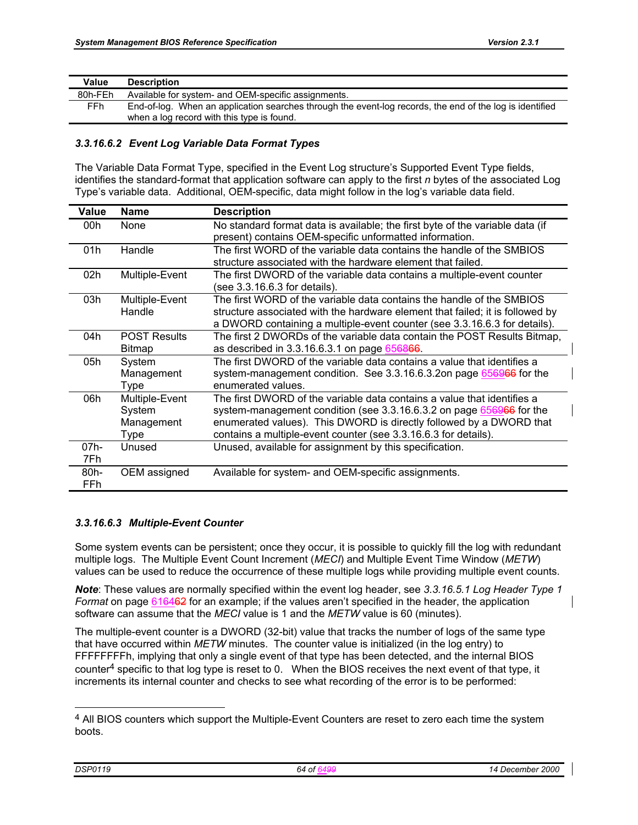| Value   | <b>Description</b>                                                                                       |
|---------|----------------------------------------------------------------------------------------------------------|
| 80h-FEh | Available for system- and OEM-specific assignments.                                                      |
| FFh.    | End-of-log. When an application searches through the event-log records, the end of the log is identified |
|         | when a log record with this type is found.                                                               |

## *3.3.16.6.2 Event Log Variable Data Format Types*

The Variable Data Format Type, specified in the Event Log structure's Supported Event Type fields, identifies the standard-format that application software can apply to the first *n* bytes of the associated Log Type's variable data. Additional, OEM-specific, data might follow in the log's variable data field.

| Value       | <b>Name</b>                                    | <b>Description</b>                                                                                                                                                                                                                                                                        |
|-------------|------------------------------------------------|-------------------------------------------------------------------------------------------------------------------------------------------------------------------------------------------------------------------------------------------------------------------------------------------|
| 00h         | None                                           | No standard format data is available; the first byte of the variable data (if<br>present) contains OEM-specific unformatted information.                                                                                                                                                  |
| 01h         | Handle                                         | The first WORD of the variable data contains the handle of the SMBIOS<br>structure associated with the hardware element that failed.                                                                                                                                                      |
| 02h         | Multiple-Event                                 | The first DWORD of the variable data contains a multiple-event counter<br>(see 3.3.16.6.3 for details).                                                                                                                                                                                   |
| 03h         | Multiple-Event<br>Handle                       | The first WORD of the variable data contains the handle of the SMBIOS<br>structure associated with the hardware element that failed; it is followed by<br>a DWORD containing a multiple-event counter (see 3.3.16.6.3 for details).                                                       |
| 04h         | <b>POST Results</b><br><b>Bitmap</b>           | The first 2 DWORDs of the variable data contain the POST Results Bitmap,<br>as described in 3.3.16.6.3.1 on page 656866.                                                                                                                                                                  |
| 05h         | System<br>Management<br>Type                   | The first DWORD of the variable data contains a value that identifies a<br>system-management condition. See 3.3.16.6.3.2on page 656966 for the<br>enumerated values.                                                                                                                      |
| 06h         | Multiple-Event<br>System<br>Management<br>Type | The first DWORD of the variable data contains a value that identifies a<br>system-management condition (see 3.3.16.6.3.2 on page 656966 for the<br>enumerated values). This DWORD is directly followed by a DWORD that<br>contains a multiple-event counter (see 3.3.16.6.3 for details). |
| 07h-<br>7Fh | Unused                                         | Unused, available for assignment by this specification.                                                                                                                                                                                                                                   |
| 80h-<br>FFh | OEM assigned                                   | Available for system- and OEM-specific assignments.                                                                                                                                                                                                                                       |

## *3.3.16.6.3 Multiple-Event Counter*

Some system events can be persistent; once they occur, it is possible to quickly fill the log with redundant multiple logs. The Multiple Event Count Increment (*MECI*) and Multiple Event Time Window (*METW*) values can be used to reduce the occurrence of these multiple logs while providing multiple event counts.

*Note*: These values are normally specified within the event log header, see *3.3.16.5.1 Log Header Type 1 Format* on page 616462 for an example; if the values aren't specified in the header, the application software can assume that the *MECI* value is 1 and the *METW* value is 60 (minutes).

The multiple-event counter is a DWORD (32-bit) value that tracks the number of logs of the same type that have occurred within *METW* minutes. The counter value is initialized (in the log entry) to FFFFFFFFh, implying that only a single event of that type has been detected, and the internal BIOS counter4 specific to that log type is reset to 0. When the BIOS receives the next event of that type, it increments its internal counter and checks to see what recording of the error is to be performed:

l

<sup>&</sup>lt;sup>4</sup> All BIOS counters which support the Multiple-Event Counters are reset to zero each time the system boots.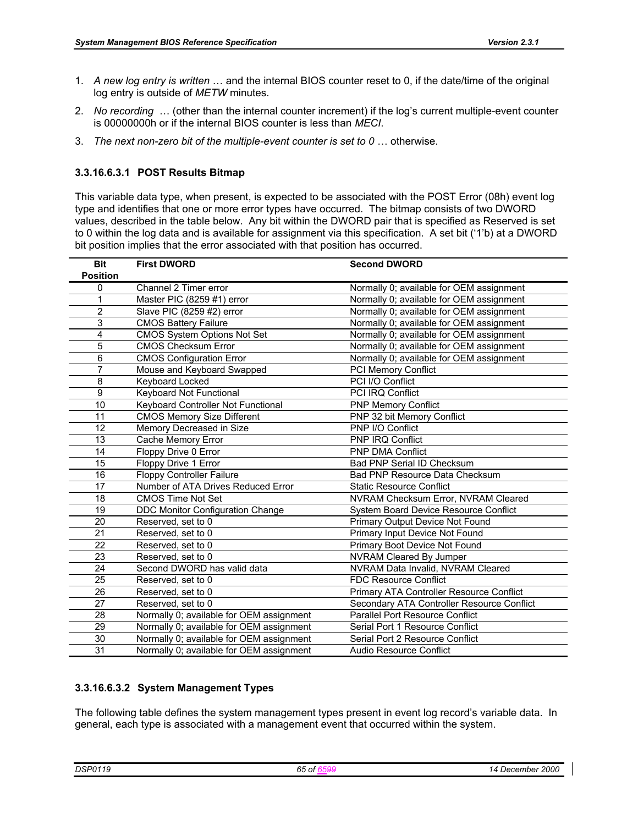- 1. *A new log entry is written* … and the internal BIOS counter reset to 0, if the date/time of the original log entry is outside of *METW* minutes.
- 2. *No recording* … (other than the internal counter increment) if the log's current multiple-event counter is 00000000h or if the internal BIOS counter is less than *MECI*.
- 3. *The next non-zero bit of the multiple-event counter is set to 0* … otherwise.

### **3.3.16.6.3.1 POST Results Bitmap**

This variable data type, when present, is expected to be associated with the POST Error (08h) event log type and identifies that one or more error types have occurred. The bitmap consists of two DWORD values, described in the table below. Any bit within the DWORD pair that is specified as Reserved is set to 0 within the log data and is available for assignment via this specification. A set bit ('1'b) at a DWORD bit position implies that the error associated with that position has occurred.

| <b>Bit</b>      | <b>First DWORD</b>                       | <b>Second DWORD</b>                        |
|-----------------|------------------------------------------|--------------------------------------------|
| <b>Position</b> |                                          |                                            |
| 0               | Channel 2 Timer error                    | Normally 0; available for OEM assignment   |
| 1               | Master PIC (8259 #1) error               | Normally 0; available for OEM assignment   |
| $\overline{2}$  | Slave PIC (8259 #2) error                | Normally 0; available for OEM assignment   |
| 3               | <b>CMOS Battery Failure</b>              | Normally 0; available for OEM assignment   |
| 4               | CMOS System Options Not Set              | Normally 0; available for OEM assignment   |
| 5               | <b>CMOS Checksum Error</b>               | Normally 0; available for OEM assignment   |
| $\overline{6}$  | <b>CMOS Configuration Error</b>          | Normally 0; available for OEM assignment   |
| 7               | Mouse and Keyboard Swapped               | PCI Memory Conflict                        |
| 8               | Keyboard Locked                          | PCI I/O Conflict                           |
| $\overline{9}$  | Keyboard Not Functional                  | PCI IRQ Conflict                           |
| 10              | Keyboard Controller Not Functional       | <b>PNP Memory Conflict</b>                 |
| 11              | <b>CMOS Memory Size Different</b>        | PNP 32 bit Memory Conflict                 |
| 12              | Memory Decreased in Size                 | PNP I/O Conflict                           |
| 13              | Cache Memory Error                       | PNP IRQ Conflict                           |
| 14              | Floppy Drive 0 Error                     | <b>PNP DMA Conflict</b>                    |
| 15              | Floppy Drive 1 Error                     | <b>Bad PNP Serial ID Checksum</b>          |
| 16              | <b>Floppy Controller Failure</b>         | Bad PNP Resource Data Checksum             |
| 17              | Number of ATA Drives Reduced Error       | <b>Static Resource Conflict</b>            |
| 18              | <b>CMOS Time Not Set</b>                 | NVRAM Checksum Error, NVRAM Cleared        |
| 19              | DDC Monitor Configuration Change         | System Board Device Resource Conflict      |
| 20              | Reserved, set to 0                       | Primary Output Device Not Found            |
| 21              | Reserved, set to 0                       | Primary Input Device Not Found             |
| 22              | Reserved, set to 0                       | Primary Boot Device Not Found              |
| 23              | Reserved, set to 0                       | NVRAM Cleared By Jumper                    |
| 24              | Second DWORD has valid data              | NVRAM Data Invalid, NVRAM Cleared          |
| 25              | Reserved, set to 0                       | <b>FDC Resource Conflict</b>               |
| 26              | Reserved, set to 0                       | Primary ATA Controller Resource Conflict   |
| 27              | Reserved, set to 0                       | Secondary ATA Controller Resource Conflict |
| 28              | Normally 0; available for OEM assignment | <b>Parallel Port Resource Conflict</b>     |
| 29              | Normally 0; available for OEM assignment | Serial Port 1 Resource Conflict            |
| 30              | Normally 0; available for OEM assignment | Serial Port 2 Resource Conflict            |
| $\overline{31}$ | Normally 0; available for OEM assignment | Audio Resource Conflict                    |

### **3.3.16.6.3.2 System Management Types**

The following table defines the system management types present in event log record's variable data. In general, each type is associated with a management event that occurred within the system.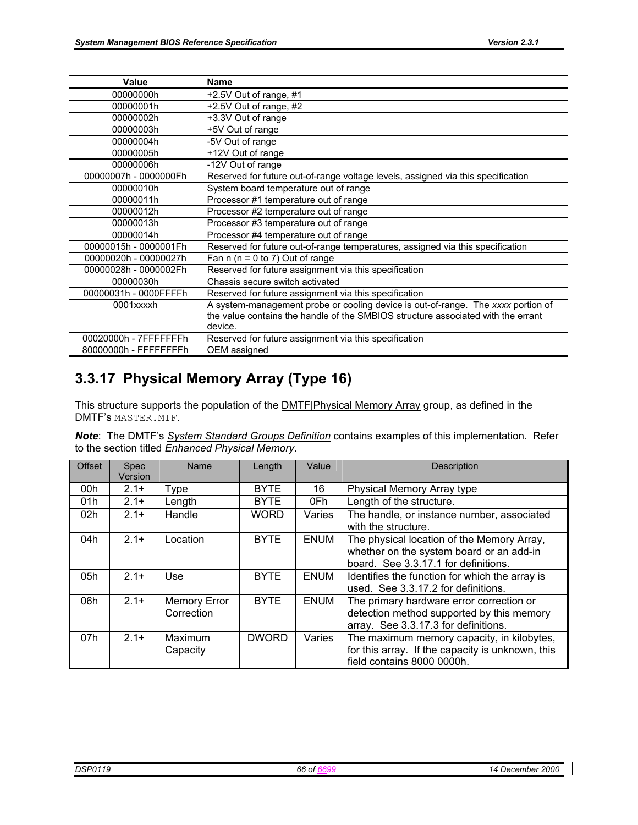| Value                 | <b>Name</b>                                                                      |
|-----------------------|----------------------------------------------------------------------------------|
| 00000000h             | +2.5V Out of range, #1                                                           |
| 00000001h             | +2.5V Out of range, #2                                                           |
| 00000002h             | +3.3V Out of range                                                               |
| 00000003h             | +5V Out of range                                                                 |
| 00000004h             | -5V Out of range                                                                 |
| 00000005h             | +12V Out of range                                                                |
| 00000006h             | -12V Out of range                                                                |
| 00000007h - 0000000Fh | Reserved for future out-of-range voltage levels, assigned via this specification |
| 00000010h             | System board temperature out of range                                            |
| 00000011h             | Processor #1 temperature out of range                                            |
| 00000012h             | Processor #2 temperature out of range                                            |
| 00000013h             | Processor #3 temperature out of range                                            |
| 00000014h             | Processor #4 temperature out of range                                            |
| 00000015h - 0000001Fh | Reserved for future out-of-range temperatures, assigned via this specification   |
| 00000020h - 00000027h | Fan $n(n = 0 to 7)$ Out of range                                                 |
| 00000028h - 0000002Fh | Reserved for future assignment via this specification                            |
| 00000030h             | Chassis secure switch activated                                                  |
| 00000031h - 0000FFFFh | Reserved for future assignment via this specification                            |
| 0001xxxxh             | A system-management probe or cooling device is out-of-range. The xxxx portion of |
|                       | the value contains the handle of the SMBIOS structure associated with the errant |
|                       | device.                                                                          |
| 00020000h - 7FFFFFFFh | Reserved for future assignment via this specification                            |
| 80000000h - FFFFFFFFh | OEM assigned                                                                     |

# **3.3.17 Physical Memory Array (Type 16)**

This structure supports the population of the **DMTF**<sup>[Physical Memory Array group, as defined in the</sup> DMTF's MASTER.MIF.

| <b>Note:</b> The DMTF's System Standard Groups Definition contains examples of this implementation. Refer |  |  |  |  |  |
|-----------------------------------------------------------------------------------------------------------|--|--|--|--|--|
| to the section titled Enhanced Physical Memory.                                                           |  |  |  |  |  |

| <b>Offset</b>   | <b>Spec</b><br>Version | Name                              | Length       | Value       | <b>Description</b>                                                                                                             |
|-----------------|------------------------|-----------------------------------|--------------|-------------|--------------------------------------------------------------------------------------------------------------------------------|
| 00h             | $2.1+$                 | Type                              | <b>BYTE</b>  | 16          | Physical Memory Array type                                                                                                     |
| 01h             | $2.1+$                 | Length                            | <b>BYTE</b>  | 0Fh         | Length of the structure.                                                                                                       |
| 02 <sub>h</sub> | $2.1+$                 | Handle                            | <b>WORD</b>  | Varies      | The handle, or instance number, associated<br>with the structure.                                                              |
| 04h             | $2.1+$                 | Location                          | <b>BYTE</b>  | <b>ENUM</b> | The physical location of the Memory Array,<br>whether on the system board or an add-in<br>board. See 3.3.17.1 for definitions. |
| 05h             | $2.1+$                 | Use                               | <b>BYTE</b>  | <b>ENUM</b> | Identifies the function for which the array is<br>used. See 3.3.17.2 for definitions.                                          |
| 06h             | $2.1+$                 | <b>Memory Error</b><br>Correction | <b>BYTE</b>  | <b>ENUM</b> | The primary hardware error correction or<br>detection method supported by this memory<br>array. See 3.3.17.3 for definitions.  |
| 07h             | $2.1+$                 | Maximum<br>Capacity               | <b>DWORD</b> | Varies      | The maximum memory capacity, in kilobytes,<br>for this array. If the capacity is unknown, this<br>field contains 8000 0000h.   |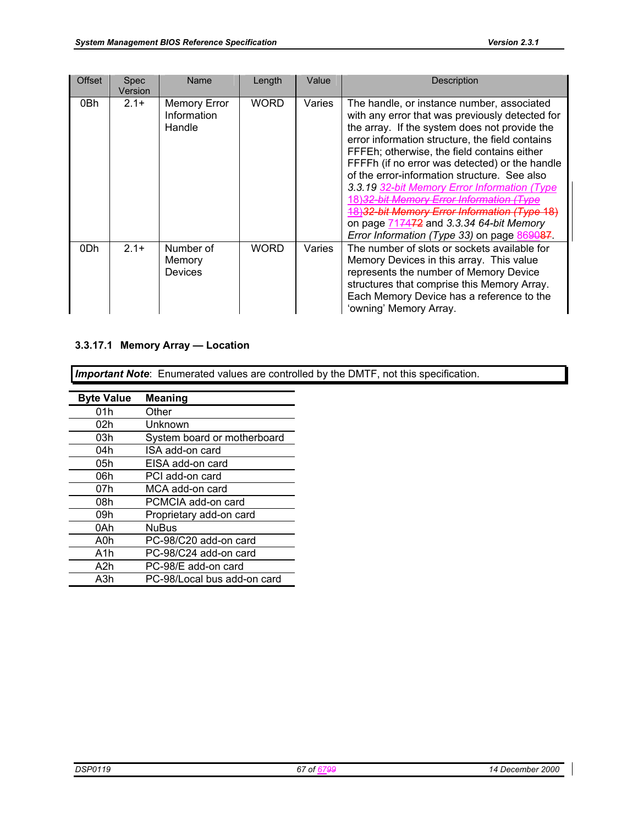| <b>Offset</b> | <b>Spec</b><br>Version | Name                                         | Length      | Value  | Description                                                                                                                                                                                                                                                                                                                                                                                                                                                                                                                                                              |
|---------------|------------------------|----------------------------------------------|-------------|--------|--------------------------------------------------------------------------------------------------------------------------------------------------------------------------------------------------------------------------------------------------------------------------------------------------------------------------------------------------------------------------------------------------------------------------------------------------------------------------------------------------------------------------------------------------------------------------|
| 0Bh           | $2.1+$                 | <b>Memory Error</b><br>Information<br>Handle | <b>WORD</b> | Varies | The handle, or instance number, associated<br>with any error that was previously detected for<br>the array. If the system does not provide the<br>error information structure, the field contains<br>FFFEh; otherwise, the field contains either<br>FFFFh (if no error was detected) or the handle<br>of the error-information structure. See also<br>3.3.19 32-bit Memory Error Information (Type<br>Jamony Frror Intormation<br>18)32-bit Memory Error Information (Type 18)<br>on page 717472 and 3.3.34 64-bit Memory<br>Error Information (Type 33) on page 869087. |
| 0Dh           | $2.1+$                 | Number of<br>Memory<br>Devices               | <b>WORD</b> | Varies | The number of slots or sockets available for<br>Memory Devices in this array. This value<br>represents the number of Memory Device<br>structures that comprise this Memory Array.<br>Each Memory Device has a reference to the<br>'owning' Memory Array.                                                                                                                                                                                                                                                                                                                 |

## **3.3.17.1 Memory Array — Location**

*Important Note*: Enumerated values are controlled by the DMTF, not this specification.

| <b>Byte Value</b> | <b>Meaning</b>              |
|-------------------|-----------------------------|
| 01h               | Other                       |
| 02h               | Unknown                     |
| 03h               | System board or motherboard |
| 04h               | ISA add-on card             |
| 05h               | EISA add-on card            |
| 06h               | PCI add-on card             |
| 07h               | MCA add-on card             |
| 08h               | PCMCIA add-on card          |
| 09h               | Proprietary add-on card     |
| 0Ah               | <b>NuBus</b>                |
| A0h               | PC-98/C20 add-on card       |
| A1h               | PC-98/C24 add-on card       |
| A2h               | PC-98/E add-on card         |
| A3h               | PC-98/Local bus add-on card |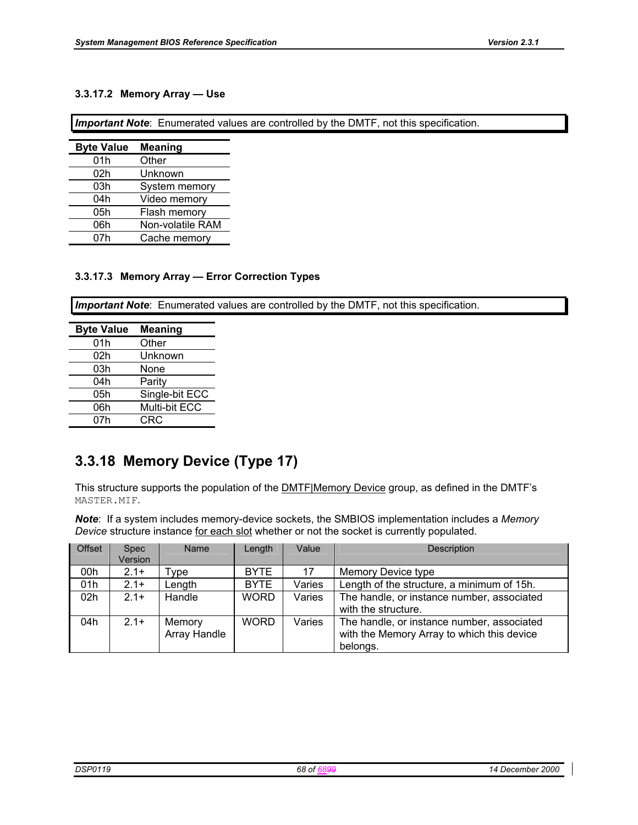### **3.3.17.2 Memory Array — Use**

*Important Note*: Enumerated values are controlled by the DMTF, not this specification.

| <b>Byte Value</b> | <b>Meaning</b>   |
|-------------------|------------------|
| 01h               | Other            |
| 02h               | Unknown          |
| 03h               | System memory    |
| 04h               | Video memory     |
| 05h               | Flash memory     |
| 06h               | Non-volatile RAM |
| 07h               | Cache memory     |

### **3.3.17.3 Memory Array — Error Correction Types**

*Important Note*: Enumerated values are controlled by the DMTF, not this specification.

| <b>Byte Value</b> | <b>Meaning</b> |
|-------------------|----------------|
| 01h               | Other          |
| 02h               | Unknown        |
| 03h               | None           |
| 04h               | Parity         |
| 05h               | Single-bit ECC |
| 06h               | Multi-bit ECC  |
| 07h               | CRC            |

# **3.3.18 Memory Device (Type 17)**

This structure supports the population of the **DMTF**|Memory Device group, as defined in the DMTF's MASTER.MIF.

*Note*: If a system includes memory-device sockets, the SMBIOS implementation includes a *Memory Device* structure instance for each slot whether or not the socket is currently populated.

| <b>Offset</b> | <b>Spec</b> | Name         | Length      | Value  | Description                                |
|---------------|-------------|--------------|-------------|--------|--------------------------------------------|
|               | Version     |              |             |        |                                            |
| 00h           | $2.1+$      | vpe:         | <b>BYTE</b> | 17     | Memory Device type                         |
| 01h           | $2.1+$      | Length       | <b>BYTE</b> | Varies | Length of the structure, a minimum of 15h. |
| 02h           | $2.1+$      | Handle       | <b>WORD</b> | Varies | The handle, or instance number, associated |
|               |             |              |             |        | with the structure.                        |
| 04h           | $2.1+$      | Memory       | <b>WORD</b> | Varies | The handle, or instance number, associated |
|               |             | Array Handle |             |        | with the Memory Array to which this device |
|               |             |              |             |        | belongs.                                   |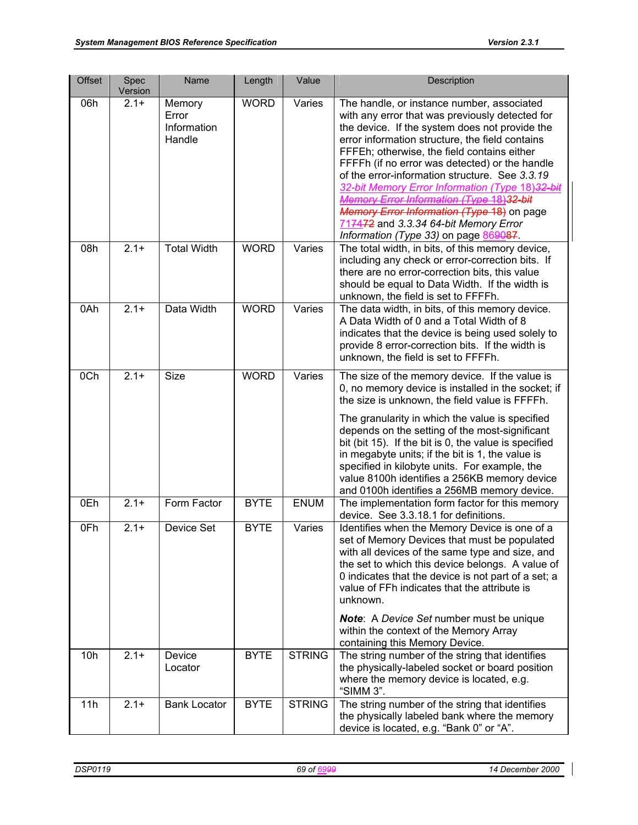| <b>Offset</b> | Spec<br>Version   | Name                                     | Length      | Value         | Description                                                                                                                                                                                                                                                                                                                                                                                                                                                                                                                                                                          |
|---------------|-------------------|------------------------------------------|-------------|---------------|--------------------------------------------------------------------------------------------------------------------------------------------------------------------------------------------------------------------------------------------------------------------------------------------------------------------------------------------------------------------------------------------------------------------------------------------------------------------------------------------------------------------------------------------------------------------------------------|
| 06h           | $2.1 +$           | Memory<br>Error<br>Information<br>Handle | <b>WORD</b> | Varies        | The handle, or instance number, associated<br>with any error that was previously detected for<br>the device. If the system does not provide the<br>error information structure, the field contains<br>FFFEh; otherwise, the field contains either<br>FFFFh (if no error was detected) or the handle<br>of the error-information structure. See 3.3.19<br>32-bit Memory Error Information (Type 18)32-bit<br>Memory Error Information (Type 18)32-bit<br>Memory Error Information (Type 18) on page<br>717472 and 3.3.34 64-bit Memory Error<br>Information (Type 33) on page 869087. |
| 08h           | $2.1 +$           | <b>Total Width</b>                       | <b>WORD</b> | Varies        | The total width, in bits, of this memory device,<br>including any check or error-correction bits. If<br>there are no error-correction bits, this value<br>should be equal to Data Width. If the width is<br>unknown, the field is set to FFFFh.                                                                                                                                                                                                                                                                                                                                      |
| 0Ah           | $2.1 +$           | Data Width                               | <b>WORD</b> | Varies        | The data width, in bits, of this memory device.<br>A Data Width of 0 and a Total Width of 8<br>indicates that the device is being used solely to<br>provide 8 error-correction bits. If the width is<br>unknown, the field is set to FFFFh.                                                                                                                                                                                                                                                                                                                                          |
| 0Ch           | $2.1 +$           | <b>Size</b>                              | <b>WORD</b> | Varies        | The size of the memory device. If the value is<br>0, no memory device is installed in the socket; if<br>the size is unknown, the field value is FFFFh.<br>The granularity in which the value is specified<br>depends on the setting of the most-significant<br>bit (bit 15). If the bit is 0, the value is specified<br>in megabyte units; if the bit is 1, the value is<br>specified in kilobyte units. For example, the<br>value 8100h identifies a 256KB memory device<br>and 0100h identifies a 256MB memory device.                                                             |
| 0Eh           | $2.1 +$           | Form Factor                              | <b>BYTE</b> | <b>ENUM</b>   | The implementation form factor for this memory<br>device. See 3.3.18.1 for definitions.                                                                                                                                                                                                                                                                                                                                                                                                                                                                                              |
| 0Fh           | $\overline{2}.1+$ | Device Set                               | <b>BYTE</b> | Varies        | Identifies when the Memory Device is one of a<br>set of Memory Devices that must be populated<br>with all devices of the same type and size, and<br>the set to which this device belongs. A value of<br>0 indicates that the device is not part of a set; a<br>value of FFh indicates that the attribute is<br>unknown.<br><b>Note:</b> A Device Set number must be unique                                                                                                                                                                                                           |
|               |                   |                                          |             |               | within the context of the Memory Array<br>containing this Memory Device.                                                                                                                                                                                                                                                                                                                                                                                                                                                                                                             |
| 10h           | $2.1 +$           | Device<br>Locator                        | <b>BYTE</b> | <b>STRING</b> | The string number of the string that identifies<br>the physically-labeled socket or board position<br>where the memory device is located, e.g.<br>"SIMM 3".                                                                                                                                                                                                                                                                                                                                                                                                                          |
| 11h           | $2.1 +$           | <b>Bank Locator</b>                      | <b>BYTE</b> | <b>STRING</b> | The string number of the string that identifies<br>the physically labeled bank where the memory<br>device is located, e.g. "Bank 0" or "A".                                                                                                                                                                                                                                                                                                                                                                                                                                          |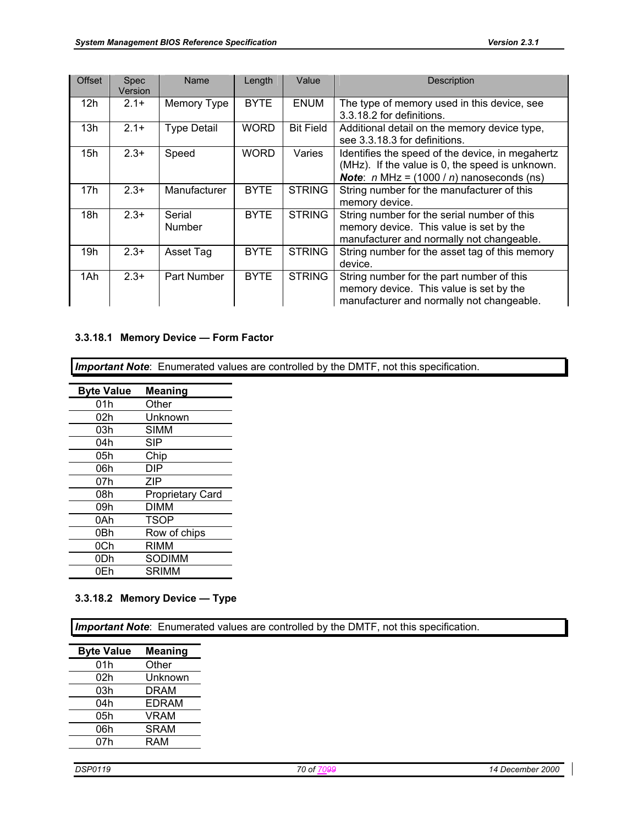| <b>Offset</b> | <b>Spec</b><br>Version | Name                    | Length      | Value            | <b>Description</b>                                                                                                                                        |
|---------------|------------------------|-------------------------|-------------|------------------|-----------------------------------------------------------------------------------------------------------------------------------------------------------|
| 12h           | $2.1+$                 | Memory Type             | <b>BYTE</b> | <b>ENUM</b>      | The type of memory used in this device, see<br>3.3.18.2 for definitions.                                                                                  |
| 13h           | $2.1+$                 | <b>Type Detail</b>      | <b>WORD</b> | <b>Bit Field</b> | Additional detail on the memory device type,<br>see 3.3.18.3 for definitions.                                                                             |
| 15h           | $2.3+$                 | Speed                   | <b>WORD</b> | Varies           | Identifies the speed of the device, in megahertz<br>(MHz). If the value is 0, the speed is unknown.<br><b>Note:</b> $n$ MHz = $(1000/n)$ nanoseconds (ns) |
| 17h           | $2.3+$                 | Manufacturer            | <b>BYTE</b> | <b>STRING</b>    | String number for the manufacturer of this<br>memory device.                                                                                              |
| 18h           | $2.3+$                 | Serial<br><b>Number</b> | <b>BYTE</b> | <b>STRING</b>    | String number for the serial number of this<br>memory device. This value is set by the<br>manufacturer and normally not changeable.                       |
| 19h           | $2.3+$                 | Asset Tag               | <b>BYTE</b> | <b>STRING</b>    | String number for the asset tag of this memory<br>device.                                                                                                 |
| 1Ah           | $2.3+$                 | Part Number             | <b>BYTE</b> | <b>STRING</b>    | String number for the part number of this<br>memory device. This value is set by the<br>manufacturer and normally not changeable.                         |

### **3.3.18.1 Memory Device — Form Factor**

*Important Note*: Enumerated values are controlled by the DMTF, not this specification.

| <b>Byte Value</b> | Meaning                 |
|-------------------|-------------------------|
| 01h               | Other                   |
| 02h               | Unknown                 |
| 03h               | SIMM                    |
| 04h               | SIP                     |
| 05h               | Chip                    |
| 06h               | DIP                     |
| 07h               | ZIP                     |
| 08h               | <b>Proprietary Card</b> |
| 09h               | DIMM                    |
| 0Ah               | TSOP                    |
| 0Bh               | Row of chips            |
| 0Ch               | RIMM                    |
| 0Dh               | SODIMM                  |
| 0Eh               | SRIMM                   |

### **3.3.18.2 Memory Device — Type**

*Important Note*: Enumerated values are controlled by the DMTF, not this specification.

| <b>Byte Value</b> | <b>Meaning</b> |
|-------------------|----------------|
| 01h               | Other          |
| 02h               | Unknown        |
| 03h               | <b>DRAM</b>    |
| 04h               | <b>EDRAM</b>   |
| 05h               | VRAM           |
| 06h               | <b>SRAM</b>    |
| 07h               | RAM            |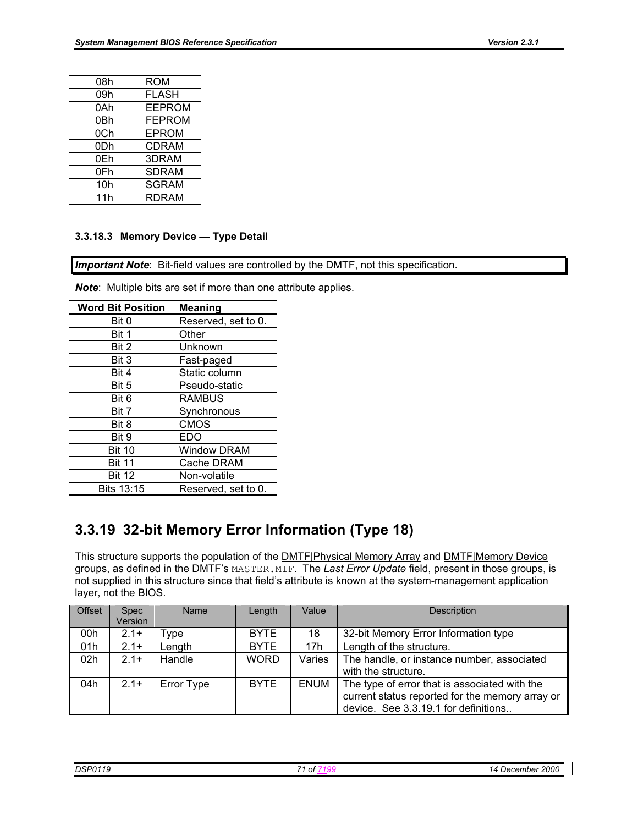| ROM           |
|---------------|
| <b>FLASH</b>  |
| <b>EEPROM</b> |
| <b>FEPROM</b> |
| <b>EPROM</b>  |
| <b>CDRAM</b>  |
| 3DRAM         |
| <b>SDRAM</b>  |
| <b>SGRAM</b>  |
| <b>RDRAM</b>  |
|               |

## **3.3.18.3 Memory Device — Type Detail**

*Important Note*: Bit-field values are controlled by the DMTF, not this specification.

*Note*: Multiple bits are set if more than one attribute applies.

| <b>Word Bit Position</b> | <b>Meaning</b>      |
|--------------------------|---------------------|
| Bit 0                    | Reserved, set to 0. |
| Bit 1                    | Other               |
| Bit 2                    | Unknown             |
| Bit 3                    | Fast-paged          |
| Bit 4                    | Static column       |
| Bit 5                    | Pseudo-static       |
| Bit 6                    | <b>RAMBUS</b>       |
| Bit 7                    | Synchronous         |
| Bit 8                    | <b>CMOS</b>         |
| Bit 9                    | EDO                 |
| <b>Bit 10</b>            | Window DRAM         |
| <b>Bit 11</b>            | Cache DRAM          |
| <b>Bit 12</b>            | Non-volatile        |
| Bits 13:15               | Reserved, set to 0. |

# **3.3.19 32-bit Memory Error Information (Type 18)**

This structure supports the population of the DMTF|Physical Memory Array and DMTF|Memory Device groups, as defined in the DMTF's MASTER.MIF. The *Last Error Update* field, present in those groups, is not supplied in this structure since that field's attribute is known at the system-management application layer, not the BIOS.

| <b>Offset</b> | <b>Spec</b><br>Version | Name       | Length      | Value       | <b>Description</b>                                                                                                                       |
|---------------|------------------------|------------|-------------|-------------|------------------------------------------------------------------------------------------------------------------------------------------|
| 00h           | $2.1+$                 | Type       | <b>BYTE</b> | 18          | 32-bit Memory Error Information type                                                                                                     |
| 01h           | $2.1+$                 | Length     | <b>BYTE</b> | 17h         | Length of the structure.                                                                                                                 |
| 02h           | $21+$                  | Handle     | <b>WORD</b> | Varies      | The handle, or instance number, associated<br>with the structure.                                                                        |
| 04h           | $2.1+$                 | Error Type | <b>BYTE</b> | <b>ENUM</b> | The type of error that is associated with the<br>current status reported for the memory array or<br>device. See 3.3.19.1 for definitions |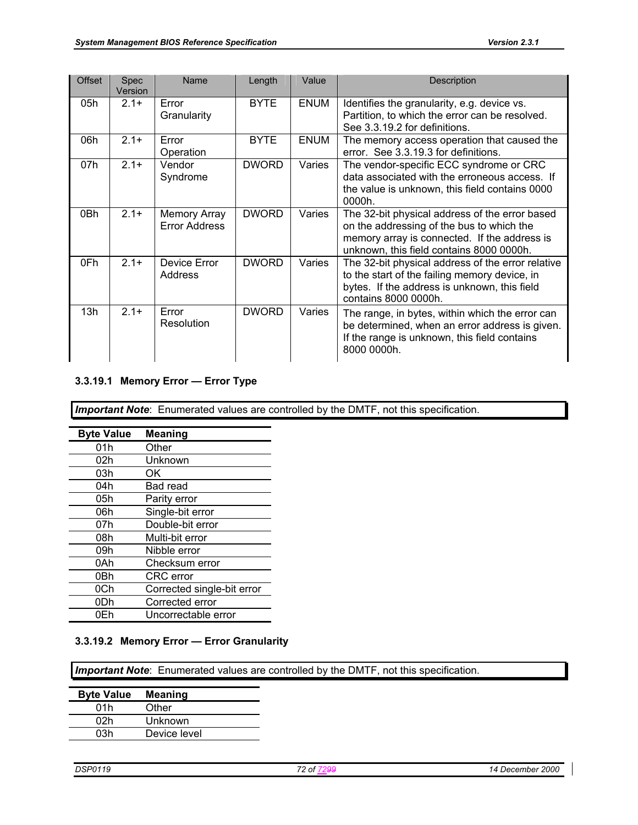| <b>Offset</b> | Spec<br>Version | Name                                        | Length       | Value       | Description                                                                                                                                                                             |
|---------------|-----------------|---------------------------------------------|--------------|-------------|-----------------------------------------------------------------------------------------------------------------------------------------------------------------------------------------|
| 05h           | $2.1+$          | Error<br>Granularity                        | <b>BYTE</b>  | <b>ENUM</b> | Identifies the granularity, e.g. device vs.<br>Partition, to which the error can be resolved.<br>See 3.3.19.2 for definitions.                                                          |
| 06h           | $2.1+$          | Error<br>Operation                          | <b>BYTE</b>  | <b>ENUM</b> | The memory access operation that caused the<br>error. See 3.3.19.3 for definitions.                                                                                                     |
| 07h           | $2.1 +$         | Vendor<br>Syndrome                          | <b>DWORD</b> | Varies      | The vendor-specific ECC syndrome or CRC<br>data associated with the erroneous access. If<br>the value is unknown, this field contains 0000<br>$0000h$ .                                 |
| 0Bh           | $2.1+$          | <b>Memory Array</b><br><b>Error Address</b> | <b>DWORD</b> | Varies      | The 32-bit physical address of the error based<br>on the addressing of the bus to which the<br>memory array is connected. If the address is<br>unknown, this field contains 8000 0000h. |
| 0Fh           | $2.1+$          | Device Error<br>Address                     | <b>DWORD</b> | Varies      | The 32-bit physical address of the error relative<br>to the start of the failing memory device, in<br>bytes. If the address is unknown, this field<br>contains 8000 0000h.              |
| 13h           | $2.1+$          | Error<br>Resolution                         | <b>DWORD</b> | Varies      | The range, in bytes, within which the error can<br>be determined, when an error address is given.<br>If the range is unknown, this field contains<br>8000 0000h.                        |

### **3.3.19.1 Memory Error — Error Type**

*Important Note*: Enumerated values are controlled by the DMTF, not this specification.

| <b>Byte Value</b> | <b>Meaning</b>             |
|-------------------|----------------------------|
| 01h               | Other                      |
| 02h               | Unknown                    |
| 03h               | ΟK                         |
| 04h               | Bad read                   |
| 05h               | Parity error               |
| 06h               | Single-bit error           |
| 07h               | Double-bit error           |
| 08h               | Multi-bit error            |
| 09h               | Nibble error               |
| 0Ah               | Checksum error             |
| 0Bh               | <b>CRC</b> error           |
| 0Ch               | Corrected single-bit error |
| 0Dh               | Corrected error            |
| 0Fh               | Uncorrectable error        |

#### **3.3.19.2 Memory Error — Error Granularity**

**Important Note**: Enumerated values are controlled by the DMTF, not this specification.

| <b>Byte Value</b> | <b>Meaning</b> |
|-------------------|----------------|
| 01h               | Other          |
| 02h               | Unknown        |
| 03h               | Device level   |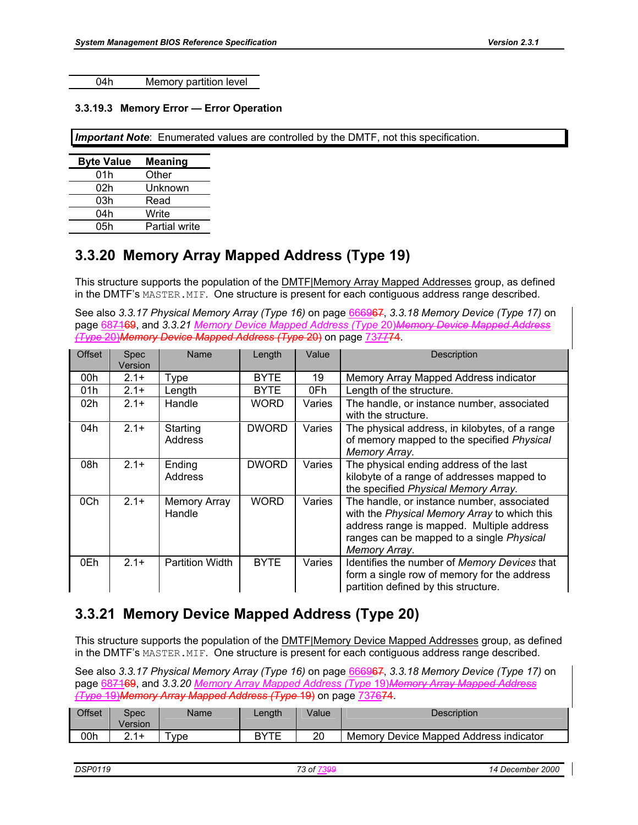04h Memory partition level

#### **3.3.19.3 Memory Error — Error Operation**

*Important Note*: Enumerated values are controlled by the DMTF, not this specification.

| <b>Byte Value</b> | <b>Meaning</b> |
|-------------------|----------------|
| 01h               | Other          |
| 02h               | Unknown        |
| 03h               | Read           |
| 04h               | Write          |
| 05h               | Partial write  |

## **3.3.20 Memory Array Mapped Address (Type 19)**

This structure supports the population of the DMTF|Memory Array Mapped Addresses group, as defined in the DMTF's MASTER.MIF. One structure is present for each contiguous address range described.

See also *3.3.17 Physical Memory Array (Type 16)* on page 666967, *3.3.18 Memory Device (Type 17)* on page 687169, and *3.3.21 Memory Device Mapped Address (Type* 20)*Memory Device Mapped Address (Type* 20)*Memory Device Mapped Address (Type* 20) on page 737774.

| <b>Offset</b> | <b>Spec</b><br>Version | Name                          | Length       | Value  | Description                                                                                                                                                                                           |
|---------------|------------------------|-------------------------------|--------------|--------|-------------------------------------------------------------------------------------------------------------------------------------------------------------------------------------------------------|
| 00h           | $2.1+$                 | Type                          | BYTE         | 19     | Memory Array Mapped Address indicator                                                                                                                                                                 |
| 01h           | $2.1 +$                | Length                        | <b>BYTE</b>  | 0Fh    | Length of the structure.                                                                                                                                                                              |
| 02h           | $2.1+$                 | Handle                        | WORD.        | Varies | The handle, or instance number, associated<br>with the structure.                                                                                                                                     |
| 04h           | $2.1+$                 | Starting<br>Address           | <b>DWORD</b> | Varies | The physical address, in kilobytes, of a range<br>of memory mapped to the specified Physical<br>Memory Array.                                                                                         |
| 08h           | $2.1+$                 | Ending<br><b>Address</b>      | <b>DWORD</b> | Varies | The physical ending address of the last<br>kilobyte of a range of addresses mapped to<br>the specified Physical Memory Array.                                                                         |
| 0Ch           | $2.1+$                 | <b>Memory Array</b><br>Handle | WORD         | Varies | The handle, or instance number, associated<br>with the Physical Memory Array to which this<br>address range is mapped. Multiple address<br>ranges can be mapped to a single Physical<br>Memory Array. |
| 0Eh           | $2.1+$                 | <b>Partition Width</b>        | <b>BYTE</b>  | Varies | Identifies the number of Memory Devices that<br>form a single row of memory for the address<br>partition defined by this structure.                                                                   |

### **3.3.21 Memory Device Mapped Address (Type 20)**

This structure supports the population of the **DMTF**|Memory Device Mapped Addresses group, as defined in the DMTF's MASTER.MIF. One structure is present for each contiguous address range described.

See also *3.3.17 Physical Memory Array (Type 16)* on page 666967, *3.3.18 Memory Device (Type 17)* on page 687169, and *3.3.20 Memory Array Mapped Address (Type* 19)*Memory Array Mapped Address (Type* 19)*Memory Array Mapped Address (Type* 19) on page 737674.

| Offset | Spec<br>∨ersion | Name | _ength | Value | <b>Description</b>                     |
|--------|-----------------|------|--------|-------|----------------------------------------|
| 00h    | つイエ             | vpe  | RVTE   | 20    | Memory Device Mapped Address indicator |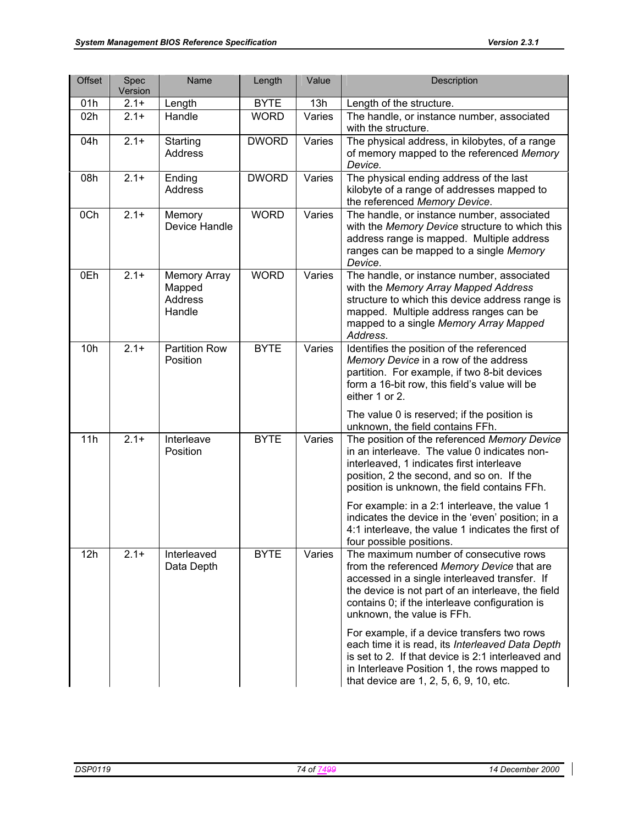| <b>Offset</b> | Spec<br>Version | Name                                               | Length       | Value  | Description                                                                                                                                                                                                                                                                 |
|---------------|-----------------|----------------------------------------------------|--------------|--------|-----------------------------------------------------------------------------------------------------------------------------------------------------------------------------------------------------------------------------------------------------------------------------|
| 01h           | $2.1 +$         | Length                                             | <b>BYTE</b>  | 13h    | Length of the structure.                                                                                                                                                                                                                                                    |
| 02h           | $2.1 +$         | Handle                                             | <b>WORD</b>  | Varies | The handle, or instance number, associated<br>with the structure.                                                                                                                                                                                                           |
| 04h           | $2.1 +$         | Starting<br>Address                                | <b>DWORD</b> | Varies | The physical address, in kilobytes, of a range<br>of memory mapped to the referenced Memory<br>Device.                                                                                                                                                                      |
| 08h           | $2.1 +$         | Ending<br>Address                                  | <b>DWORD</b> | Varies | The physical ending address of the last<br>kilobyte of a range of addresses mapped to<br>the referenced Memory Device.                                                                                                                                                      |
| 0Ch           | $2.1 +$         | Memory<br>Device Handle                            | <b>WORD</b>  | Varies | The handle, or instance number, associated<br>with the Memory Device structure to which this<br>address range is mapped. Multiple address<br>ranges can be mapped to a single Memory<br>Device.                                                                             |
| 0Eh           | $2.1 +$         | <b>Memory Array</b><br>Mapped<br>Address<br>Handle | <b>WORD</b>  | Varies | The handle, or instance number, associated<br>with the Memory Array Mapped Address<br>structure to which this device address range is<br>mapped. Multiple address ranges can be<br>mapped to a single Memory Array Mapped<br>Address.                                       |
| 10h           | $2.1 +$         | <b>Partition Row</b><br>Position                   | <b>BYTE</b>  | Varies | Identifies the position of the referenced<br>Memory Device in a row of the address<br>partition. For example, if two 8-bit devices<br>form a 16-bit row, this field's value will be<br>either 1 or 2.                                                                       |
|               |                 |                                                    |              |        | The value 0 is reserved; if the position is<br>unknown, the field contains FFh.                                                                                                                                                                                             |
| 11h           | $2.1 +$         | Interleave<br>Position                             | <b>BYTE</b>  | Varies | The position of the referenced Memory Device<br>in an interleave. The value 0 indicates non-<br>interleaved, 1 indicates first interleave<br>position, 2 the second, and so on. If the<br>position is unknown, the field contains FFh.                                      |
|               |                 |                                                    |              |        | For example: in a 2:1 interleave, the value 1<br>indicates the device in the 'even' position; in a<br>4:1 interleave, the value 1 indicates the first of<br>four possible positions.                                                                                        |
| 12h           | $2.1 +$         | Interleaved<br>Data Depth                          | <b>BYTE</b>  | Varies | The maximum number of consecutive rows<br>from the referenced Memory Device that are<br>accessed in a single interleaved transfer. If<br>the device is not part of an interleave, the field<br>contains 0; if the interleave configuration is<br>unknown, the value is FFh. |
|               |                 |                                                    |              |        | For example, if a device transfers two rows<br>each time it is read, its Interleaved Data Depth<br>is set to 2. If that device is 2:1 interleaved and<br>in Interleave Position 1, the rows mapped to<br>that device are 1, 2, 5, 6, 9, 10, etc.                            |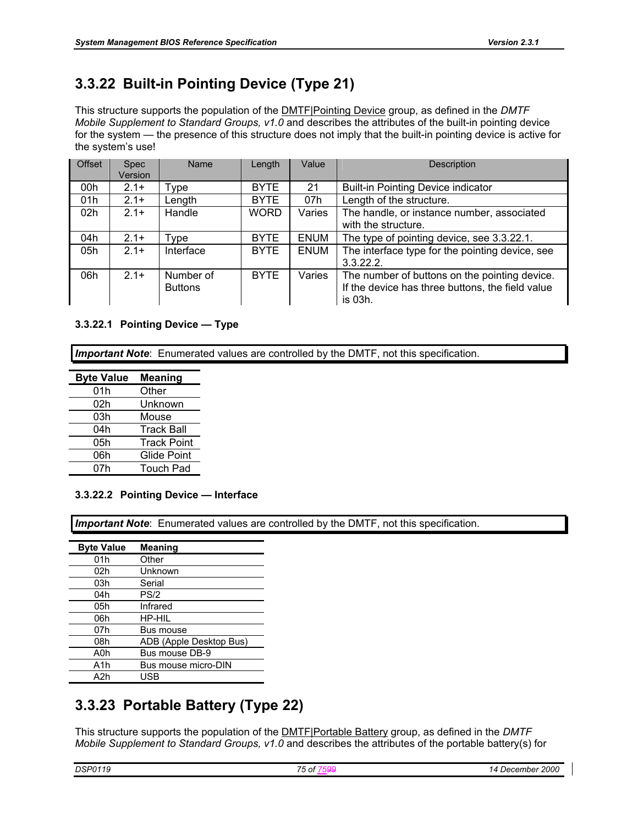# **3.3.22 Built-in Pointing Device (Type 21)**

This structure supports the population of the DMTF|Pointing Device group, as defined in the *DMTF Mobile Supplement to Standard Groups, v1.0* and describes the attributes of the built-in pointing device for the system — the presence of this structure does not imply that the built-in pointing device is active for the system's use!

| <b>Offset</b>   | <b>Spec</b><br>Version | Name                        | Length      | Value       | Description                                                                                                  |
|-----------------|------------------------|-----------------------------|-------------|-------------|--------------------------------------------------------------------------------------------------------------|
| 00h             | $2.1+$                 | Type                        | <b>BYTE</b> | 21          | <b>Built-in Pointing Device indicator</b>                                                                    |
| 01h             | $2.1+$                 | Length                      | <b>BYTE</b> | 07h         | Length of the structure.                                                                                     |
| 02 <sub>h</sub> | $2.1+$                 | Handle                      | <b>WORD</b> | Varies      | The handle, or instance number, associated<br>with the structure.                                            |
| 04h             | $2.1+$                 | Type                        | <b>BYTE</b> | <b>ENUM</b> | The type of pointing device, see 3.3.22.1.                                                                   |
| 05h             | $2.1+$                 | Interface                   | <b>BYTE</b> | <b>ENUM</b> | The interface type for the pointing device, see<br>3.3.22.2.                                                 |
| 06h             | $2.1+$                 | Number of<br><b>Buttons</b> | <b>BYTE</b> | Varies      | The number of buttons on the pointing device.<br>If the device has three buttons, the field value<br>is 03h. |

#### **3.3.22.1 Pointing Device — Type**

*Important Note*: Enumerated values are controlled by the DMTF, not this specification.

| <b>Byte Value</b> | <b>Meaning</b>     |
|-------------------|--------------------|
| 01h               | Other              |
| 02h               | Unknown            |
| 03h               | Mouse              |
| 04h               | <b>Track Ball</b>  |
| 05h               | <b>Track Point</b> |
| 06h               | <b>Glide Point</b> |
| 07h               | <b>Touch Pad</b>   |

#### **3.3.22.2 Pointing Device — Interface**

*Important Note*: Enumerated values are controlled by the DMTF, not this specification.

| <b>Byte Value</b> | <b>Meaning</b>          |
|-------------------|-------------------------|
| 01h               | Other                   |
| 02h               | Unknown                 |
| 03h               | Serial                  |
| 04h               | PS/2                    |
| 05h               | Infrared                |
| 06h               | HP-HIL                  |
| 07h               | Bus mouse               |
| 08h               | ADB (Apple Desktop Bus) |
| A0h               | Bus mouse DB-9          |
| A1h               | Bus mouse micro-DIN     |
| A2h               | USB                     |

## **3.3.23 Portable Battery (Type 22)**

This structure supports the population of the DMTF|Portable Battery group, as defined in the *DMTF Mobile Supplement to Standard Groups, v1.0* and describes the attributes of the portable battery(s) for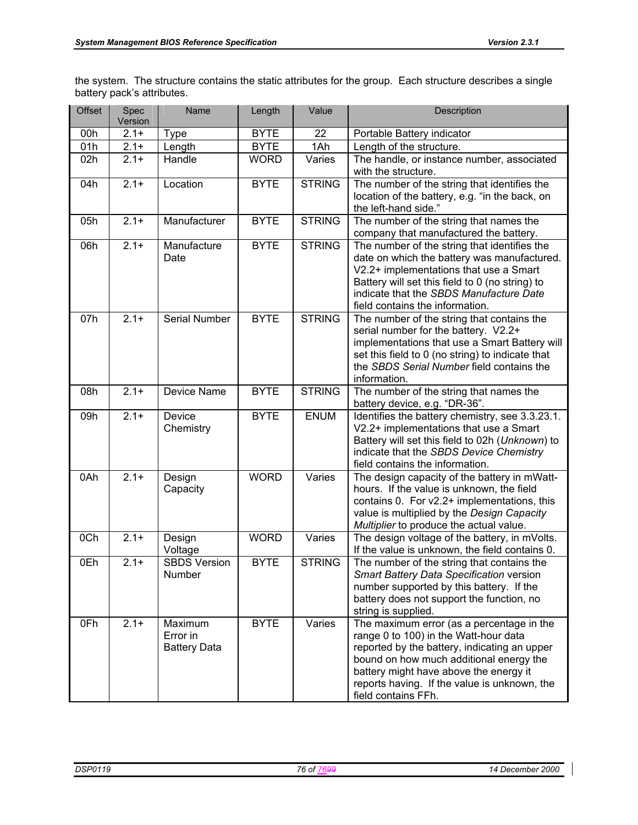the system. The structure contains the static attributes for the group. Each structure describes a single battery pack's attributes.

| Offset | Spec<br>Version | Name                                       | Length      | Value         | Description                                                                                                                                                                                                                                                                                    |
|--------|-----------------|--------------------------------------------|-------------|---------------|------------------------------------------------------------------------------------------------------------------------------------------------------------------------------------------------------------------------------------------------------------------------------------------------|
| 00h    | $2.1 +$         | <b>Type</b>                                | <b>BYTE</b> | 22            | Portable Battery indicator                                                                                                                                                                                                                                                                     |
| 01h    | $2.1 +$         | Length                                     | <b>BYTE</b> | 1Ah           | Length of the structure.                                                                                                                                                                                                                                                                       |
| 02h    | $2.1+$          | Handle                                     | <b>WORD</b> | Varies        | The handle, or instance number, associated<br>with the structure.                                                                                                                                                                                                                              |
| 04h    | $2.1+$          | Location                                   | <b>BYTE</b> | <b>STRING</b> | The number of the string that identifies the<br>location of the battery, e.g. "in the back, on<br>the left-hand side."                                                                                                                                                                         |
| 05h    | $2.1 +$         | Manufacturer                               | <b>BYTE</b> | <b>STRING</b> | The number of the string that names the<br>company that manufactured the battery.                                                                                                                                                                                                              |
| 06h    | $2.1 +$         | Manufacture<br>Date                        | <b>BYTE</b> | <b>STRING</b> | The number of the string that identifies the<br>date on which the battery was manufactured.<br>V2.2+ implementations that use a Smart<br>Battery will set this field to 0 (no string) to<br>indicate that the SBDS Manufacture Date<br>field contains the information.                         |
| 07h    | $2.1 +$         | Serial Number                              | <b>BYTE</b> | <b>STRING</b> | The number of the string that contains the<br>serial number for the battery. V2.2+<br>implementations that use a Smart Battery will<br>set this field to 0 (no string) to indicate that<br>the SBDS Serial Number field contains the<br>information.                                           |
| 08h    | $2.1 +$         | Device Name                                | <b>BYTE</b> | <b>STRING</b> | The number of the string that names the<br>battery device, e.g. "DR-36".                                                                                                                                                                                                                       |
| 09h    | $2.1 +$         | Device<br>Chemistry                        | <b>BYTE</b> | <b>ENUM</b>   | Identifies the battery chemistry, see 3.3.23.1.<br>V2.2+ implementations that use a Smart<br>Battery will set this field to 02h (Unknown) to<br>indicate that the SBDS Device Chemistry<br>field contains the information.                                                                     |
| 0Ah    | $2.1 +$         | Design<br>Capacity                         | <b>WORD</b> | Varies        | The design capacity of the battery in mWatt-<br>hours. If the value is unknown, the field<br>contains 0. For v2.2+ implementations, this<br>value is multiplied by the Design Capacity<br>Multiplier to produce the actual value.                                                              |
| 0Ch    | $2.1 +$         | Design<br>Voltage                          | <b>WORD</b> | Varies        | The design voltage of the battery, in mVolts.<br>If the value is unknown, the field contains 0.                                                                                                                                                                                                |
| 0Eh    | $2.1 +$         | <b>SBDS Version</b><br>Number              | <b>BYTE</b> | <b>STRING</b> | The number of the string that contains the<br>Smart Battery Data Specification version<br>number supported by this battery. If the<br>battery does not support the function, no<br>string is supplied.                                                                                         |
| 0Fh    | $2.1 +$         | Maximum<br>Error in<br><b>Battery Data</b> | <b>BYTE</b> | Varies        | The maximum error (as a percentage in the<br>range 0 to 100) in the Watt-hour data<br>reported by the battery, indicating an upper<br>bound on how much additional energy the<br>battery might have above the energy it<br>reports having. If the value is unknown, the<br>field contains FFh. |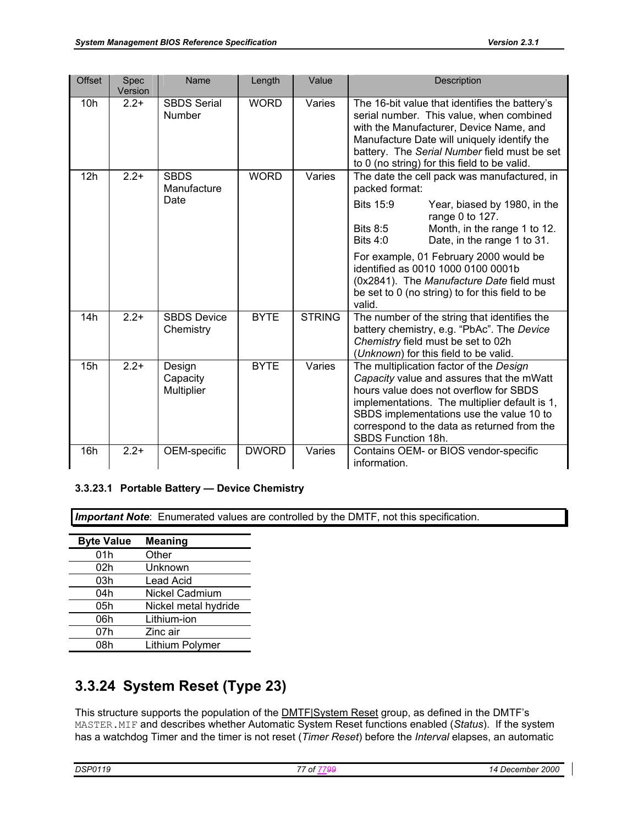| <b>Offset</b>   | Spec<br>Version | Name                               | Length       | Value         | Description                                                                                                                                                                                                                                                                                      |
|-----------------|-----------------|------------------------------------|--------------|---------------|--------------------------------------------------------------------------------------------------------------------------------------------------------------------------------------------------------------------------------------------------------------------------------------------------|
| 10 <sub>h</sub> | $2.2+$          | <b>SBDS Serial</b><br>Number       | <b>WORD</b>  | Varies        | The 16-bit value that identifies the battery's<br>serial number. This value, when combined<br>with the Manufacturer, Device Name, and<br>Manufacture Date will uniquely identify the<br>battery. The Serial Number field must be set<br>to 0 (no string) for this field to be valid.             |
| 12h             | $2.2+$          | <b>SBDS</b><br>Manufacture<br>Date | <b>WORD</b>  | Varies        | The date the cell pack was manufactured, in<br>packed format:                                                                                                                                                                                                                                    |
|                 |                 |                                    |              |               | <b>Bits 15:9</b><br>Year, biased by 1980, in the<br>range 0 to 127.<br><b>Bits 8:5</b><br>Month, in the range 1 to 12.<br><b>Bits 4:0</b><br>Date, in the range 1 to 31.                                                                                                                         |
|                 |                 |                                    |              |               | For example, 01 February 2000 would be<br>identified as 0010 1000 0100 0001b<br>(0x2841). The Manufacture Date field must<br>be set to 0 (no string) to for this field to be<br>valid.                                                                                                           |
| 14h             | $2.2+$          | <b>SBDS Device</b><br>Chemistry    | <b>BYTE</b>  | <b>STRING</b> | The number of the string that identifies the<br>battery chemistry, e.g. "PbAc". The Device<br>Chemistry field must be set to 02h<br>(Unknown) for this field to be valid.                                                                                                                        |
| 15h             | $2.2+$          | Design<br>Capacity<br>Multiplier   | <b>BYTE</b>  | Varies        | The multiplication factor of the Design<br>Capacity value and assures that the mWatt<br>hours value does not overflow for SBDS<br>implementations. The multiplier default is 1,<br>SBDS implementations use the value 10 to<br>correspond to the data as returned from the<br>SBDS Function 18h. |
| 16h             | $2.2+$          | OEM-specific                       | <b>DWORD</b> | Varies        | Contains OEM- or BIOS vendor-specific<br>information.                                                                                                                                                                                                                                            |

#### **3.3.23.1 Portable Battery — Device Chemistry**

**Important Note**: Enumerated values are controlled by the DMTF, not this specification.

| <b>Meaning</b>        |
|-----------------------|
| Other                 |
| Unknown               |
| <b>Lead Acid</b>      |
| <b>Nickel Cadmium</b> |
| Nickel metal hydride  |
| Lithium-ion           |
| Zinc air              |
| Lithium Polymer       |
|                       |

# **3.3.24 System Reset (Type 23)**

This structure supports the population of the **DMTF** System Reset group, as defined in the DMTF's MASTER.MIF and describes whether Automatic System Reset functions enabled (*Status*). If the system has a watchdog Timer and the timer is not reset (*Timer Reset*) before the *Interval* elapses, an automatic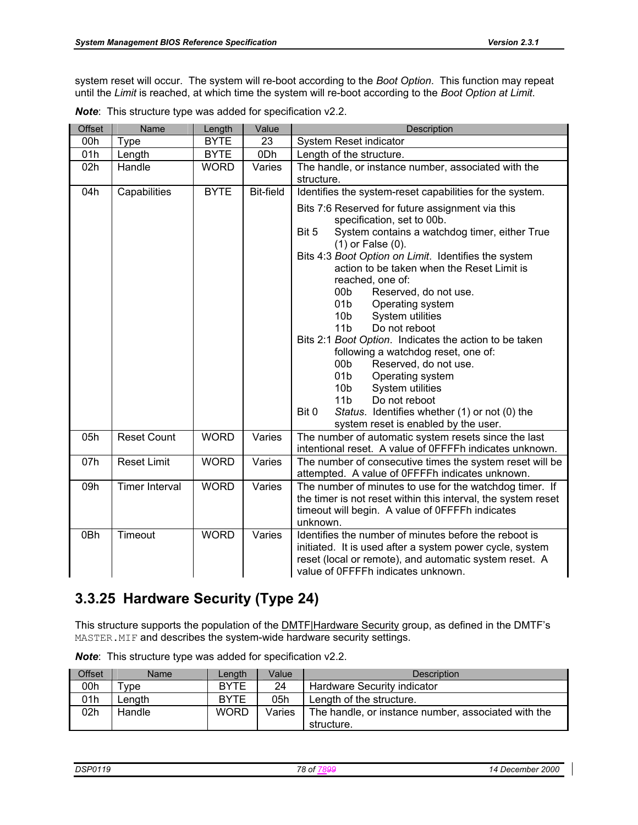system reset will occur. The system will re-boot according to the *Boot Option*. This function may repeat until the *Limit* is reached, at which time the system will re-boot according to the *Boot Option at Limit*.

| Offset | Name                  | Length      | Value            | Description                                                                                                                                                                                                                                                                                                                                                                                                                                                                                                                                                                                                                                                                                                                                                                         |  |
|--------|-----------------------|-------------|------------------|-------------------------------------------------------------------------------------------------------------------------------------------------------------------------------------------------------------------------------------------------------------------------------------------------------------------------------------------------------------------------------------------------------------------------------------------------------------------------------------------------------------------------------------------------------------------------------------------------------------------------------------------------------------------------------------------------------------------------------------------------------------------------------------|--|
| 00h    | Type                  | <b>BYTE</b> | 23               | System Reset indicator                                                                                                                                                                                                                                                                                                                                                                                                                                                                                                                                                                                                                                                                                                                                                              |  |
| 01h    | Length                | <b>BYTE</b> | 0Dh              | Length of the structure.                                                                                                                                                                                                                                                                                                                                                                                                                                                                                                                                                                                                                                                                                                                                                            |  |
| 02h    | Handle                | <b>WORD</b> | Varies           | The handle, or instance number, associated with the                                                                                                                                                                                                                                                                                                                                                                                                                                                                                                                                                                                                                                                                                                                                 |  |
|        |                       |             |                  | structure.                                                                                                                                                                                                                                                                                                                                                                                                                                                                                                                                                                                                                                                                                                                                                                          |  |
| 04h    | Capabilities          | <b>BYTE</b> | <b>Bit-field</b> | Identifies the system-reset capabilities for the system.                                                                                                                                                                                                                                                                                                                                                                                                                                                                                                                                                                                                                                                                                                                            |  |
|        |                       |             |                  | Bits 7:6 Reserved for future assignment via this<br>specification, set to 00b.<br>Bit 5<br>System contains a watchdog timer, either True<br>$(1)$ or False $(0)$ .<br>Bits 4:3 Boot Option on Limit. Identifies the system<br>action to be taken when the Reset Limit is<br>reached, one of:<br>00 <sub>b</sub><br>Reserved, do not use.<br>01 <sub>b</sub><br>Operating system<br>System utilities<br>10 <sub>b</sub><br>11 <sub>b</sub><br>Do not reboot<br>Bits 2:1 Boot Option. Indicates the action to be taken<br>following a watchdog reset, one of:<br>00 <sub>b</sub><br>Reserved, do not use.<br>01 <sub>b</sub><br>Operating system<br>10 <sub>b</sub><br>System utilities<br>11 <sub>b</sub><br>Do not reboot<br>Bit 0<br>Status. Identifies whether (1) or not (0) the |  |
|        |                       |             |                  | system reset is enabled by the user.                                                                                                                                                                                                                                                                                                                                                                                                                                                                                                                                                                                                                                                                                                                                                |  |
| 05h    | <b>Reset Count</b>    | <b>WORD</b> | Varies           | The number of automatic system resets since the last<br>intentional reset. A value of OFFFFh indicates unknown.                                                                                                                                                                                                                                                                                                                                                                                                                                                                                                                                                                                                                                                                     |  |
| 07h    | <b>Reset Limit</b>    | <b>WORD</b> | Varies           | The number of consecutive times the system reset will be<br>attempted. A value of OFFFFh indicates unknown.                                                                                                                                                                                                                                                                                                                                                                                                                                                                                                                                                                                                                                                                         |  |
| 09h    | <b>Timer Interval</b> | <b>WORD</b> | Varies           | The number of minutes to use for the watchdog timer. If<br>the timer is not reset within this interval, the system reset<br>timeout will begin. A value of OFFFFh indicates<br>unknown.                                                                                                                                                                                                                                                                                                                                                                                                                                                                                                                                                                                             |  |
| 0Bh    | Timeout               | <b>WORD</b> | Varies           | Identifies the number of minutes before the reboot is<br>initiated. It is used after a system power cycle, system<br>reset (local or remote), and automatic system reset. A<br>value of OFFFFh indicates unknown.                                                                                                                                                                                                                                                                                                                                                                                                                                                                                                                                                                   |  |

|  |  | <b>Note:</b> This structure type was added for specification v2.2. |  |
|--|--|--------------------------------------------------------------------|--|
|  |  |                                                                    |  |

# **3.3.25 Hardware Security (Type 24)**

This structure supports the population of the **DMTF**|Hardware Security group, as defined in the DMTF's MASTER.MIF and describes the system-wide hardware security settings.

| Offset | <b>Name</b> | Length      | Value  | <b>Description</b>                                                |
|--------|-------------|-------------|--------|-------------------------------------------------------------------|
| 00h    | $\tau$ vpe  | <b>BYTE</b> | 24     | Hardware Security indicator                                       |
| 01h    | Lenath      | <b>BYTE</b> | 05h    | Length of the structure.                                          |
| 02h    | Handle      | <b>WORD</b> | Varies | The handle, or instance number, associated with the<br>structure. |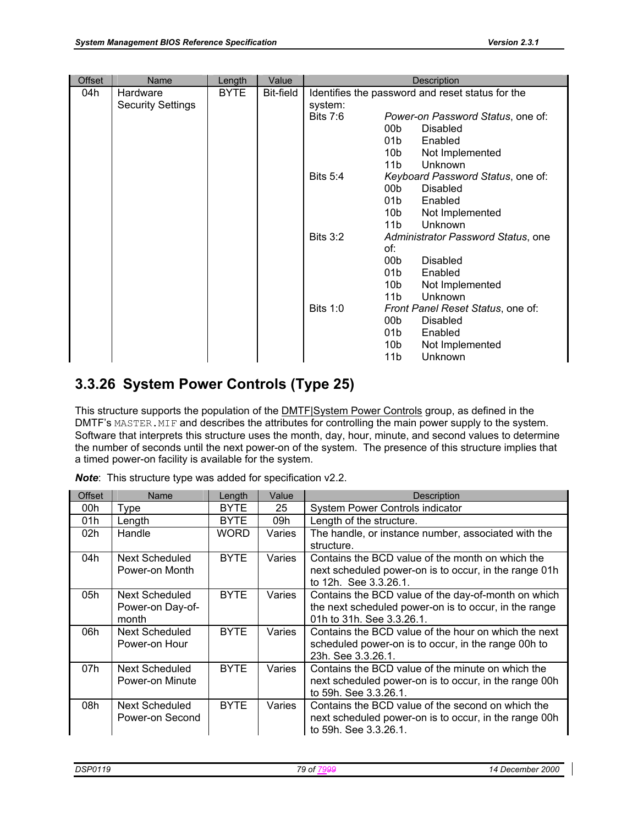| <b>Offset</b> | Name                                 | Length | Value     | Description                                                 |
|---------------|--------------------------------------|--------|-----------|-------------------------------------------------------------|
| 04h           | Hardware<br><b>Security Settings</b> | BYTE   | Bit-field | Identifies the password and reset status for the<br>system: |
|               |                                      |        |           | Bits 7:6<br>Power-on Password Status, one of:               |
|               |                                      |        |           | 00b<br><b>Disabled</b>                                      |
|               |                                      |        |           | Enabled<br>01b                                              |
|               |                                      |        |           | 10b<br>Not Implemented                                      |
|               |                                      |        |           | Unknown<br>11b                                              |
|               |                                      |        |           | <b>Bits 5:4</b><br>Keyboard Password Status, one of:        |
|               |                                      |        |           | 00b<br><b>Disabled</b>                                      |
|               |                                      |        |           | 01b<br>Enabled                                              |
|               |                                      |        |           | 10b<br>Not Implemented                                      |
|               |                                      |        |           | Unknown<br>11b                                              |
|               |                                      |        |           | <b>Bits 3:2</b><br>Administrator Password Status, one       |
|               |                                      |        |           | of:                                                         |
|               |                                      |        |           | 00 <sub>b</sub><br><b>Disabled</b>                          |
|               |                                      |        |           | 01b<br>Enabled                                              |
|               |                                      |        |           | 10 <sub>b</sub><br>Not Implemented                          |
|               |                                      |        |           | Unknown<br>11b                                              |
|               |                                      |        |           | <b>Bits 1:0</b><br>Front Panel Reset Status, one of:        |
|               |                                      |        |           | 00 <sub>b</sub><br><b>Disabled</b>                          |
|               |                                      |        |           | Enabled<br>01b                                              |
|               |                                      |        |           | 10b<br>Not Implemented                                      |
|               |                                      |        |           | Unknown<br>11b                                              |

## **3.3.26 System Power Controls (Type 25)**

This structure supports the population of the **DMTF** System Power Controls group, as defined in the DMTF's MASTER. MIF and describes the attributes for controlling the main power supply to the system. Software that interprets this structure uses the month, day, hour, minute, and second values to determine the number of seconds until the next power-on of the system. The presence of this structure implies that a timed power-on facility is available for the system.

| <b>Offset</b> | Name                                        | Length      | Value  | <b>Description</b>                                                                                                                        |
|---------------|---------------------------------------------|-------------|--------|-------------------------------------------------------------------------------------------------------------------------------------------|
| 00h           | Type                                        | BYTE        | 25     | System Power Controls indicator                                                                                                           |
| 01h           | Length                                      | <b>BYTE</b> | 09h    | Length of the structure.                                                                                                                  |
| 02h           | Handle                                      | <b>WORD</b> | Varies | The handle, or instance number, associated with the<br>structure.                                                                         |
| 04h           | Next Scheduled<br>Power-on Month            | <b>BYTE</b> | Varies | Contains the BCD value of the month on which the<br>next scheduled power-on is to occur, in the range 01h<br>to 12h. See 3.3.26.1.        |
| 05h           | Next Scheduled<br>Power-on Day-of-<br>month | <b>BYTE</b> | Varies | Contains the BCD value of the day-of-month on which<br>the next scheduled power-on is to occur, in the range<br>01h to 31h, See 3.3.26.1. |
| 06h           | Next Scheduled<br>Power-on Hour             | <b>BYTE</b> | Varies | Contains the BCD value of the hour on which the next<br>scheduled power-on is to occur, in the range 00h to<br>23h, See 3.3.26.1.         |
| 07h           | Next Scheduled<br>Power-on Minute           | <b>BYTE</b> | Varies | Contains the BCD value of the minute on which the<br>next scheduled power-on is to occur, in the range 00h<br>to 59h, See 3.3.26.1.       |
| 08h           | Next Scheduled<br>Power-on Second           | <b>BYTE</b> | Varies | Contains the BCD value of the second on which the<br>next scheduled power-on is to occur, in the range 00h<br>to 59h. See 3.3.26.1.       |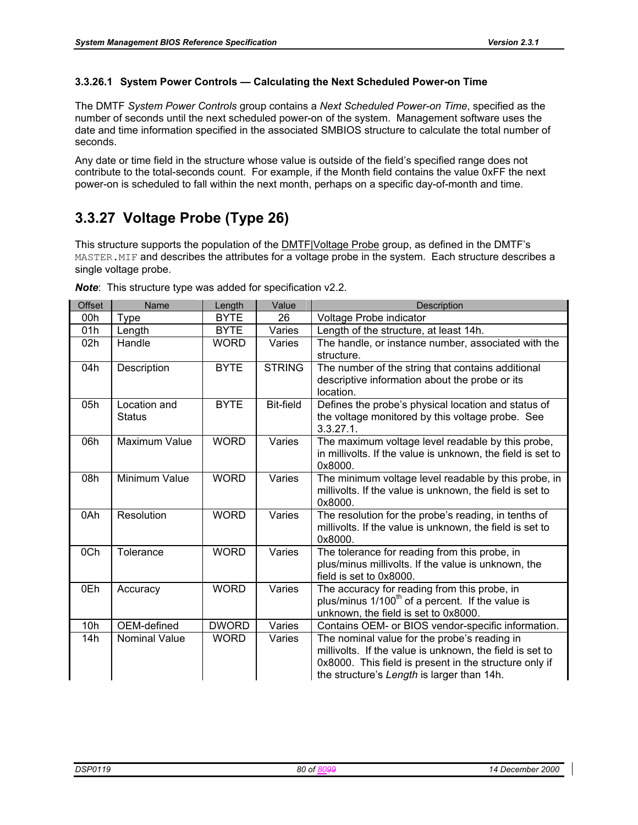#### **3.3.26.1 System Power Controls — Calculating the Next Scheduled Power-on Time**

The DMTF *System Power Controls* group contains a *Next Scheduled Power-on Time*, specified as the number of seconds until the next scheduled power-on of the system. Management software uses the date and time information specified in the associated SMBIOS structure to calculate the total number of seconds.

Any date or time field in the structure whose value is outside of the field's specified range does not contribute to the total-seconds count. For example, if the Month field contains the value 0xFF the next power-on is scheduled to fall within the next month, perhaps on a specific day-of-month and time.

# **3.3.27 Voltage Probe (Type 26)**

This structure supports the population of the DMTF|Voltage Probe group, as defined in the DMTF's MASTER. MIF and describes the attributes for a voltage probe in the system. Each structure describes a single voltage probe.

| Offset | Name                   | Length       | Value            | <b>Description</b>                                                                                                                                                                                               |
|--------|------------------------|--------------|------------------|------------------------------------------------------------------------------------------------------------------------------------------------------------------------------------------------------------------|
| 00h    | Type                   | <b>BYTE</b>  | 26               | Voltage Probe indicator                                                                                                                                                                                          |
| 01h    | Length                 | <b>BYTE</b>  | Varies           | Length of the structure, at least 14h.                                                                                                                                                                           |
| 02h    | Handle                 | <b>WORD</b>  | Varies           | The handle, or instance number, associated with the<br>structure.                                                                                                                                                |
| 04h    | Description            | <b>BYTE</b>  | <b>STRING</b>    | The number of the string that contains additional<br>descriptive information about the probe or its<br>location.                                                                                                 |
| 05h    | Location and<br>Status | <b>BYTE</b>  | <b>Bit-field</b> | Defines the probe's physical location and status of<br>the voltage monitored by this voltage probe. See<br>$3.3.27.1$ .                                                                                          |
| 06h    | <b>Maximum Value</b>   | <b>WORD</b>  | Varies           | The maximum voltage level readable by this probe,<br>in millivolts. If the value is unknown, the field is set to<br>0x8000.                                                                                      |
| 08h    | Minimum Value          | <b>WORD</b>  | Varies           | The minimum voltage level readable by this probe, in<br>millivolts. If the value is unknown, the field is set to<br>0x8000.                                                                                      |
| 0Ah    | Resolution             | <b>WORD</b>  | Varies           | The resolution for the probe's reading, in tenths of<br>millivolts. If the value is unknown, the field is set to<br>0x8000.                                                                                      |
| 0Ch    | Tolerance              | <b>WORD</b>  | Varies           | The tolerance for reading from this probe, in<br>plus/minus millivolts. If the value is unknown, the<br>field is set to 0x8000.                                                                                  |
| 0Eh    | Accuracy               | <b>WORD</b>  | Varies           | The accuracy for reading from this probe, in<br>plus/minus $1/100th$ of a percent. If the value is<br>unknown, the field is set to 0x8000.                                                                       |
| 10h    | OEM-defined            | <b>DWORD</b> | Varies           | Contains OEM- or BIOS vendor-specific information.                                                                                                                                                               |
| 14h    | <b>Nominal Value</b>   | <b>WORD</b>  | Varies           | The nominal value for the probe's reading in<br>millivolts. If the value is unknown, the field is set to<br>0x8000. This field is present in the structure only if<br>the structure's Length is larger than 14h. |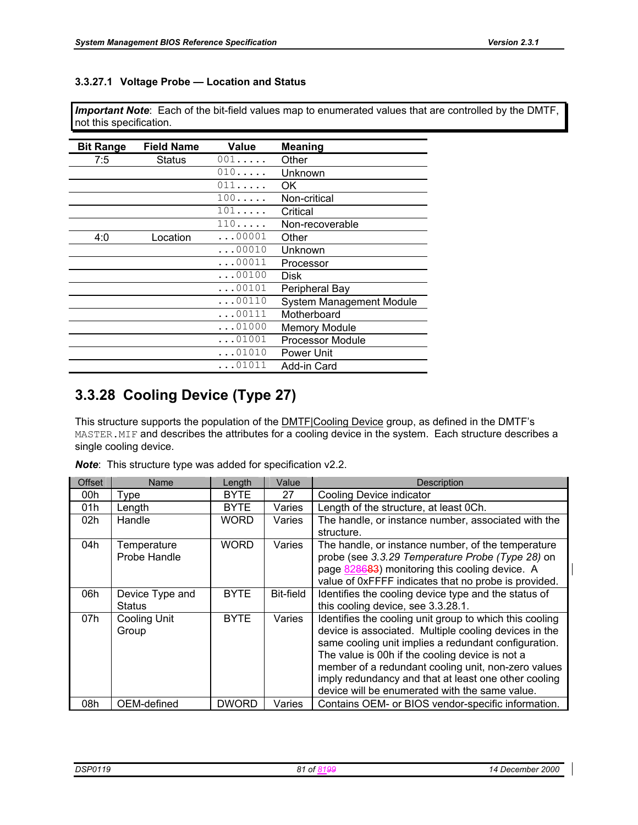#### **3.3.27.1 Voltage Probe — Location and Status**

*Important Note*: Each of the bit-field values map to enumerated values that are controlled by the DMTF, not this specification.

| <b>Bit Range</b> | <b>Field Name</b> | Value          | Meaning                  |
|------------------|-------------------|----------------|--------------------------|
| 7:5              | Status            | 001            | Other                    |
|                  |                   | 010            | Unknown                  |
|                  |                   | 011            | OK                       |
|                  |                   | 100            | Non-critical             |
|                  |                   | 101            | Critical                 |
|                  |                   | 110            | Non-recoverable          |
| 4:0              | Location          | $\ldots$ 00001 | Other                    |
|                  |                   | $\ldots$ 00010 | Unknown                  |
|                  |                   | $\ldots$ 00011 | Processor                |
|                  |                   | $\ldots$ 00100 | Disk                     |
|                  |                   | $\ldots$ 00101 | Peripheral Bay           |
|                  |                   | $\ldots$ 00110 | System Management Module |
|                  |                   | $\ldots$ 00111 | Motherboard              |
|                  |                   | $\ldots$ 01000 | <b>Memory Module</b>     |
|                  |                   | $\ldots$ 01001 | <b>Processor Module</b>  |
|                  |                   | $\ldots$ 01010 | Power Unit               |
|                  |                   | 01011          | Add-in Card              |

## **3.3.28 Cooling Device (Type 27)**

This structure supports the population of the **DMTF**|Cooling Device group, as defined in the DMTF's MASTER.MIF and describes the attributes for a cooling device in the system. Each structure describes a single cooling device.

|  |  | <b>Note:</b> This structure type was added for specification v2.2. |
|--|--|--------------------------------------------------------------------|
|  |  |                                                                    |

| <b>Offset</b> | Name                             | Length       | Value     | <b>Description</b>                                                                                                                                                                                                                                                                                                                                                                           |
|---------------|----------------------------------|--------------|-----------|----------------------------------------------------------------------------------------------------------------------------------------------------------------------------------------------------------------------------------------------------------------------------------------------------------------------------------------------------------------------------------------------|
| 00h           | Type                             | <b>BYTE</b>  | 27        | Cooling Device indicator                                                                                                                                                                                                                                                                                                                                                                     |
| 01h           | Length                           | <b>BYTE</b>  | Varies    | Length of the structure, at least 0Ch.                                                                                                                                                                                                                                                                                                                                                       |
| 02h           | Handle                           | WORD         | Varies    | The handle, or instance number, associated with the<br>structure.                                                                                                                                                                                                                                                                                                                            |
| 04h           | Temperature<br>Probe Handle      | WORD         | Varies    | The handle, or instance number, of the temperature<br>probe (see 3.3.29 Temperature Probe (Type 28) on<br>page 828683) monitoring this cooling device. A<br>value of 0xFFFF indicates that no probe is provided.                                                                                                                                                                             |
| 06h           | Device Type and<br><b>Status</b> | <b>BYTE</b>  | Bit-field | Identifies the cooling device type and the status of<br>this cooling device, see 3.3.28.1.                                                                                                                                                                                                                                                                                                   |
| 07h           | <b>Cooling Unit</b><br>Group     | <b>BYTE</b>  | Varies    | Identifies the cooling unit group to which this cooling<br>device is associated. Multiple cooling devices in the<br>same cooling unit implies a redundant configuration.<br>The value is 00h if the cooling device is not a<br>member of a redundant cooling unit, non-zero values<br>imply redundancy and that at least one other cooling<br>device will be enumerated with the same value. |
| 08h           | OEM-defined                      | <b>DWORD</b> | Varies    | Contains OEM- or BIOS vendor-specific information.                                                                                                                                                                                                                                                                                                                                           |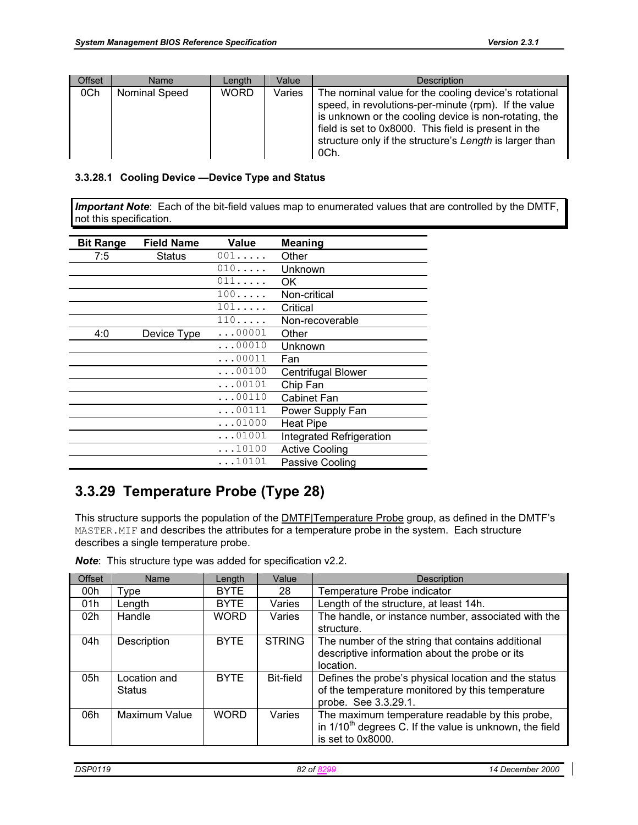| <b>Offset</b> | <b>Name</b>   | Length      | Value  | <b>Description</b>                                                                                                                                                                                                                                                                                |
|---------------|---------------|-------------|--------|---------------------------------------------------------------------------------------------------------------------------------------------------------------------------------------------------------------------------------------------------------------------------------------------------|
| 0Ch           | Nominal Speed | <b>WORD</b> | Varies | The nominal value for the cooling device's rotational<br>speed, in revolutions-per-minute (rpm). If the value<br>is unknown or the cooling device is non-rotating, the<br>field is set to 0x8000. This field is present in the<br>structure only if the structure's Length is larger than<br>OCh. |

#### **3.3.28.1 Cooling Device —Device Type and Status**

*Important Note*: Each of the bit-field values map to enumerated values that are controlled by the DMTF, not this specification.

| <b>Bit Range</b> | <b>Field Name</b> | Value          | <b>Meaning</b>           |
|------------------|-------------------|----------------|--------------------------|
| 7:5              | Status            | 001            | Other                    |
|                  |                   | 010            | Unknown                  |
|                  |                   | 011            | OK.                      |
|                  |                   | 100            | Non-critical             |
|                  |                   | 101            | Critical                 |
|                  |                   | 110            | Non-recoverable          |
| 4:0              | Device Type       | $\ldots$ 00001 | Other                    |
|                  |                   | $\ldots$ 00010 | Unknown                  |
|                  |                   | $\ldots$ 00011 | Fan                      |
|                  |                   | $\ldots$ 00100 | Centrifugal Blower       |
|                  |                   | $\ldots$ 00101 | Chip Fan                 |
|                  |                   | $\ldots$ 00110 | <b>Cabinet Fan</b>       |
|                  |                   | $\ldots$ 00111 | Power Supply Fan         |
|                  |                   | $\ldots$ 01000 | <b>Heat Pipe</b>         |
|                  |                   | $\ldots$ 01001 | Integrated Refrigeration |
|                  |                   | $\ldots$ 10100 | <b>Active Cooling</b>    |
|                  |                   | 10101          | Passive Cooling          |

# **3.3.29 Temperature Probe (Type 28)**

This structure supports the population of the **DMTF**|Temperature Probe group, as defined in the DMTF's MASTER.MIF and describes the attributes for a temperature probe in the system. Each structure describes a single temperature probe.

|  |  | <b>Note:</b> This structure type was added for specification v2.2. |  |  |  |  |
|--|--|--------------------------------------------------------------------|--|--|--|--|
|--|--|--------------------------------------------------------------------|--|--|--|--|

| Offset | Name                          | Length      | Value         | <b>Description</b>                                                                                                                          |
|--------|-------------------------------|-------------|---------------|---------------------------------------------------------------------------------------------------------------------------------------------|
| 00h    | Type                          | <b>BYTE</b> | 28            | Temperature Probe indicator                                                                                                                 |
| 01h    | Length                        | <b>BYTE</b> | Varies        | Length of the structure, at least 14h.                                                                                                      |
| 02h    | Handle                        | <b>WORD</b> | Varies        | The handle, or instance number, associated with the<br>structure.                                                                           |
| 04h    | Description                   | <b>BYTE</b> | <b>STRING</b> | The number of the string that contains additional<br>descriptive information about the probe or its<br>location.                            |
| 05h    | Location and<br><b>Status</b> | <b>BYTE</b> | Bit-field     | Defines the probe's physical location and the status<br>of the temperature monitored by this temperature<br>probe. See 3.3.29.1.            |
| 06h    | Maximum Value                 | <b>WORD</b> | Varies        | The maximum temperature readable by this probe,<br>in 1/10 <sup>th</sup> degrees C. If the value is unknown, the field<br>is set to 0x8000. |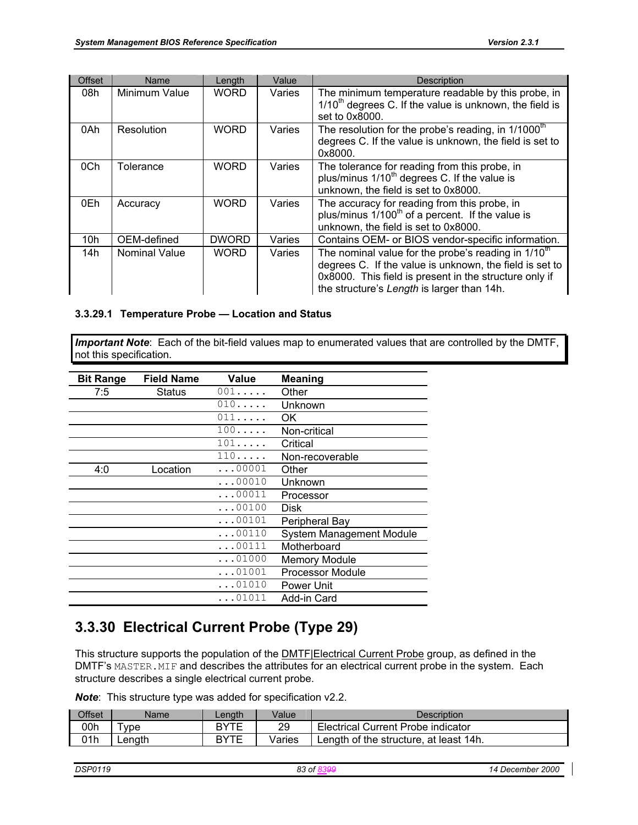| Offset | Name                 | Length       | Value  | <b>Description</b>                                                                                                                                                                                                       |
|--------|----------------------|--------------|--------|--------------------------------------------------------------------------------------------------------------------------------------------------------------------------------------------------------------------------|
| 08h    | Minimum Value        | <b>WORD</b>  | Varies | The minimum temperature readable by this probe, in<br>1/10 <sup>th</sup> degrees C. If the value is unknown, the field is<br>set to 0x8000.                                                                              |
| 0Ah    | Resolution           | <b>WORD</b>  | Varies | The resolution for the probe's reading, in 1/1000 <sup>th</sup><br>degrees C. If the value is unknown, the field is set to<br>0x8000.                                                                                    |
| 0Ch    | Tolerance            | WORD         | Varies | The tolerance for reading from this probe, in<br>plus/minus 1/10 <sup>th</sup> degrees C. If the value is<br>unknown, the field is set to 0x8000.                                                                        |
| 0Eh    | Accuracy             | <b>WORD</b>  | Varies | The accuracy for reading from this probe, in<br>plus/minus 1/100 <sup>th</sup> of a percent. If the value is<br>unknown, the field is set to 0x8000.                                                                     |
| 10h    | OEM-defined          | <b>DWORD</b> | Varies | Contains OEM- or BIOS vendor-specific information.                                                                                                                                                                       |
| 14h    | <b>Nominal Value</b> | WORD         | Varies | The nominal value for the probe's reading in $1/10th$<br>degrees C. If the value is unknown, the field is set to<br>0x8000. This field is present in the structure only if<br>the structure's Length is larger than 14h. |

#### **3.3.29.1 Temperature Probe — Location and Status**

*Important Note*: Each of the bit-field values map to enumerated values that are controlled by the DMTF, not this specification.

| <b>Bit Range</b> | <b>Field Name</b> | Value          | <b>Meaning</b>           |
|------------------|-------------------|----------------|--------------------------|
| 7:5              | Status            | 001            | Other                    |
|                  |                   | 010            | Unknown                  |
|                  |                   | 011            | OK.                      |
|                  |                   | 100            | Non-critical             |
|                  |                   | 101            | Critical                 |
|                  |                   | 110            | Non-recoverable          |
| 4:0              | Location          | $\ldots$ 00001 | Other                    |
|                  |                   | $\ldots$ 00010 | Unknown                  |
|                  |                   | $\ldots$ 00011 | Processor                |
|                  |                   | $\ldots$ 00100 | Disk                     |
|                  |                   | $\ldots$ 00101 | Peripheral Bay           |
|                  |                   | $\ldots$ 00110 | System Management Module |
|                  |                   | $\ldots 00111$ | Motherboard              |
|                  |                   | $\ldots$ 01000 | <b>Memory Module</b>     |
|                  |                   | $\ldots$ 01001 | <b>Processor Module</b>  |
|                  |                   | $\ldots$ 01010 | Power Unit               |
|                  |                   | $\ldots$ 01011 | Add-in Card              |

## **3.3.30 Electrical Current Probe (Type 29)**

This structure supports the population of the **DMTF**|Electrical Current Probe group, as defined in the DMTF's MASTER. MIF and describes the attributes for an electrical current probe in the system. Each structure describes a single electrical current probe.

| Offset | Name   | Lenath | Value  | Description                               |
|--------|--------|--------|--------|-------------------------------------------|
| 00h    | vpe    | RYTF   | 29     | <b>Electrical Current Probe indicator</b> |
| 01h    | Lenath | DVTC   | Varies | Length of the structure, at least 14h.    |

| <b>DSP0119</b><br>December 2000<br>83 of<br>14 |  |
|------------------------------------------------|--|
|------------------------------------------------|--|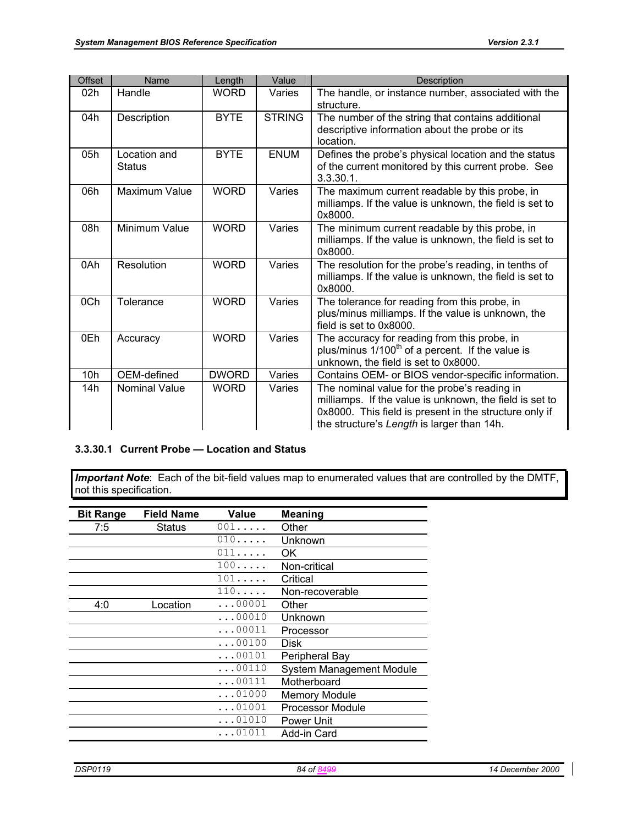| <b>Offset</b> | Name                          | Length       | Value         | <b>Description</b>                                                                                                                                                                                              |
|---------------|-------------------------------|--------------|---------------|-----------------------------------------------------------------------------------------------------------------------------------------------------------------------------------------------------------------|
| 02h           | Handle                        | <b>WORD</b>  | Varies        | The handle, or instance number, associated with the<br>structure.                                                                                                                                               |
| 04h           | Description                   | <b>BYTE</b>  | <b>STRING</b> | The number of the string that contains additional<br>descriptive information about the probe or its<br>location.                                                                                                |
| 05h           | Location and<br><b>Status</b> | <b>BYTE</b>  | <b>ENUM</b>   | Defines the probe's physical location and the status<br>of the current monitored by this current probe. See<br>$3.3.30.1$ .                                                                                     |
| 06h           | Maximum Value                 | <b>WORD</b>  | Varies        | The maximum current readable by this probe, in<br>milliamps. If the value is unknown, the field is set to<br>0x8000.                                                                                            |
| 08h           | Minimum Value                 | <b>WORD</b>  | Varies        | The minimum current readable by this probe, in<br>milliamps. If the value is unknown, the field is set to<br>0x8000.                                                                                            |
| 0Ah           | Resolution                    | <b>WORD</b>  | Varies        | The resolution for the probe's reading, in tenths of<br>milliamps. If the value is unknown, the field is set to<br>0x8000.                                                                                      |
| 0Ch           | Tolerance                     | <b>WORD</b>  | Varies        | The tolerance for reading from this probe, in<br>plus/minus milliamps. If the value is unknown, the<br>field is set to 0x8000.                                                                                  |
| 0Eh           | Accuracy                      | <b>WORD</b>  | Varies        | The accuracy for reading from this probe, in<br>plus/minus 1/100 <sup>th</sup> of a percent. If the value is<br>unknown, the field is set to 0x8000.                                                            |
| 10h           | OEM-defined                   | <b>DWORD</b> | Varies        | Contains OEM- or BIOS vendor-specific information.                                                                                                                                                              |
| 14h           | <b>Nominal Value</b>          | <b>WORD</b>  | Varies        | The nominal value for the probe's reading in<br>milliamps. If the value is unknown, the field is set to<br>0x8000. This field is present in the structure only if<br>the structure's Length is larger than 14h. |

#### **3.3.30.1 Current Probe — Location and Status**

*Important Note*: Each of the bit-field values map to enumerated values that are controlled by the DMTF, not this specification.

| <b>Bit Range</b> | <b>Field Name</b> | Value          | <b>Meaning</b>                  |
|------------------|-------------------|----------------|---------------------------------|
| 7:5              | Status            | $001$          | Other                           |
|                  |                   | 010            | Unknown                         |
|                  |                   | 011            | OK                              |
|                  |                   | 100            | Non-critical                    |
|                  |                   | 101            | Critical                        |
|                  |                   | 110            | Non-recoverable                 |
| 4:0              | Location          | $\ldots$ 00001 | Other                           |
|                  |                   | $\ldots$ 00010 | Unknown                         |
|                  |                   | $\ldots 00011$ | Processor                       |
|                  |                   | $\ldots$ 00100 | <b>Disk</b>                     |
|                  |                   | $\ldots 00101$ | Peripheral Bay                  |
|                  |                   | $\ldots$ 00110 | <b>System Management Module</b> |
|                  |                   | $\ldots 00111$ | Motherboard                     |
|                  |                   | $\ldots$ 01000 | <b>Memory Module</b>            |
|                  |                   | $\ldots$ 01001 | <b>Processor Module</b>         |
|                  |                   | $\ldots$ 01010 | Power Unit                      |
|                  |                   | $\ldots$ 01011 | Add-in Card                     |
|                  |                   |                |                                 |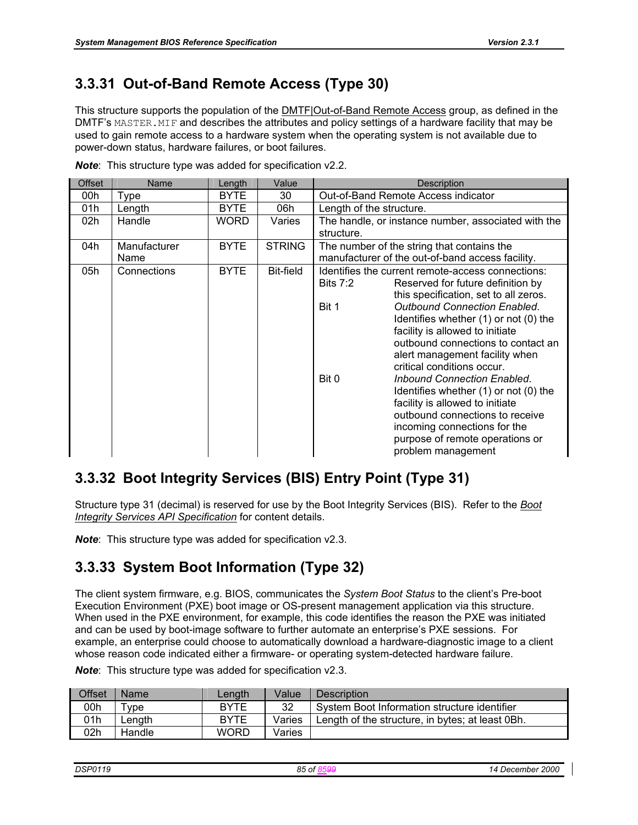# **3.3.31 Out-of-Band Remote Access (Type 30)**

This structure supports the population of the DMTF|Out-of-Band Remote Access group, as defined in the DMTF's MASTER. MIF and describes the attributes and policy settings of a hardware facility that may be used to gain remote access to a hardware system when the operating system is not available due to power-down status, hardware failures, or boot failures.

| <b>Offset</b> | Name                 | Length      | Value            | <b>Description</b>                                                                                                                                                                                                                                                                                                                                                                                                                                                                                                                                                                                                              |  |  |
|---------------|----------------------|-------------|------------------|---------------------------------------------------------------------------------------------------------------------------------------------------------------------------------------------------------------------------------------------------------------------------------------------------------------------------------------------------------------------------------------------------------------------------------------------------------------------------------------------------------------------------------------------------------------------------------------------------------------------------------|--|--|
| 00h           | Type                 | <b>BYTE</b> | 30               | Out-of-Band Remote Access indicator                                                                                                                                                                                                                                                                                                                                                                                                                                                                                                                                                                                             |  |  |
| 01h           | Length               | <b>BYTE</b> | 06h              | Length of the structure.                                                                                                                                                                                                                                                                                                                                                                                                                                                                                                                                                                                                        |  |  |
| 02h           | Handle               | <b>WORD</b> | Varies           | The handle, or instance number, associated with the<br>structure.                                                                                                                                                                                                                                                                                                                                                                                                                                                                                                                                                               |  |  |
| 04h           | Manufacturer<br>Name | <b>BYTE</b> | <b>STRING</b>    | The number of the string that contains the<br>manufacturer of the out-of-band access facility.                                                                                                                                                                                                                                                                                                                                                                                                                                                                                                                                  |  |  |
| 05h           | Connections          | <b>BYTE</b> | <b>Bit-field</b> | Identifies the current remote-access connections:<br>Bits $7:2$<br>Reserved for future definition by<br>this specification, set to all zeros.<br><b>Outbound Connection Enabled.</b><br>Bit 1<br>Identifies whether (1) or not (0) the<br>facility is allowed to initiate<br>outbound connections to contact an<br>alert management facility when<br>critical conditions occur.<br>Bit 0<br>Inbound Connection Enabled.<br>Identifies whether (1) or not (0) the<br>facility is allowed to initiate<br>outbound connections to receive<br>incoming connections for the<br>purpose of remote operations or<br>problem management |  |  |

*Note*: This structure type was added for specification v2.2.

## **3.3.32 Boot Integrity Services (BIS) Entry Point (Type 31)**

Structure type 31 (decimal) is reserved for use by the Boot Integrity Services (BIS). Refer to the *Boot Integrity Services API Specification* for content details.

*Note*: This structure type was added for specification v2.3.

## **3.3.33 System Boot Information (Type 32)**

The client system firmware, e.g. BIOS, communicates the *System Boot Status* to the client's Pre-boot Execution Environment (PXE) boot image or OS-present management application via this structure. When used in the PXE environment, for example, this code identifies the reason the PXE was initiated and can be used by boot-image software to further automate an enterprise's PXE sessions. For example, an enterprise could choose to automatically download a hardware-diagnostic image to a client whose reason code indicated either a firmware- or operating system-detected hardware failure.

| Offset | Name   | Lenath      | Value  | <b>Description</b>                               |
|--------|--------|-------------|--------|--------------------------------------------------|
| 00h    | "vpe   | <b>BYTE</b> | 32     | System Boot Information structure identifier     |
| 01h    | _enath | <b>BYTE</b> | Varies | Length of the structure, in bytes; at least 0Bh. |
| 02h    | Handle | <b>WORD</b> | Varies |                                                  |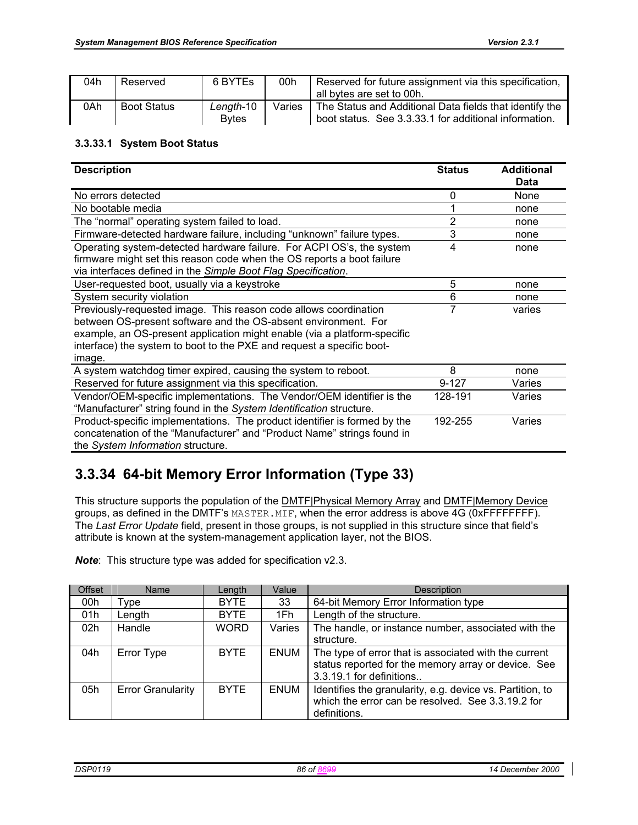| 04h | Reserved           | 6 BYTES       | 00h    | Reserved for future assignment via this specification,  |
|-----|--------------------|---------------|--------|---------------------------------------------------------|
|     |                    |               |        | all bytes are set to 00h.                               |
| 0Ah | <b>Boot Status</b> | Lenath-10     | Varies | The Status and Additional Data fields that identify the |
|     |                    | <b>B</b> vtes |        | boot status. See 3.3.33.1 for additional information.   |

#### **3.3.33.1 System Boot Status**

| <b>Description</b>                                                        | <b>Status</b> | <b>Additional</b> |
|---------------------------------------------------------------------------|---------------|-------------------|
|                                                                           |               | Data              |
| No errors detected                                                        | 0             | None              |
| No bootable media                                                         |               | none              |
| The "normal" operating system failed to load.                             | 2             | none              |
| Firmware-detected hardware failure, including "unknown" failure types.    | 3             | none              |
| Operating system-detected hardware failure. For ACPI OS's, the system     | 4             | none              |
| firmware might set this reason code when the OS reports a boot failure    |               |                   |
| via interfaces defined in the Simple Boot Flag Specification.             |               |                   |
| User-requested boot, usually via a keystroke                              | 5             | none              |
| System security violation                                                 | 6             | none              |
| Previously-requested image. This reason code allows coordination          | 7             | varies            |
| between OS-present software and the OS-absent environment. For            |               |                   |
| example, an OS-present application might enable (via a platform-specific  |               |                   |
| interface) the system to boot to the PXE and request a specific boot-     |               |                   |
| image.                                                                    |               |                   |
| A system watchdog timer expired, causing the system to reboot.            | 8             | none              |
| Reserved for future assignment via this specification.                    | $9 - 127$     | Varies            |
| Vendor/OEM-specific implementations. The Vendor/OEM identifier is the     | 128-191       | Varies            |
| "Manufacturer" string found in the System Identification structure.       |               |                   |
| Product-specific implementations. The product identifier is formed by the | 192-255       | Varies            |
| concatenation of the "Manufacturer" and "Product Name" strings found in   |               |                   |
| the System Information structure.                                         |               |                   |

# **3.3.34 64-bit Memory Error Information (Type 33)**

This structure supports the population of the DMTF|Physical Memory Array and DMTF|Memory Device groups, as defined in the DMTF's MASTER. MIF, when the error address is above 4G (OXFFFFFFFF). The *Last Error Update* field, present in those groups, is not supplied in this structure since that field's attribute is known at the system-management application layer, not the BIOS.

| Offset          | Name                     | Length      | Value       | Description                                                                                                                              |
|-----------------|--------------------------|-------------|-------------|------------------------------------------------------------------------------------------------------------------------------------------|
| 00h             | Type                     | <b>BYTE</b> | 33          | 64-bit Memory Error Information type                                                                                                     |
| 01h             | Length                   | <b>BYTE</b> | 1Fh         | Length of the structure.                                                                                                                 |
| 02 <sub>h</sub> | Handle                   | <b>WORD</b> | Varies      | The handle, or instance number, associated with the                                                                                      |
|                 |                          |             |             | structure.                                                                                                                               |
| 04h             | Error Type               | <b>BYTE</b> | <b>ENUM</b> | The type of error that is associated with the current<br>status reported for the memory array or device. See<br>3.3.19.1 for definitions |
| 05h             | <b>Error Granularity</b> | <b>BYTE</b> | <b>ENUM</b> | Identifies the granularity, e.g. device vs. Partition, to<br>which the error can be resolved. See 3.3.19.2 for<br>definitions.           |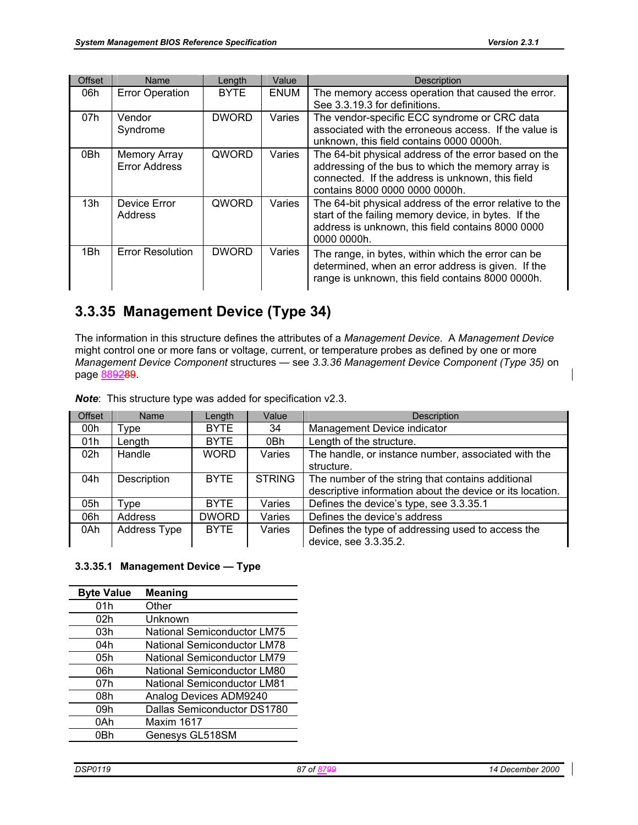| Offset | <b>Name</b>                                 | Length       | Value       | <b>Description</b>                                                                                                                                                                                |
|--------|---------------------------------------------|--------------|-------------|---------------------------------------------------------------------------------------------------------------------------------------------------------------------------------------------------|
| 06h    | <b>Error Operation</b>                      | <b>BYTE</b>  | <b>ENUM</b> | The memory access operation that caused the error.<br>See 3.3.19.3 for definitions.                                                                                                               |
| 07h    | Vendor<br>Syndrome                          | <b>DWORD</b> | Varies      | The vendor-specific ECC syndrome or CRC data<br>associated with the erroneous access. If the value is<br>unknown, this field contains 0000 0000h.                                                 |
| 0Bh    | <b>Memory Array</b><br><b>Error Address</b> | QWORD        | Varies      | The 64-bit physical address of the error based on the<br>addressing of the bus to which the memory array is<br>connected. If the address is unknown, this field<br>contains 8000 0000 0000 0000h. |
| 13h    | Device Error<br>Address                     | QWORD        | Varies      | The 64-bit physical address of the error relative to the<br>start of the failing memory device, in bytes. If the<br>address is unknown, this field contains 8000 0000<br>0000 0000h.              |
| 1Bh    | <b>Error Resolution</b>                     | <b>DWORD</b> | Varies      | The range, in bytes, within which the error can be<br>determined, when an error address is given. If the<br>range is unknown, this field contains 8000 0000h.                                     |

# **3.3.35 Management Device (Type 34)**

The information in this structure defines the attributes of a *Management Device*. A *Management Device* might control one or more fans or voltage, current, or temperature probes as defined by one or more *Management Device Component* structures — see *3.3.36 Management Device Component (Type 35)* on page 889289.

| <b>Offset</b>   | Name                | Length       | Value         | <b>Description</b>                                        |
|-----------------|---------------------|--------------|---------------|-----------------------------------------------------------|
| 00h             | Type                | <b>BYTE</b>  | 34            | Management Device indicator                               |
| 01h             | Length              | <b>BYTE</b>  | 0Bh           | Length of the structure.                                  |
| 02 <sub>h</sub> | Handle              | <b>WORD</b>  | Varies        | The handle, or instance number, associated with the       |
|                 |                     |              |               | structure.                                                |
| 04h             | Description         | <b>BYTE</b>  | <b>STRING</b> | The number of the string that contains additional         |
|                 |                     |              |               | descriptive information about the device or its location. |
| 05h             | Type                | <b>BYTE</b>  | Varies        | Defines the device's type, see 3.3.35.1                   |
| 06h             | Address             | <b>DWORD</b> | Varies        | Defines the device's address                              |
| 0Ah             | <b>Address Type</b> | <b>BYTE</b>  | Varies        | Defines the type of addressing used to access the         |
|                 |                     |              |               | device, see 3.3.35.2.                                     |

*Note*: This structure type was added for specification v2.3.

#### **3.3.35.1 Management Device — Type**

| <b>Byte Value</b> | <b>Meaning</b>                     |
|-------------------|------------------------------------|
| 01h               | Other                              |
| 02h               | Unknown                            |
| 03h               | <b>National Semiconductor LM75</b> |
| 04h               | <b>National Semiconductor LM78</b> |
| 05h               | <b>National Semiconductor LM79</b> |
| 06h               | <b>National Semiconductor LM80</b> |
| 07h               | <b>National Semiconductor LM81</b> |
| 08h               | Analog Devices ADM9240             |
| 09h               | Dallas Semiconductor DS1780        |
| 0Ah               | Maxim 1617                         |
| 0Rh               | Genesys GL518SM                    |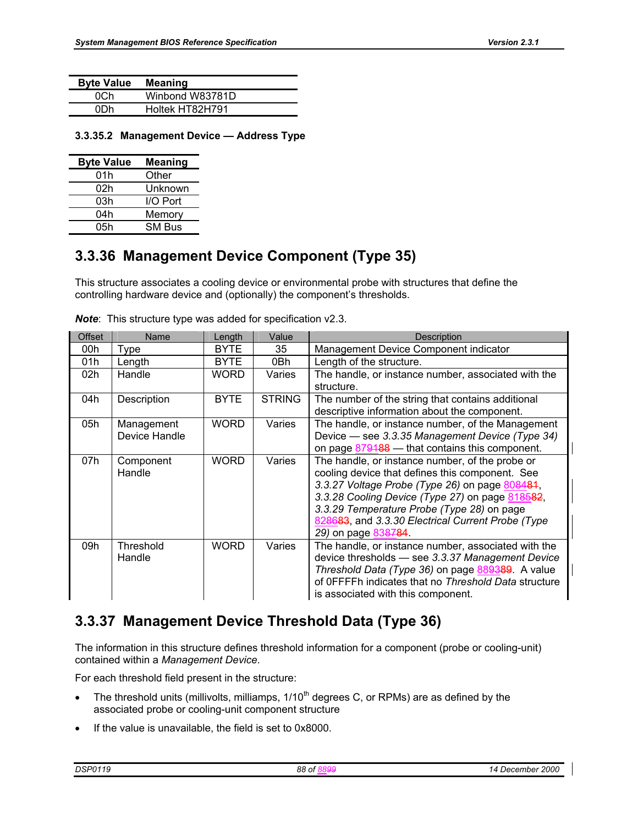| <b>Byte Value</b> | <b>Meaning</b>  |
|-------------------|-----------------|
| 0Ch               | Winbond W83781D |
| 0Dh               | Holtek HT82H791 |

**3.3.35.2 Management Device — Address Type** 

| <b>Byte Value</b> | <b>Meaning</b> |
|-------------------|----------------|
| 01h               | Other          |
| 02h               | Unknown        |
| 03h               | I/O Port       |
| 04h               | Memory         |
| 05h               | <b>SM Bus</b>  |

## **3.3.36 Management Device Component (Type 35)**

This structure associates a cooling device or environmental probe with structures that define the controlling hardware device and (optionally) the component's thresholds.

| <b>Offset</b> | Name                        | Length      | Value         | <b>Description</b>                                                                                                                                                                                                                                                                                                                |
|---------------|-----------------------------|-------------|---------------|-----------------------------------------------------------------------------------------------------------------------------------------------------------------------------------------------------------------------------------------------------------------------------------------------------------------------------------|
| 00h           | Type                        | <b>BYTE</b> | 35            | Management Device Component indicator                                                                                                                                                                                                                                                                                             |
| 01h           | Length                      | <b>BYTE</b> | 0Bh           | Length of the structure.                                                                                                                                                                                                                                                                                                          |
| 02h           | Handle                      | <b>WORD</b> | Varies        | The handle, or instance number, associated with the<br>structure.                                                                                                                                                                                                                                                                 |
| 04h           | Description                 | <b>BYTE</b> | <b>STRING</b> | The number of the string that contains additional<br>descriptive information about the component.                                                                                                                                                                                                                                 |
| 05h           | Management<br>Device Handle | <b>WORD</b> | Varies        | The handle, or instance number, of the Management<br>Device - see 3.3.35 Management Device (Type 34)<br>on page 879188 - that contains this component.                                                                                                                                                                            |
| 07h           | Component<br>Handle         | <b>WORD</b> | Varies        | The handle, or instance number, of the probe or<br>cooling device that defines this component. See<br>3.3.27 Voltage Probe (Type 26) on page 808484,<br>3.3.28 Cooling Device (Type 27) on page 818582,<br>3.3.29 Temperature Probe (Type 28) on page<br>828683, and 3.3.30 Electrical Current Probe (Type<br>29) on page 838784. |
| 09h           | Threshold<br>Handle         | <b>WORD</b> | Varies        | The handle, or instance number, associated with the<br>device thresholds - see 3.3.37 Management Device<br>Threshold Data (Type 36) on page 889389. A value<br>of OFFFFh indicates that no Threshold Data structure<br>is associated with this component.                                                                         |

*Note*: This structure type was added for specification v2.3.

# **3.3.37 Management Device Threshold Data (Type 36)**

The information in this structure defines threshold information for a component (probe or cooling-unit) contained within a *Management Device*.

For each threshold field present in the structure:

- The threshold units (millivolts, milliamps,  $1/10<sup>th</sup>$  degrees C, or RPMs) are as defined by the associated probe or cooling-unit component structure
- If the value is unavailable, the field is set to 0x8000.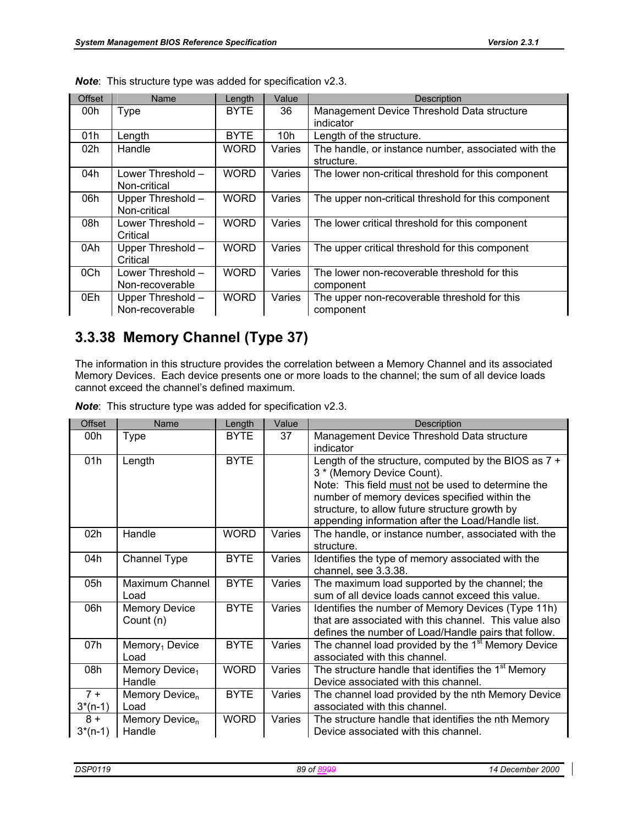| <b>Offset</b> | Name                                                | Length      | Value  | <b>Description</b>                                                |
|---------------|-----------------------------------------------------|-------------|--------|-------------------------------------------------------------------|
| 00h           | <b>Type</b>                                         | <b>BYTE</b> | 36     | Management Device Threshold Data structure<br>indicator           |
| 01h           | Length                                              | <b>BYTE</b> | 10h    | Length of the structure.                                          |
| 02h           | Handle                                              | <b>WORD</b> | Varies | The handle, or instance number, associated with the<br>structure. |
| 04h           | Lower Threshold -<br>Non-critical                   | <b>WORD</b> | Varies | The lower non-critical threshold for this component               |
| 06h           | Upper Threshold -<br>Non-critical                   | <b>WORD</b> | Varies | The upper non-critical threshold for this component               |
| 08h           | Lower Threshold –<br>Critical                       | <b>WORD</b> | Varies | The lower critical threshold for this component                   |
| 0Ah           | Upper Threshold -<br>Critical                       | <b>WORD</b> | Varies | The upper critical threshold for this component                   |
| 0Ch           | Lower Threshold -<br>Non-recoverable                | <b>WORD</b> | Varies | The lower non-recoverable threshold for this<br>component         |
| 0Eh           | <b>WORD</b><br>Upper Threshold -<br>Non-recoverable |             | Varies | The upper non-recoverable threshold for this<br>component         |

*Note*: This structure type was added for specification v2.3.

## **3.3.38 Memory Channel (Type 37)**

The information in this structure provides the correlation between a Memory Channel and its associated Memory Devices. Each device presents one or more loads to the channel; the sum of all device loads cannot exceed the channel's defined maximum.

| <b>Offset</b> | Name                                 | Length      | Value  | Description                                                                                                    |
|---------------|--------------------------------------|-------------|--------|----------------------------------------------------------------------------------------------------------------|
| 00h           | Type                                 | <b>BYTE</b> | 37     | Management Device Threshold Data structure                                                                     |
|               |                                      |             |        | indicator                                                                                                      |
| 01h           | Length                               | <b>BYTE</b> |        | Length of the structure, computed by the BIOS as $7 +$<br>3 * (Memory Device Count).                           |
|               |                                      |             |        | Note: This field must not be used to determine the                                                             |
|               |                                      |             |        | number of memory devices specified within the<br>structure, to allow future structure growth by                |
|               |                                      |             |        | appending information after the Load/Handle list.                                                              |
| 02h           | Handle                               | <b>WORD</b> | Varies | The handle, or instance number, associated with the                                                            |
|               |                                      |             |        | structure.                                                                                                     |
| 04h           | <b>Channel Type</b>                  | <b>BYTE</b> | Varies | Identifies the type of memory associated with the<br>channel, see 3.3.38.                                      |
| 05h           | Maximum Channel                      | <b>BYTE</b> | Varies | The maximum load supported by the channel; the                                                                 |
|               | Load                                 |             |        | sum of all device loads cannot exceed this value.                                                              |
| 06h           | <b>Memory Device</b>                 | <b>BYTE</b> | Varies | Identifies the number of Memory Devices (Type 11h)                                                             |
|               | Count (n)                            |             |        | that are associated with this channel. This value also<br>defines the number of Load/Handle pairs that follow. |
| 07h           | Memory <sub>1</sub> Device<br>Load   | <b>BYTE</b> | Varies | The channel load provided by the 1 <sup>st</sup> Memory Device<br>associated with this channel.                |
|               |                                      | <b>WORD</b> |        |                                                                                                                |
| 08h           | Memory Device <sub>1</sub><br>Handle |             | Varies | The structure handle that identifies the 1 <sup>st</sup> Memory<br>Device associated with this channel.        |
|               |                                      |             |        |                                                                                                                |
| $7 +$         | Memory Device <sub>n</sub>           | <b>BYTE</b> | Varies | The channel load provided by the nth Memory Device                                                             |
| $3*(n-1)$     | Load                                 |             |        | associated with this channel.                                                                                  |
| $8 +$         | Memory Device <sub>n</sub>           | <b>WORD</b> | Varies | The structure handle that identifies the nth Memory                                                            |
| $3*(n-1)$     | Handle                               |             |        | Device associated with this channel.                                                                           |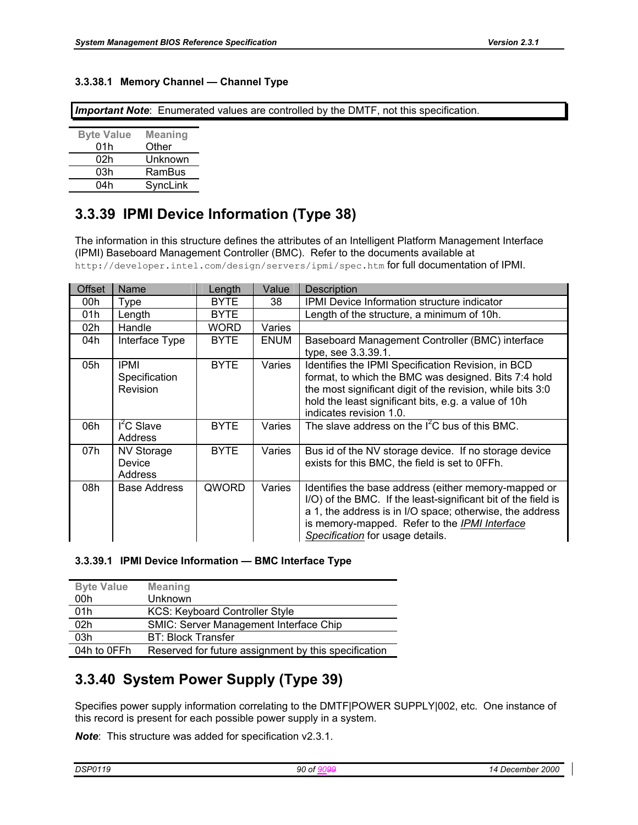#### **3.3.38.1 Memory Channel — Channel Type**

*Important Note*: Enumerated values are controlled by the DMTF, not this specification.

| <b>Meaning</b> |
|----------------|
| Other          |
| Unknown        |
| RamBus         |
| SyncLink       |
|                |

## **3.3.39 IPMI Device Information (Type 38)**

The information in this structure defines the attributes of an Intelligent Platform Management Interface (IPMI) Baseboard Management Controller (BMC). Refer to the documents available at http://developer.intel.com/design/servers/ipmi/spec.htm for full documentation of IPMI.

| <b>Offset</b> | Name                                     | Length      | Value       | <b>Description</b>                                                                                                                                                                                                                                                     |
|---------------|------------------------------------------|-------------|-------------|------------------------------------------------------------------------------------------------------------------------------------------------------------------------------------------------------------------------------------------------------------------------|
| 00h           | Type                                     | <b>BYTE</b> | 38          | <b>IPMI</b> Device Information structure indicator                                                                                                                                                                                                                     |
| 01h           | Length                                   | <b>BYTE</b> |             | Length of the structure, a minimum of 10h.                                                                                                                                                                                                                             |
| 02h           | Handle                                   | <b>WORD</b> | Varies      |                                                                                                                                                                                                                                                                        |
| 04h           | Interface Type                           | <b>BYTE</b> | <b>ENUM</b> | Baseboard Management Controller (BMC) interface<br>type, see 3.3.39.1.                                                                                                                                                                                                 |
| 05h           | <b>IPMI</b><br>Specification<br>Revision | <b>BYTE</b> | Varies      | Identifies the IPMI Specification Revision, in BCD<br>format, to which the BMC was designed. Bits 7:4 hold<br>the most significant digit of the revision, while bits 3:0<br>hold the least significant bits, e.g. a value of 10h<br>indicates revision 1.0.            |
| 06h           | $I2C$ Slave<br>Address                   | <b>BYTE</b> | Varies      | The slave address on the $I^2C$ bus of this BMC.                                                                                                                                                                                                                       |
| 07h           | <b>NV Storage</b><br>Device<br>Address   | <b>BYTE</b> | Varies      | Bus id of the NV storage device. If no storage device<br>exists for this BMC, the field is set to 0FFh.                                                                                                                                                                |
| 08h           | <b>Base Address</b>                      | QWORD       | Varies      | Identifies the base address (either memory-mapped or<br>I/O) of the BMC. If the least-significant bit of the field is<br>a 1, the address is in I/O space; otherwise, the address<br>is memory-mapped. Refer to the IPMI Interface<br>Specification for usage details. |

#### **3.3.39.1 IPMI Device Information — BMC Interface Type**

| <b>Byte Value</b> | <b>Meaning</b>                                       |
|-------------------|------------------------------------------------------|
| 00h               | <b>Unknown</b>                                       |
| 01h               | <b>KCS: Keyboard Controller Style</b>                |
| 02 <sub>h</sub>   | <b>SMIC: Server Management Interface Chip</b>        |
| 03h               | <b>BT: Block Transfer</b>                            |
| 04h to 0FFh       | Reserved for future assignment by this specification |

### **3.3.40 System Power Supply (Type 39)**

Specifies power supply information correlating to the DMTF|POWER SUPPLY|002, etc. One instance of this record is present for each possible power supply in a system.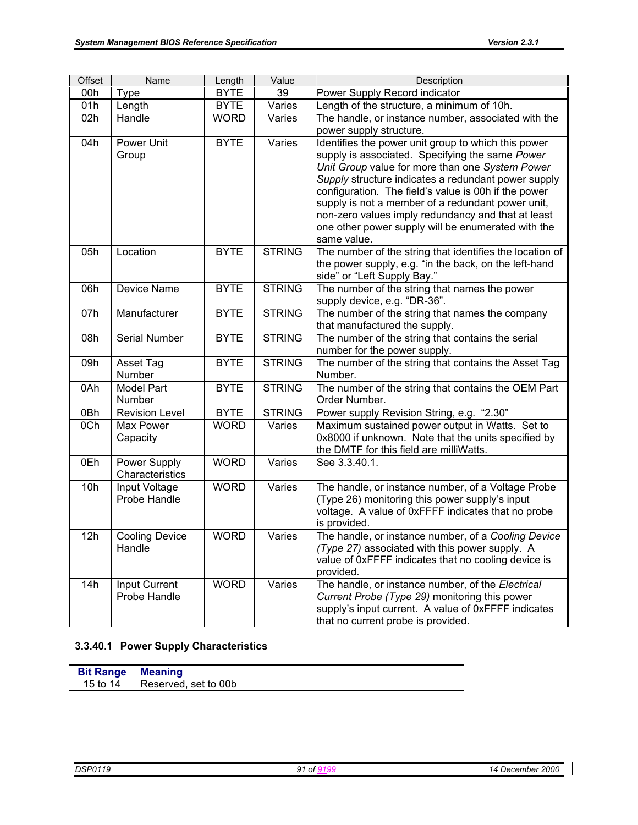| Offset           | Name                            | Length      | Value         | Description                                                                                                                                                                                                                                                                                                                                                                                                                                              |
|------------------|---------------------------------|-------------|---------------|----------------------------------------------------------------------------------------------------------------------------------------------------------------------------------------------------------------------------------------------------------------------------------------------------------------------------------------------------------------------------------------------------------------------------------------------------------|
| 00h              | <b>Type</b>                     | <b>BYTE</b> | 39            | Power Supply Record indicator                                                                                                                                                                                                                                                                                                                                                                                                                            |
| 01h              | Length                          | <b>BYTE</b> | Varies        | Length of the structure, a minimum of 10h.                                                                                                                                                                                                                                                                                                                                                                                                               |
| 02h              | Handle                          | <b>WORD</b> | Varies        | The handle, or instance number, associated with the                                                                                                                                                                                                                                                                                                                                                                                                      |
|                  |                                 |             |               | power supply structure.                                                                                                                                                                                                                                                                                                                                                                                                                                  |
| 04h              | Power Unit<br>Group             | <b>BYTE</b> | Varies        | Identifies the power unit group to which this power<br>supply is associated. Specifying the same Power<br>Unit Group value for more than one System Power<br>Supply structure indicates a redundant power supply<br>configuration. The field's value is 00h if the power<br>supply is not a member of a redundant power unit,<br>non-zero values imply redundancy and that at least<br>one other power supply will be enumerated with the<br>same value. |
| 05h              | Location                        | <b>BYTE</b> | <b>STRING</b> | The number of the string that identifies the location of<br>the power supply, e.g. "in the back, on the left-hand<br>side" or "Left Supply Bay."                                                                                                                                                                                                                                                                                                         |
| 06h              | Device Name                     | <b>BYTE</b> | <b>STRING</b> | The number of the string that names the power<br>supply device, e.g. "DR-36".                                                                                                                                                                                                                                                                                                                                                                            |
| 07h              | Manufacturer                    | <b>BYTE</b> | <b>STRING</b> | The number of the string that names the company<br>that manufactured the supply.                                                                                                                                                                                                                                                                                                                                                                         |
| 08h              | Serial Number                   | <b>BYTE</b> | <b>STRING</b> | The number of the string that contains the serial<br>number for the power supply.                                                                                                                                                                                                                                                                                                                                                                        |
| 09h              | Asset Tag<br>Number             | <b>BYTE</b> | <b>STRING</b> | The number of the string that contains the Asset Tag<br>Number.                                                                                                                                                                                                                                                                                                                                                                                          |
| 0Ah              | <b>Model Part</b><br>Number     | <b>BYTE</b> | <b>STRING</b> | The number of the string that contains the OEM Part<br>Order Number.                                                                                                                                                                                                                                                                                                                                                                                     |
| $\overline{OBh}$ | <b>Revision Level</b>           | <b>BYTE</b> | <b>STRING</b> | Power supply Revision String, e.g. "2.30"                                                                                                                                                                                                                                                                                                                                                                                                                |
| 0Ch              | Max Power<br>Capacity           | <b>WORD</b> | Varies        | Maximum sustained power output in Watts. Set to<br>0x8000 if unknown. Note that the units specified by<br>the DMTF for this field are milliWatts.                                                                                                                                                                                                                                                                                                        |
| 0Eh              | Power Supply<br>Characteristics | <b>WORD</b> | Varies        | See 3.3.40.1.                                                                                                                                                                                                                                                                                                                                                                                                                                            |
| 10h              | Input Voltage<br>Probe Handle   | <b>WORD</b> | Varies        | The handle, or instance number, of a Voltage Probe<br>(Type 26) monitoring this power supply's input<br>voltage. A value of 0xFFFF indicates that no probe<br>is provided.                                                                                                                                                                                                                                                                               |
| 12h              | <b>Cooling Device</b><br>Handle | <b>WORD</b> | Varies        | The handle, or instance number, of a Cooling Device<br>(Type 27) associated with this power supply. A<br>value of 0xFFFF indicates that no cooling device is<br>provided.                                                                                                                                                                                                                                                                                |
| 14h              | Input Current<br>Probe Handle   | <b>WORD</b> | Varies        | The handle, or instance number, of the Electrical<br>Current Probe (Type 29) monitoring this power<br>supply's input current. A value of 0xFFFF indicates<br>that no current probe is provided.                                                                                                                                                                                                                                                          |

#### **3.3.40.1 Power Supply Characteristics**

**Bit Range Meaning**  Reserved, set to 00b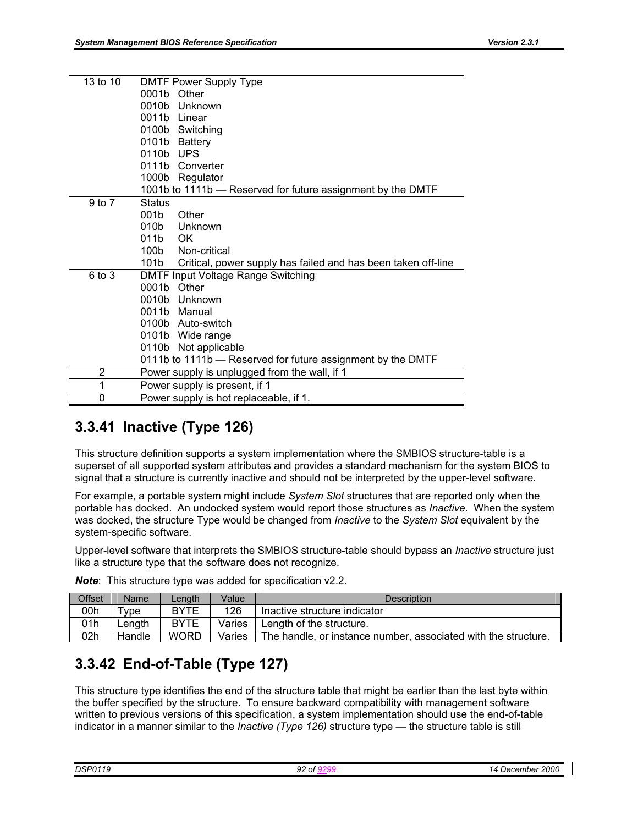| 13 to 10 | <b>DMTF Power Supply Type</b>                                         |
|----------|-----------------------------------------------------------------------|
|          | Other<br>0001b                                                        |
|          | 0010b<br>Unknown                                                      |
|          | 0011b Linear                                                          |
|          | 0100b Switching                                                       |
|          | 0101b<br>Battery                                                      |
|          | <b>UPS</b><br>0110b                                                   |
|          | 0111b<br>Converter                                                    |
|          | 1000b Regulator                                                       |
|          | 1001b to 1111b - Reserved for future assignment by the DMTF           |
| 9 to 7   | <b>Status</b>                                                         |
|          | 001b<br>Other                                                         |
|          | 010b<br>Unknown                                                       |
|          | 011b<br>OK                                                            |
|          | Non-critical<br>100b                                                  |
|          | 101b<br>Critical, power supply has failed and has been taken off-line |
| 6 to 3   | DMTF Input Voltage Range Switching                                    |
|          | 0001b<br>Other                                                        |
|          | 0010b Unknown                                                         |
|          | 0011b Manual                                                          |
|          | 0100b Auto-switch                                                     |
|          | 0101b Wide range                                                      |
|          | 0110b Not applicable                                                  |
|          | 0111b to 1111b - Reserved for future assignment by the DMTF           |
| 2        | Power supply is unplugged from the wall, if 1                         |
| 1        | Power supply is present, if 1                                         |
| 0        | Power supply is hot replaceable, if 1.                                |

## **3.3.41 Inactive (Type 126)**

This structure definition supports a system implementation where the SMBIOS structure-table is a superset of all supported system attributes and provides a standard mechanism for the system BIOS to signal that a structure is currently inactive and should not be interpreted by the upper-level software.

For example, a portable system might include *System Slot* structures that are reported only when the portable has docked. An undocked system would report those structures as *Inactive*. When the system was docked, the structure Type would be changed from *Inactive* to the *System Slot* equivalent by the system-specific software.

Upper-level software that interprets the SMBIOS structure-table should bypass an *Inactive* structure just like a structure type that the software does not recognize.

| <b>Offset</b> | Name   | Lenath      | Value  | Description                                                    |
|---------------|--------|-------------|--------|----------------------------------------------------------------|
| 00h           | vpe '  | <b>BYTE</b> | 126    | Inactive structure indicator                                   |
| 01h           | ∟enath | <b>BYTE</b> | Varies | Length of the structure.                                       |
| 02h           | Handle | <b>WORD</b> | Varies | The handle, or instance number, associated with the structure. |

*Note*: This structure type was added for specification v2.2.

# **3.3.42 End-of-Table (Type 127)**

This structure type identifies the end of the structure table that might be earlier than the last byte within the buffer specified by the structure. To ensure backward compatibility with management software written to previous versions of this specification, a system implementation should use the end-of-table indicator in a manner similar to the *Inactive (Type 126)* structure type — the structure table is still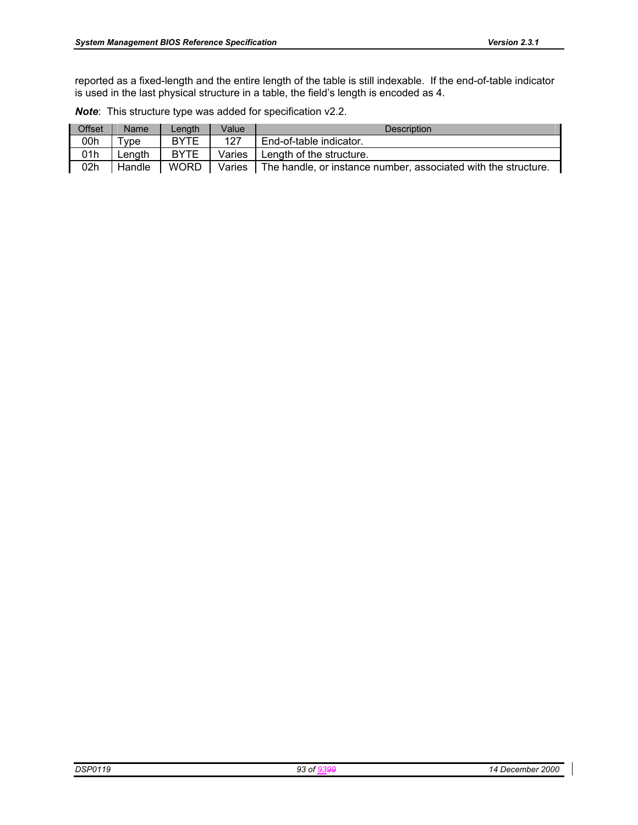| <b>Offset</b> | Name   | Length      | Value  | Description                                                    |
|---------------|--------|-------------|--------|----------------------------------------------------------------|
| 00h           | vpe ⊺  | <b>BYTE</b> | 127    | End-of-table indicator.                                        |
| 01h           | Lenath | <b>BYTE</b> | Varies | Length of the structure.                                       |
| 02h           | Handle | <b>WORD</b> | Varies | The handle, or instance number, associated with the structure. |

*Note*: This structure type was added for specification v2.2.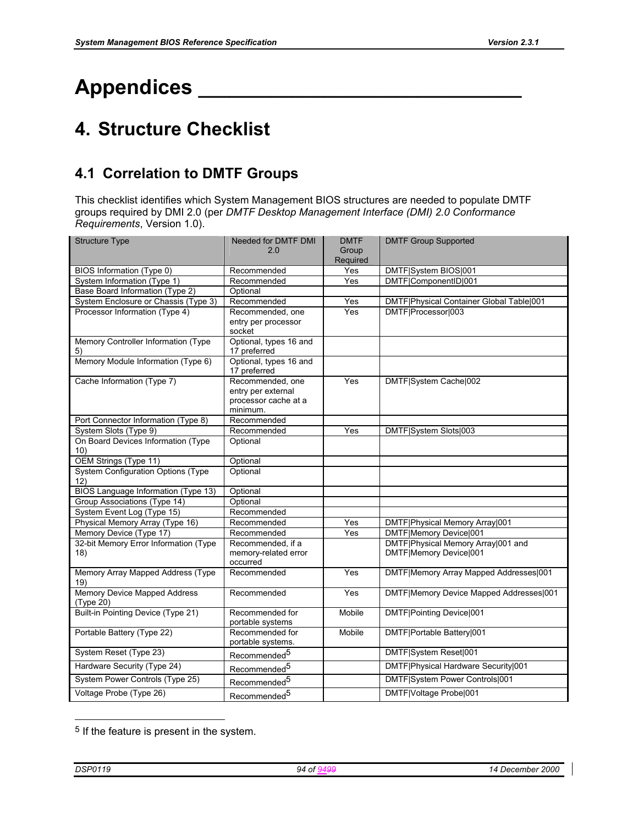# **Appendices \_\_\_\_\_\_\_\_\_\_\_\_\_\_\_\_\_\_\_\_\_\_\_\_\_\_\_\_\_\_\_**

# **4. Structure Checklist**

# **4.1 Correlation to DMTF Groups**

This checklist identifies which System Management BIOS structures are needed to populate DMTF groups required by DMI 2.0 (per *DMTF Desktop Management Interface (DMI) 2.0 Conformance Requirements*, Version 1.0).

| <b>Structure Type</b>                                        | Needed for DMTF DMI              | <b>DMTF</b> | <b>DMTF Group Supported</b>              |
|--------------------------------------------------------------|----------------------------------|-------------|------------------------------------------|
|                                                              | 2.0                              | Group       |                                          |
|                                                              |                                  | Required    |                                          |
| BIOS Information (Type 0)                                    | Recommended                      | Yes         | DMTF System BIOS 001                     |
| System Information (Type 1)                                  | Recommended                      | Yes         | DMTF ComponentID 001                     |
| Base Board Information (Type 2)                              | Optional                         |             |                                          |
| System Enclosure or Chassis (Type 3)                         | Recommended                      | Yes         | DMTF Physical Container Global Table 001 |
| Processor Information (Type 4)                               | Recommended, one                 | Yes         | DMTF Processor 003                       |
|                                                              | entry per processor              |             |                                          |
|                                                              | socket                           |             |                                          |
| Memory Controller Information (Type                          | Optional, types 16 and           |             |                                          |
| 5)                                                           | 17 preferred                     |             |                                          |
| Memory Module Information (Type 6)                           | Optional, types 16 and           |             |                                          |
|                                                              | 17 preferred                     |             |                                          |
| Cache Information (Type 7)                                   | Recommended, one                 | Yes         | DMTF System Cache 002                    |
|                                                              | entry per external               |             |                                          |
|                                                              | processor cache at a<br>minimum. |             |                                          |
|                                                              | Recommended                      |             |                                          |
| Port Connector Information (Type 8)<br>System Slots (Type 9) | Recommended                      | Yes         |                                          |
|                                                              |                                  |             | DMTF System Slots 003                    |
| On Board Devices Information (Type<br>10)                    | Optional                         |             |                                          |
| OEM Strings (Type 11)                                        | Optional                         |             |                                          |
| <b>System Configuration Options (Type)</b>                   | Optional                         |             |                                          |
| 12)                                                          |                                  |             |                                          |
| BIOS Language Information (Type 13)                          | Optional                         |             |                                          |
| Group Associations (Type 14)                                 | Optional                         |             |                                          |
| System Event Log (Type 15)                                   | Recommended                      |             |                                          |
| Physical Memory Array (Type 16)                              | Recommended                      | Yes         | DMTF Physical Memory Array 001           |
| Memory Device (Type 17)                                      | Recommended                      | Yes         | DMTF Memory Device 001                   |
| 32-bit Memory Error Information (Type                        | Recommended, if a                |             | DMTF Physical Memory Array 001 and       |
| 18)                                                          | memory-related error             |             | DMTF Memory Device 001                   |
|                                                              | occurred                         |             |                                          |
| Memory Array Mapped Address (Type                            | Recommended                      | Yes         | DMTF Memory Array Mapped Addresses 001   |
| 19)                                                          |                                  |             |                                          |
| <b>Memory Device Mapped Address</b>                          | Recommended                      | Yes         | DMTF Memory Device Mapped Addresses 001  |
| (Type 20)                                                    |                                  |             |                                          |
| Built-in Pointing Device (Type 21)                           | Recommended for                  | Mobile      | DMTF Pointing Device 001                 |
|                                                              | portable systems                 |             |                                          |
| Portable Battery (Type 22)                                   | Recommended for                  | Mobile      | DMTF Portable Battery 001                |
|                                                              | portable systems.                |             |                                          |
| System Reset (Type 23)                                       | Recommended <sup>5</sup>         |             | DMTF System Reset 001                    |
| Hardware Security (Type 24)                                  | Recommended <sup>5</sup>         |             | DMTF Physical Hardware Security 001      |
| System Power Controls (Type 25)                              | Recommended <sup>5</sup>         |             | DMTF System Power Controls 001           |
| Voltage Probe (Type 26)                                      | Recommended <sup>5</sup>         |             | DMTF Voltage Probe 001                   |

<sup>&</sup>lt;sup>5</sup> If the feature is present in the system.

l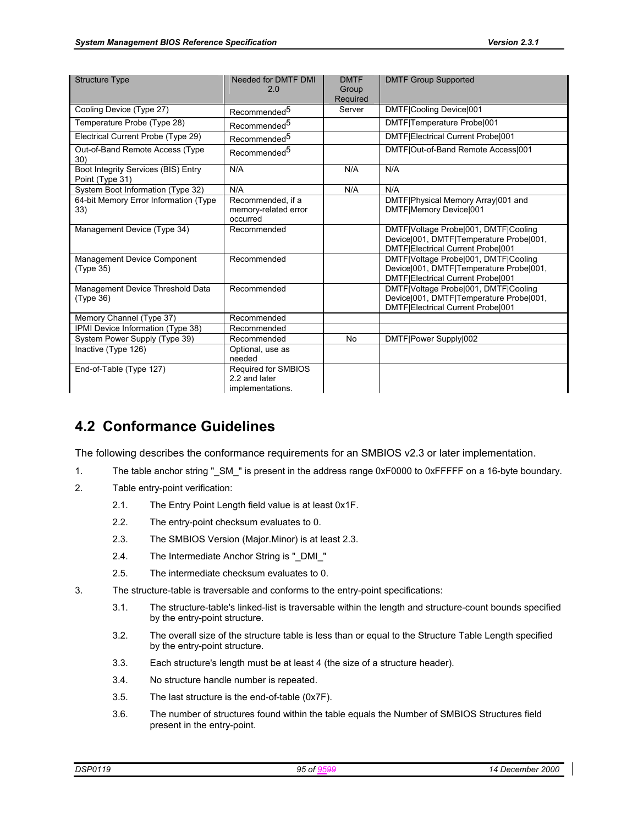| <b>Structure Type</b>                                  | Needed for DMTF DMI<br>2.0                               | <b>DMTF</b><br>Group<br>Required | <b>DMTF Group Supported</b>                                                                                          |
|--------------------------------------------------------|----------------------------------------------------------|----------------------------------|----------------------------------------------------------------------------------------------------------------------|
| Cooling Device (Type 27)                               | Recommended <sup>5</sup>                                 | Server                           | DMTF Cooling Device 001                                                                                              |
| Temperature Probe (Type 28)                            | Recommended <sup>5</sup>                                 |                                  | DMTF Temperature Probe 001                                                                                           |
| Electrical Current Probe (Type 29)                     | Recommended <sup>5</sup>                                 |                                  | DMTF Electrical Current Probe 001                                                                                    |
| Out-of-Band Remote Access (Type<br>30)                 | Recommended <sup>5</sup>                                 |                                  | DMTF Out-of-Band Remote Access 001                                                                                   |
| Boot Integrity Services (BIS) Entry<br>Point (Type 31) | N/A                                                      | N/A                              | N/A                                                                                                                  |
| System Boot Information (Type 32)                      | N/A                                                      | N/A                              | N/A                                                                                                                  |
| 64-bit Memory Error Information (Type<br>33)           | Recommended, if a<br>memory-related error<br>occurred    |                                  | DMTF Physical Memory Array 001 and<br>DMTF Memory Device 001                                                         |
| Management Device (Type 34)                            | Recommended                                              |                                  | DMTF Voltage Probe 001, DMTF Cooling<br>Device 001, DMTF Temperature Probe 001,<br>DMTF Electrical Current Probe 001 |
| Management Device Component<br>(Type 35)               | Recommended                                              |                                  | DMTF Voltage Probe 001, DMTF Cooling<br>Device 001, DMTF Temperature Probe 001,<br>DMTF Electrical Current Probe 001 |
| Management Device Threshold Data<br>(Tvpe 36)          | Recommended                                              |                                  | DMTF Voltage Probe 001, DMTF Cooling<br>Device 001, DMTF Temperature Probe 001,<br>DMTF Electrical Current Probe 001 |
| Memory Channel (Type 37)                               | Recommended                                              |                                  |                                                                                                                      |
| IPMI Device Information (Type 38)                      | Recommended                                              |                                  |                                                                                                                      |
| System Power Supply (Type 39)                          | Recommended                                              | No                               | DMTF Power Supply 002                                                                                                |
| Inactive (Type 126)                                    | Optional, use as<br>needed                               |                                  |                                                                                                                      |
| End-of-Table (Type 127)                                | Required for SMBIOS<br>2.2 and later<br>implementations. |                                  |                                                                                                                      |

# **4.2 Conformance Guidelines**

The following describes the conformance requirements for an SMBIOS v2.3 or later implementation.

- 1. The table anchor string "\_SM\_" is present in the address range 0xF0000 to 0xFFFFF on a 16-byte boundary.
- 2. Table entry-point verification:
	- 2.1. The Entry Point Length field value is at least 0x1F.
	- 2.2. The entry-point checksum evaluates to 0.
	- 2.3. The SMBIOS Version (Major.Minor) is at least 2.3.
	- 2.4. The Intermediate Anchor String is "\_DMI\_"
	- 2.5. The intermediate checksum evaluates to 0.
- 3. The structure-table is traversable and conforms to the entry-point specifications:
	- 3.1. The structure-table's linked-list is traversable within the length and structure-count bounds specified by the entry-point structure.
	- 3.2. The overall size of the structure table is less than or equal to the Structure Table Length specified by the entry-point structure.
	- 3.3. Each structure's length must be at least 4 (the size of a structure header).
	- 3.4. No structure handle number is repeated.
	- 3.5. The last structure is the end-of-table (0x7F).
	- 3.6. The number of structures found within the table equals the Number of SMBIOS Structures field present in the entry-point.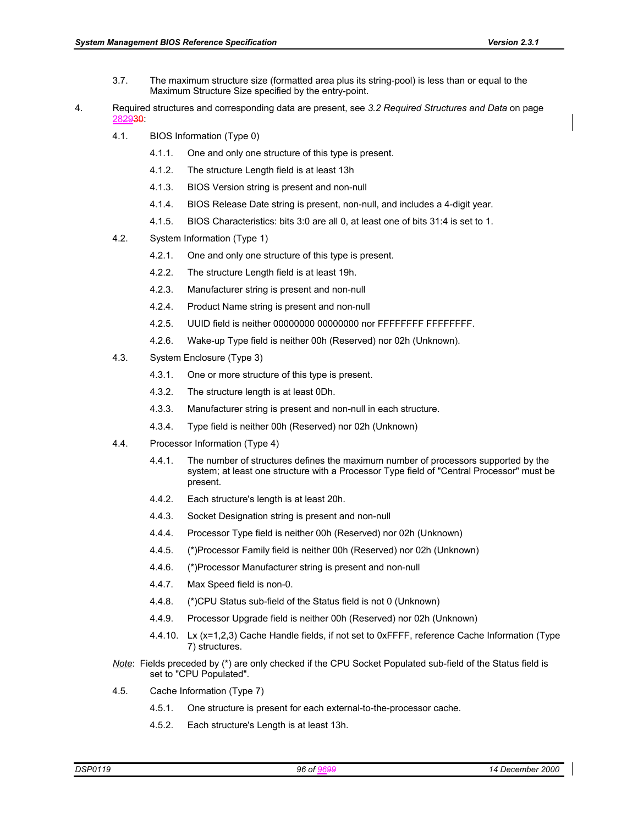- 3.7. The maximum structure size (formatted area plus its string-pool) is less than or equal to the Maximum Structure Size specified by the entry-point.
- 4. Required structures and corresponding data are present, see *3.2 Required Structures and Data* on page 282930:
	- 4.1. BIOS Information (Type 0)
		- 4.1.1. One and only one structure of this type is present.
		- 4.1.2. The structure Length field is at least 13h
		- 4.1.3. BIOS Version string is present and non-null
		- 4.1.4. BIOS Release Date string is present, non-null, and includes a 4-digit year.
		- 4.1.5. BIOS Characteristics: bits 3:0 are all 0, at least one of bits 31:4 is set to 1.
	- 4.2. System Information (Type 1)
		- 4.2.1. One and only one structure of this type is present.
		- 4.2.2. The structure Length field is at least 19h.
		- 4.2.3. Manufacturer string is present and non-null
		- 4.2.4. Product Name string is present and non-null
		- 4.2.5. UUID field is neither 00000000 00000000 nor FFFFFFFF FFFFFFFF.
		- 4.2.6. Wake-up Type field is neither 00h (Reserved) nor 02h (Unknown).
	- 4.3. System Enclosure (Type 3)
		- 4.3.1. One or more structure of this type is present.
		- 4.3.2. The structure length is at least 0Dh.
		- 4.3.3. Manufacturer string is present and non-null in each structure.
		- 4.3.4. Type field is neither 00h (Reserved) nor 02h (Unknown)
	- 4.4. Processor Information (Type 4)
		- 4.4.1. The number of structures defines the maximum number of processors supported by the system; at least one structure with a Processor Type field of "Central Processor" must be present.
		- 4.4.2. Each structure's length is at least 20h.
		- 4.4.3. Socket Designation string is present and non-null
		- 4.4.4. Processor Type field is neither 00h (Reserved) nor 02h (Unknown)
		- 4.4.5. (\*)Processor Family field is neither 00h (Reserved) nor 02h (Unknown)
		- 4.4.6. (\*)Processor Manufacturer string is present and non-null
		- 4.4.7. Max Speed field is non-0.
		- 4.4.8. (\*)CPU Status sub-field of the Status field is not 0 (Unknown)
		- 4.4.9. Processor Upgrade field is neither 00h (Reserved) nor 02h (Unknown)
		- 4.4.10. Lx (x=1,2,3) Cache Handle fields, if not set to 0xFFFF, reference Cache Information (Type 7) structures.
	- *Note*: Fields preceded by (\*) are only checked if the CPU Socket Populated sub-field of the Status field is set to "CPU Populated".
	- 4.5. Cache Information (Type 7)
		- 4.5.1. One structure is present for each external-to-the-processor cache.
		- 4.5.2. Each structure's Length is at least 13h.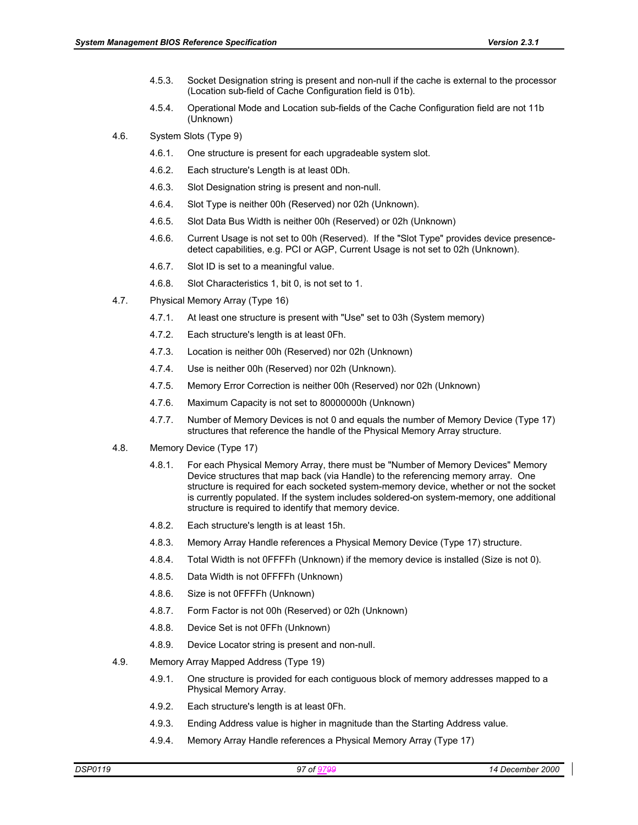- 4.5.3. Socket Designation string is present and non-null if the cache is external to the processor (Location sub-field of Cache Configuration field is 01b).
- 4.5.4. Operational Mode and Location sub-fields of the Cache Configuration field are not 11b (Unknown)
- 4.6. System Slots (Type 9)
	- 4.6.1. One structure is present for each upgradeable system slot.
	- 4.6.2. Each structure's Length is at least 0Dh.
	- 4.6.3. Slot Designation string is present and non-null.
	- 4.6.4. Slot Type is neither 00h (Reserved) nor 02h (Unknown).
	- 4.6.5. Slot Data Bus Width is neither 00h (Reserved) or 02h (Unknown)
	- 4.6.6. Current Usage is not set to 00h (Reserved). If the "Slot Type" provides device presencedetect capabilities, e.g. PCI or AGP, Current Usage is not set to 02h (Unknown).
	- 4.6.7. Slot ID is set to a meaningful value.
	- 4.6.8. Slot Characteristics 1, bit 0, is not set to 1.
- 4.7. Physical Memory Array (Type 16)
	- 4.7.1. At least one structure is present with "Use" set to 03h (System memory)
	- 4.7.2. Each structure's length is at least 0Fh.
	- 4.7.3. Location is neither 00h (Reserved) nor 02h (Unknown)
	- 4.7.4. Use is neither 00h (Reserved) nor 02h (Unknown).
	- 4.7.5. Memory Error Correction is neither 00h (Reserved) nor 02h (Unknown)
	- 4.7.6. Maximum Capacity is not set to 80000000h (Unknown)
	- 4.7.7. Number of Memory Devices is not 0 and equals the number of Memory Device (Type 17) structures that reference the handle of the Physical Memory Array structure.
- 4.8. Memory Device (Type 17)
	- 4.8.1. For each Physical Memory Array, there must be "Number of Memory Devices" Memory Device structures that map back (via Handle) to the referencing memory array. One structure is required for each socketed system-memory device, whether or not the socket is currently populated. If the system includes soldered-on system-memory, one additional structure is required to identify that memory device.
	- 4.8.2. Each structure's length is at least 15h.
	- 4.8.3. Memory Array Handle references a Physical Memory Device (Type 17) structure.
	- 4.8.4. Total Width is not 0FFFFh (Unknown) if the memory device is installed (Size is not 0).
	- 4.8.5. Data Width is not 0FFFFh (Unknown)
	- 4.8.6. Size is not 0FFFFh (Unknown)
	- 4.8.7. Form Factor is not 00h (Reserved) or 02h (Unknown)
	- 4.8.8. Device Set is not 0FFh (Unknown)
	- 4.8.9. Device Locator string is present and non-null.
- 4.9. Memory Array Mapped Address (Type 19)
	- 4.9.1. One structure is provided for each contiguous block of memory addresses mapped to a Physical Memory Array.
	- 4.9.2. Each structure's length is at least 0Fh.
	- 4.9.3. Ending Address value is higher in magnitude than the Starting Address value.
	- 4.9.4. Memory Array Handle references a Physical Memory Array (Type 17)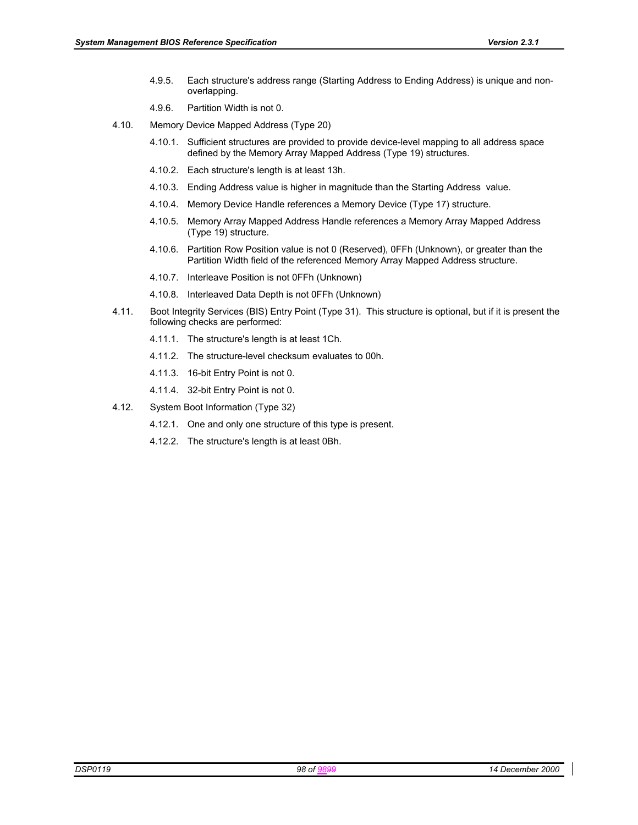- 4.9.5. Each structure's address range (Starting Address to Ending Address) is unique and nonoverlapping.
- 4.9.6. Partition Width is not 0.
- 4.10. Memory Device Mapped Address (Type 20)
	- 4.10.1. Sufficient structures are provided to provide device-level mapping to all address space defined by the Memory Array Mapped Address (Type 19) structures.
	- 4.10.2. Each structure's length is at least 13h.
	- 4.10.3. Ending Address value is higher in magnitude than the Starting Address value.
	- 4.10.4. Memory Device Handle references a Memory Device (Type 17) structure.
	- 4.10.5. Memory Array Mapped Address Handle references a Memory Array Mapped Address (Type 19) structure.
	- 4.10.6. Partition Row Position value is not 0 (Reserved), 0FFh (Unknown), or greater than the Partition Width field of the referenced Memory Array Mapped Address structure.
	- 4.10.7. Interleave Position is not 0FFh (Unknown)
	- 4.10.8. Interleaved Data Depth is not 0FFh (Unknown)
- 4.11. Boot Integrity Services (BIS) Entry Point (Type 31). This structure is optional, but if it is present the following checks are performed:
	- 4.11.1. The structure's length is at least 1Ch.
	- 4.11.2. The structure-level checksum evaluates to 00h.
	- 4.11.3. 16-bit Entry Point is not 0.
	- 4.11.4. 32-bit Entry Point is not 0.
- 4.12. System Boot Information (Type 32)
	- 4.12.1. One and only one structure of this type is present.
	- 4.12.2. The structure's length is at least 0Bh.